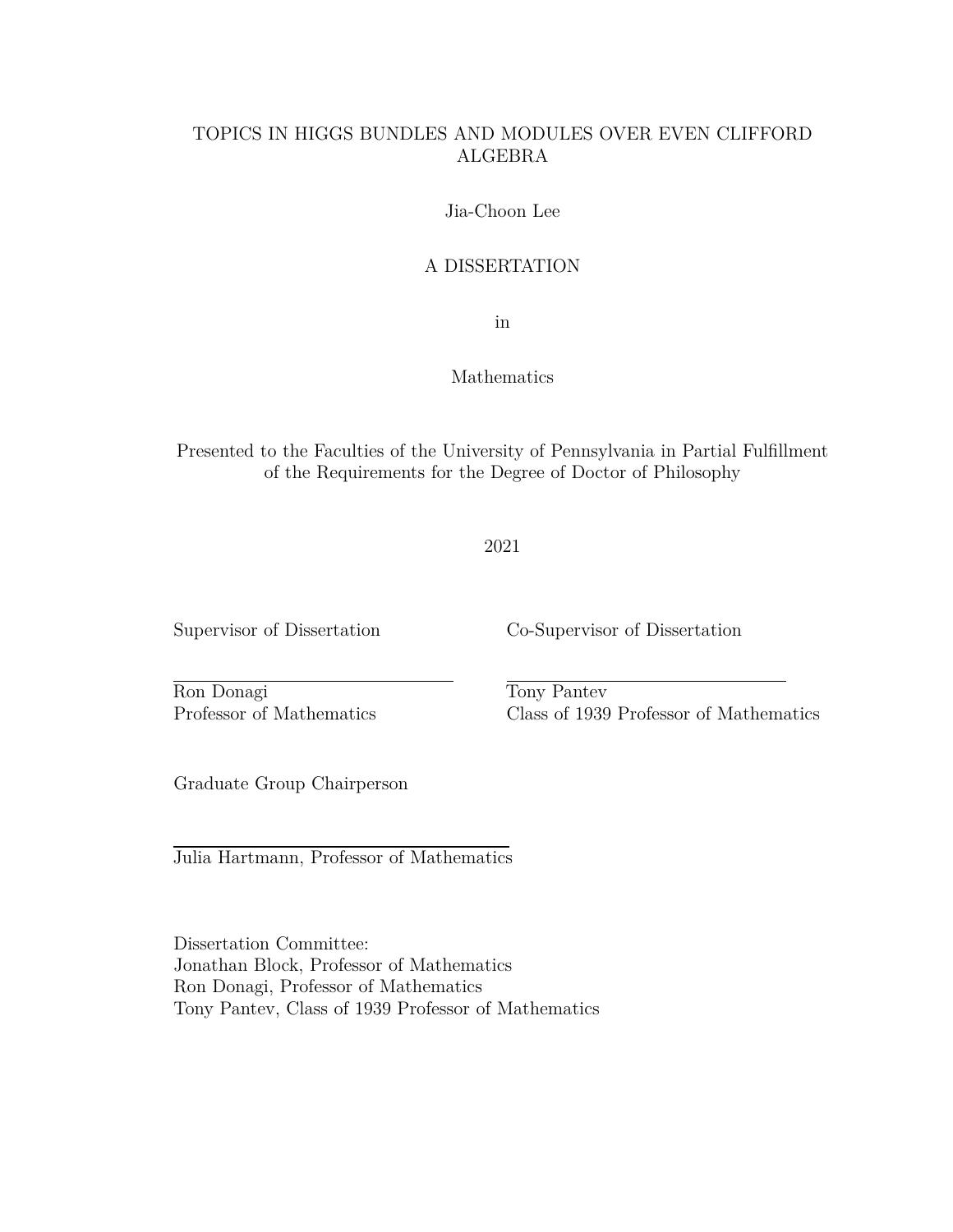## TOPICS IN HIGGS BUNDLES AND MODULES OVER EVEN CLIFFORD ALGEBRA

#### Jia-Choon Lee

### A DISSERTATION

in

## Mathematics

Presented to the Faculties of the University of Pennsylvania in Partial Fulfillment of the Requirements for the Degree of Doctor of Philosophy

2021

Supervisor of Dissertation

Ron Donagi Professor of Mathematics Co-Supervisor of Dissertation

Tony Pantev Class of 1939 Professor of Mathematics

Graduate Group Chairperson

Julia Hartmann, Professor of Mathematics

Dissertation Committee: Jonathan Block, Professor of Mathematics Ron Donagi, Professor of Mathematics Tony Pantev, Class of 1939 Professor of Mathematics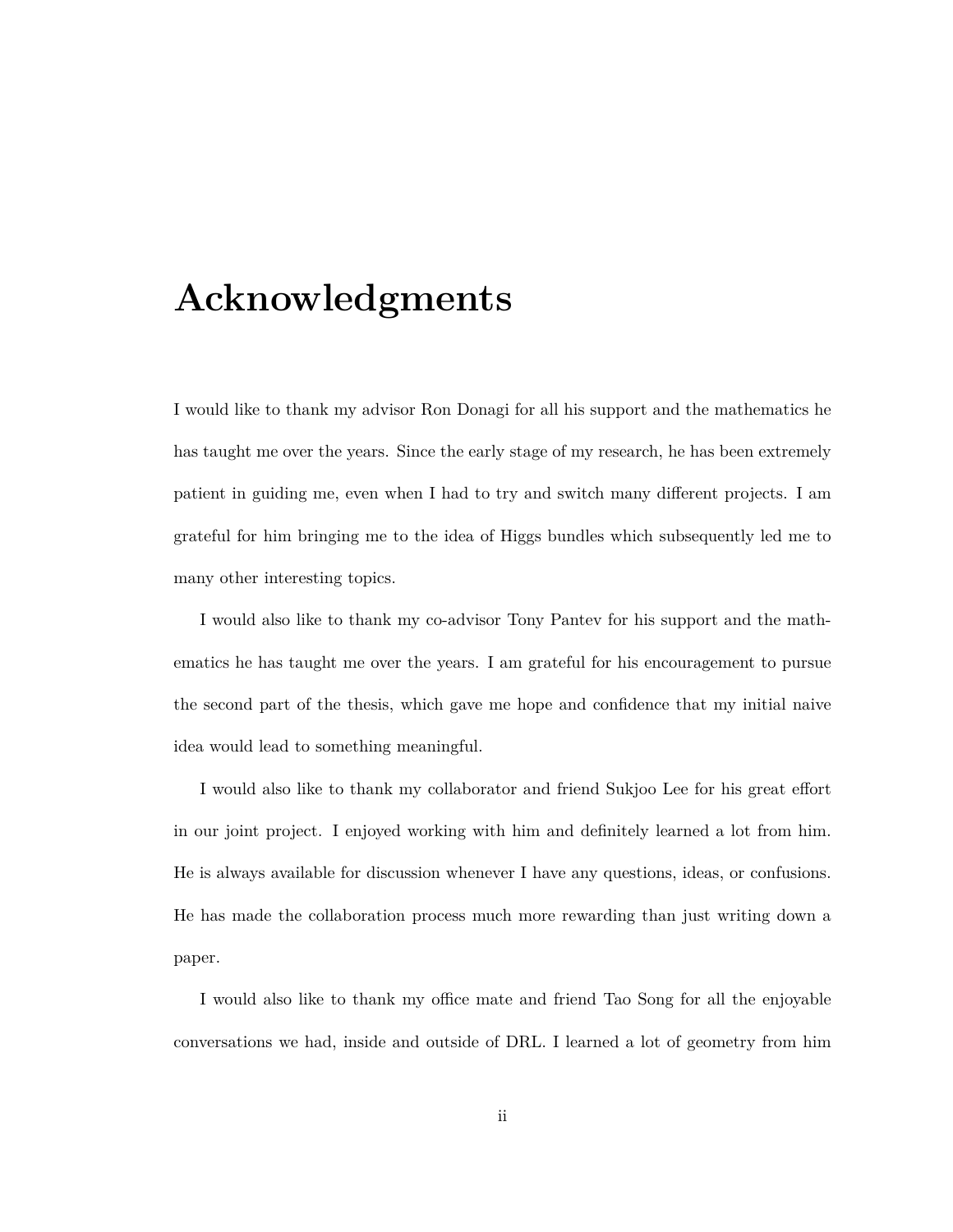# **Acknowledgments**

I would like to thank my advisor Ron Donagi for all his support and the mathematics he has taught me over the years. Since the early stage of my research, he has been extremely patient in guiding me, even when I had to try and switch many different projects. I am grateful for him bringing me to the idea of Higgs bundles which subsequently led me to many other interesting topics.

I would also like to thank my co-advisor Tony Pantev for his support and the mathematics he has taught me over the years. I am grateful for his encouragement to pursue the second part of the thesis, which gave me hope and confidence that my initial naive idea would lead to something meaningful.

I would also like to thank my collaborator and friend Sukjoo Lee for his great effort in our joint project. I enjoyed working with him and definitely learned a lot from him. He is always available for discussion whenever I have any questions, ideas, or confusions. He has made the collaboration process much more rewarding than just writing down a paper.

I would also like to thank my office mate and friend Tao Song for all the enjoyable conversations we had, inside and outside of DRL. I learned a lot of geometry from him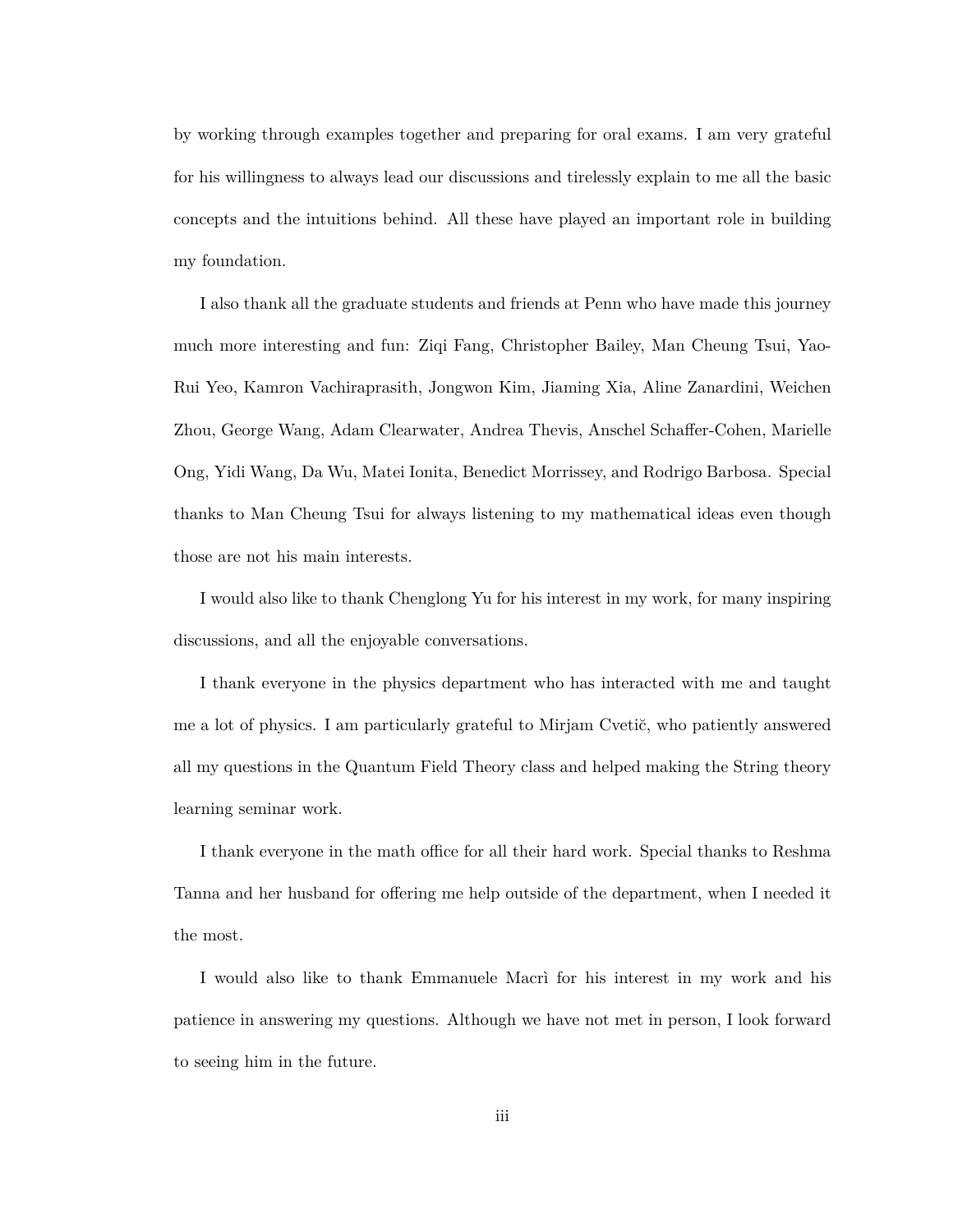by working through examples together and preparing for oral exams. I am very grateful for his willingness to always lead our discussions and tirelessly explain to me all the basic concepts and the intuitions behind. All these have played an important role in building my foundation.

I also thank all the graduate students and friends at Penn who have made this journey much more interesting and fun: Ziqi Fang, Christopher Bailey, Man Cheung Tsui, Yao-Rui Yeo, Kamron Vachiraprasith, Jongwon Kim, Jiaming Xia, Aline Zanardini, Weichen Zhou, George Wang, Adam Clearwater, Andrea Thevis, Anschel Schaffer-Cohen, Marielle Ong, Yidi Wang, Da Wu, Matei Ionita, Benedict Morrissey, and Rodrigo Barbosa. Special thanks to Man Cheung Tsui for always listening to my mathematical ideas even though those are not his main interests.

I would also like to thank Chenglong Yu for his interest in my work, for many inspiring discussions, and all the enjoyable conversations.

I thank everyone in the physics department who has interacted with me and taught me a lot of physics. I am particularly grateful to Mirjam Cvetič, who patiently answered all my questions in the Quantum Field Theory class and helped making the String theory learning seminar work.

I thank everyone in the math office for all their hard work. Special thanks to Reshma Tanna and her husband for offering me help outside of the department, when I needed it the most.

I would also like to thank Emmanuele Macri for his interest in my work and his patience in answering my questions. Although we have not met in person, I look forward to seeing him in the future.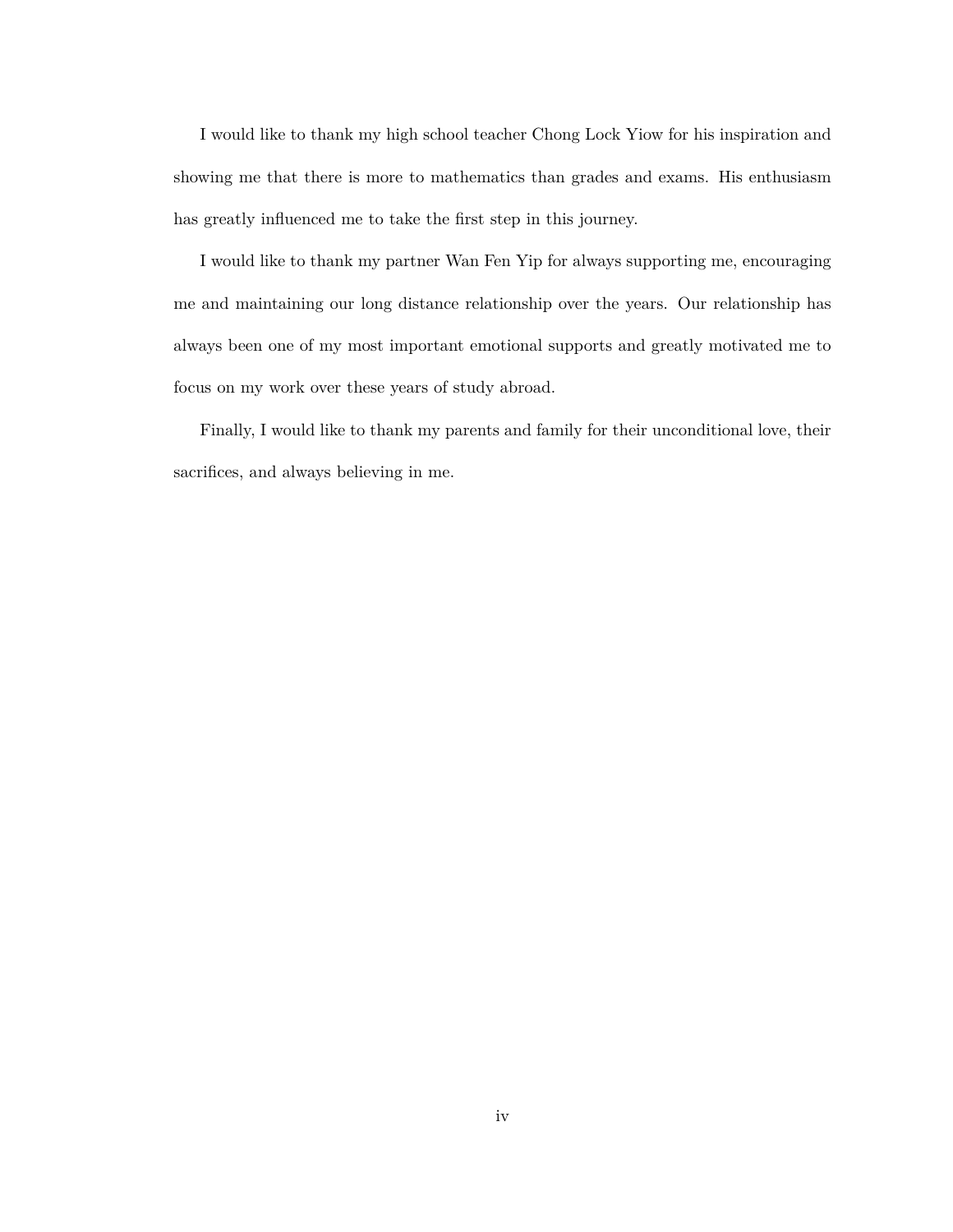I would like to thank my high school teacher Chong Lock Yiow for his inspiration and showing me that there is more to mathematics than grades and exams. His enthusiasm has greatly influenced me to take the first step in this journey.

I would like to thank my partner Wan Fen Yip for always supporting me, encouraging me and maintaining our long distance relationship over the years. Our relationship has always been one of my most important emotional supports and greatly motivated me to focus on my work over these years of study abroad.

Finally, I would like to thank my parents and family for their unconditional love, their sacrifices, and always believing in me.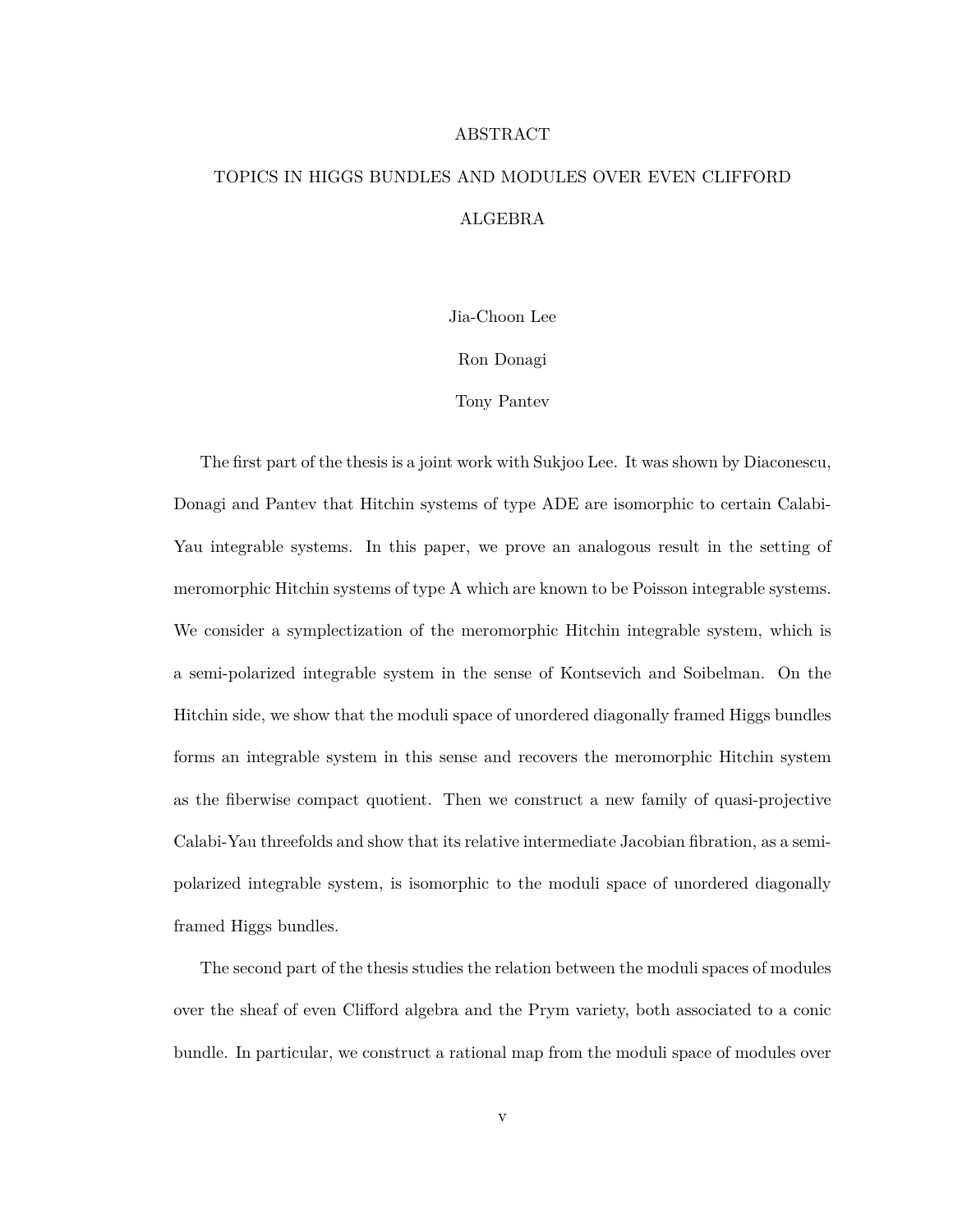# ABSTRACT TOPICS IN HIGGS BUNDLES AND MODULES OVER EVEN CLIFFORD ALGEBRA

Jia-Choon Lee

Ron Donagi

Tony Pantev

The first part of the thesis is a joint work with Sukjoo Lee. It was shown by Diaconescu, Donagi and Pantev that Hitchin systems of type ADE are isomorphic to certain Calabi-Yau integrable systems. In this paper, we prove an analogous result in the setting of meromorphic Hitchin systems of type A which are known to be Poisson integrable systems. We consider a symplectization of the meromorphic Hitchin integrable system, which is a semi-polarized integrable system in the sense of Kontsevich and Soibelman. On the Hitchin side, we show that the moduli space of unordered diagonally framed Higgs bundles forms an integrable system in this sense and recovers the meromorphic Hitchin system as the fiberwise compact quotient. Then we construct a new family of quasi-projective Calabi-Yau threefolds and show that its relative intermediate Jacobian fibration, as a semipolarized integrable system, is isomorphic to the moduli space of unordered diagonally framed Higgs bundles.

The second part of the thesis studies the relation between the moduli spaces of modules over the sheaf of even Clifford algebra and the Prym variety, both associated to a conic bundle. In particular, we construct a rational map from the moduli space of modules over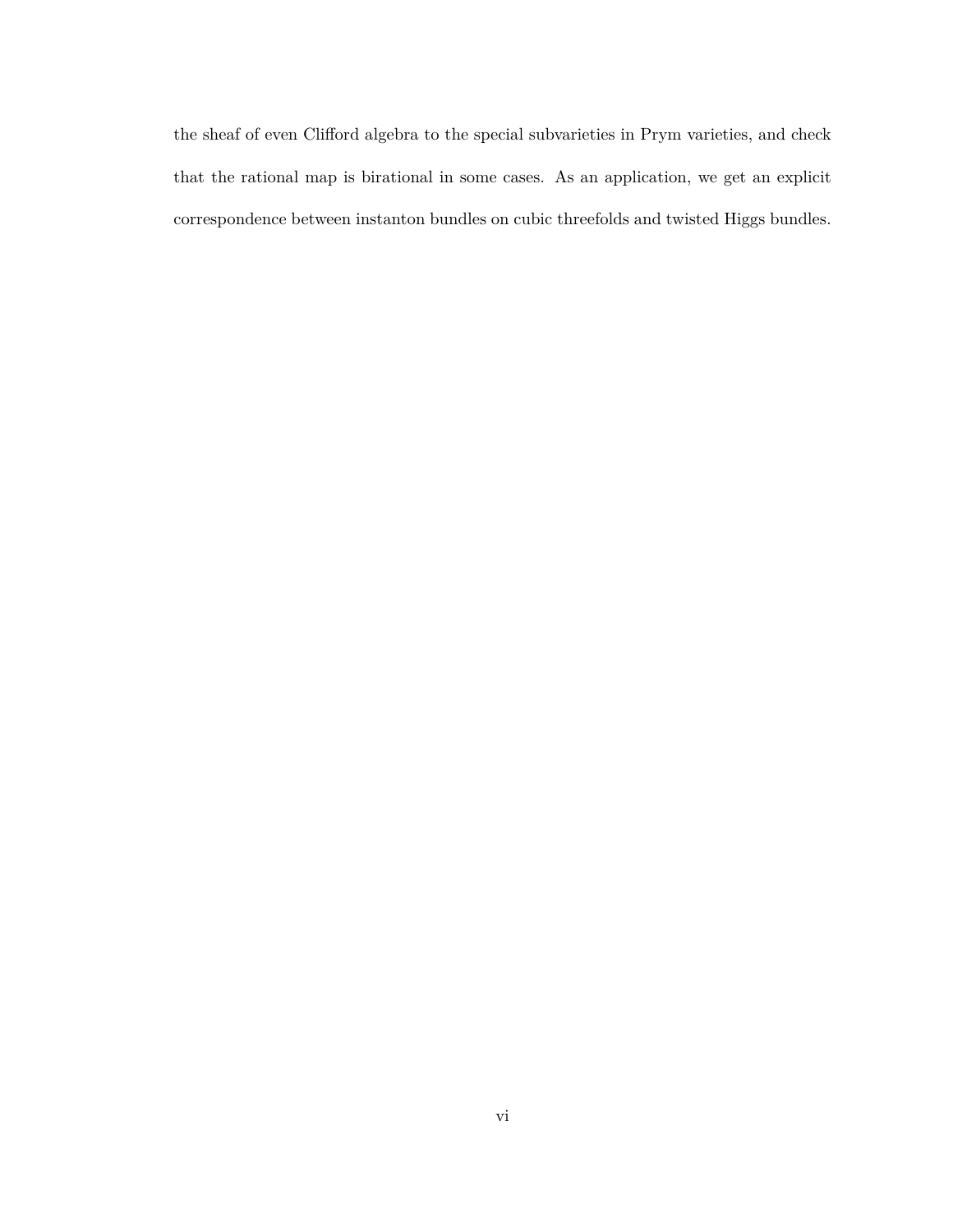the sheaf of even Clifford algebra to the special subvarieties in Prym varieties, and check that the rational map is birational in some cases. As an application, we get an explicit correspondence between instanton bundles on cubic threefolds and twisted Higgs bundles.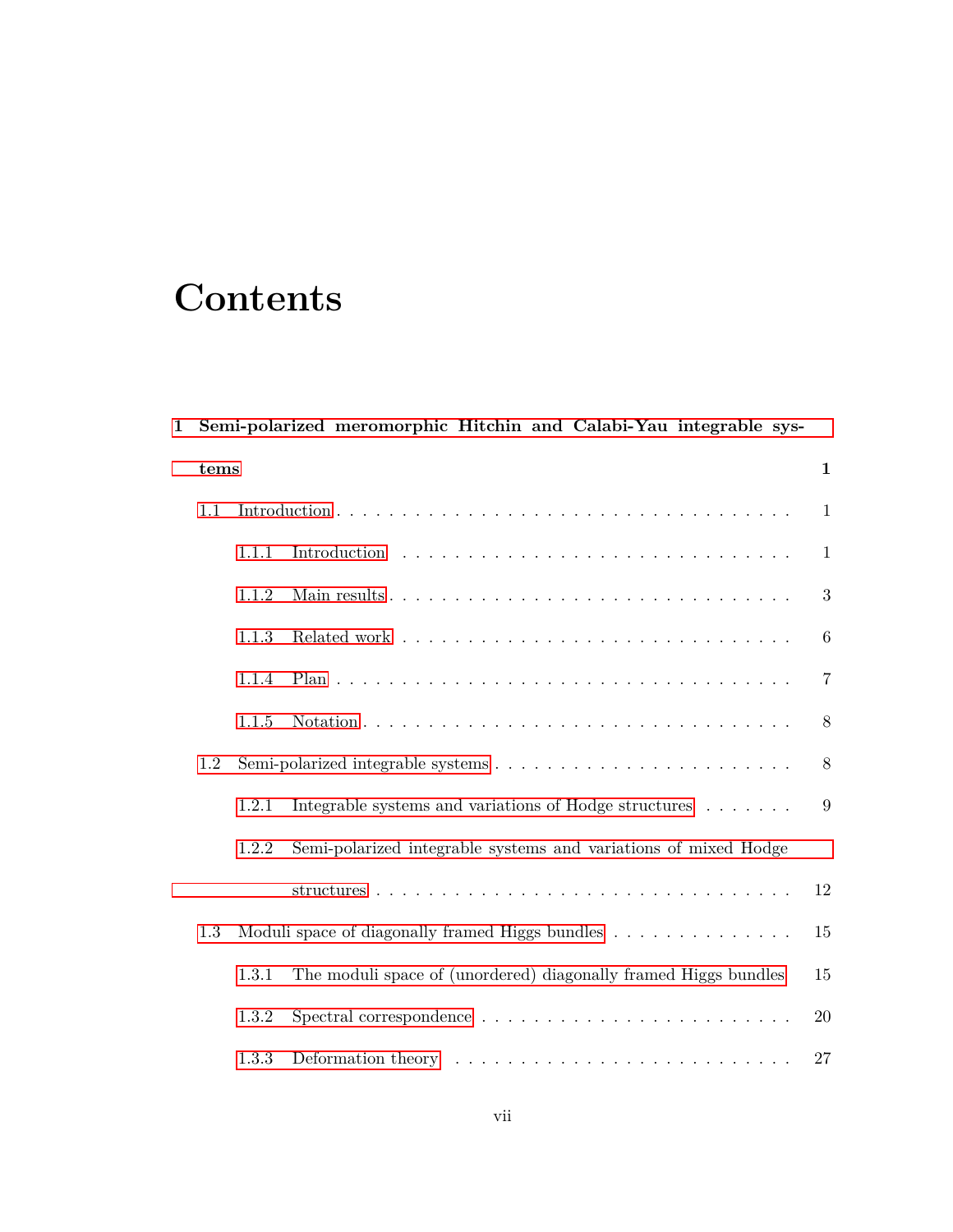# **Contents**

| $\mathbf{1}$                                                                     |      |       | Semi-polarized meromorphic Hitchin and Calabi-Yau integrable sys-                |                 |
|----------------------------------------------------------------------------------|------|-------|----------------------------------------------------------------------------------|-----------------|
|                                                                                  | tems |       |                                                                                  | $\mathbf{1}$    |
|                                                                                  | 1.1  |       |                                                                                  | $\mathbf{1}$    |
|                                                                                  |      | 1.1.1 |                                                                                  | 1               |
|                                                                                  |      | 1.1.2 |                                                                                  | 3               |
|                                                                                  |      | 1.1.3 |                                                                                  | $6\phantom{.}6$ |
|                                                                                  |      | 1.1.4 |                                                                                  | $\overline{7}$  |
|                                                                                  |      | 1.1.5 |                                                                                  | 8               |
|                                                                                  | 1.2  |       |                                                                                  | 8               |
|                                                                                  |      | 1.2.1 | Integrable systems and variations of Hodge structures                            | 9               |
|                                                                                  |      | 1.2.2 | Semi-polarized integrable systems and variations of mixed Hodge                  |                 |
|                                                                                  |      |       |                                                                                  | 12              |
| Moduli space of diagonally framed Higgs bundles $\dots \dots \dots \dots$<br>1.3 |      |       |                                                                                  | 15              |
|                                                                                  |      | 1.3.1 | The moduli space of (unordered) diagonally framed Higgs bundles                  | 15              |
|                                                                                  |      | 1.3.2 |                                                                                  | 20              |
|                                                                                  |      | 1.3.3 | Deformation theory $\dots \dots \dots \dots \dots \dots \dots \dots \dots \dots$ | 27              |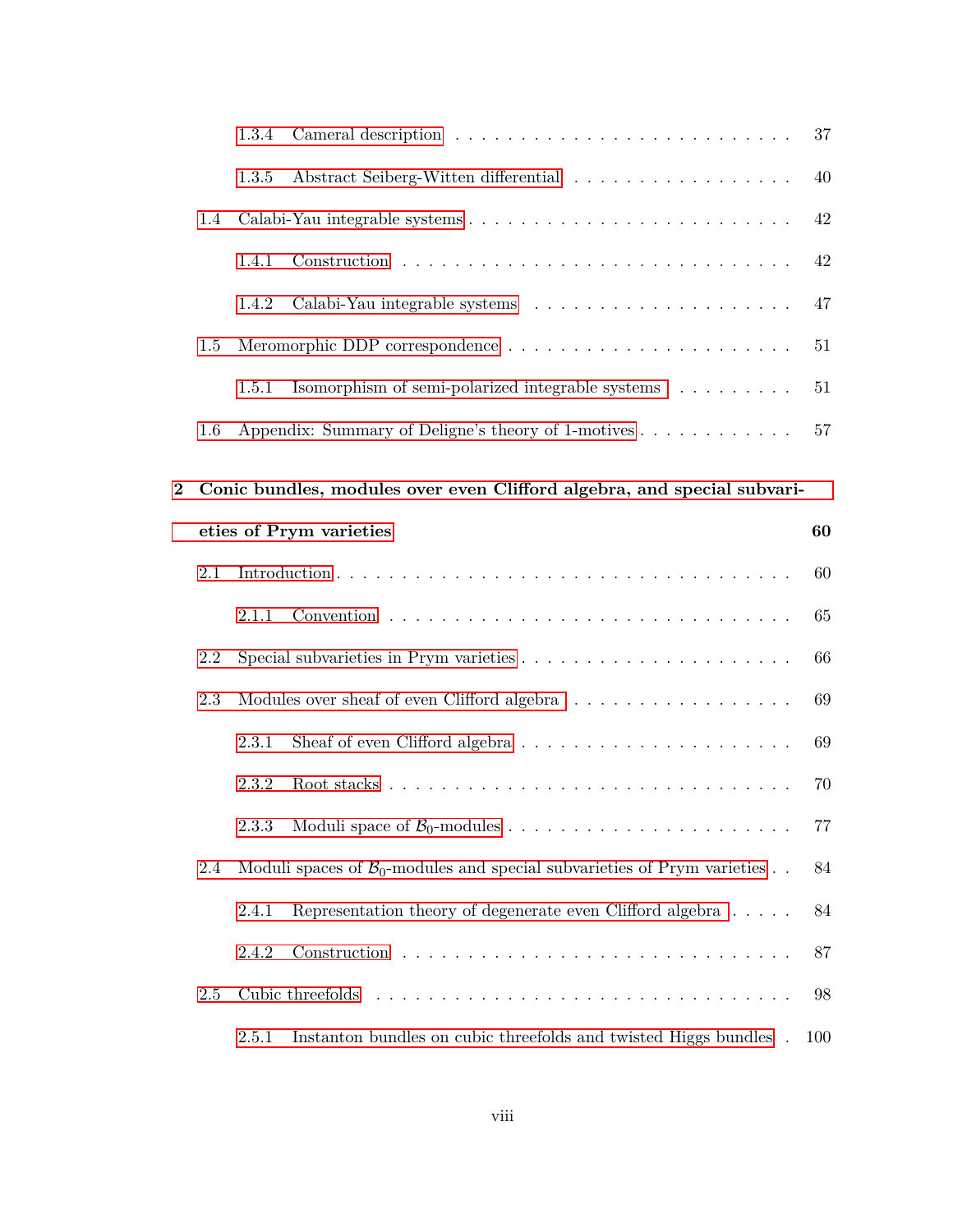|          |     | 1.3.4                                                                                |                                                                                     | 37     |
|----------|-----|--------------------------------------------------------------------------------------|-------------------------------------------------------------------------------------|--------|
|          |     | 1.3.5                                                                                | Abstract Seiberg-Witten differential                                                | 40     |
|          | 1.4 |                                                                                      |                                                                                     | 42     |
|          |     | 1.4.1                                                                                |                                                                                     | 42     |
|          |     | 1.4.2                                                                                |                                                                                     | 47     |
|          | 1.5 |                                                                                      |                                                                                     | 51     |
|          |     | 1.5.1                                                                                | Isomorphism of semi-polarized integrable systems                                    | $51\,$ |
|          | 1.6 |                                                                                      | Appendix: Summary of Deligne's theory of 1-motives                                  | 57     |
| $\bf{2}$ |     |                                                                                      | Conic bundles, modules over even Clifford algebra, and special subvari-             |        |
|          |     | eties of Prym varieties                                                              | 60                                                                                  |        |
|          | 2.1 |                                                                                      |                                                                                     | 60     |
|          |     | 2.1.1                                                                                |                                                                                     | 65     |
|          | 2.2 |                                                                                      |                                                                                     | 66     |
|          | 2.3 | Modules over sheaf of even Clifford algebra                                          | 69                                                                                  |        |
|          |     | 2.3.1                                                                                |                                                                                     | 69     |
|          |     | 2.3.2                                                                                | Root stacks $\ldots \ldots \ldots \ldots \ldots \ldots \ldots \ldots \ldots \ldots$ | 70     |
|          |     | 2.3.3                                                                                |                                                                                     | 77     |
|          | 2.4 | Moduli spaces of $\mathcal{B}_0$ -modules and special subvarieties of Prym varieties | 84                                                                                  |        |
|          |     | 2.4.1                                                                                | Representation theory of degenerate even Clifford algebra $\dots$ .                 | 84     |
|          |     | 2.4.2                                                                                |                                                                                     | 87     |
|          | 2.5 |                                                                                      | Cubic threefolds                                                                    | 98     |
|          |     | 2.5.1                                                                                | Instanton bundles on cubic threefolds and twisted Higgs bundles                     | 100    |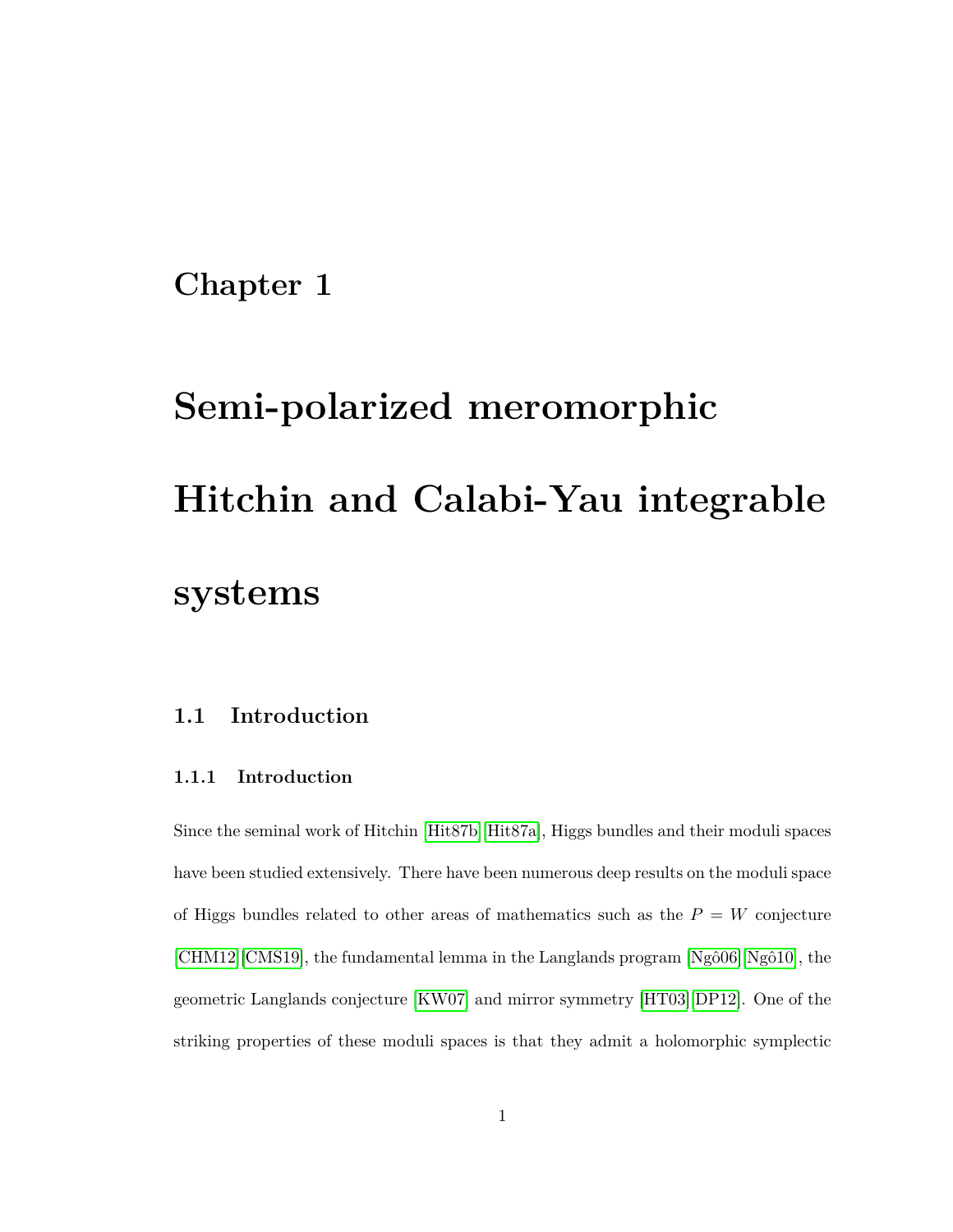# <span id="page-8-0"></span>**Chapter 1**

# **Semi-polarized meromorphic Hitchin and Calabi-Yau integrable systems**

## <span id="page-8-1"></span>**1.1 Introduction**

#### <span id="page-8-2"></span>**1.1.1 Introduction**

Since the seminal work of Hitchin [\[Hit87b\]](#page-114-0)[\[Hit87a\]](#page-114-1), Higgs bundles and their moduli spaces have been studied extensively. There have been numerous deep results on the moduli space of Higgs bundles related to other areas of mathematics such as the  $P = W$  conjecture [\[CHM12\]](#page-112-0)[\[CMS19\]](#page-112-1), the fundamental lemma in the Langlands program [Ngô06][Ngô10], the geometric Langlands conjecture [\[KW07\]](#page-114-2) and mirror symmetry [\[HT03\]](#page-114-3)[\[DP12\]](#page-113-0). One of the striking properties of these moduli spaces is that they admit a holomorphic symplectic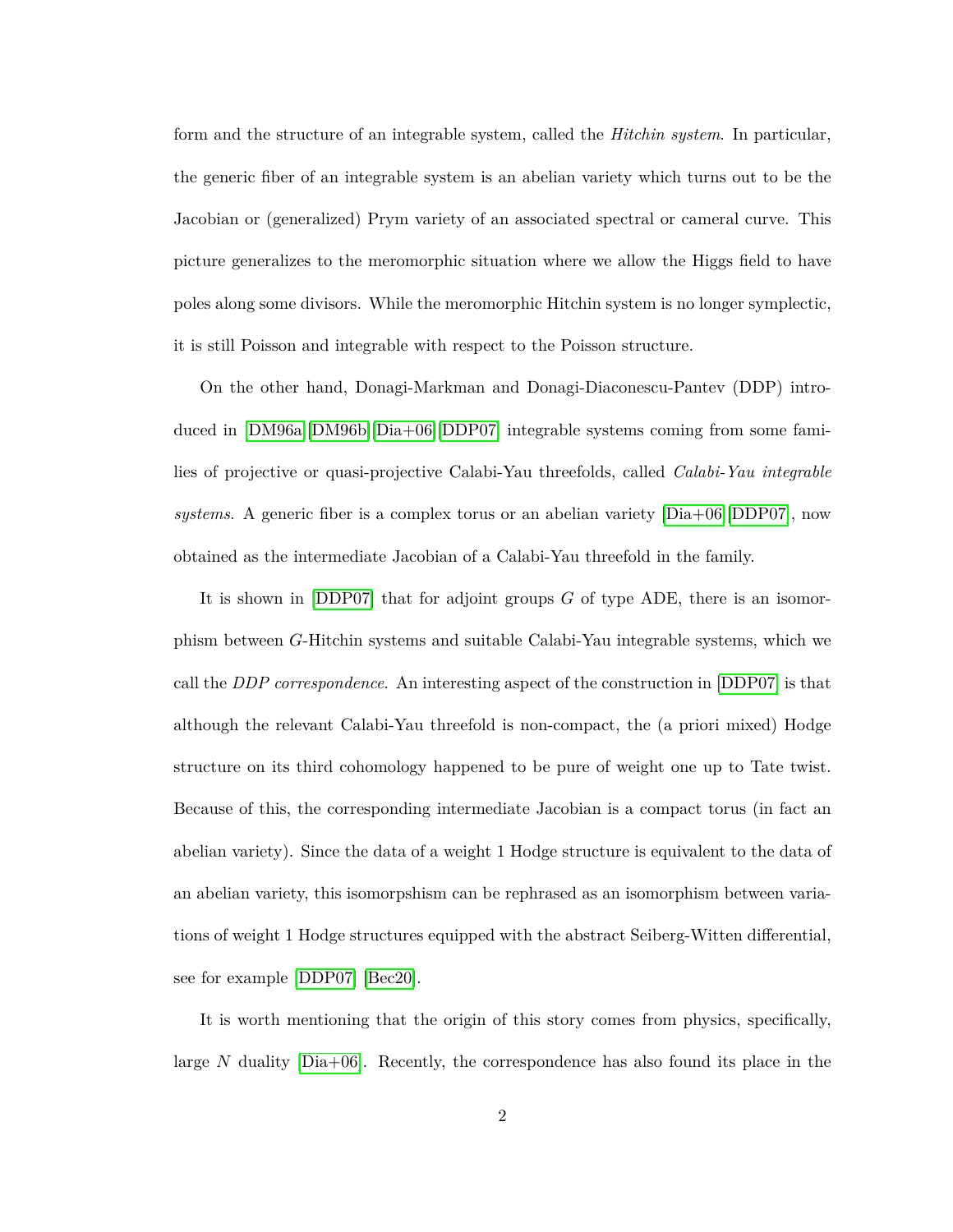form and the structure of an integrable system, called the *Hitchin system*. In particular, the generic fiber of an integrable system is an abelian variety which turns out to be the Jacobian or (generalized) Prym variety of an associated spectral or cameral curve. This picture generalizes to the meromorphic situation where we allow the Higgs field to have poles along some divisors. While the meromorphic Hitchin system is no longer symplectic, it is still Poisson and integrable with respect to the Poisson structure.

On the other hand, Donagi-Markman and Donagi-Diaconescu-Pantev (DDP) introduced in [\[DM96a\]](#page-113-1)[\[DM96b\]](#page-113-2)[\[Dia+06\]](#page-113-3)[\[DDP07\]](#page-113-4) integrable systems coming from some families of projective or quasi-projective Calabi-Yau threefolds, called *Calabi-Yau integrable systems*. A generic fiber is a complex torus or an abelian variety [\[Dia+06\]](#page-113-3)[\[DDP07\]](#page-113-4), now obtained as the intermediate Jacobian of a Calabi-Yau threefold in the family.

It is shown in [\[DDP07\]](#page-113-4) that for adjoint groups *G* of type ADE, there is an isomorphism between *G*-Hitchin systems and suitable Calabi-Yau integrable systems, which we call the *DDP correspondence*. An interesting aspect of the construction in [\[DDP07\]](#page-113-4) is that although the relevant Calabi-Yau threefold is non-compact, the (a priori mixed) Hodge structure on its third cohomology happened to be pure of weight one up to Tate twist. Because of this, the corresponding intermediate Jacobian is a compact torus (in fact an abelian variety). Since the data of a weight 1 Hodge structure is equivalent to the data of an abelian variety, this isomorpshism can be rephrased as an isomorphism between variations of weight 1 Hodge structures equipped with the abstract Seiberg-Witten differential, see for example [\[DDP07\]](#page-113-4) [\[Bec20\]](#page-111-0).

It is worth mentioning that the origin of this story comes from physics, specifically, large N duality  $[Dia+06]$ . Recently, the correspondence has also found its place in the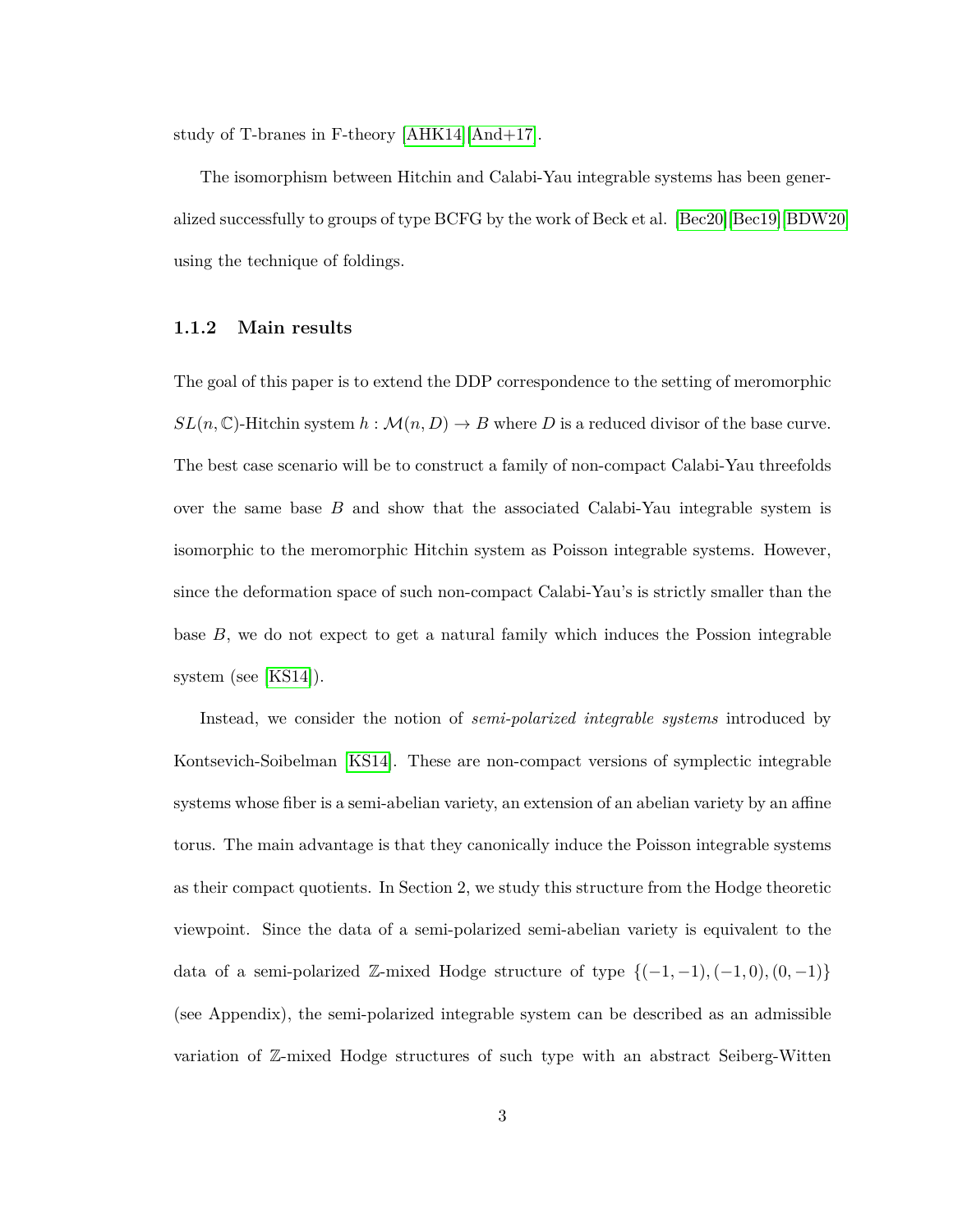study of T-branes in F-theory [\[AHK14\]](#page-110-0)[\[And+17\]](#page-110-1).

The isomorphism between Hitchin and Calabi-Yau integrable systems has been generalized successfully to groups of type BCFG by the work of Beck et al. [\[Bec20\]](#page-111-0)[\[Bec19\]](#page-111-1)[\[BDW20\]](#page-111-2) using the technique of foldings.

#### <span id="page-10-0"></span>**1.1.2 Main results**

The goal of this paper is to extend the DDP correspondence to the setting of meromorphic  $SL(n,\mathbb{C})$ -Hitchin system  $h : \mathcal{M}(n,D) \to B$  where *D* is a reduced divisor of the base curve. The best case scenario will be to construct a family of non-compact Calabi-Yau threefolds over the same base *B* and show that the associated Calabi-Yau integrable system is isomorphic to the meromorphic Hitchin system as Poisson integrable systems. However, since the deformation space of such non-compact Calabi-Yau's is strictly smaller than the base *B*, we do not expect to get a natural family which induces the Possion integrable system (see [\[KS14\]](#page-115-0)).

Instead, we consider the notion of *semi-polarized integrable systems* introduced by Kontsevich-Soibelman [\[KS14\]](#page-115-0). These are non-compact versions of symplectic integrable systems whose fiber is a semi-abelian variety, an extension of an abelian variety by an affine torus. The main advantage is that they canonically induce the Poisson integrable systems as their compact quotients. In Section 2, we study this structure from the Hodge theoretic viewpoint. Since the data of a semi-polarized semi-abelian variety is equivalent to the data of a semi-polarized  $\mathbb{Z}$ -mixed Hodge structure of type  $\{(-1,-1), (-1,0), (0,-1)\}$ (see Appendix), the semi-polarized integrable system can be described as an admissible variation of Z-mixed Hodge structures of such type with an abstract Seiberg-Witten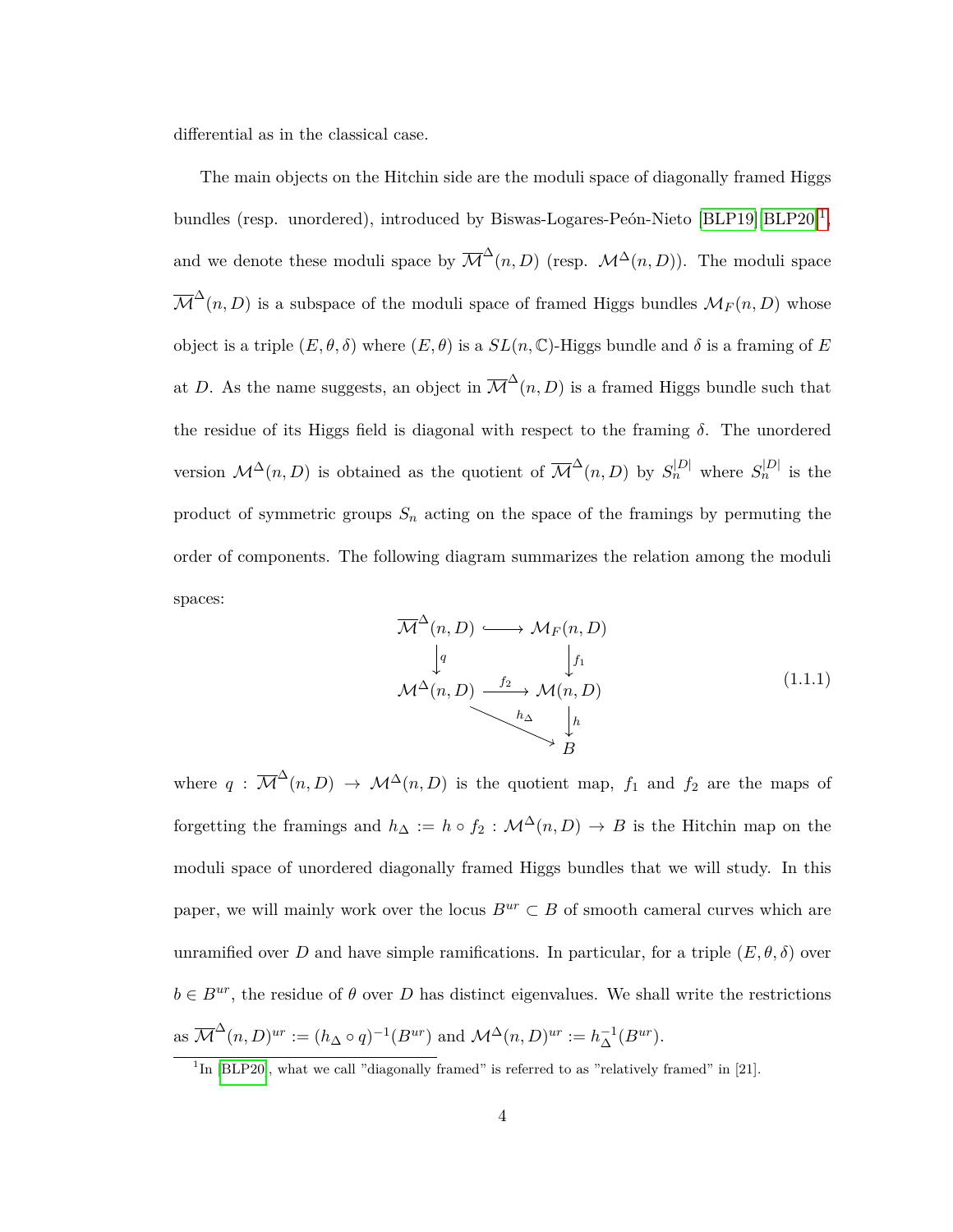differential as in the classical case.

The main objects on the Hitchin side are the moduli space of diagonally framed Higgs bundles (resp. unordered), introduced by Biswas-Logares-Peón-Nieto [\[BLP19\]](#page-112-2)[\[BLP20\]](#page-112-3)<sup>[1](#page-11-0)</sup>, and we denote these moduli space by  $\overline{\mathcal{M}}^{\Delta}(n, D)$  (resp.  $\mathcal{M}^{\Delta}(n, D)$ ). The moduli space  $\overline{\mathcal{M}}^{\Delta}(n, D)$  is a subspace of the moduli space of framed Higgs bundles  $\mathcal{M}_F(n, D)$  whose object is a triple  $(E, \theta, \delta)$  where  $(E, \theta)$  is a  $SL(n, \mathbb{C})$ -Higgs bundle and  $\delta$  is a framing of E at *D*. As the name suggests, an object in  $\overline{\mathcal{M}}^{\Delta}(n, D)$  is a framed Higgs bundle such that the residue of its Higgs field is diagonal with respect to the framing *δ*. The unordered version  $\mathcal{M}^{\Delta}(n, D)$  is obtained as the quotient of  $\overline{\mathcal{M}}^{\Delta}(n, D)$  by  $S_n^{|D|}$  where  $S_n^{|D|}$  is the product of symmetric groups *S<sup>n</sup>* acting on the space of the framings by permuting the order of components. The following diagram summarizes the relation among the moduli spaces:

$$
\overline{\mathcal{M}}^{\Delta}(n, D) \longleftrightarrow \mathcal{M}_F(n, D)
$$
\n
$$
\downarrow q \qquad \qquad f_1
$$
\n
$$
\mathcal{M}^{\Delta}(n, D) \xrightarrow{f_2} \mathcal{M}(n, D)
$$
\n
$$
\downarrow h
$$
\n
$$
\downarrow h
$$
\n
$$
(1.1.1)
$$
\n
$$
\downarrow h
$$

where  $q : \overline{\mathcal{M}}^{\Delta}(n, D) \rightarrow \mathcal{M}^{\Delta}(n, D)$  is the quotient map,  $f_1$  and  $f_2$  are the maps of forgetting the framings and  $h_{\Delta} := h \circ f_2 : \mathcal{M}^{\Delta}(n, D) \to B$  is the Hitchin map on the moduli space of unordered diagonally framed Higgs bundles that we will study. In this paper, we will mainly work over the locus  $B^{ur} \subset B$  of smooth cameral curves which are unramified over *D* and have simple ramifications. In particular, for a triple  $(E, \theta, \delta)$  over  $b \in B^{ur}$ , the residue of  $\theta$  over *D* has distinct eigenvalues. We shall write the restrictions as  $\overline{\mathcal{M}}^{\Delta}(n, D)^{ur} := (h_{\Delta} \circ q)^{-1}(B^{ur})$  and  $\mathcal{M}^{\Delta}(n, D)^{ur} := h_{\Delta}^{-1}$  $\Delta^{1}(B^{ur}).$ 

<span id="page-11-0"></span><sup>&</sup>lt;sup>1</sup>In [\[BLP20\]](#page-112-3), what we call "diagonally framed" is referred to as "relatively framed" in [21].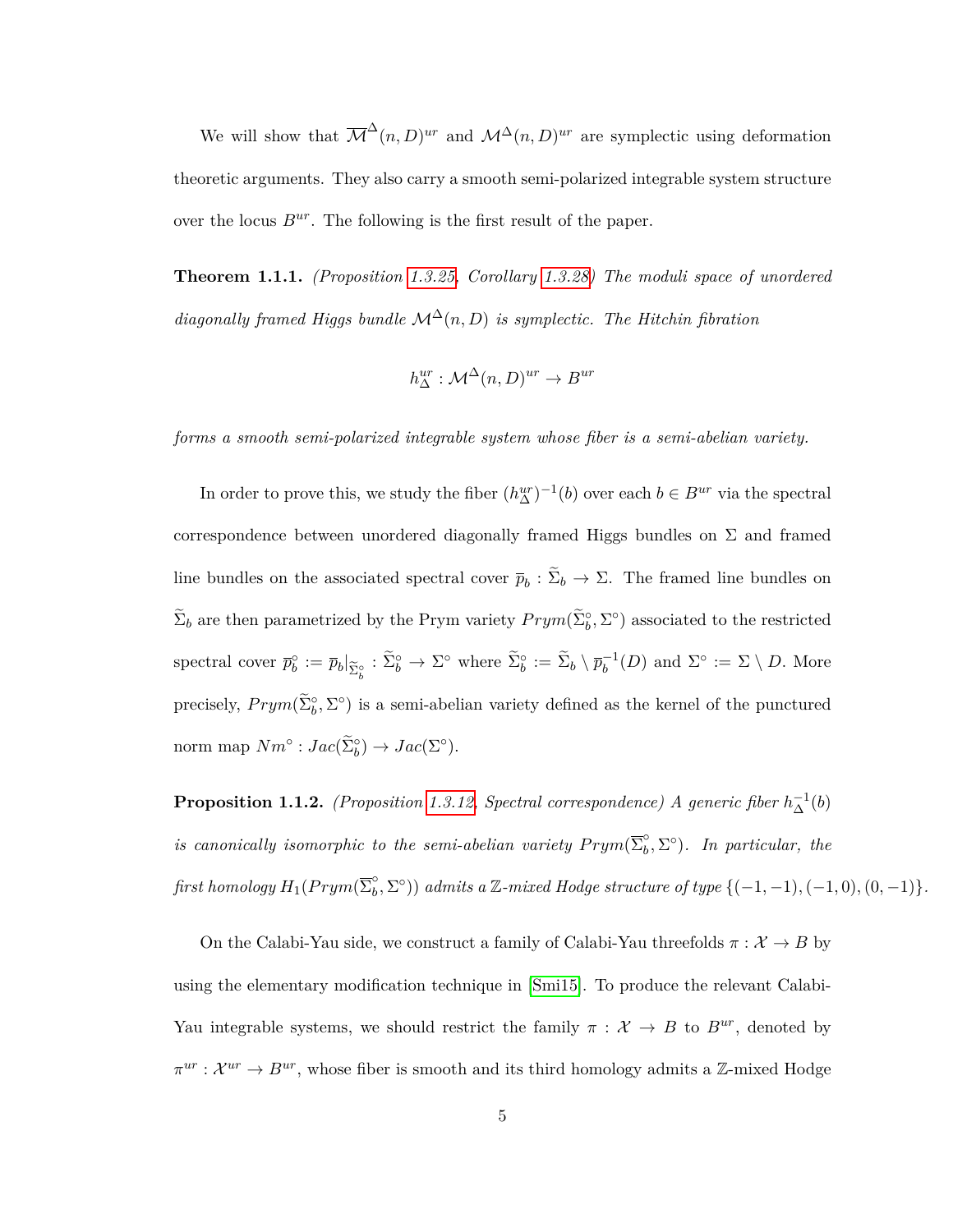We will show that  $\overline{\mathcal{M}}^{\Delta}(n, D)^{ur}$  and  $\mathcal{M}^{\Delta}(n, D)^{ur}$  are symplectic using deformation theoretic arguments. They also carry a smooth semi-polarized integrable system structure over the locus  $B^{ur}$ . The following is the first result of the paper.

**Theorem 1.1.1.** *(Proposition [1.3.25,](#page-42-0) Corollary [1.3.28\)](#page-43-0) The moduli space of unordered diagonally framed Higgs bundle*  $\mathcal{M}^{\Delta}(n, D)$  *is symplectic. The Hitchin fibration* 

$$
h_{\Delta}^{ur}: \mathcal{M}^{\Delta}(n, D)^{ur} \to B^{ur}
$$

*forms a smooth semi-polarized integrable system whose fiber is a semi-abelian variety.*

In order to prove this, we study the fiber  $(h_{\Delta}^{ur})^{-1}(b)$  over each  $b \in B^{ur}$  via the spectral correspondence between unordered diagonally framed Higgs bundles on  $\Sigma$  and framed line bundles on the associated spectral cover  $\bar{p}_b : \Sigma_b \to \Sigma$ . The framed line bundles on  $\tilde{\Sigma}_b$  are then parametrized by the Prym variety  $Prym(\tilde{\Sigma}_b^{\circ}, \Sigma^{\circ})$  associated to the restricted spectral cover  $\overline{p}_b^{\circ} := \overline{p}_b|_{\widetilde{\Sigma}_b^{\circ}} : \widetilde{\Sigma}_b^{\circ} \to \Sigma^{\circ}$  where  $\widetilde{\Sigma}_b^{\circ} := \widetilde{\Sigma}_b \setminus \overline{p}_b^{-1}(D)$  and  $\Sigma^{\circ} := \Sigma \setminus D$ . More precisely,  $Prym(\tilde{\Sigma}_b^{\circ}, \Sigma^{\circ})$  is a semi-abelian variety defined as the kernel of the punctured norm map  $Nm^{\circ}: Jac(\tilde{\Sigma}_{b}^{\circ}) \to Jac(\Sigma^{\circ}).$ 

**Proposition 1.1.2.** *(Proposition [1.3.12,](#page-30-0) Spectral correspondence)* A generic fiber  $h_{\Lambda}^{-1}$  $\bar{\Delta}^{(b)}$ *is canonically isomorphic to the semi-abelian variety*  $Prym(\overline{\Sigma}_{b}^{\circ})$  $\int_b^{\infty}$ ,  $\Sigma^{\circ}$ ). In particular, the  $\widehat{\rm first}\ homology\ H_1( Prym(\overline{\Sigma}^\circ_b)$  $\binom{6}{b}$ ,  $\Sigma^{\circ}$ )) *admits a* Z-mixed Hodge structure of type {(-1*,* -1*)*, (-1*,* 0*)*, (0*,* -1)}.

On the Calabi-Yau side, we construct a family of Calabi-Yau threefolds  $\pi : \mathcal{X} \to B$  by using the elementary modification technique in [\[Smi15\]](#page-117-0). To produce the relevant Calabi-Yau integrable systems, we should restrict the family  $\pi$  :  $\mathcal{X} \rightarrow B$  to  $B^{ur}$ , denoted by  $\pi^{ur}: \mathcal{X}^{ur} \to B^{ur}$ , whose fiber is smooth and its third homology admits a Z-mixed Hodge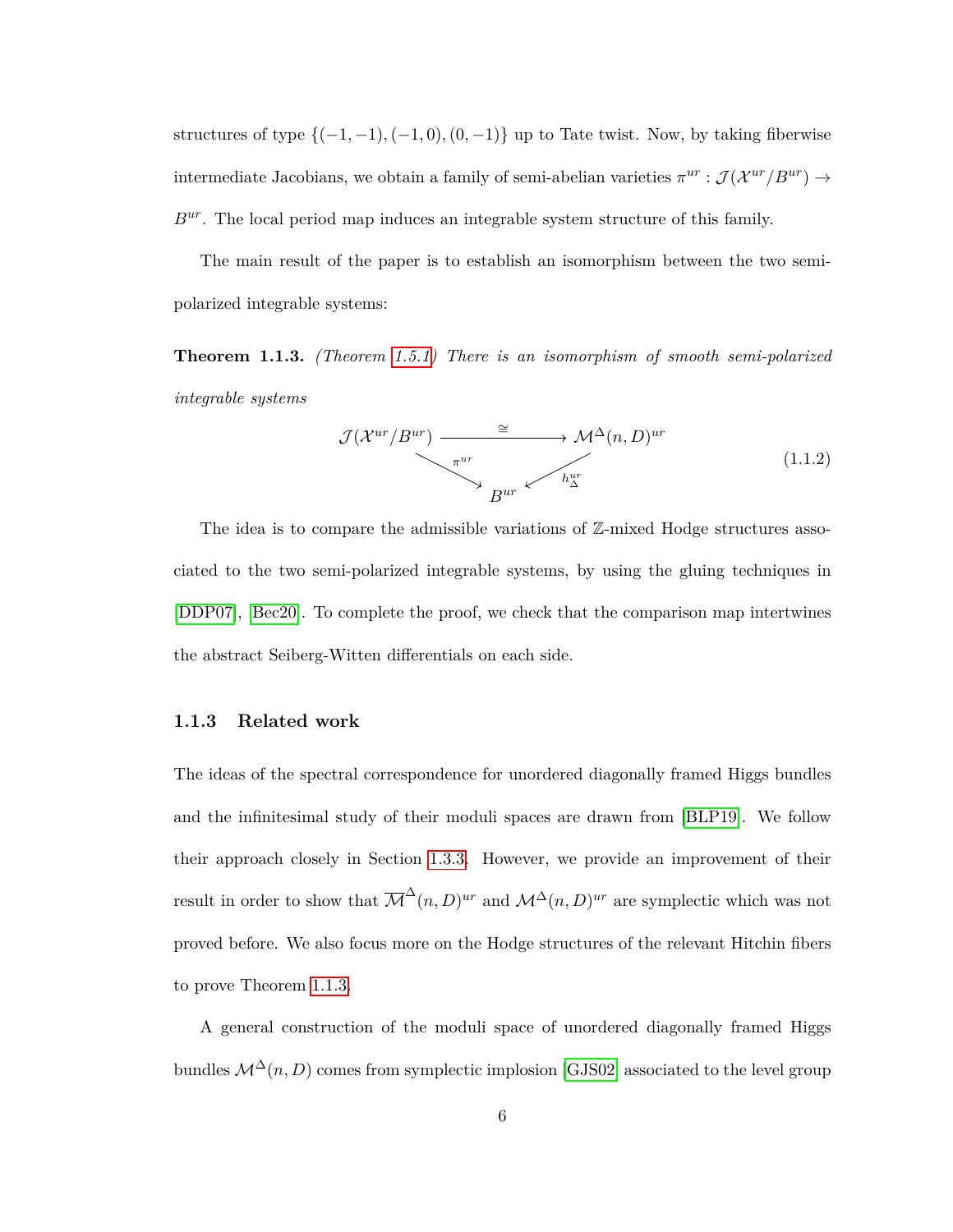structures of type  $\{(-1, -1), (-1, 0), (0, -1)\}$  up to Tate twist. Now, by taking fiberwise intermediate Jacobians, we obtain a family of semi-abelian varieties  $\pi^{ur}$  :  $\mathcal{J}(\mathcal{X}^{ur}/B^{ur}) \rightarrow$ *Bur*. The local period map induces an integrable system structure of this family.

The main result of the paper is to establish an isomorphism between the two semipolarized integrable systems:

<span id="page-13-1"></span>**Theorem 1.1.3.** *(Theorem [1.5.1\)](#page-58-2) There is an isomorphism of smooth semi-polarized integrable systems*

$$
\mathcal{J}(\mathcal{X}^{ur}/B^{ur}) \xrightarrow{\cong} \mathcal{M}^{\Delta}(n,D)^{ur}
$$
\n
$$
B^{ur} \longleftarrow h_{\Delta}^{ur}
$$
\n(1.1.2)

The idea is to compare the admissible variations of Z-mixed Hodge structures associated to the two semi-polarized integrable systems, by using the gluing techniques in [\[DDP07\]](#page-113-4), [\[Bec20\]](#page-111-0). To complete the proof, we check that the comparison map intertwines the abstract Seiberg-Witten differentials on each side.

#### <span id="page-13-0"></span>**1.1.3 Related work**

The ideas of the spectral correspondence for unordered diagonally framed Higgs bundles and the infinitesimal study of their moduli spaces are drawn from [\[BLP19\]](#page-112-2). We follow their approach closely in Section [1.3.3.](#page-34-0) However, we provide an improvement of their result in order to show that  $\overline{\mathcal{M}}^{\Delta}(n, D)^{ur}$  and  $\mathcal{M}^{\Delta}(n, D)^{ur}$  are symplectic which was not proved before. We also focus more on the Hodge structures of the relevant Hitchin fibers to prove Theorem [1.1.3.](#page-13-1)

A general construction of the moduli space of unordered diagonally framed Higgs bundles  $\mathcal{M}^{\Delta}(n, D)$  comes from symplectic implosion [\[GJS02\]](#page-114-4) associated to the level group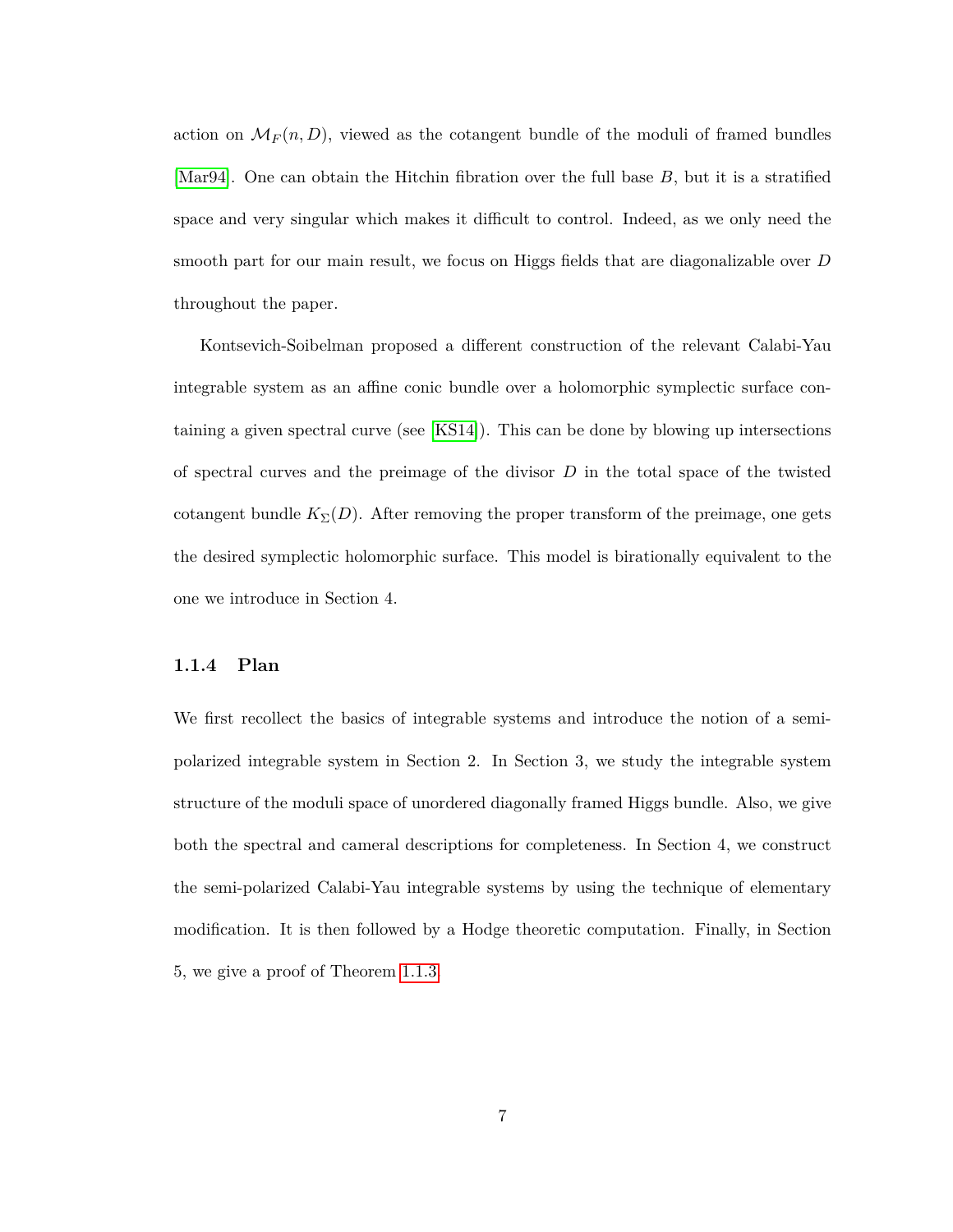action on  $\mathcal{M}_F(n, D)$ , viewed as the cotangent bundle of the moduli of framed bundles [\[Mar94\]](#page-115-1). One can obtain the Hitchin fibration over the full base *B*, but it is a stratified space and very singular which makes it difficult to control. Indeed, as we only need the smooth part for our main result, we focus on Higgs fields that are diagonalizable over *D* throughout the paper.

Kontsevich-Soibelman proposed a different construction of the relevant Calabi-Yau integrable system as an affine conic bundle over a holomorphic symplectic surface containing a given spectral curve (see [\[KS14\]](#page-115-0)). This can be done by blowing up intersections of spectral curves and the preimage of the divisor *D* in the total space of the twisted cotangent bundle  $K_{\Sigma}(D)$ . After removing the proper transform of the preimage, one gets the desired symplectic holomorphic surface. This model is birationally equivalent to the one we introduce in Section 4.

#### <span id="page-14-0"></span>**1.1.4 Plan**

We first recollect the basics of integrable systems and introduce the notion of a semipolarized integrable system in Section 2. In Section 3, we study the integrable system structure of the moduli space of unordered diagonally framed Higgs bundle. Also, we give both the spectral and cameral descriptions for completeness. In Section 4, we construct the semi-polarized Calabi-Yau integrable systems by using the technique of elementary modification. It is then followed by a Hodge theoretic computation. Finally, in Section 5, we give a proof of Theorem [1.1.3.](#page-13-1)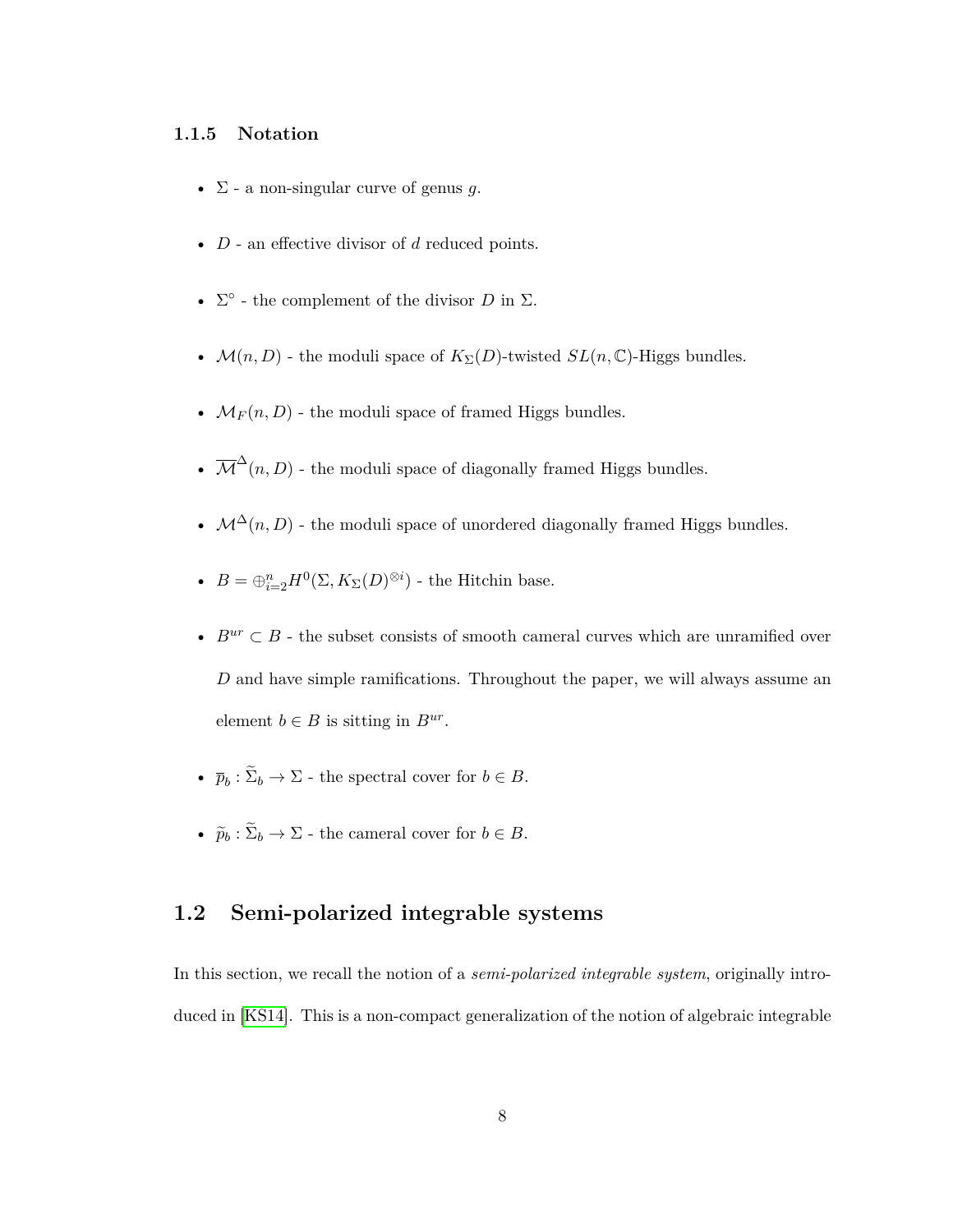#### <span id="page-15-0"></span>**1.1.5 Notation**

- Σ a non-singular curve of genus *g*.
- *D* an effective divisor of *d* reduced points.
- $\Sigma^{\circ}$  the complement of the divisor *D* in  $\Sigma$ .
- $\mathcal{M}(n, D)$  the moduli space of  $K_{\Sigma}(D)$ -twisted  $SL(n, \mathbb{C})$ -Higgs bundles.
- $M_F(n, D)$  the moduli space of framed Higgs bundles.
- $\overline{\mathcal{M}}^{\Delta}(n, D)$  the moduli space of diagonally framed Higgs bundles.
- $\mathcal{M}^{\Delta}(n, D)$  the moduli space of unordered diagonally framed Higgs bundles.
- $B = \bigoplus_{i=2}^{n} H^{0}(\Sigma, K_{\Sigma}(D)^{\otimes i})$  the Hitchin base.
- $B^{ur} \subset B$  the subset consists of smooth cameral curves which are unramified over *D* and have simple ramifications. Throughout the paper, we will always assume an element  $b \in B$  is sitting in  $B^{ur}$ .
- $\bar{p}_b : \Sigma_b \to \Sigma$  the spectral cover for  $b \in B$ .
- $\tilde{p}_b : \Sigma_b \to \Sigma$  the cameral cover for  $b \in B$ .

## <span id="page-15-1"></span>**1.2 Semi-polarized integrable systems**

In this section, we recall the notion of a *semi-polarized integrable system*, originally introduced in [\[KS14\]](#page-115-0). This is a non-compact generalization of the notion of algebraic integrable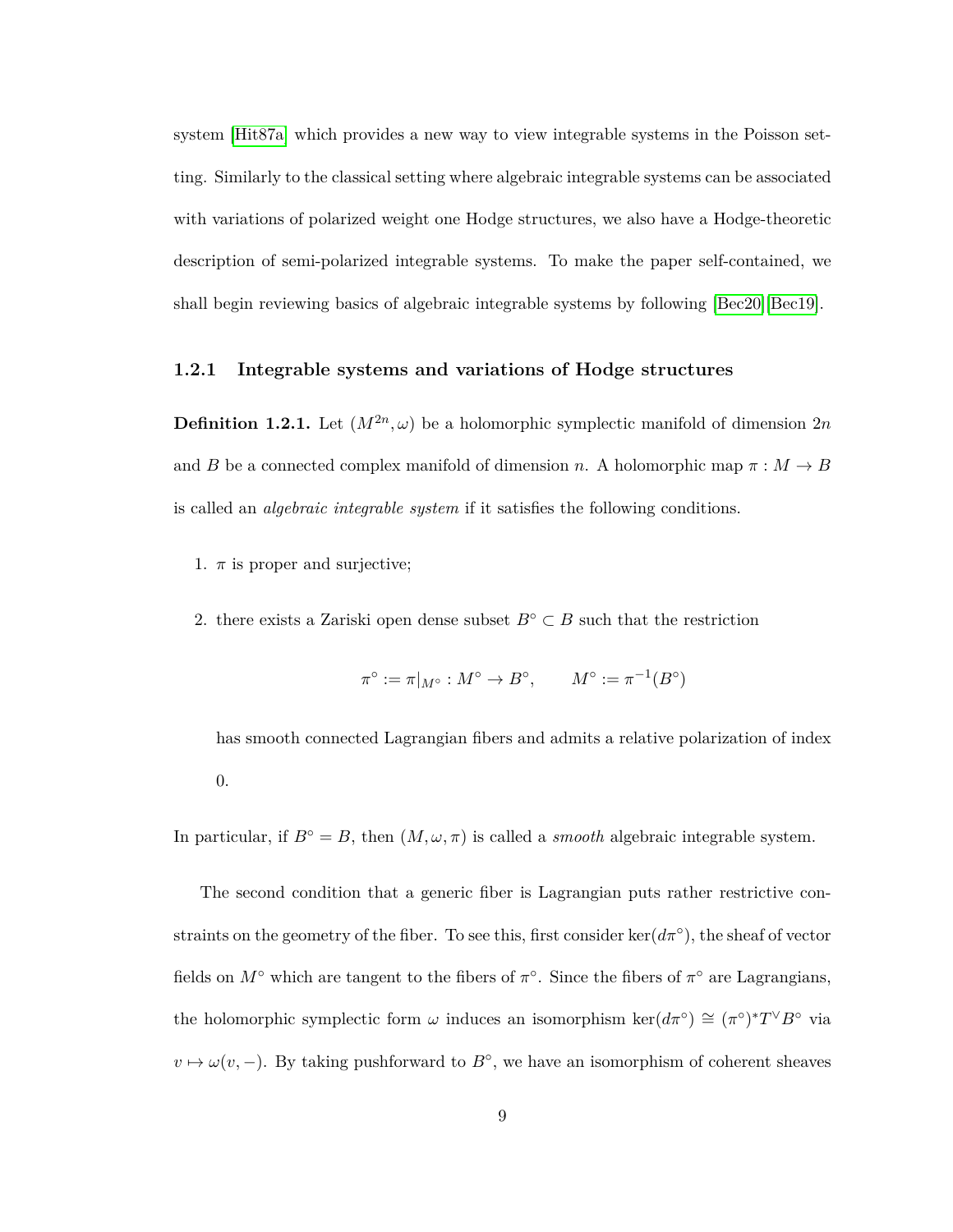system [\[Hit87a\]](#page-114-1) which provides a new way to view integrable systems in the Poisson setting. Similarly to the classical setting where algebraic integrable systems can be associated with variations of polarized weight one Hodge structures, we also have a Hodge-theoretic description of semi-polarized integrable systems. To make the paper self-contained, we shall begin reviewing basics of algebraic integrable systems by following [\[Bec20\]](#page-111-0)[\[Bec19\]](#page-111-1).

#### <span id="page-16-0"></span>**1.2.1 Integrable systems and variations of Hodge structures**

**Definition 1.2.1.** Let  $(M^{2n}, \omega)$  be a holomorphic symplectic manifold of dimension  $2n$ and *B* be a connected complex manifold of dimension *n*. A holomorphic map  $\pi : M \to B$ is called an *algebraic integrable system* if it satisfies the following conditions.

- 1.  $\pi$  is proper and surjective;
- 2. there exists a Zariski open dense subset  $B^{\circ} \subset B$  such that the restriction

$$
\pi^{\circ} := \pi|_{M^{\circ}} : M^{\circ} \to B^{\circ}, \qquad M^{\circ} := \pi^{-1}(B^{\circ})
$$

has smooth connected Lagrangian fibers and admits a relative polarization of index 0.

In particular, if  $B^\circ = B$ , then  $(M, \omega, \pi)$  is called a *smooth* algebraic integrable system.

The second condition that a generic fiber is Lagrangian puts rather restrictive constraints on the geometry of the fiber. To see this, first consider  $\ker(d\pi^{\circ})$ , the sheaf of vector fields on  $M^{\circ}$  which are tangent to the fibers of  $\pi^{\circ}$ . Since the fibers of  $\pi^{\circ}$  are Lagrangians, the holomorphic symplectic form  $\omega$  induces an isomorphism ker $(d\pi^{\circ}) \cong (\pi^{\circ})^*T^{\vee}B^{\circ}$  via  $v \mapsto \omega(v, -)$ . By taking pushforward to  $B^{\circ}$ , we have an isomorphism of coherent sheaves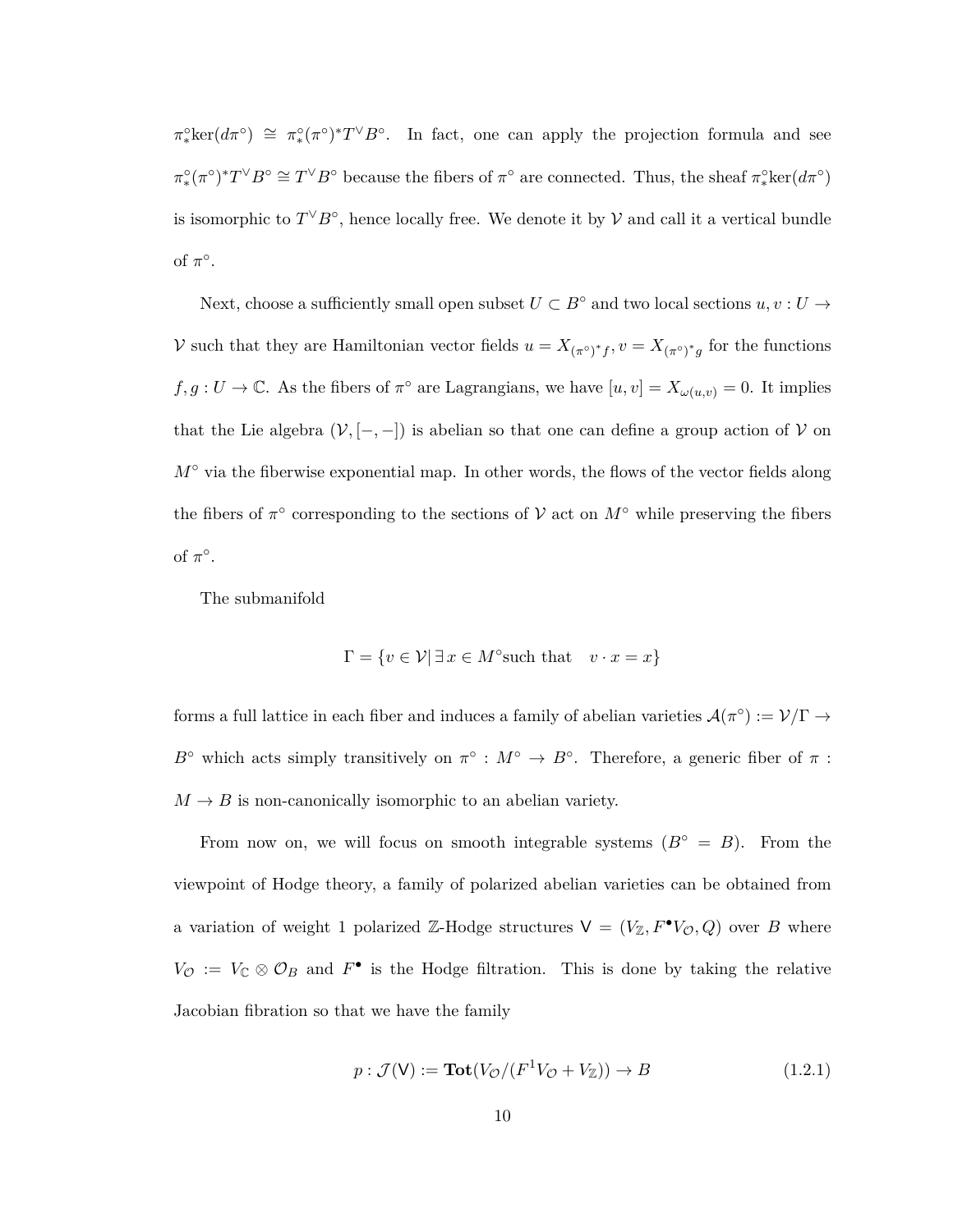$\pi_*^{\circ} \text{ker}(d\pi^{\circ}) \cong \pi_*^{\circ}(\pi^{\circ})^* T^{\vee} B^{\circ}$ . In fact, one can apply the projection formula and see  $\pi^{\circ}_{*}(\pi^{\circ})^{*}T^{\vee}B^{\circ} \cong T^{\vee}B^{\circ}$  because the fibers of  $\pi^{\circ}$  are connected. Thus, the sheaf  $\pi^{\circ}_{*}$ ker $(d\pi^{\circ})$ is isomorphic to  $T^{\vee}B^{\circ}$ , hence locally free. We denote it by  $\mathcal V$  and call it a vertical bundle of  $\pi^{\circ}$ .

Next, choose a sufficiently small open subset  $U \subset B^{\circ}$  and two local sections  $u, v: U \to$ V such that they are Hamiltonian vector fields  $u = X_{(\pi^{\circ})^*f}$ ,  $v = X_{(\pi^{\circ})^*g}$  for the functions  $f, g: U \to \mathbb{C}$ . As the fibers of  $\pi^{\circ}$  are Lagrangians, we have  $[u, v] = X_{\omega(u,v)} = 0$ . It implies that the Lie algebra  $(\mathcal{V}, [-,-])$  is abelian so that one can define a group action of  $\mathcal V$  on  $M^{\circ}$  via the fiberwise exponential map. In other words, the flows of the vector fields along the fibers of  $\pi^{\circ}$  corresponding to the sections of V act on  $M^{\circ}$  while preserving the fibers of  $\pi^{\circ}$ .

The submanifold

$$
\Gamma = \{ v \in \mathcal{V} \mid \exists x \in M^{\circ} \text{such that} \quad v \cdot x = x \}
$$

forms a full lattice in each fiber and induces a family of abelian varieties  $\mathcal{A}(\pi^{\circ}) := \mathcal{V}/\Gamma \to$ *B*<sup>◦</sup> which acts simply transitively on  $\pi$ <sup>◦</sup> :  $M$ <sup></sup><sup></sup> → *B*<sup>◦</sup>. Therefore, a generic fiber of  $\pi$  :  $M \rightarrow B$  is non-canonically isomorphic to an abelian variety.

From now on, we will focus on smooth integrable systems  $(B^{\circ} = B)$ . From the viewpoint of Hodge theory, a family of polarized abelian varieties can be obtained from a variation of weight 1 polarized Z-Hodge structures  $V = (V_{\mathbb{Z}}, F^{\bullet}V_{\mathcal{O}}, Q)$  over *B* where  $V_{\mathcal{O}} := V_{\mathbb{C}} \otimes \mathcal{O}_B$  and  $F^{\bullet}$  is the Hodge filtration. This is done by taking the relative Jacobian fibration so that we have the family

$$
p: \mathcal{J}(\mathsf{V}) := \mathbf{Tot}(V_{\mathcal{O}}/(F^1 V_{\mathcal{O}} + V_{\mathbb{Z}})) \to B \tag{1.2.1}
$$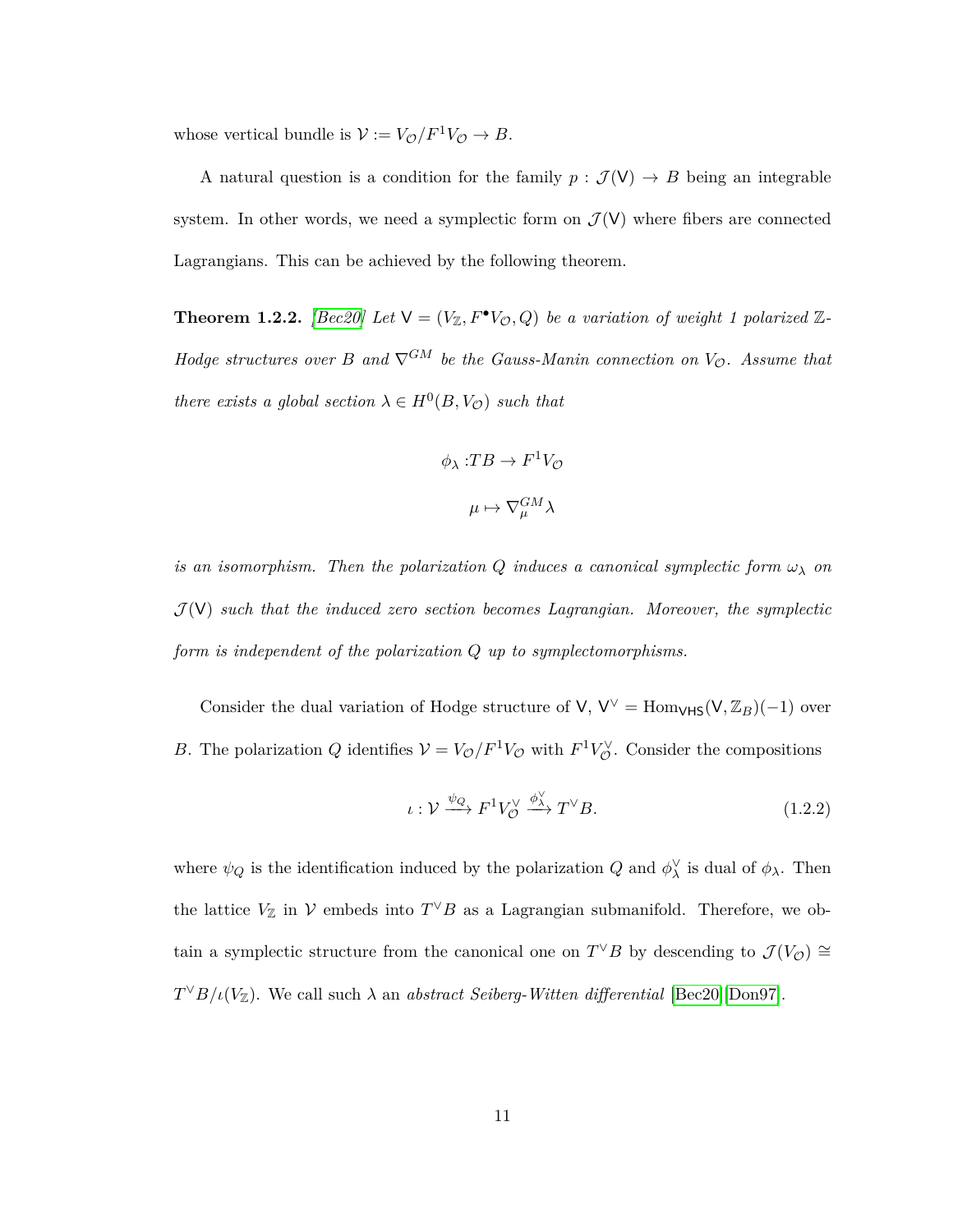whose vertical bundle is  $V := V_{\mathcal{O}}/F^1V_{\mathcal{O}} \to B$ .

A natural question is a condition for the family  $p : \mathcal{J}(V) \to B$  being an integrable system. In other words, we need a symplectic form on  $\mathcal{J}(V)$  where fibers are connected Lagrangians. This can be achieved by the following theorem.

<span id="page-18-0"></span>**Theorem 1.2.2.** *[\[Bec20\]](#page-111-0) Let*  $V = (V_{\mathbb{Z}}, F^{\bullet}V_{\mathcal{O}}, Q)$  *be a variation of weight 1 polarized*  $\mathbb{Z}$ -*Hodge structures over B* and  $\nabla^{GM}$  *be the Gauss-Manin connection on*  $V_{\mathcal{O}}$ *. Assume that there exists a global section*  $\lambda \in H^0(B, V_{\mathcal{O}})$  *such that* 

$$
\phi_{\lambda}: T B \to F^{1} V_{\mathcal{O}}
$$

$$
\mu \mapsto \nabla_{\mu}^{GM} \lambda
$$

*is an isomorphism. Then the polarization Q induces a canonical symplectic form*  $\omega_{\lambda}$  *on*  $J(V)$  such that the induced zero section becomes Lagrangian. Moreover, the symplectic *form is independent of the polarization Q up to symplectomorphisms.*

Consider the dual variation of Hodge structure of  $V, V^{\vee} = \text{Hom}_{VHS}(V, \mathbb{Z}_B)(-1)$  over *B*. The polarization *Q* identifies  $V = V_{\mathcal{O}}/F^1V_{\mathcal{O}}$  with  $F^1V_{\mathcal{O}}^{\vee}$ . Consider the compositions

$$
\iota: \mathcal{V} \xrightarrow{\psi_Q} F^1 V_Q^{\vee} \xrightarrow{\phi_X^{\vee}} T^{\vee} B. \tag{1.2.2}
$$

where  $\psi_Q$  is the identification induced by the polarization *Q* and  $\phi_\lambda^{\vee}$  is dual of  $\phi_\lambda$ . Then the lattice  $V_{\mathbb{Z}}$  in  $\mathcal{V}$  embeds into  $T^{\vee}B$  as a Lagrangian submanifold. Therefore, we obtain a symplectic structure from the canonical one on  $T^{\vee}B$  by descending to  $\mathcal{J}(V_{\mathcal{O}}) \cong$  $T^{\vee}B/\iota(V_{\mathbb{Z}})$ . We call such  $\lambda$  an *abstract Seiberg-Witten differential* [\[Bec20\]](#page-111-0)[\[Don97\]](#page-113-5).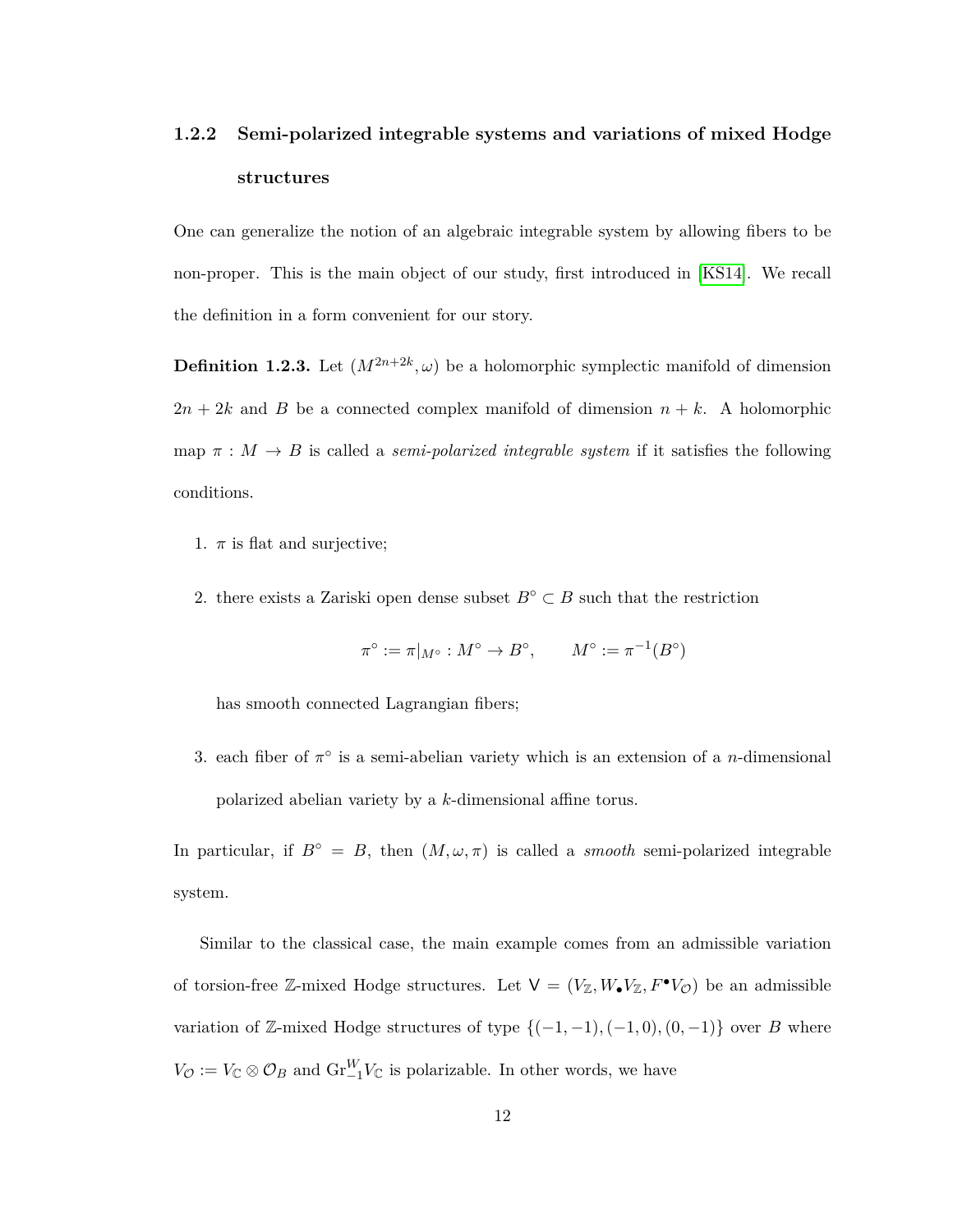# <span id="page-19-0"></span>**1.2.2 Semi-polarized integrable systems and variations of mixed Hodge structures**

One can generalize the notion of an algebraic integrable system by allowing fibers to be non-proper. This is the main object of our study, first introduced in [\[KS14\]](#page-115-0). We recall the definition in a form convenient for our story.

**Definition 1.2.3.** Let  $(M^{2n+2k}, \omega)$  be a holomorphic symplectic manifold of dimension  $2n + 2k$  and *B* be a connected complex manifold of dimension  $n + k$ . A holomorphic map  $\pi : M \to B$  is called a *semi-polarized integrable system* if it satisfies the following conditions.

- 1.  $\pi$  is flat and surjective;
- 2. there exists a Zariski open dense subset  $B^{\circ} \subset B$  such that the restriction

$$
\pi^{\circ} := \pi|_{M^{\circ}} : M^{\circ} \to B^{\circ}, \qquad M^{\circ} := \pi^{-1}(B^{\circ})
$$

has smooth connected Lagrangian fibers;

3. each fiber of  $\pi^{\circ}$  is a semi-abelian variety which is an extension of a *n*-dimensional polarized abelian variety by a *k*-dimensional affine torus.

In particular, if  $B^\circ = B$ , then  $(M, \omega, \pi)$  is called a *smooth* semi-polarized integrable system.

Similar to the classical case, the main example comes from an admissible variation of torsion-free Z-mixed Hodge structures. Let  $V = (V_{\mathbb{Z}}, W_{\bullet}V_{\mathbb{Z}}, F^{\bullet}V_{\mathcal{O}})$  be an admissible variation of  $\mathbb{Z}$ -mixed Hodge structures of type  $\{(-1, -1), (-1, 0), (0, -1)\}$  over *B* where  $V_{\mathcal{O}} := V_{\mathbb{C}} \otimes \mathcal{O}_B$  and  $\text{Gr}_{-1}^W V_{\mathbb{C}}$  is polarizable. In other words, we have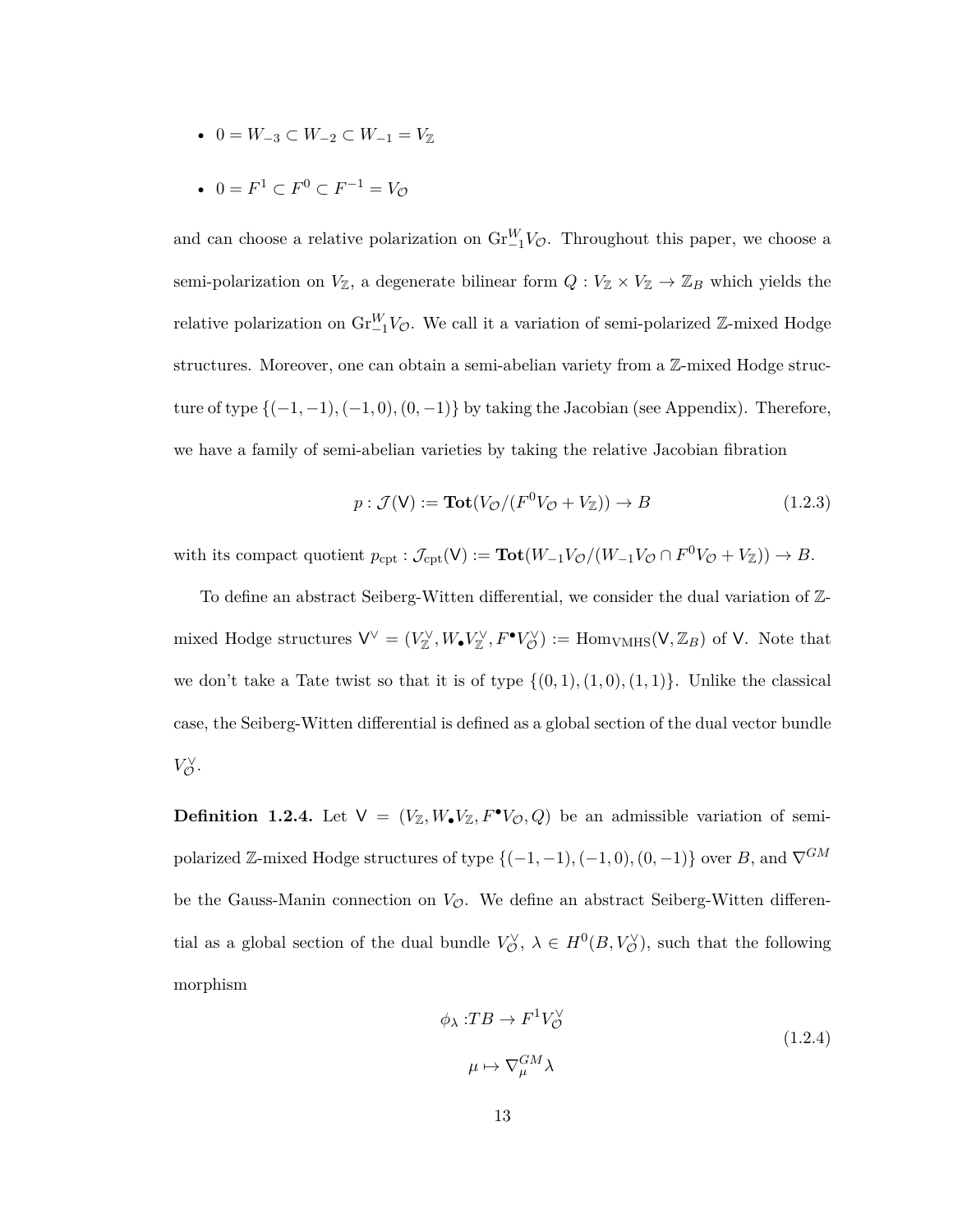- $0 = W_{-3} \subset W_{-2} \subset W_{-1} = V_{\mathbb{Z}}$
- $0 = F^1 \subset F^0 \subset F^{-1} = V_{\mathcal{O}}$

and can choose a relative polarization on  $\text{Gr}_{-1}^W V_{\mathcal{O}}$ . Throughout this paper, we choose a semi-polarization on  $V_{\mathbb{Z}}$ , a degenerate bilinear form  $Q: V_{\mathbb{Z}} \times V_{\mathbb{Z}} \to \mathbb{Z}_B$  which yields the relative polarization on  $\text{Gr}_{-1}^W V_{\mathcal{O}}$ . We call it a variation of semi-polarized  $\mathbb{Z}$ -mixed Hodge structures. Moreover, one can obtain a semi-abelian variety from a Z-mixed Hodge structure of type {(−1*,* −1)*,*(−1*,* 0)*,*(0*,* −1)} by taking the Jacobian (see Appendix). Therefore, we have a family of semi-abelian varieties by taking the relative Jacobian fibration

$$
p: \mathcal{J}(\mathsf{V}) := \mathbf{Tot}(V_{\mathcal{O}}/(F^0 V_{\mathcal{O}} + V_{\mathbb{Z}})) \to B \tag{1.2.3}
$$

with its compact quotient  $p_{\text{cpt}} : \mathcal{J}_{\text{cpt}}(V) := \textbf{Tot}(W_{-1}V_{\mathcal{O}}/(W_{-1}V_{\mathcal{O}} \cap F^0V_{\mathcal{O}} + V_{\mathbb{Z}})) \to B.$ 

To define an abstract Seiberg-Witten differential, we consider the dual variation of Zmixed Hodge structures  $V^{\vee} = (V^{\vee}_{\mathbb{Z}}, W_{\bullet}V^{\vee}_{\mathbb{Z}}, F^{\bullet}V^{\vee}_{\mathcal{O}}) := \text{Hom}_{VMHS}(V, \mathbb{Z}_B)$  of V. Note that we don't take a Tate twist so that it is of type  $\{(0,1), (1,0), (1,1)\}$ . Unlike the classical case, the Seiberg-Witten differential is defined as a global section of the dual vector bundle *V*<sup>⊘</sup>.

**Definition 1.2.4.** Let  $V = (V_{\mathbb{Z}}, W_{\bullet}V_{\mathbb{Z}}, F^{\bullet}V_{\mathcal{O}}, Q)$  be an admissible variation of semipolarized Z-mixed Hodge structures of type  $\{(-1, -1), (-1, 0), (0, -1)\}$  over *B*, and  $\nabla^{GM}$ be the Gauss-Manin connection on  $V_{\mathcal{O}}$ . We define an abstract Seiberg-Witten differential as a global section of the dual bundle  $V_{\mathcal{O}}^{\vee}$ ,  $\lambda \in H^0(B, V_{\mathcal{O}}^{\vee})$ , such that the following morphism

$$
\phi_{\lambda}: T B \to F^{1} V_{\mathcal{O}}^{\vee}
$$
\n
$$
\mu \mapsto \nabla_{\mu}^{GM} \lambda
$$
\n(1.2.4)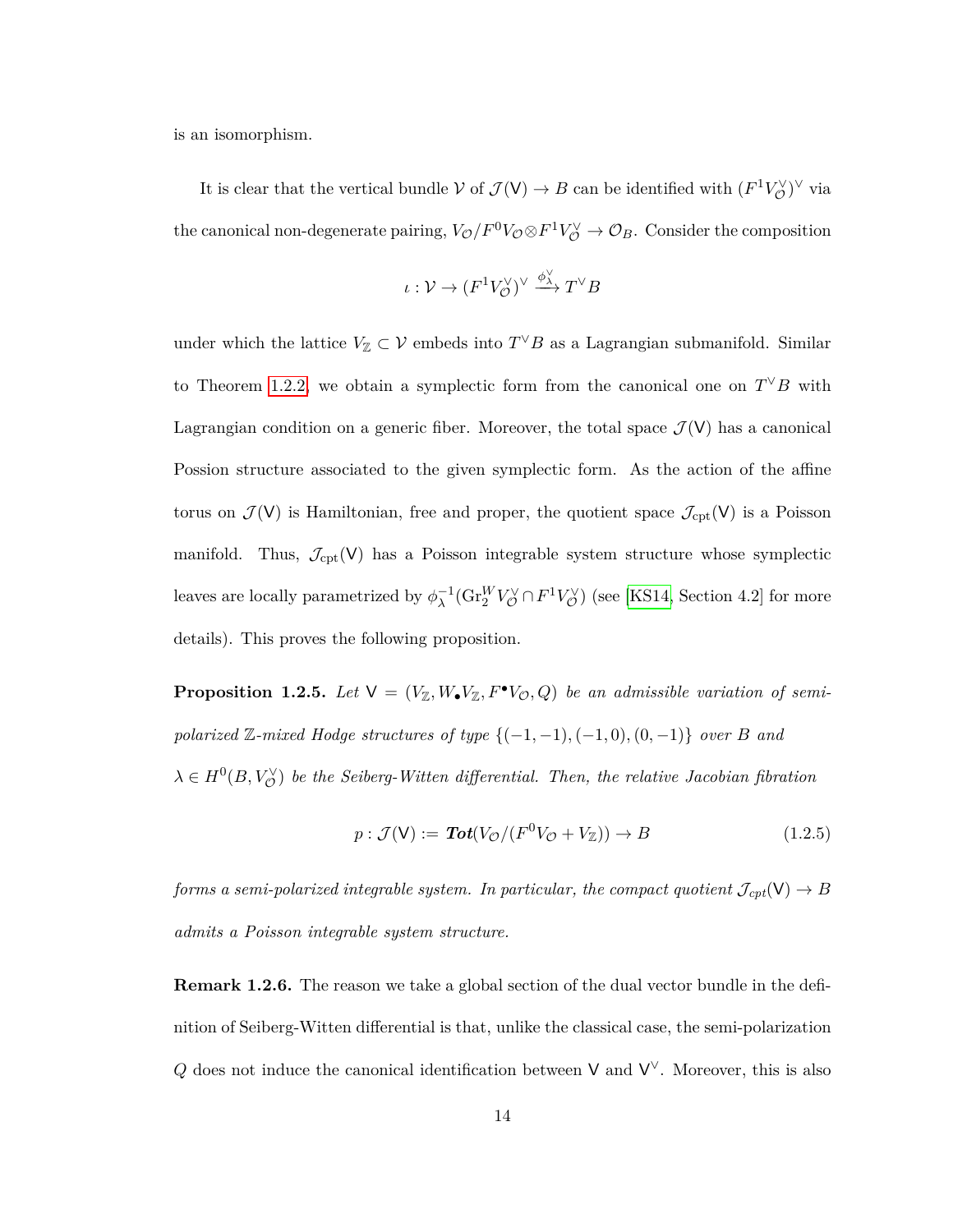is an isomorphism.

It is clear that the vertical bundle  $V$  of  $\mathcal{J}(V) \to B$  can be identified with  $(F^1 V_Q^{\vee})^{\vee}$  via the canonical non-degenerate pairing,  $V_{\mathcal{O}}/F^0V_{\mathcal{O}} \otimes F^1V_{\mathcal{O}}^{\vee} \to \mathcal{O}_B$ . Consider the composition

$$
\iota: \mathcal{V} \to (F^1 V_O^{\vee})^{\vee} \xrightarrow{\phi_{\lambda}^{\vee}} T^{\vee} B
$$

under which the lattice  $V_{\mathbb{Z}} \subset \mathcal{V}$  embeds into  $T^{\vee}B$  as a Lagrangian submanifold. Similar to Theorem [1.2.2,](#page-18-0) we obtain a symplectic form from the canonical one on  $T^{\vee}B$  with Lagrangian condition on a generic fiber. Moreover, the total space  $\mathcal{J}(V)$  has a canonical Possion structure associated to the given symplectic form. As the action of the affine torus on  $\mathcal{J}(V)$  is Hamiltonian, free and proper, the quotient space  $\mathcal{J}_{\text{cpt}}(V)$  is a Poisson manifold. Thus,  $\mathcal{J}_{\text{cpt}}(V)$  has a Poisson integrable system structure whose symplectic leaves are locally parametrized by  $\phi^{-1}_{\lambda}(\text{Gr}^W_Z V^{\vee}_{\mathcal{O}} \cap F^1 V^{\vee}_{\mathcal{O}})$  (see [\[KS14,](#page-115-0) Section 4.2] for more details). This proves the following proposition.

**Proposition 1.2.5.** Let  $V = (V_{\mathbb{Z}}, W_{\bullet}V_{\mathbb{Z}}, F^{\bullet}V_{\mathcal{O}}, Q)$  be an admissible variation of semi*polarized* Z*-mixed Hodge structures of type* {(−1*,* −1)*,*(−1*,* 0)*,*(0*,* −1)} *over B and*  $\lambda \in H^0(B, V^{\vee}_{\mathcal{O}})$  *be the Seiberg-Witten differential. Then, the relative Jacobian fibration* 

$$
p: \mathcal{J}(\mathsf{V}) := \mathbf{Tot}(V_{\mathcal{O}}/(F^0 V_{\mathcal{O}} + V_{\mathbb{Z}})) \to B \tag{1.2.5}
$$

*forms a semi-polarized integrable system. In particular, the compact quotient*  $\mathcal{J}_{cpt}(V) \to B$ *admits a Poisson integrable system structure.*

**Remark 1.2.6.** The reason we take a global section of the dual vector bundle in the definition of Seiberg-Witten differential is that, unlike the classical case, the semi-polarization Q does not induce the canonical identification between  $V$  and  $V^{\vee}$ . Moreover, this is also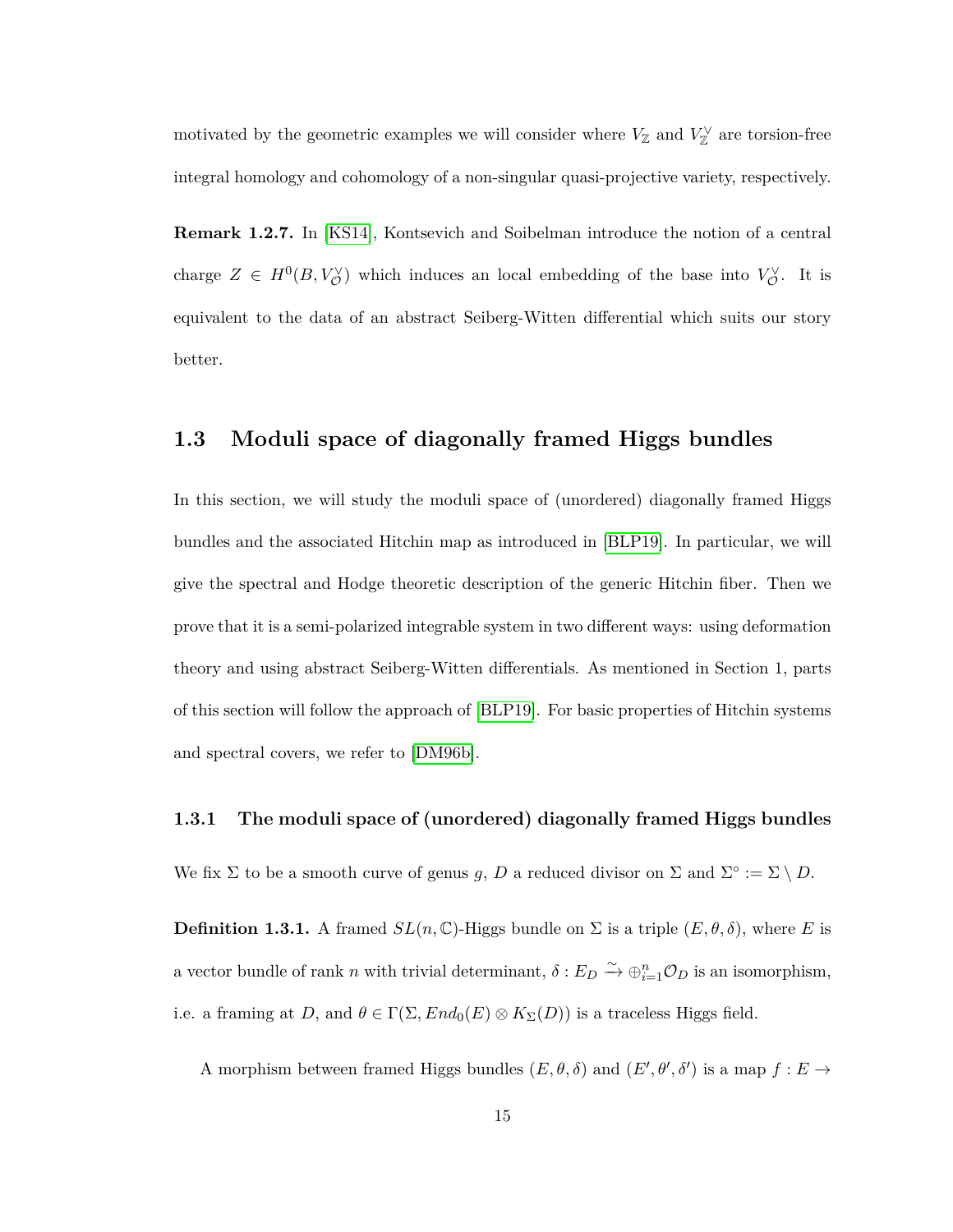motivated by the geometric examples we will consider where  $V_{\mathbb{Z}}$  and  $V_{\mathbb{Z}}^{\vee}$  are torsion-free integral homology and cohomology of a non-singular quasi-projective variety, respectively.

**Remark 1.2.7.** In [\[KS14\]](#page-115-0), Kontsevich and Soibelman introduce the notion of a central charge  $Z \in H^0(B, V^{\vee}_{\mathcal{O}})$  which induces an local embedding of the base into  $V^{\vee}_{\mathcal{O}}$ . It is equivalent to the data of an abstract Seiberg-Witten differential which suits our story better.

## <span id="page-22-0"></span>**1.3 Moduli space of diagonally framed Higgs bundles**

In this section, we will study the moduli space of (unordered) diagonally framed Higgs bundles and the associated Hitchin map as introduced in [\[BLP19\]](#page-112-2). In particular, we will give the spectral and Hodge theoretic description of the generic Hitchin fiber. Then we prove that it is a semi-polarized integrable system in two different ways: using deformation theory and using abstract Seiberg-Witten differentials. As mentioned in Section 1, parts of this section will follow the approach of [\[BLP19\]](#page-112-2). For basic properties of Hitchin systems and spectral covers, we refer to [\[DM96b\]](#page-113-2).

#### <span id="page-22-1"></span>**1.3.1 The moduli space of (unordered) diagonally framed Higgs bundles**

We fix  $\Sigma$  to be a smooth curve of genus *g*, *D* a reduced divisor on  $\Sigma$  and  $\Sigma^{\circ} := \Sigma \setminus D$ .

**Definition 1.3.1.** A framed  $SL(n, \mathbb{C})$ -Higgs bundle on  $\Sigma$  is a triple  $(E, \theta, \delta)$ , where *E* is a vector bundle of rank *n* with trivial determinant,  $\delta: E_D \xrightarrow{\sim} \bigoplus_{i=1}^n \mathcal{O}_D$  is an isomorphism, i.e. a framing at *D*, and  $\theta \in \Gamma(\Sigma, End_0(E) \otimes K_\Sigma(D))$  is a traceless Higgs field.

A morphism between framed Higgs bundles  $(E, \theta, \delta)$  and  $(E', \theta', \delta')$  is a map  $f : E \to$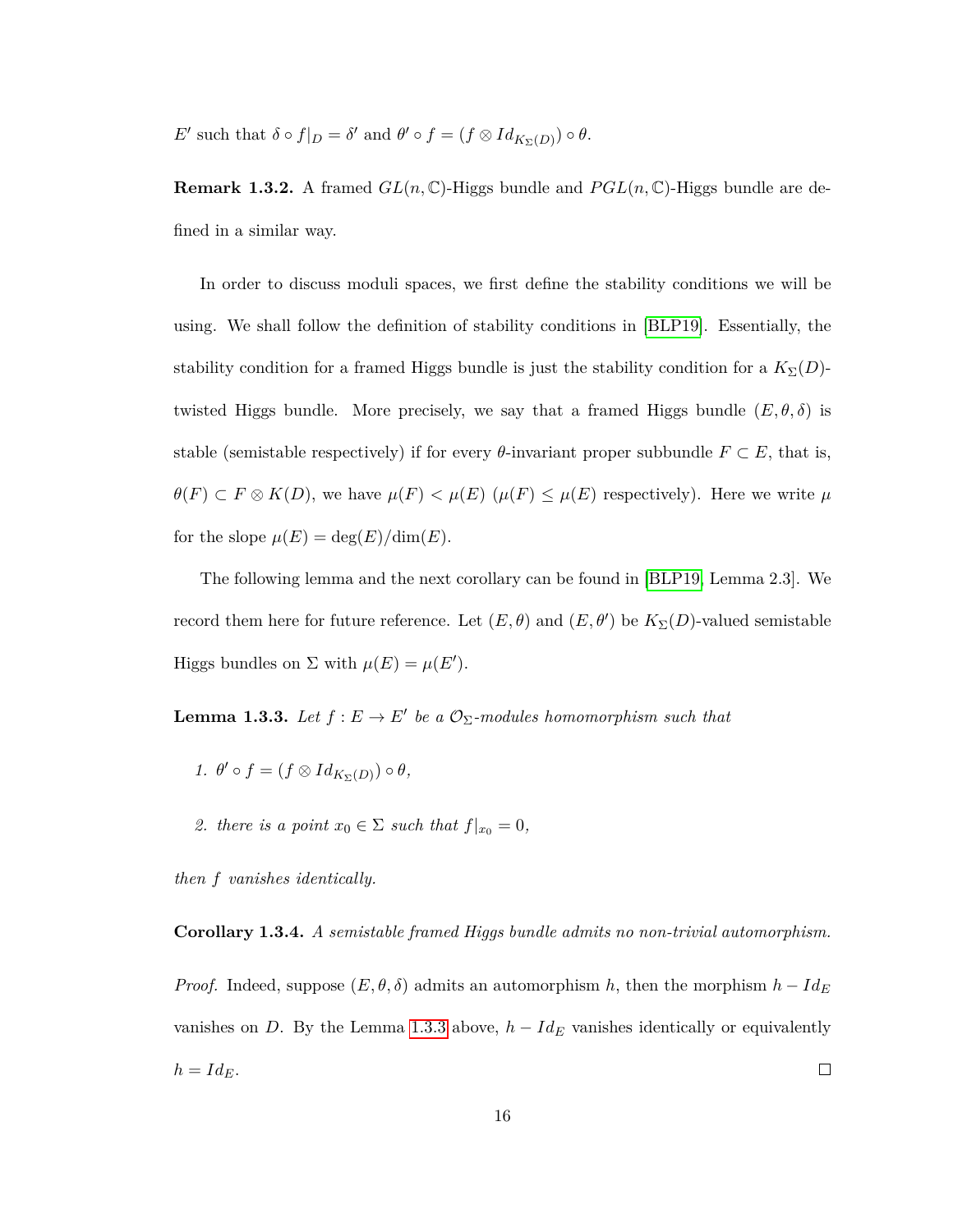*E*<sup> $\prime$ </sup> such that  $\delta \circ f|_{D} = \delta'$  and  $\theta' \circ f = (f \otimes Id_{K_{\Sigma}(D)}) \circ \theta$ .

**Remark 1.3.2.** A framed  $GL(n,\mathbb{C})$ -Higgs bundle and  $PGL(n,\mathbb{C})$ -Higgs bundle are defined in a similar way.

In order to discuss moduli spaces, we first define the stability conditions we will be using. We shall follow the definition of stability conditions in [\[BLP19\]](#page-112-2). Essentially, the stability condition for a framed Higgs bundle is just the stability condition for a  $K_{\Sigma}(D)$ twisted Higgs bundle. More precisely, we say that a framed Higgs bundle  $(E, \theta, \delta)$  is stable (semistable respectively) if for every  $\theta$ -invariant proper subbundle  $F \subset E$ , that is,  $\theta(F) \subset F \otimes K(D)$ , we have  $\mu(F) < \mu(E) \mu(F) \leq \mu(E)$  respectively). Here we write  $\mu$ for the slope  $\mu(E) = \deg(E)/\dim(E)$ .

The following lemma and the next corollary can be found in [\[BLP19,](#page-112-2) Lemma 2.3]. We record them here for future reference. Let  $(E, \theta)$  and  $(E, \theta')$  be  $K_{\Sigma}(D)$ -valued semistable Higgs bundles on  $\Sigma$  with  $\mu(E) = \mu(E')$ .

<span id="page-23-0"></span>**Lemma 1.3.3.** Let  $f: E \to E'$  be a  $\mathcal{O}_{\Sigma}$ -modules homomorphism such that

- *1.*  $\theta' \circ f = (f \otimes Id_{K_{\Sigma}(D)}) \circ \theta$ ,
- *2. there is a point*  $x_0 \in \Sigma$  *such that*  $f|_{x_0} = 0$ *,*

*then f vanishes identically.*

**Corollary 1.3.4.** *A semistable framed Higgs bundle admits no non-trivial automorphism.*

*Proof.* Indeed, suppose  $(E, \theta, \delta)$  admits an automorphism *h*, then the morphism  $h - Id_E$ vanishes on *D*. By the Lemma [1](#page-23-0).3.3 above,  $h - Id_E$  vanishes identically or equivalently  $\Box$  $h = Id_E$ .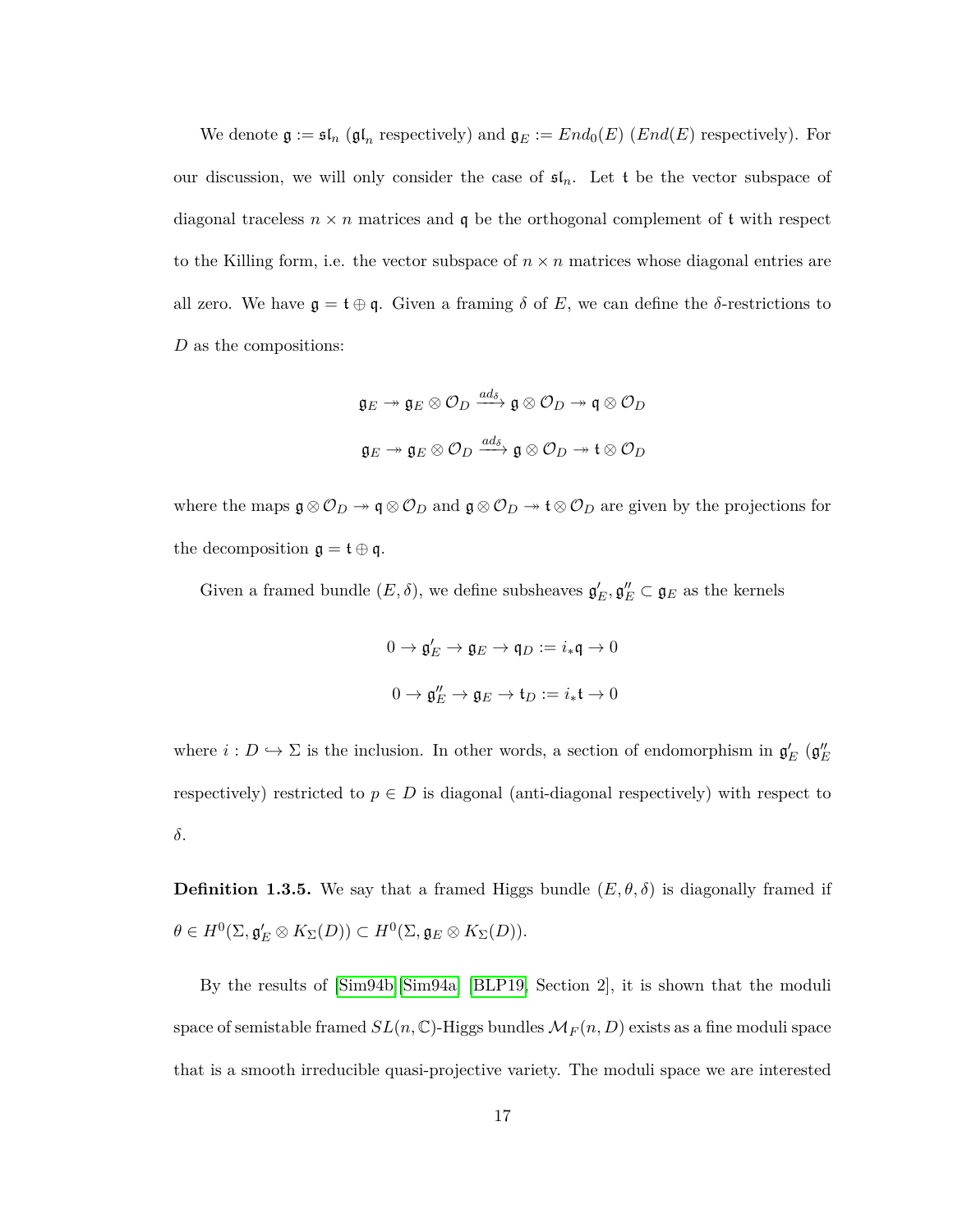We denote  $\mathfrak{g} := \mathfrak{sl}_n$  ( $\mathfrak{gl}_n$  respectively) and  $\mathfrak{g}_E := End_0(E)$  (*End*(*E*) respectively). For our discussion, we will only consider the case of  $\mathfrak{sl}_n$ . Let t be the vector subspace of diagonal traceless  $n \times n$  matrices and q be the orthogonal complement of t with respect to the Killing form, i.e. the vector subspace of  $n \times n$  matrices whose diagonal entries are all zero. We have  $\mathfrak{g} = \mathfrak{t} \oplus \mathfrak{q}$ . Given a framing  $\delta$  of  $E$ , we can define the  $\delta$ -restrictions to *D* as the compositions:

$$
\mathfrak{g}_E \twoheadrightarrow \mathfrak{g}_E \otimes \mathcal{O}_D \xrightarrow{ad_\delta} \mathfrak{g} \otimes \mathcal{O}_D \twoheadrightarrow \mathfrak{q} \otimes \mathcal{O}_D
$$
  

$$
\mathfrak{g}_E \twoheadrightarrow \mathfrak{g}_E \otimes \mathcal{O}_D \xrightarrow{ad_\delta} \mathfrak{g} \otimes \mathcal{O}_D \twoheadrightarrow \mathfrak{t} \otimes \mathcal{O}_D
$$

where the maps  $\mathfrak{g} \otimes \mathcal{O}_D \to \mathfrak{q} \otimes \mathcal{O}_D$  and  $\mathfrak{g} \otimes \mathcal{O}_D \to \mathfrak{t} \otimes \mathcal{O}_D$  are given by the projections for the decomposition  $\mathfrak{g} = \mathfrak{t} \oplus \mathfrak{q}$ .

Given a framed bundle  $(E, \delta)$ , we define subsheaves  $\mathfrak{g}'_E, \mathfrak{g}''_E \subset \mathfrak{g}_E$  as the kernels

$$
0 \to \mathfrak{g}'_E \to \mathfrak{g}_E \to \mathfrak{q}_D := i_*\mathfrak{q} \to 0
$$
  

$$
0 \to \mathfrak{g}''_E \to \mathfrak{g}_E \to \mathfrak{t}_D := i_*\mathfrak{t} \to 0
$$

where  $i: D \hookrightarrow \Sigma$  is the inclusion. In other words, a section of endomorphism in  $\mathfrak{g}'_E$  ( $\mathfrak{g}''_E$ respectively) restricted to  $p \in D$  is diagonal (anti-diagonal respectively) with respect to *δ*.

**Definition 1.3.5.** We say that a framed Higgs bundle  $(E, \theta, \delta)$  is diagonally framed if  $\theta \in H^0(\Sigma, \mathfrak{g}'_E \otimes K_{\Sigma}(D)) \subset H^0(\Sigma, \mathfrak{g}_E \otimes K_{\Sigma}(D)).$ 

By the results of [\[Sim94b\]](#page-116-2)[\[Sim94a\]](#page-116-3) [\[BLP19,](#page-112-2) Section 2], it is shown that the moduli space of semistable framed  $SL(n, \mathbb{C})$ -Higgs bundles  $\mathcal{M}_F(n, D)$  exists as a fine moduli space that is a smooth irreducible quasi-projective variety. The moduli space we are interested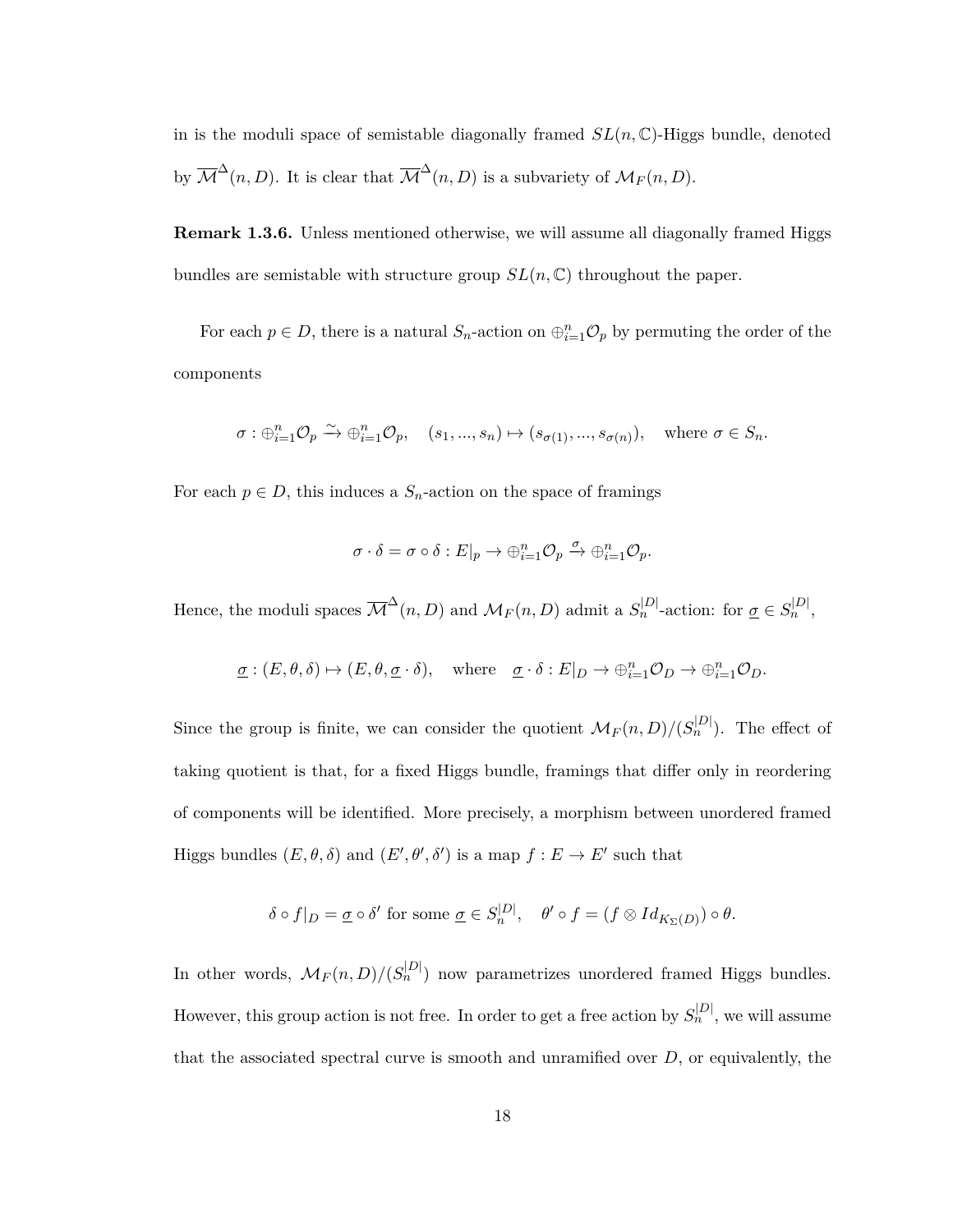in is the moduli space of semistable diagonally framed  $SL(n,\mathbb{C})$ -Higgs bundle, denoted by  $\overline{\mathcal{M}}^{\Delta}(n, D)$ . It is clear that  $\overline{\mathcal{M}}^{\Delta}(n, D)$  is a subvariety of  $\mathcal{M}_F(n, D)$ .

**Remark 1.3.6.** Unless mentioned otherwise, we will assume all diagonally framed Higgs bundles are semistable with structure group  $SL(n, \mathbb{C})$  throughout the paper.

For each  $p \in D$ , there is a natural  $S_n$ -action on  $\bigoplus_{i=1}^n \mathcal{O}_p$  by permuting the order of the components

$$
\sigma: \bigoplus_{i=1}^n \mathcal{O}_p \xrightarrow{\sim} \bigoplus_{i=1}^n \mathcal{O}_p, \quad (s_1, ..., s_n) \mapsto (s_{\sigma(1)}, ..., s_{\sigma(n)}), \quad \text{where } \sigma \in S_n.
$$

For each  $p \in D$ , this induces a  $S_n$ -action on the space of framings

$$
\sigma \cdot \delta = \sigma \circ \delta : E|_{p} \to \bigoplus_{i=1}^{n} \mathcal{O}_{p} \xrightarrow{\sigma} \bigoplus_{i=1}^{n} \mathcal{O}_{p}.
$$

Hence, the moduli spaces  $\overline{\mathcal{M}}^{\Delta}(n, D)$  and  $\mathcal{M}_F(n, D)$  admit a  $S_n^{|D|}$ -action: for  $\underline{\sigma} \in S_n^{|D|}$ ,

$$
\underline{\sigma} : (E, \theta, \delta) \mapsto (E, \theta, \underline{\sigma} \cdot \delta), \quad \text{where} \quad \underline{\sigma} \cdot \delta : E|_{D} \to \bigoplus_{i=1}^{n} \mathcal{O}_{D} \to \bigoplus_{i=1}^{n} \mathcal{O}_{D}.
$$

Since the group is finite, we can consider the quotient  $\mathcal{M}_F(n, D)/(S_n^{|D|})$ . The effect of taking quotient is that, for a fixed Higgs bundle, framings that differ only in reordering of components will be identified. More precisely, a morphism between unordered framed Higgs bundles  $(E, \theta, \delta)$  and  $(E', \theta', \delta')$  is a map  $f : E \to E'$  such that

$$
\delta \circ f|_D = \underline{\sigma} \circ \delta' \text{ for some } \underline{\sigma} \in S_n^{|D|}, \quad \theta' \circ f = (f \otimes Id_{K_{\Sigma}(D)}) \circ \theta.
$$

In other words,  $\mathcal{M}_F(n, D)/(S_n^{|D|})$  now parametrizes unordered framed Higgs bundles. However, this group action is not free. In order to get a free action by  $S_n^{|D|}$ , we will assume that the associated spectral curve is smooth and unramified over *D*, or equivalently, the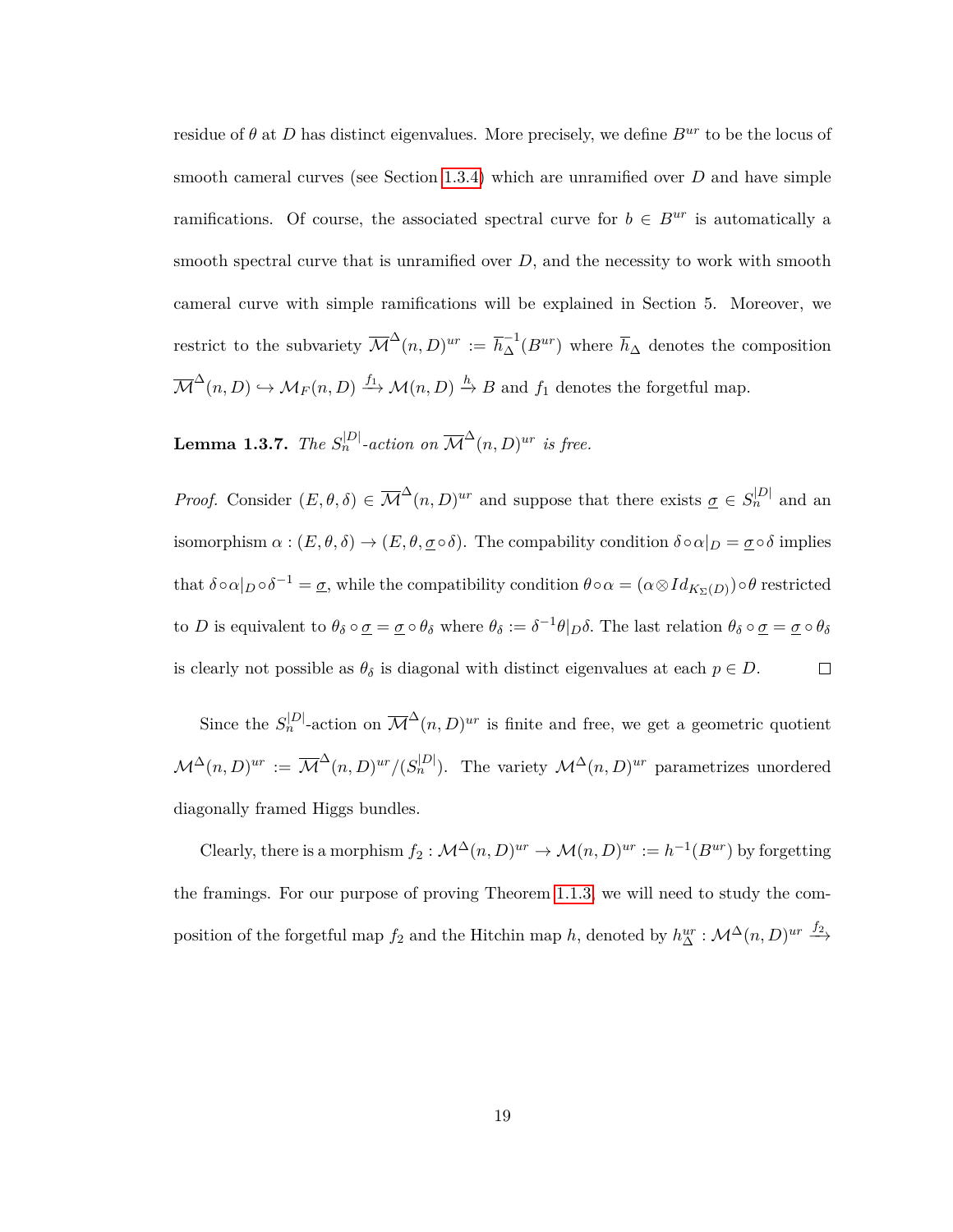residue of  $\theta$  at *D* has distinct eigenvalues. More precisely, we define  $B^{ur}$  to be the locus of smooth cameral curves (see Section [1.3.4\)](#page-44-0) which are unramified over *D* and have simple ramifications. Of course, the associated spectral curve for  $b \in B^{ur}$  is automatically a smooth spectral curve that is unramified over *D*, and the necessity to work with smooth cameral curve with simple ramifications will be explained in Section 5. Moreover, we restrict to the subvariety  $\overline{\mathcal{M}}^{\Delta}(n, D)^{ur} := \overline{h}_{\Delta}^{-1}(B^{ur})$  where  $\overline{h}_{\Delta}$  denotes the composition  $\overline{\mathcal{M}}^{\Delta}(n, D) \hookrightarrow \mathcal{M}_F(n, D) \stackrel{f_1}{\longrightarrow} \mathcal{M}(n, D) \stackrel{h}{\rightarrow} B$  and  $f_1$  denotes the forgetful map.

**Lemma 1.3.7.** *The*  $S_n^{|D|}$ -action on  $\overline{\mathcal{M}}^{\Delta}(n, D)^{ur}$  is free.

*Proof.* Consider  $(E, \theta, \delta) \in \overline{\mathcal{M}}^{\Delta}(n, D)^{ur}$  and suppose that there exists  $\underline{\sigma} \in S_n^{|D|}$  and an isomorphism  $\alpha : (E, \theta, \delta) \to (E, \theta, \underline{\sigma} \circ \delta)$ . The compability condition  $\delta \circ \alpha|_{D} = \underline{\sigma} \circ \delta$  implies that  $\delta \circ \alpha|_{D} \circ \delta^{-1} = \underline{\sigma}$ , while the compatibility condition  $\theta \circ \alpha = (\alpha \otimes Id_{K_{\Sigma}(D)}) \circ \theta$  restricted to D is equivalent to  $\theta_\delta \circ \underline{\sigma} = \underline{\sigma} \circ \theta_\delta$  where  $\theta_\delta := \delta^{-1} \theta|_{D} \delta$ . The last relation  $\theta_\delta \circ \underline{\sigma} = \underline{\sigma} \circ \theta_\delta$ is clearly not possible as  $\theta_{\delta}$  is diagonal with distinct eigenvalues at each  $p \in D$ .  $\Box$ 

Since the  $S_n^{|D|}$ -action on  $\overline{\mathcal{M}}^{\Delta}(n, D)^{ur}$  is finite and free, we get a geometric quotient  $\mathcal{M}^{\Delta}(n, D)^{ur} := \overline{\mathcal{M}}^{\Delta}(n, D)^{ur}/(S_n^{|D|})$ . The variety  $\mathcal{M}^{\Delta}(n, D)^{ur}$  parametrizes unordered diagonally framed Higgs bundles.

Clearly, there is a morphism  $f_2: \mathcal{M}^{\Delta}(n, D)^{ur} \to \mathcal{M}(n, D)^{ur} := h^{-1}(B^{ur})$  by forgetting the framings. For our purpose of proving Theorem [1.1.3,](#page-13-1) we will need to study the composition of the forgetful map  $f_2$  and the Hitchin map *h*, denoted by  $h_{\Delta}^{ur} : \mathcal{M}^{\Delta}(n, D)^{ur} \xrightarrow{f_2}$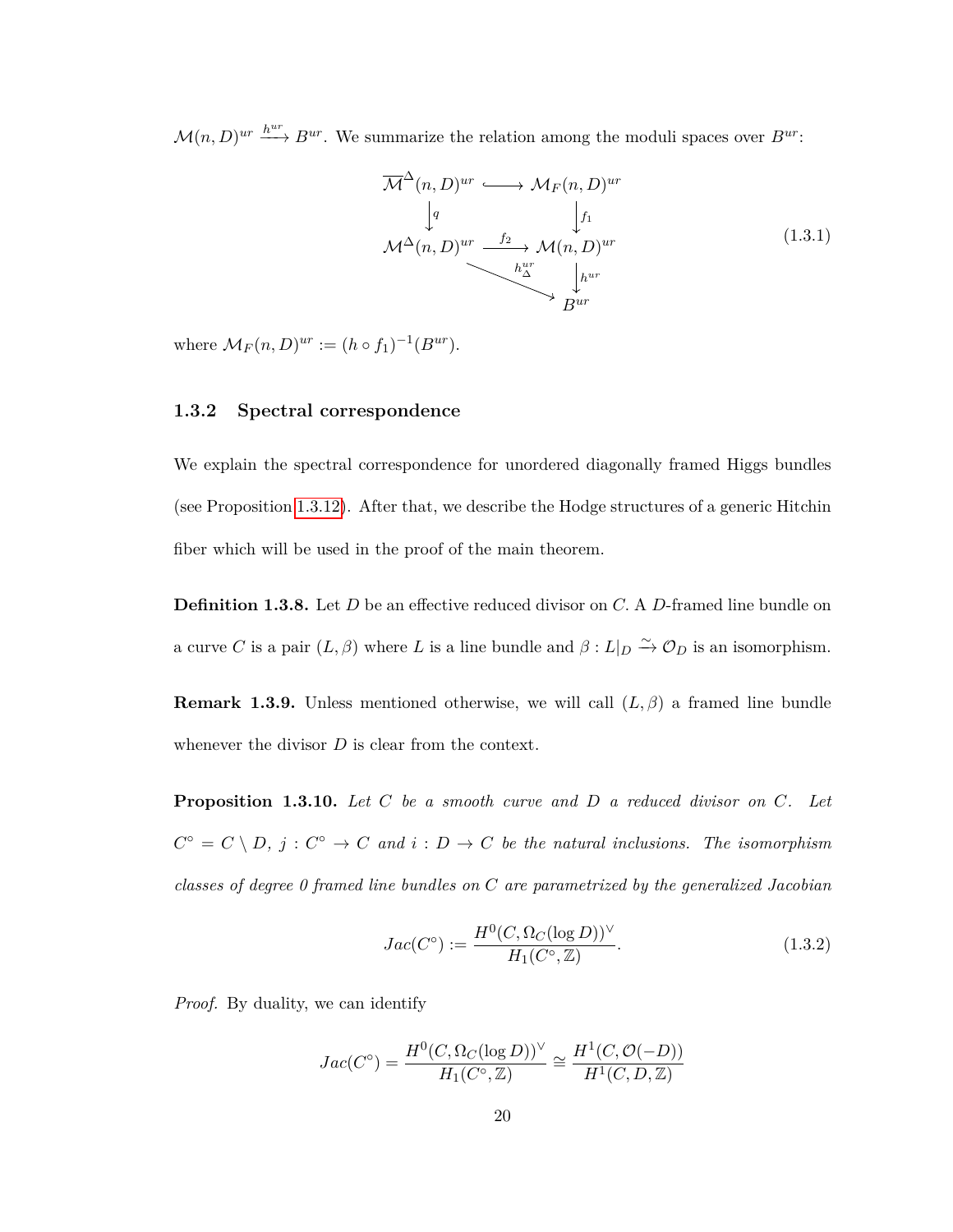$\mathcal{M}(n, D)^{ur} \stackrel{h^{ur}}{\longrightarrow} B^{ur}$ . We summarize the relation among the moduli spaces over  $B^{ur}$ :

$$
\overline{\mathcal{M}}^{\Delta}(n, D)^{ur} \longrightarrow \mathcal{M}_F(n, D)^{ur}
$$
\n
$$
\downarrow^{q} \qquad \qquad \downarrow^{f_1}
$$
\n
$$
\mathcal{M}^{\Delta}(n, D)^{ur} \xrightarrow{f_2} \mathcal{M}(n, D)^{ur}
$$
\n
$$
\downarrow^{h_1^{ur}}
$$
\n
$$
\downarrow^{h_1^{ur}}
$$
\n
$$
\downarrow^{h_1^{ur}}
$$
\n(1.3.1)

where  $\mathcal{M}_F(n, D)^{ur} := (h \circ f_1)^{-1}(B^{ur}).$ 

#### <span id="page-27-0"></span>**1.3.2 Spectral correspondence**

We explain the spectral correspondence for unordered diagonally framed Higgs bundles (see Proposition [1.3.12\)](#page-30-0). After that, we describe the Hodge structures of a generic Hitchin fiber which will be used in the proof of the main theorem.

**Definition 1.3.8.** Let *D* be an effective reduced divisor on *C.* A *D*-framed line bundle on a curve *C* is a pair  $(L, \beta)$  where *L* is a line bundle and  $\beta : L|_D \overset{\sim}{\to} \mathcal{O}_D$  is an isomorphism.

**Remark 1.3.9.** Unless mentioned otherwise, we will call  $(L, \beta)$  a framed line bundle whenever the divisor *D* is clear from the context.

<span id="page-27-1"></span>**Proposition 1.3.10.** *Let C be a smooth curve and D a reduced divisor on C. Let*  $C^{\circ} = C \setminus D$ ,  $j : C^{\circ} \to C$  and  $i : D \to C$  be the natural inclusions. The isomorphism *classes of degree 0 framed line bundles on C are parametrized by the generalized Jacobian*

$$
Jac(C^{\circ}) := \frac{H^0(C, \Omega_C(\log D))^{\vee}}{H_1(C^{\circ}, \mathbb{Z})}.
$$
\n(1.3.2)

*Proof.* By duality, we can identify

$$
Jac(C^{\circ}) = \frac{H^{0}(C, \Omega_{C}(\log D))}{H_{1}(C^{\circ}, \mathbb{Z})} \cong \frac{H^{1}(C, \mathcal{O}(-D))}{H^{1}(C, D, \mathbb{Z})}
$$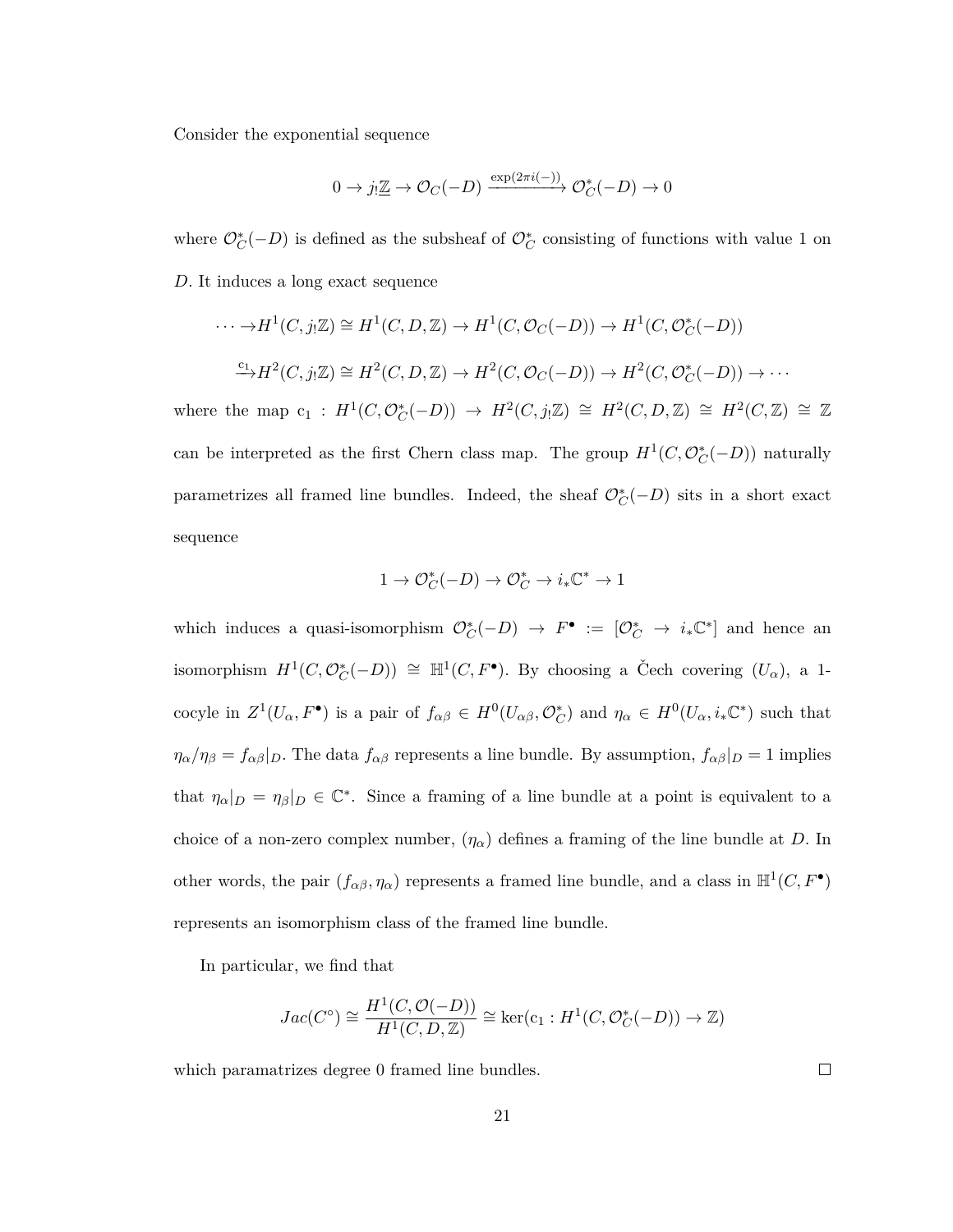Consider the exponential sequence

$$
0 \to j_! \underline{\mathbb{Z}} \to \mathcal{O}_C(-D) \xrightarrow{\exp(2\pi i(-))} \mathcal{O}_C^*(-D) \to 0
$$

where  $\mathcal{O}_C^*(-D)$  is defined as the subsheaf of  $\mathcal{O}_C^*$  consisting of functions with value 1 on *D.* It induces a long exact sequence

$$
\cdots \to H^1(C, j_! \mathbb{Z}) \cong H^1(C, D, \mathbb{Z}) \to H^1(C, \mathcal{O}_C(-D)) \to H^1(C, \mathcal{O}_C^*(-D))
$$
  

$$
\xrightarrow{c_1} H^2(C, j_! \mathbb{Z}) \cong H^2(C, D, \mathbb{Z}) \to H^2(C, \mathcal{O}_C(-D)) \to H^2(C, \mathcal{O}_C^*(-D)) \to \cdots
$$

where the map  $c_1 : H^1(C, \mathcal{O}_C^*(-D)) \rightarrow H^2(C, j\mathbb{Z}) \cong H^2(C, D, \mathbb{Z}) \cong H^2(C, \mathbb{Z}) \cong \mathbb{Z}$ can be interpreted as the first Chern class map. The group  $H^1(C, \mathcal{O}_C^*(-D))$  naturally parametrizes all framed line bundles. Indeed, the sheaf  $\mathcal{O}_C^*(-D)$  sits in a short exact sequence

$$
1\to \mathcal{O}_C^*(-D)\to \mathcal{O}_C^*\to i_*\mathbb{C}^*\to 1
$$

which induces a quasi-isomorphism  $\mathcal{O}_C^*(-D) \to F^{\bullet} := [\mathcal{O}_C^* \to i_*\mathbb{C}^*]$  and hence an isomorphism  $H^1(C, \mathcal{O}_C^*(-D)) \cong \mathbb{H}^1(C, F^{\bullet})$ . By choosing a Čech covering  $(U_{\alpha})$ , a 1cocyle in  $Z^1(U_\alpha, F^{\bullet})$  is a pair of  $f_{\alpha\beta} \in H^0(U_{\alpha\beta}, \mathcal{O}_{\mathbb{C}}^*)$  and  $\eta_\alpha \in H^0(U_\alpha, i_*\mathbb{C}^*)$  such that  $\eta$ *α*/ $\eta$ *β* = *fαβ*|*D*. The data *f*<sub>*αβ*</sub> represents a line bundle. By assumption, *f<sub>αβ</sub>*|*D* = 1 implies that  $\eta_{\alpha}|_D = \eta_{\beta}|_D \in \mathbb{C}^*$ . Since a framing of a line bundle at a point is equivalent to a choice of a non-zero complex number,  $(\eta_{\alpha})$  defines a framing of the line bundle at *D*. In other words, the pair  $(f_{\alpha\beta}, \eta_{\alpha})$  represents a framed line bundle, and a class in  $\mathbb{H}^1(C, F^{\bullet})$ represents an isomorphism class of the framed line bundle.

In particular, we find that

$$
Jac(C^{\circ}) \cong \frac{H^{1}(C, \mathcal{O}(-D))}{H^{1}(C, D, \mathbb{Z})} \cong \ker(\mathbf{c}_{1} : H^{1}(C, \mathcal{O}_{C}^{*}(-D)) \to \mathbb{Z})
$$

which paramatrizes degree 0 framed line bundles.

 $\Box$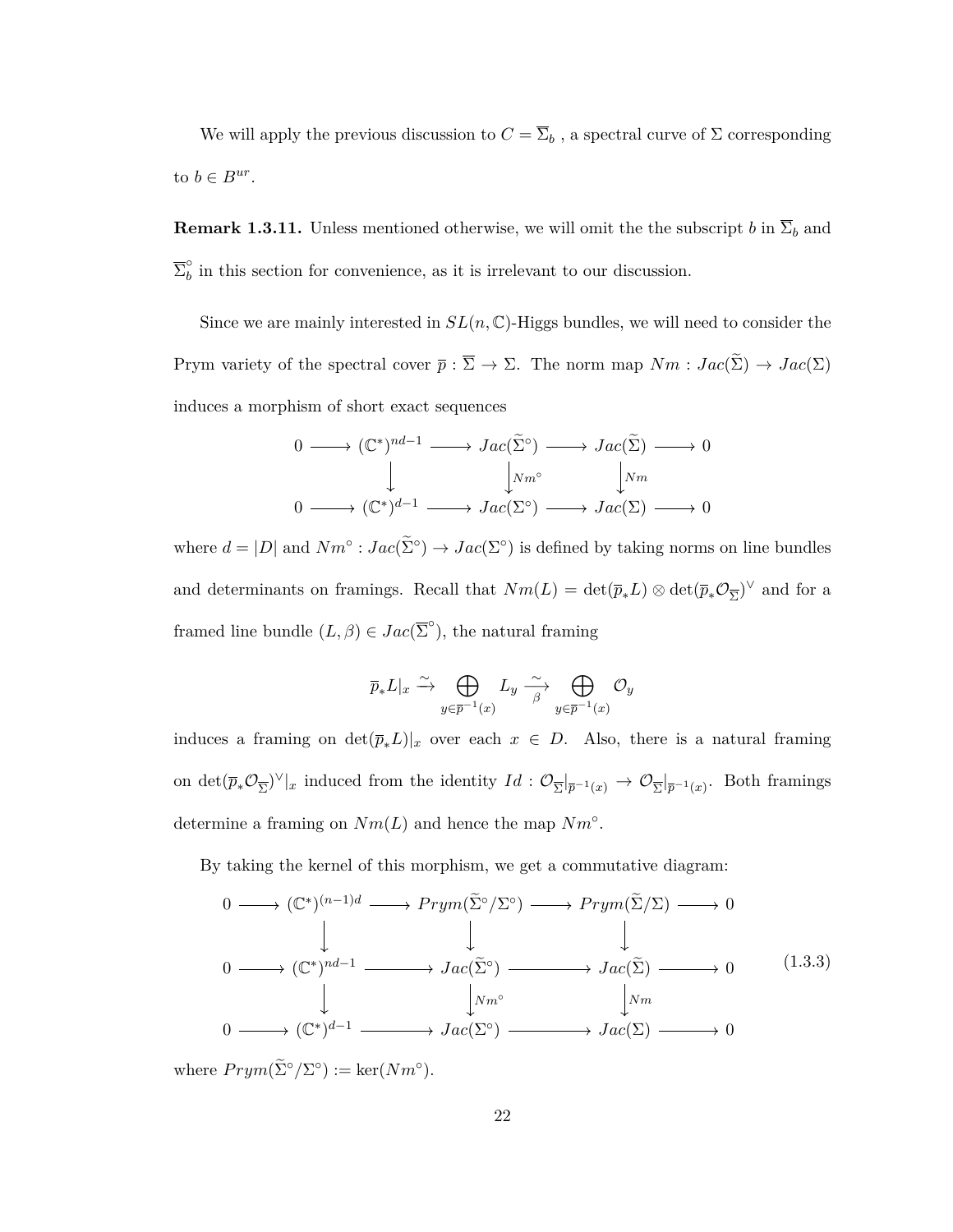We will apply the previous discussion to  $C = \overline{\Sigma}_b$ , a spectral curve of  $\Sigma$  corresponding to  $b \in B^{ur}$ .

**Remark 1.3.11.** Unless mentioned otherwise, we will omit the the subscript *b* in  $\overline{\Sigma}_b$  and  $\overline{\Sigma}_{b}^{\circ}$  $\delta$  in this section for convenience, as it is irrelevant to our discussion.

Since we are mainly interested in  $SL(n, \mathbb{C})$ -Higgs bundles, we will need to consider the Prym variety of the spectral cover  $\bar{p}$  :  $\bar{\Sigma} \to \Sigma$ . The norm map  $Nm : Jac(\tilde{\Sigma}) \to Jac(\Sigma)$ induces a morphism of short exact sequences

$$
0 \longrightarrow (\mathbb{C}^*)^{nd-1} \longrightarrow Jac(\tilde{\Sigma}^{\circ}) \longrightarrow Jac(\tilde{\Sigma}) \longrightarrow 0
$$
  

$$
\downarrow \qquad \qquad \downarrow Nm^{\circ} \qquad \qquad \downarrow Nm
$$
  

$$
0 \longrightarrow (\mathbb{C}^*)^{d-1} \longrightarrow Jac(\Sigma^{\circ}) \longrightarrow Jac(\Sigma) \longrightarrow 0
$$

where  $d = |D|$  and  $Nm^\circ: Jac(\tilde{\Sigma}^\circ) \to Jac(\Sigma^\circ)$  is defined by taking norms on line bundles and determinants on framings. Recall that  $Nm(L) = \det(\overline{p}_*L) \otimes \det(\overline{p}_*\mathcal{O}_{\overline{\Sigma}})^{\vee}$  and for a framed line bundle  $(L, \beta) \in Jac(\overline{\Sigma}^{\circ})$ , the natural framing

$$
\overline{p}_*L|_x \xrightarrow{\sim} \bigoplus_{y \in \overline{p}^{-1}(x)} L_y \xrightarrow{\sim} \bigoplus_{y \in \overline{p}^{-1}(x)} \mathcal{O}_y
$$

induces a framing on  $\det(\overline{p}_*L)|_x$  over each  $x \in D$ . Also, there is a natural framing on  $\det(\bar{p}_*\mathcal{O}_{\overline{\Sigma}})^{\vee}|_x$  induced from the identity  $Id: \mathcal{O}_{\overline{\Sigma}}|_{\overline{p}^{-1}(x)} \to \mathcal{O}_{\overline{\Sigma}}|_{\overline{p}^{-1}(x)}$ . Both framings determine a framing on  $Nm(L)$  and hence the map  $Nm^{\circ}$ .

By taking the kernel of this morphism, we get a commutative diagram:

<span id="page-29-0"></span>
$$
0 \longrightarrow (\mathbb{C}^{*})^{(n-1)d} \longrightarrow Prym(\widetilde{\Sigma}^{\circ}/\Sigma^{\circ}) \longrightarrow Prym(\widetilde{\Sigma}/\Sigma) \longrightarrow 0
$$
  
\n
$$
0 \longrightarrow (\mathbb{C}^{*})^{nd-1} \longrightarrow Jac(\widetilde{\Sigma}^{\circ}) \longrightarrow Jac(\widetilde{\Sigma}) \longrightarrow 0
$$
  
\n
$$
\downarrow \qquad \qquad \downarrow Nm^{\circ} \qquad \qquad \downarrow Nm
$$
  
\n
$$
0 \longrightarrow (\mathbb{C}^{*})^{d-1} \longrightarrow Jac(\Sigma^{\circ}) \longrightarrow Jac(\Sigma) \longrightarrow 0
$$
  
\n
$$
(1.3.3)
$$

where  $Prym(\tilde{\Sigma}^{\circ}/\Sigma^{\circ}) := \ker(Nm^{\circ}).$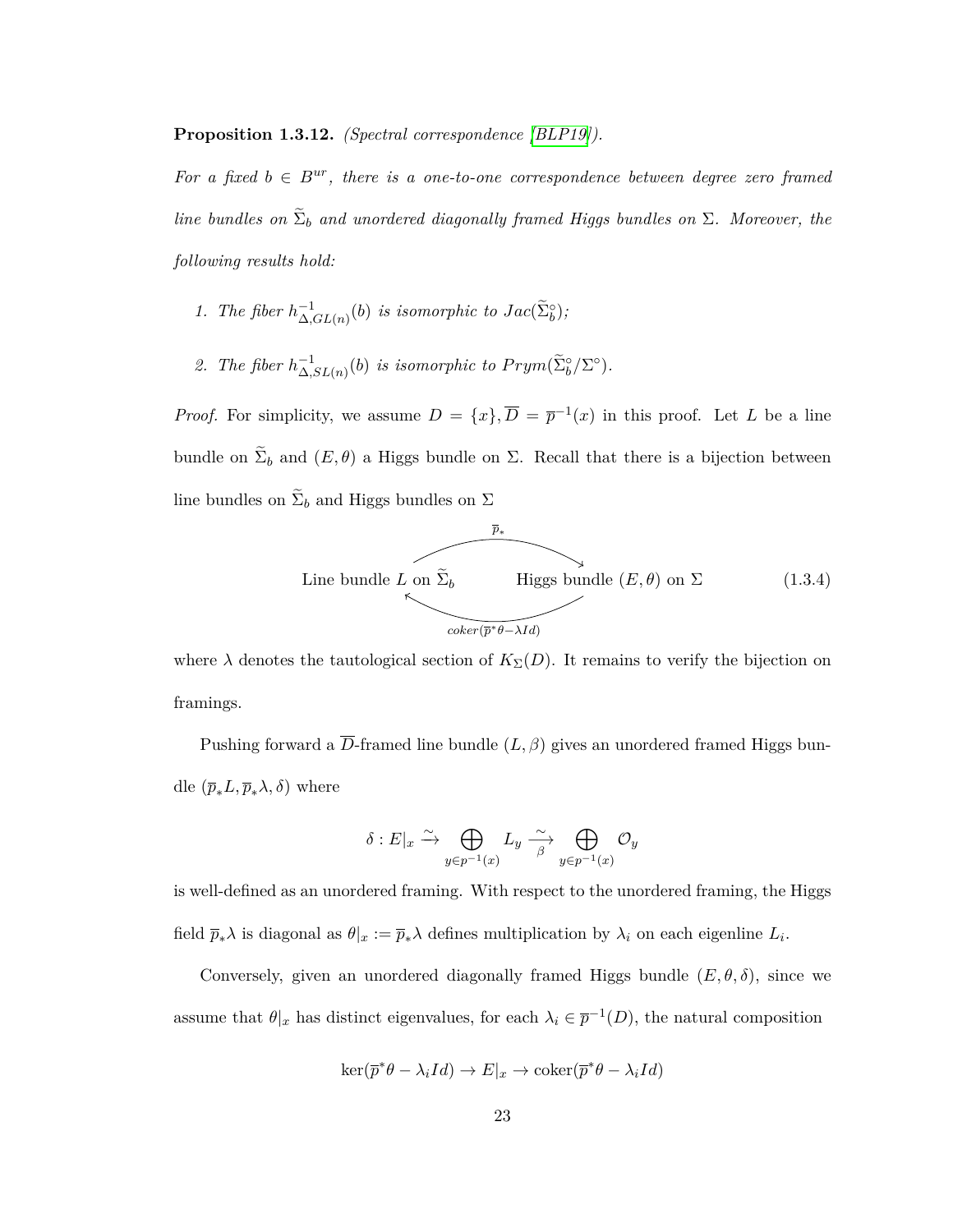<span id="page-30-0"></span>**Proposition 1.3.12.** *(Spectral correspondence [\[BLP19\]](#page-112-2)).*

*For a fixed*  $b \in B^{ur}$ , there is a one-to-one correspondence between degree zero framed  $\Delta$ *line bundles on*  $\Sigma_b$  *and unordered diagonally framed Higgs bundles on*  $\Sigma$ *. Moreover, the following results hold:*

- *1. The fiber*  $h_{\Delta}^{-1}$  $\bigcup_{\Delta, GL(n)}^{-1}(b)$  *is isomorphic to*  $Jac(\widetilde{\Sigma}_{b}^{\circ})$ *;*
- 2. *The fiber*  $h_{\Lambda}^{-1}$  $\sum_{\Delta, SL(n)}^{-1}(b)$  *is isomorphic to Prym* $(\widetilde{\Sigma}_{b}^{\circ}/\Sigma^{\circ})$ *.*

*Proof.* For simplicity, we assume  $D = \{x\}, \overline{D} = \overline{p}^{-1}(x)$  in this proof. Let *L* be a line bundle on  $\Sigma_b$  and  $(E, \theta)$  a Higgs bundle on  $\Sigma$ . Recall that there is a bijection between line bundles on  $\Sigma_b$  and Higgs bundles on  $\Sigma$ 



where  $\lambda$  denotes the tautological section of  $K_{\Sigma}(D)$ . It remains to verify the bijection on framings.

Pushing forward a  $\overline{D}$ -framed line bundle  $(L, \beta)$  gives an unordered framed Higgs bundle  $(\overline{p}_*L, \overline{p}_*\lambda, \delta)$  where

$$
\delta: E|_x \xrightarrow{\sim} \bigoplus_{y \in p^{-1}(x)} L_y \xrightarrow{\sim} \bigoplus_{y \in p^{-1}(x)} \mathcal{O}_y
$$

is well-defined as an unordered framing. With respect to the unordered framing, the Higgs field  $\bar{p}_*\lambda$  is diagonal as  $\theta|_x := \bar{p}_*\lambda$  defines multiplication by  $\lambda_i$  on each eigenline  $L_i$ .

Conversely, given an unordered diagonally framed Higgs bundle  $(E, \theta, \delta)$ , since we assume that  $\theta|_x$  has distinct eigenvalues, for each  $\lambda_i \in \overline{p}^{-1}(D)$ , the natural composition

$$
\ker(\overline{p}^*\theta - \lambda_i Id) \to E|_x \to \text{coker}(\overline{p}^*\theta - \lambda_i Id)
$$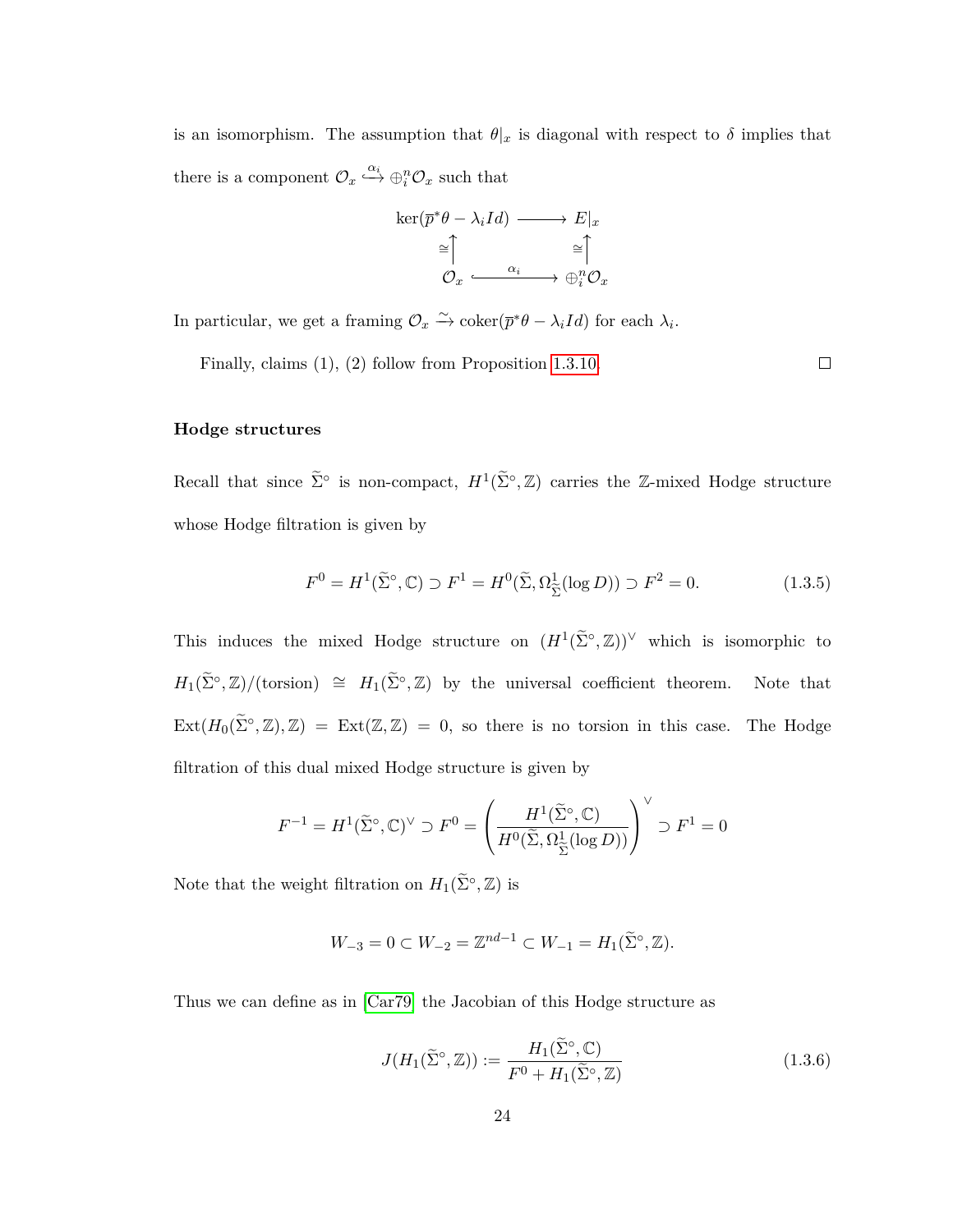is an isomorphism. The assumption that  $\theta|x$  is diagonal with respect to  $\delta$  implies that there is a component  $\mathcal{O}_x \xrightarrow{\alpha_i} \bigoplus_i^n \mathcal{O}_x$  such that

$$
\ker(\overline{p}^*\theta - \lambda_i Id) \longrightarrow E|_x
$$
  
\n
$$
\cong \uparrow \qquad \cong \uparrow
$$
  
\n
$$
\mathcal{O}_x \xrightarrow{\alpha_i} \oplus_i^n \mathcal{O}_x
$$

In particular, we get a framing  $\mathcal{O}_x \xrightarrow{\sim} \text{coker}(\bar{p}^*\theta - \lambda_i Id)$  for each  $\lambda_i$ .

Finally, claims (1), (2) follow from Proposition [1.3.10.](#page-27-1)

 $\Box$ 

#### **Hodge structures**

Recall that since  $\tilde{\Sigma}^{\circ}$  is non-compact,  $H^{1}(\tilde{\Sigma}^{\circ}, \mathbb{Z})$  carries the Z-mixed Hodge structure whose Hodge filtration is given by

$$
F^{0} = H^{1}(\widetilde{\Sigma}^{\circ}, \mathbb{C}) \supset F^{1} = H^{0}(\widetilde{\Sigma}, \Omega_{\widetilde{\Sigma}}^{1}(\log D)) \supset F^{2} = 0.
$$
 (1.3.5)

This induces the mixed Hodge structure on  $(H^1(\tilde{\Sigma}^\circ, \mathbb{Z}))^\vee$  which is isomorphic to  $H_1(\tilde{\Sigma}^\circ, \mathbb{Z})/(\text{torsion}) \cong H_1(\tilde{\Sigma}^\circ, \mathbb{Z})$  by the universal coefficient theorem. Note that  $Ext(H_0(\tilde{\Sigma}^{\circ}, \mathbb{Z}), \mathbb{Z}) = Ext(\mathbb{Z}, \mathbb{Z}) = 0$ , so there is no torsion in this case. The Hodge filtration of this dual mixed Hodge structure is given by

$$
F^{-1}=H^1(\widetilde{\Sigma}^\circ,{\mathbb C})^\vee\supset F^0=\left(\frac{H^1(\widetilde{\Sigma}^\circ,{\mathbb C})}{H^0(\widetilde{\Sigma},\Omega_{\widetilde{\Sigma}}^1(\log D))}\right)^\vee\supset F^1=0
$$

Note that the weight filtration on  $H_1(\tilde{\Sigma}^\circ, \mathbb{Z})$  is

$$
W_{-3} = 0 \subset W_{-2} = \mathbb{Z}^{nd-1} \subset W_{-1} = H_1(\tilde{\Sigma}^{\circ}, \mathbb{Z}).
$$

Thus we can define as in [\[Car79\]](#page-112-4) the Jacobian of this Hodge structure as

$$
J(H_1(\tilde{\Sigma}^\circ, \mathbb{Z})) := \frac{H_1(\tilde{\Sigma}^\circ, \mathbb{C})}{F^0 + H_1(\tilde{\Sigma}^\circ, \mathbb{Z})}
$$
(1.3.6)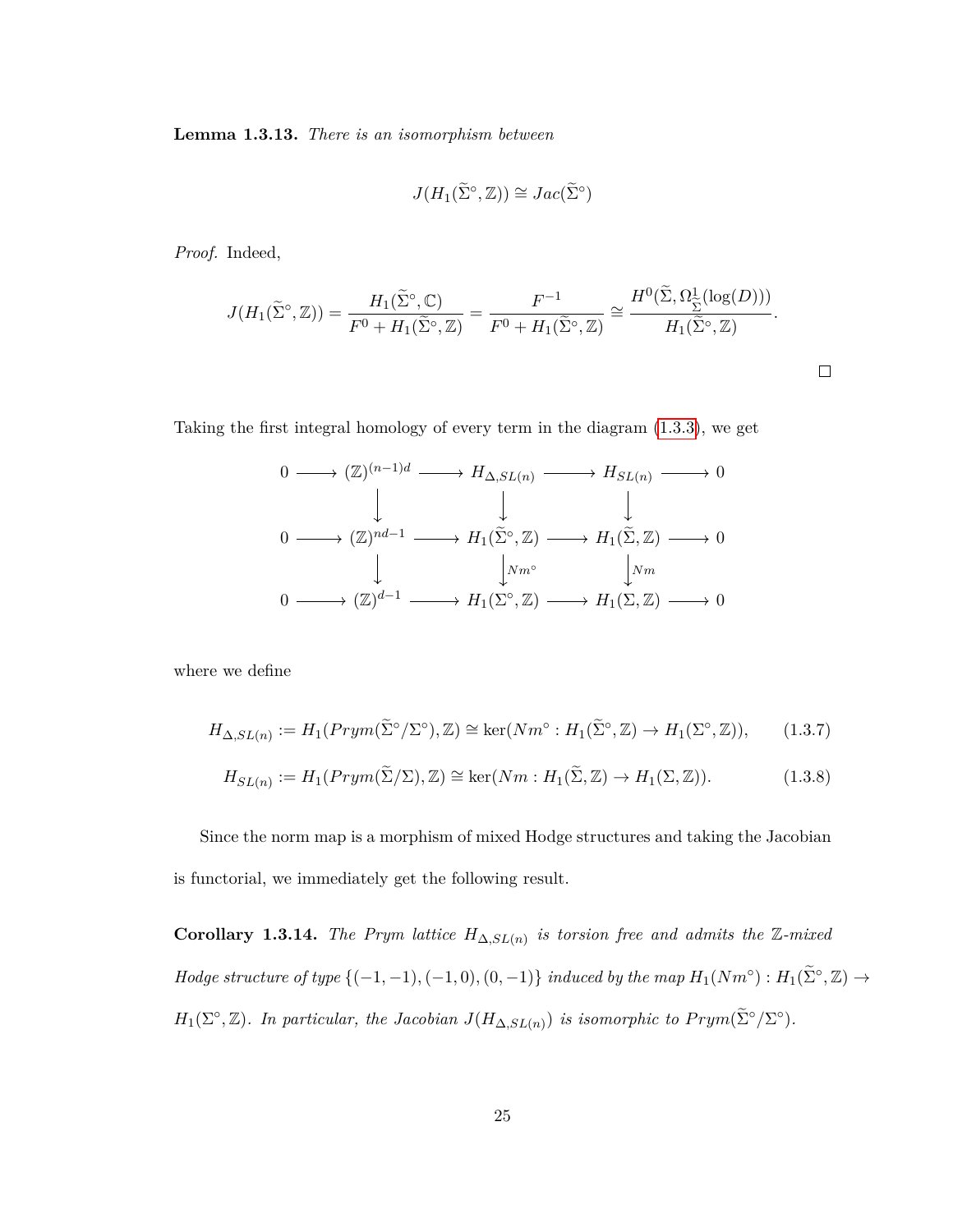**Lemma 1.3.13.** *There is an isomorphism between*

$$
J(H_1(\widetilde{\Sigma}^\circ,\mathbb{Z}))\cong Jac(\widetilde{\Sigma}^\circ)
$$

*Proof.* Indeed,

$$
J(H_1(\tilde{\Sigma}^\circ, \mathbb{Z})) = \frac{H_1(\tilde{\Sigma}^\circ, \mathbb{C})}{F^0 + H_1(\tilde{\Sigma}^\circ, \mathbb{Z})} = \frac{F^{-1}}{F^0 + H_1(\tilde{\Sigma}^\circ, \mathbb{Z})} \cong \frac{H^0(\tilde{\Sigma}, \Omega_{\tilde{\Sigma}}^1(\log(D)))}{H_1(\tilde{\Sigma}^\circ, \mathbb{Z})}.
$$

 $\Box$ 

Taking the first integral homology of every term in the diagram [\(1.3.3\)](#page-29-0), we get

$$
0 \longrightarrow (\mathbb{Z})^{(n-1)d} \longrightarrow H_{\Delta,SL(n)} \longrightarrow H_{SL(n)} \longrightarrow 0
$$
  

$$
0 \longrightarrow (\mathbb{Z})^{nd-1} \longrightarrow H_1(\tilde{\Sigma}^{\circ}, \mathbb{Z}) \longrightarrow H_1(\tilde{\Sigma}, \mathbb{Z}) \longrightarrow 0
$$
  

$$
\downarrow \qquad \qquad \downarrow Nm^{\circ} \qquad \qquad \downarrow Nm
$$
  

$$
0 \longrightarrow (\mathbb{Z})^{d-1} \longrightarrow H_1(\Sigma^{\circ}, \mathbb{Z}) \longrightarrow H_1(\Sigma, \mathbb{Z}) \longrightarrow 0
$$

where we define

$$
H_{\Delta, SL(n)} := H_1(Prym(\tilde{\Sigma}^\circ/\Sigma^\circ), \mathbb{Z}) \cong \ker(Nm^\circ : H_1(\tilde{\Sigma}^\circ, \mathbb{Z}) \to H_1(\Sigma^\circ, \mathbb{Z})),\tag{1.3.7}
$$

$$
H_{SL(n)} := H_1(Prym(\tilde{\Sigma}/\Sigma), \mathbb{Z}) \cong \ker(Nm : H_1(\tilde{\Sigma}, \mathbb{Z}) \to H_1(\Sigma, \mathbb{Z})).
$$
\n(1.3.8)

Since the norm map is a morphism of mixed Hodge structures and taking the Jacobian is functorial, we immediately get the following result.

**Corollary 1.3.14.** *The Prym lattice*  $H_{\Delta, SL(n)}$  *is torsion free and admits the* Z-mixed *Hodge structure of type*  $\{(-1,-1), (-1,0), (0,-1)\}$  *induced by the map*  $H_1(Nm°): H_1(\tilde{\Sigma}^{\circ}, \mathbb{Z}) \rightarrow$ *H*<sub>1</sub>( $\Sigma^{\circ}, \mathbb{Z}$ )*. In particular, the Jacobian J*( $H_{\Delta, SL(n)}$ ) *is isomorphic to Prym*( $\tilde{\Sigma}^{\circ}/\Sigma^{\circ}$ )*.*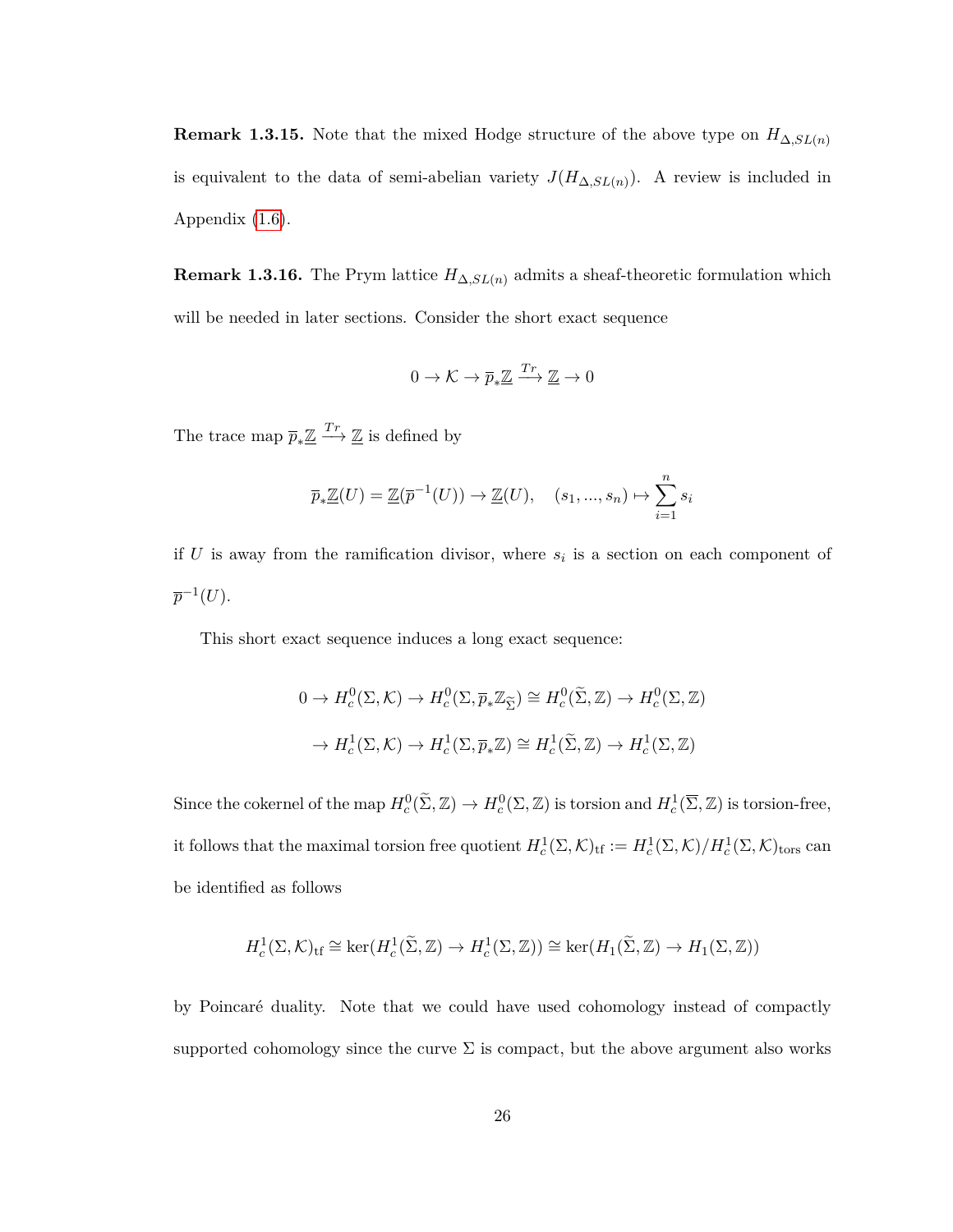**Remark 1.3.15.** Note that the mixed Hodge structure of the above type on  $H_{\Delta, SL(n)}$ is equivalent to the data of semi-abelian variety  $J(H_{\Delta,SL(n)})$ . A review is included in Appendix [\(1.6\)](#page-64-0).

**Remark 1.3.16.** The Prym lattice  $H_{\Delta, SL(n)}$  admits a sheaf-theoretic formulation which will be needed in later sections. Consider the short exact sequence

$$
0 \to \mathcal{K} \to \overline{p}_* \underline{\mathbb{Z}} \xrightarrow{Tr} \underline{\mathbb{Z}} \to 0
$$

The trace map  $\overline{p}_*\underline{\mathbb{Z}} \xrightarrow{Tr} \underline{\mathbb{Z}}$  is defined by

$$
\overline{p}_*\underline{\mathbb{Z}}(U) = \underline{\mathbb{Z}}(\overline{p}^{-1}(U)) \to \underline{\mathbb{Z}}(U), \quad (s_1, ..., s_n) \mapsto \sum_{i=1}^n s_i
$$

if  $U$  is away from the ramification divisor, where  $s_i$  is a section on each component of  $\overline{p}^{-1}(U).$ 

This short exact sequence induces a long exact sequence:

$$
0 \to H_c^0(\Sigma, \mathcal{K}) \to H_c^0(\Sigma, \overline{p}_* \mathbb{Z}_{\widetilde{\Sigma}}) \cong H_c^0(\widetilde{\Sigma}, \mathbb{Z}) \to H_c^0(\Sigma, \mathbb{Z})
$$
  

$$
\to H_c^1(\Sigma, \mathcal{K}) \to H_c^1(\Sigma, \overline{p}_* \mathbb{Z}) \cong H_c^1(\widetilde{\Sigma}, \mathbb{Z}) \to H_c^1(\Sigma, \mathbb{Z})
$$

Since the cokernel of the map  $H_c^0(\tilde{\Sigma}, \mathbb{Z}) \to H_c^0(\Sigma, \mathbb{Z})$  is torsion and  $H_c^1(\overline{\Sigma}, \mathbb{Z})$  is torsion-free, it follows that the maximal torsion free quotient  $H_c^1(\Sigma, \mathcal{K})_{\text{tf}} := H_c^1(\Sigma, \mathcal{K})/H_c^1(\Sigma, \mathcal{K})_{\text{tors}}$  can be identified as follows

$$
H_c^1(\Sigma, \mathcal{K})_{\text{tf}} \cong \ker(H_c^1(\widetilde{\Sigma}, \mathbb{Z}) \to H_c^1(\Sigma, \mathbb{Z})) \cong \ker(H_1(\widetilde{\Sigma}, \mathbb{Z}) \to H_1(\Sigma, \mathbb{Z}))
$$

by Poincar´e duality. Note that we could have used cohomology instead of compactly supported cohomology since the curve  $\Sigma$  is compact, but the above argument also works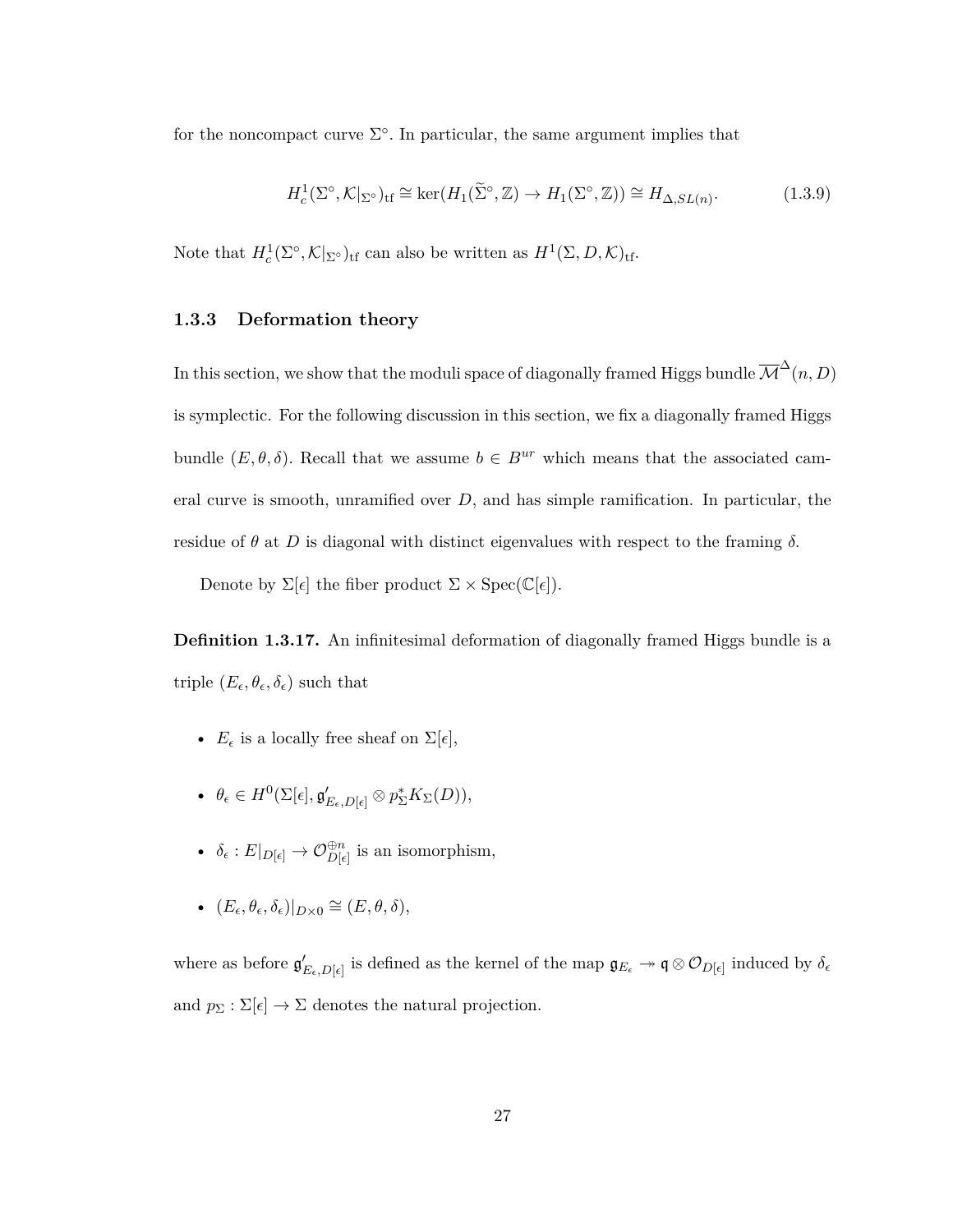for the noncompact curve  $\Sigma^{\circ}$ . In particular, the same argument implies that

$$
H_c^1(\Sigma^\circ, \mathcal{K}|_{\Sigma^\circ})_{\text{tf}} \cong \ker(H_1(\tilde{\Sigma}^\circ, \mathbb{Z}) \to H_1(\Sigma^\circ, \mathbb{Z})) \cong H_{\Delta, SL(n)}.\tag{1.3.9}
$$

Note that  $H_c^1(\Sigma^{\circ}, \mathcal{K}|_{\Sigma^{\circ}})$ <sub>tf</sub> can also be written as  $H^1(\Sigma, D, \mathcal{K})$ <sub>tf</sub>.

#### <span id="page-34-0"></span>**1.3.3 Deformation theory**

In this section, we show that the moduli space of diagonally framed Higgs bundle  $\overline{\mathcal{M}}^\Delta(n,D)$ is symplectic. For the following discussion in this section, we fix a diagonally framed Higgs bundle  $(E, \theta, \delta)$ . Recall that we assume  $b \in B^{ur}$  which means that the associated cameral curve is smooth, unramified over *D*, and has simple ramification. In particular, the residue of *θ* at *D* is diagonal with distinct eigenvalues with respect to the framing *δ.*

Denote by  $\Sigma[\epsilon]$  the fiber product  $\Sigma \times \operatorname{Spec}(\mathbb{C}[\epsilon]).$ 

**Definition 1.3.17.** An infinitesimal deformation of diagonally framed Higgs bundle is a triple  $(E_{\epsilon}, \theta_{\epsilon}, \delta_{\epsilon})$  such that

- $E_{\epsilon}$  is a locally free sheaf on  $\Sigma[\epsilon],$
- $\bullet \ \theta_{\epsilon} \in H^{0}(\Sigma[\epsilon], \mathfrak{g}'_{E_{\epsilon},D[\epsilon]} \otimes p_{\Sigma}^{*}K_{\Sigma}(D)),$
- $\delta_{\epsilon}: E|_{D[\epsilon]} \to \mathcal{O}_{D[\epsilon]}^{\oplus n}$  is an isomorphism,
- $•$   $(E<sub>ε</sub>, θ<sub>ε</sub>, δ<sub>ε</sub>)|<sub>D×0</sub> ≅ (E, θ, δ),$

where as before  $\mathfrak{g}'_{E_{\epsilon},D[\epsilon]}$  is defined as the kernel of the map  $\mathfrak{g}_{E_{\epsilon}} \to \mathfrak{q} \otimes \mathcal{O}_{D[\epsilon]}$  induced by  $\delta_{\epsilon}$ and  $p_{\Sigma} : \Sigma[\epsilon] \rightarrow \Sigma$  denotes the natural projection.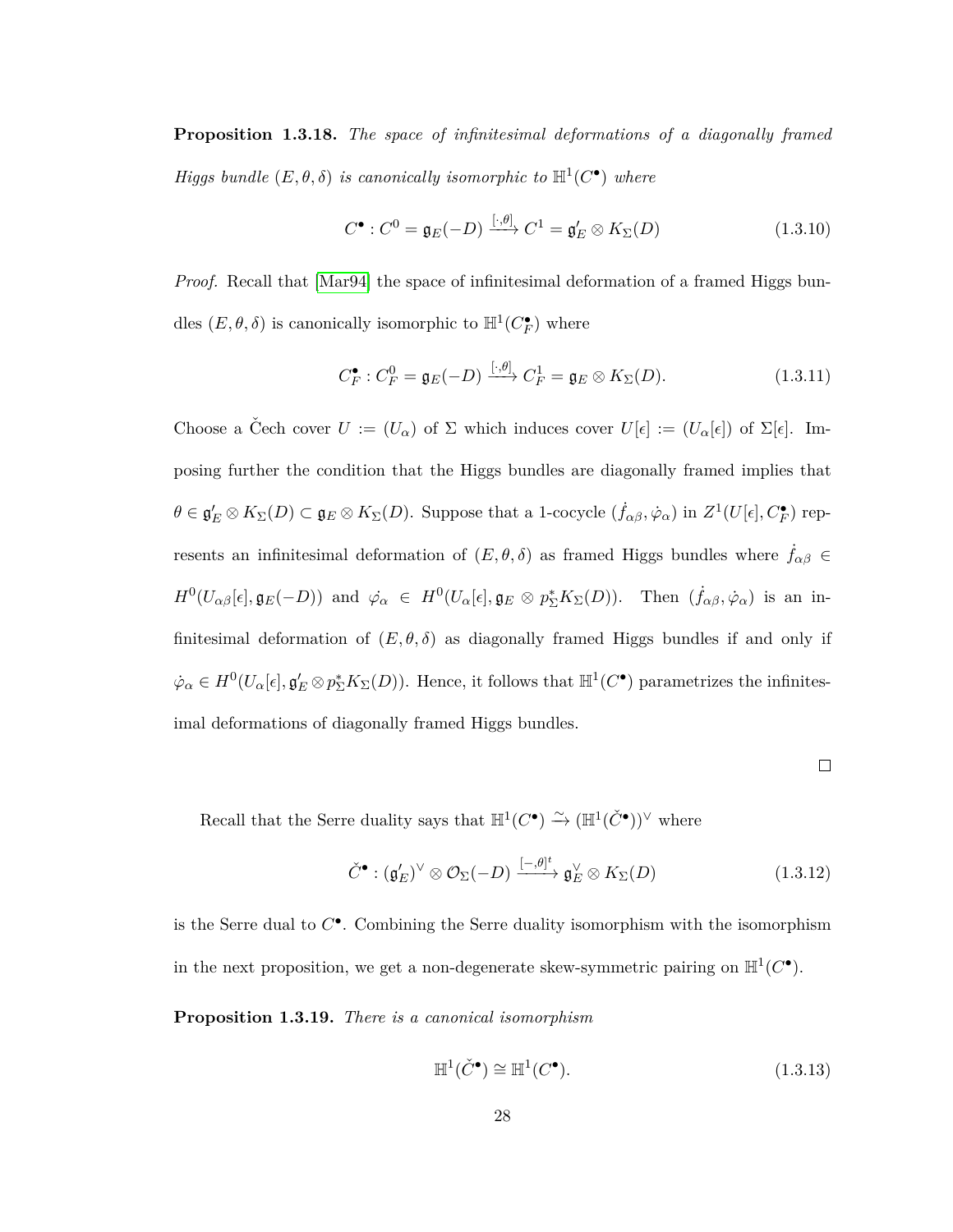**Proposition 1.3.18.** *The space of infinitesimal deformations of a diagonally framed Higgs bundle*  $(E, \theta, \delta)$  *is canonically isomorphic to*  $\mathbb{H}^1(C^{\bullet})$  *where* 

$$
C^{\bullet}: C^{0} = \mathfrak{g}_{E}(-D) \xrightarrow{[\cdot,\theta]} C^{1} = \mathfrak{g}'_{E} \otimes K_{\Sigma}(D)
$$
\n(1.3.10)

*Proof.* Recall that [\[Mar94\]](#page-115-1) the space of infinitesimal deformation of a framed Higgs bundles  $(E, \theta, \delta)$  is canonically isomorphic to  $\mathbb{H}^1(C_F^{\bullet})$  where

$$
C_F^{\bullet}: C_F^0 = \mathfrak{g}_E(-D) \xrightarrow{[\cdot,\theta]} C_F^1 = \mathfrak{g}_E \otimes K_{\Sigma}(D). \tag{1.3.11}
$$

Choose a Čech cover  $U := (U_\alpha)$  of  $\Sigma$  which induces cover  $U[\epsilon] := (U_\alpha[\epsilon])$  of  $\Sigma[\epsilon]$ . Imposing further the condition that the Higgs bundles are diagonally framed implies that  $\theta \in \mathfrak{g}'_E \otimes K_\Sigma(D) \subset \mathfrak{g}_E \otimes K_\Sigma(D)$ . Suppose that a 1-cocycle  $(\dot{f}_{\alpha\beta}, \dot{\varphi}_\alpha)$  in  $Z^1(U[\epsilon], C_F^{\bullet})$  represents an infinitesimal deformation of  $(E, \theta, \delta)$  as framed Higgs bundles where  $\dot{f}_{\alpha\beta} \in$  $H^0(U_{\alpha\beta}[\epsilon],\mathfrak{g}_E(-D))$  and  $\dot{\varphi}_{\alpha} \in H^0(U_{\alpha}[\epsilon],\mathfrak{g}_E \otimes p_{\Sigma}^*K_{\Sigma}(D)).$  Then  $(\dot{f}_{\alpha\beta},\dot{\varphi}_{\alpha})$  is an infinitesimal deformation of  $(E, \theta, \delta)$  as diagonally framed Higgs bundles if and only if  $\dot{\varphi}_{\alpha} \in H^0(U_{\alpha}[\epsilon], \mathfrak{g}'_E \otimes p_{\Sigma}^* K_{\Sigma}(D)).$  Hence, it follows that  $\mathbb{H}^1(C^{\bullet})$  parametrizes the infinitesimal deformations of diagonally framed Higgs bundles.

| I |  |  |
|---|--|--|
|   |  |  |
|   |  |  |
|   |  |  |

Recall that the Serre duality says that  $\mathbb{H}^1(C^{\bullet}) \xrightarrow{\sim} (\mathbb{H}^1(\check{C}^{\bullet}))^{\vee}$  where

$$
\check{C}^{\bullet} : (\mathfrak{g}'_{E})^{\vee} \otimes \mathcal{O}_{\Sigma}(-D) \xrightarrow{[-,\theta]^{t}} \mathfrak{g}_{E}^{\vee} \otimes K_{\Sigma}(D) \qquad (1.3.12)
$$

is the Serre dual to *C* • . Combining the Serre duality isomorphism with the isomorphism in the next proposition, we get a non-degenerate skew-symmetric pairing on  $\mathbb{H}^1(C^{\bullet})$ .

**Proposition 1.3.19.** *There is a canonical isomorphism*

$$
\mathbb{H}^1(\check{C}^\bullet) \cong \mathbb{H}^1(C^\bullet). \tag{1.3.13}
$$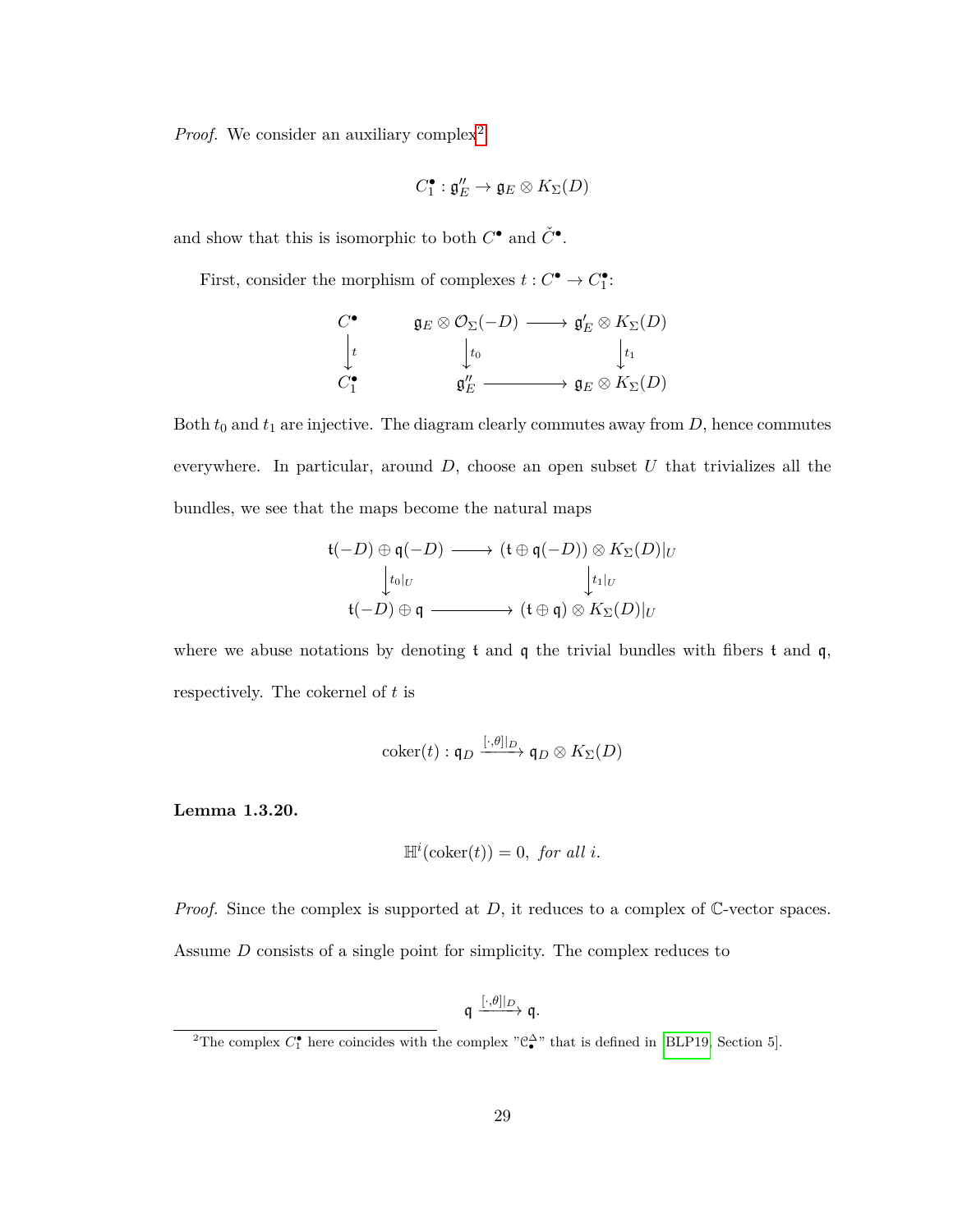*Proof.* We consider an auxiliary complex<sup>[2](#page-36-0)</sup>

$$
C_1^{\bullet}: \mathfrak{g}''_E \to \mathfrak{g}_E \otimes K_{\Sigma}(D)
$$

and show that this is isomorphic to both  $C^{\bullet}$  and  $\check{C}^{\bullet}$ .

First, consider the morphism of complexes  $t: C^{\bullet} \to C_{1}^{\bullet}$ :

$$
\begin{array}{ccc}\nC^{\bullet} & & \mathfrak{g}_{E} \otimes \mathcal{O}_{\Sigma}(-D) \longrightarrow \mathfrak{g}'_{E} \otimes K_{\Sigma}(D) \\
\downarrow t & & \downarrow t_{0} & \downarrow t_{1} \\
C_{1}^{\bullet} & & \mathfrak{g}''_{E} \longrightarrow \mathfrak{g}_{E} \otimes K_{\Sigma}(D)\n\end{array}
$$

Both  $t_0$  and  $t_1$  are injective. The diagram clearly commutes away from  $D$ , hence commutes everywhere. In particular, around *D*, choose an open subset *U* that trivializes all the bundles, we see that the maps become the natural maps

$$
\mathfrak{t}(-D) \oplus \mathfrak{q}(-D) \longrightarrow (\mathfrak{t} \oplus \mathfrak{q}(-D)) \otimes K_{\Sigma}(D)|_{U}
$$

$$
\downarrow_{t_0|_{U}} \qquad \qquad \downarrow_{t_1|_{U}}
$$

$$
\mathfrak{t}(-D) \oplus \mathfrak{q} \longrightarrow (\mathfrak{t} \oplus \mathfrak{q}) \otimes K_{\Sigma}(D)|_{U}
$$

where we abuse notations by denoting  $t$  and  $q$  the trivial bundles with fibers  $t$  and  $q$ , respectively. The cokernel of *t* is

$$
\mathrm{coker}(t): \mathfrak{q}_D \xrightarrow{[\cdot,\theta]|_D} \mathfrak{q}_D \otimes K_{\Sigma}(D)
$$

**Lemma 1.3.20.**

$$
\mathbb{H}^i(\text{coker}(t)) = 0, \text{ for all } i.
$$

*Proof.* Since the complex is supported at *D*, it reduces to a complex of C-vector spaces. Assume *D* consists of a single point for simplicity. The complex reduces to

$$
\mathfrak{q} \xrightarrow{[\cdot,\theta]|_D} \mathfrak{q}.
$$

<span id="page-36-0"></span><sup>&</sup>lt;sup>2</sup>The complex  $C_1^{\bullet}$  here coincides with the complex " $C_1^{\Delta}$ " that is defined in [\[BLP19,](#page-112-0) Section 5].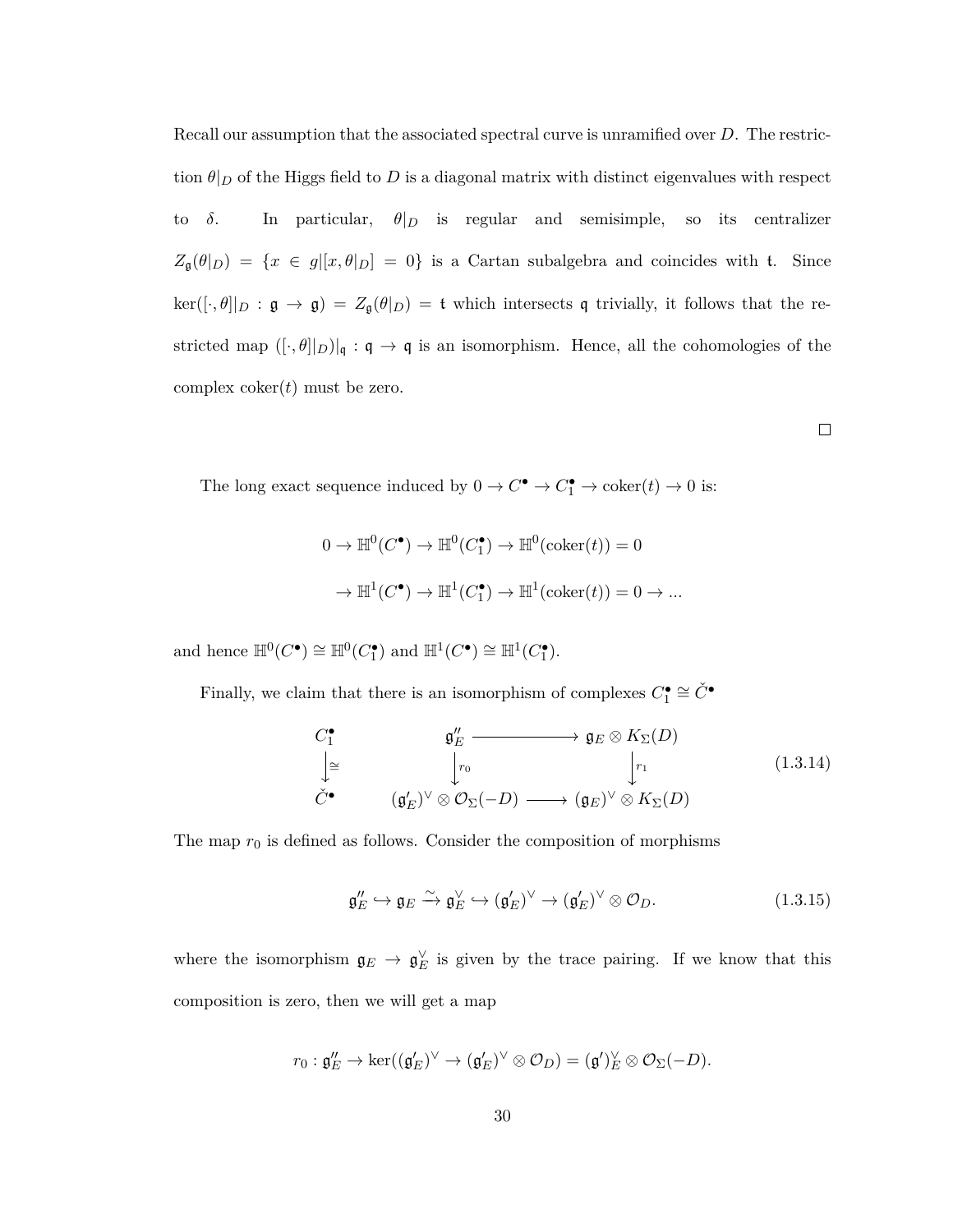Recall our assumption that the associated spectral curve is unramified over *D*. The restriction  $\theta|_D$  of the Higgs field to  $D$  is a diagonal matrix with distinct eigenvalues with respect to  $\delta$ . In particular,  $\theta|_D$  is regular and semisimple, so its centralizer  $Z_{\mathfrak{g}}(\theta|_D) = \{x \in g | [x, \theta|_D] = 0\}$  is a Cartan subalgebra and coincides with t. Since  $\ker([\cdot,\theta]|_D : \mathfrak{g} \to \mathfrak{g}) = Z_{\mathfrak{g}}(\theta|_D) = \mathfrak{t}$  which intersects q trivially, it follows that the restricted map  $([\cdot,\theta]|_D)|_{\mathfrak{q}}:\mathfrak{q}\to\mathfrak{q}$  is an isomorphism. Hence, all the cohomologies of the complex coker(*t*) must be zero.

The long exact sequence induced by  $0 \to C^{\bullet} \to C_1^{\bullet} \to \text{coker}(t) \to 0$  is:

$$
0 \to \mathbb{H}^0(C^{\bullet}) \to \mathbb{H}^0(C_1^{\bullet}) \to \mathbb{H}^0(\mathrm{coker}(t)) = 0
$$
  

$$
\to \mathbb{H}^1(C^{\bullet}) \to \mathbb{H}^1(C_1^{\bullet}) \to \mathbb{H}^1(\mathrm{coker}(t)) = 0 \to \dots
$$

and hence  $\mathbb{H}^0(C^{\bullet}) \cong \mathbb{H}^0(C_1^{\bullet})$  and  $\mathbb{H}^1(C^{\bullet}) \cong \mathbb{H}^1(C_1^{\bullet})$ .

Finally, we claim that there is an isomorphism of complexes  $C_1^{\bullet} \cong \check{C}^{\bullet}$ 

<span id="page-37-1"></span>
$$
C_1^{\bullet} \qquad \qquad \mathfrak{g}_E'' \longrightarrow \mathfrak{g}_E \otimes K_{\Sigma}(D)
$$
  
\n
$$
\downarrow \cong \qquad \qquad \downarrow r_0 \qquad \qquad \downarrow r_1 \qquad \qquad (1.3.14)
$$
  
\n
$$
\check{C}^{\bullet} \qquad \qquad (\mathfrak{g}_E')^{\vee} \otimes \mathcal{O}_{\Sigma}(-D) \longrightarrow (\mathfrak{g}_E)^{\vee} \otimes K_{\Sigma}(D)
$$

The map  $r_0$  is defined as follows. Consider the composition of morphisms

<span id="page-37-0"></span>
$$
\mathfrak{g}_E'' \hookrightarrow \mathfrak{g}_E \xrightarrow{\sim} \mathfrak{g}_E^{\vee} \hookrightarrow (\mathfrak{g}_E')^{\vee} \to (\mathfrak{g}_E')^{\vee} \otimes \mathcal{O}_D. \tag{1.3.15}
$$

where the isomorphism  $\mathfrak{g}_E \to \mathfrak{g}_E^{\vee}$  is given by the trace pairing. If we know that this composition is zero, then we will get a map

$$
r_0: \mathfrak{g}''_E \to \ker((\mathfrak{g}'_E)^\vee \to (\mathfrak{g}'_E)^\vee \otimes \mathcal{O}_D) = (\mathfrak{g}')_E^\vee \otimes \mathcal{O}_\Sigma(-D).
$$

 $\Box$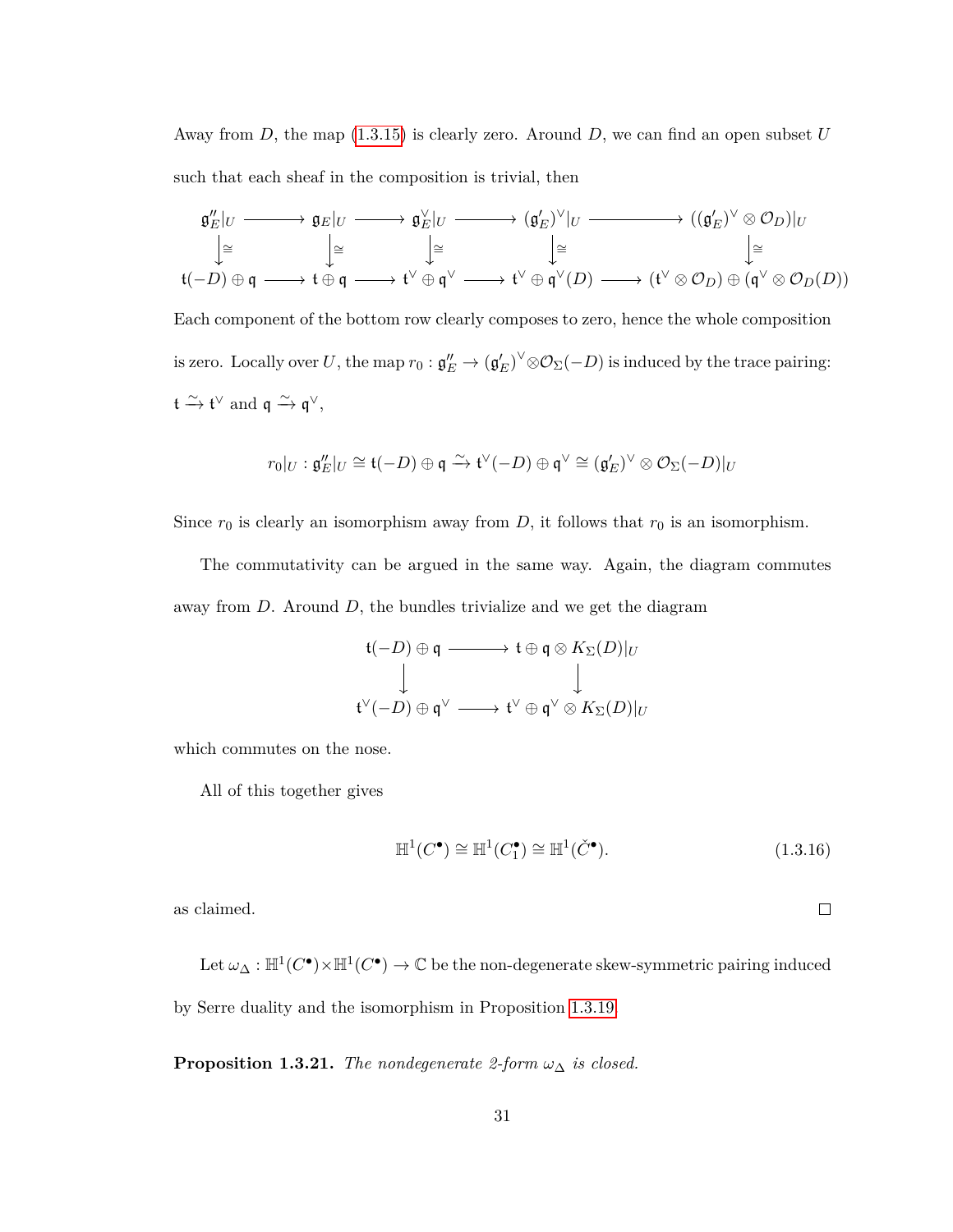Away from *D*, the map [\(1.3.15\)](#page-37-0) is clearly zero. Around *D*, we can find an open subset *U* such that each sheaf in the composition is trivial, then

$$
\mathfrak{g}_E''|_U \longrightarrow \mathfrak{g}_E|_U \longrightarrow \mathfrak{g}_E'|_U \longrightarrow (\mathfrak{g}_E')^\vee|_U \longrightarrow ((\mathfrak{g}_E')^\vee \otimes \mathcal{O}_D)|_U
$$
\n
$$
\downarrow \cong \qquad \qquad \downarrow \cong \qquad \qquad \downarrow \cong \qquad \qquad \downarrow \cong \qquad \qquad \downarrow \cong \qquad \qquad \downarrow \cong
$$
\n
$$
\mathfrak{t}(-D) \oplus \mathfrak{q} \longrightarrow \mathfrak{t} \oplus \mathfrak{q} \longrightarrow \mathfrak{t}^\vee \oplus \mathfrak{q}^\vee \longrightarrow \mathfrak{t}^\vee \oplus \mathfrak{q}^\vee(D) \longrightarrow (\mathfrak{t}^\vee \otimes \mathcal{O}_D) \oplus (\mathfrak{q}^\vee \otimes \mathcal{O}_D(D))
$$

Each component of the bottom row clearly composes to zero, hence the whole composition is zero. Locally over *U*, the map  $r_0 : \mathfrak{g}_E'' \to (\mathfrak{g}_E')^\vee \otimes \mathcal{O}_\Sigma(-D)$  is induced by the trace pairing:  $\mathfrak{t} \xrightarrow{\sim} \mathfrak{t}^{\vee}$  and  $\mathfrak{q} \xrightarrow{\sim} \mathfrak{q}^{\vee}$ ,

$$
r_0|_U : \mathfrak{g}''_E|_U \cong \mathfrak{t}(-D) \oplus \mathfrak{q} \xrightarrow{\sim} \mathfrak{t}^{\vee}(-D) \oplus \mathfrak{q}^{\vee} \cong (\mathfrak{g}'_E)^{\vee} \otimes \mathcal{O}_{\Sigma}(-D)|_U
$$

Since  $r_0$  is clearly an isomorphism away from  $D$ , it follows that  $r_0$  is an isomorphism.

The commutativity can be argued in the same way. Again, the diagram commutes away from *D*. Around *D*, the bundles trivialize and we get the diagram

$$
\begin{array}{ccc}\n\mathfrak{t}(-D) \oplus \mathfrak{q} & \longrightarrow & \mathfrak{t} \oplus \mathfrak{q} \otimes K_{\Sigma}(D)|_{U} \\
\downarrow & & \downarrow \\
\mathfrak{t}^{\vee}(-D) \oplus \mathfrak{q}^{\vee} & \longrightarrow & \mathfrak{t}^{\vee} \oplus \mathfrak{q}^{\vee} \otimes K_{\Sigma}(D)|_{U}\n\end{array}
$$

which commutes on the nose.

All of this together gives

$$
\mathbb{H}^1(C^{\bullet}) \cong \mathbb{H}^1(C_1^{\bullet}) \cong \mathbb{H}^1(\check{C}^{\bullet}).\tag{1.3.16}
$$

 $\Box$ 

as claimed.

Let  $\omega_{\Delta} : \mathbb{H}^1(C^{\bullet}) \times \mathbb{H}^1(C^{\bullet}) \to \mathbb{C}$  be the non-degenerate skew-symmetric pairing induced by Serre duality and the isomorphism in Proposition [1.3.19.](#page-35-0)

<span id="page-38-0"></span>**Proposition 1.3.21.** *The nondegenerate 2-form*  $\omega_{\Delta}$  *is closed.*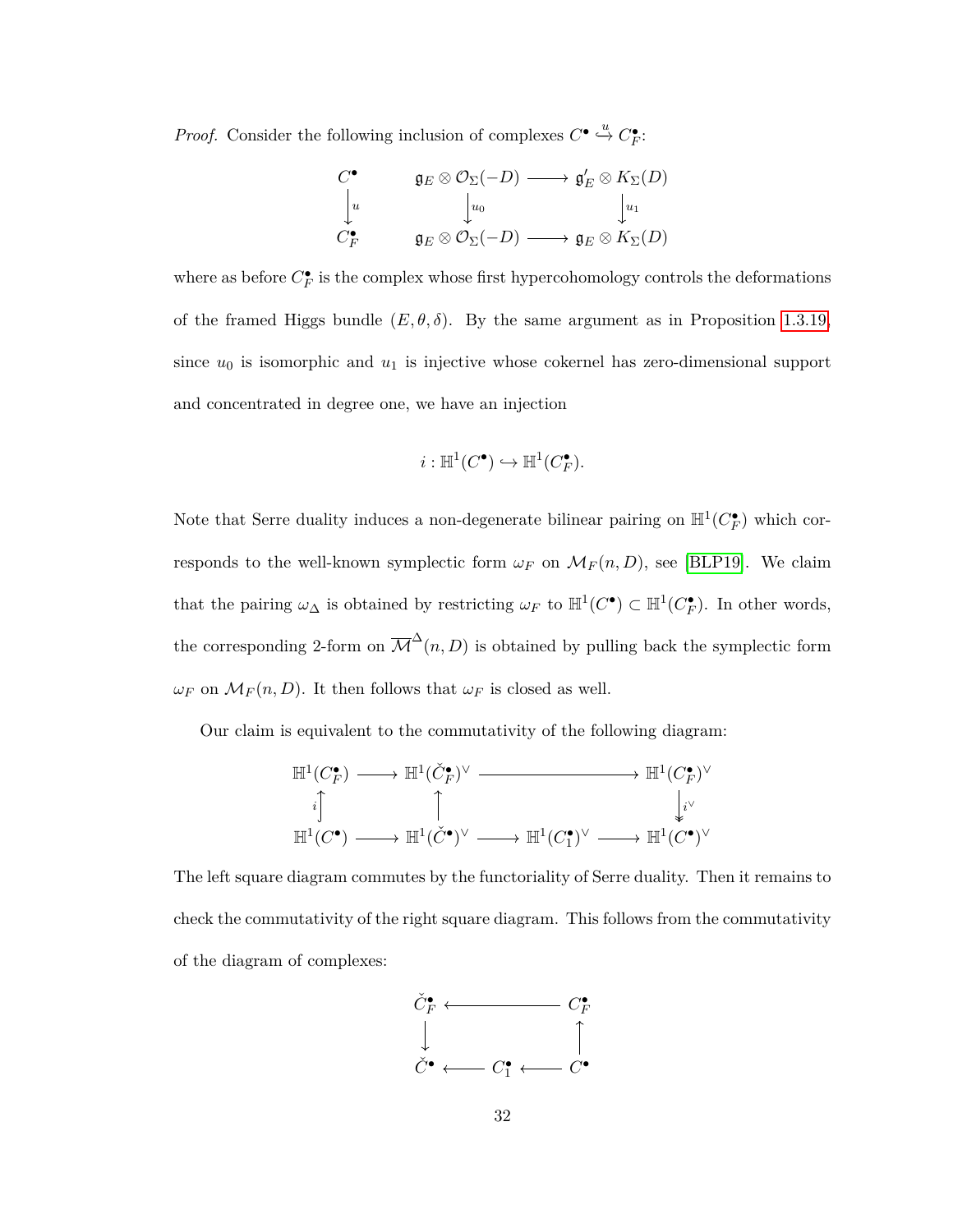*Proof.* Consider the following inclusion of complexes  $C^{\bullet} \stackrel{u}{\hookrightarrow} C_F^{\bullet}$ .

$$
\begin{array}{ccc}\nC^{\bullet} & & \mathfrak{g}_{E} \otimes \mathcal{O}_{\Sigma}(-D) \longrightarrow \mathfrak{g}'_{E} \otimes K_{\Sigma}(D) \\
\downarrow u & & \downarrow u_0 & & \downarrow u_1 \\
C_F^{\bullet} & & \mathfrak{g}_{E} \otimes \mathcal{O}_{\Sigma}(-D) \longrightarrow \mathfrak{g}_{E} \otimes K_{\Sigma}(D)\n\end{array}
$$

where as before  $C_F^{\bullet}$  is the complex whose first hypercohomology controls the deformations of the framed Higgs bundle  $(E, \theta, \delta)$ . By the same argument as in Proposition [1.3.19,](#page-35-0) since  $u_0$  is isomorphic and  $u_1$  is injective whose cokernel has zero-dimensional support and concentrated in degree one, we have an injection

$$
i: \mathbb{H}^1(C^\bullet) \hookrightarrow \mathbb{H}^1(C_F^\bullet).
$$

Note that Serre duality induces a non-degenerate bilinear pairing on  $\mathbb{H}^1(C_F^{\bullet})$  which corresponds to the well-known symplectic form  $\omega_F$  on  $\mathcal{M}_F(n, D)$ , see [\[BLP19\]](#page-112-0). We claim that the pairing  $\omega_{\Delta}$  is obtained by restricting  $\omega_F$  to  $\mathbb{H}^1(C^{\bullet}) \subset \mathbb{H}^1(C_F^{\bullet})$ . In other words, the corresponding 2-form on  $\overline{\mathcal{M}}^{\Delta}(n, D)$  is obtained by pulling back the symplectic form *ω*<sub>*F*</sub> on  $\mathcal{M}_F(n, D)$ . It then follows that  $ω_F$  is closed as well.

Our claim is equivalent to the commutativity of the following diagram:

$$
\begin{array}{ccc}\n\mathbb{H}^{1}(C_{F}^{\bullet}) & \longrightarrow & \mathbb{H}^{1}(\check{C}_{F}^{\bullet})^{\vee} & \longrightarrow & \mathbb{H}^{1}(C_{F}^{\bullet})^{\vee} \\
\downarrow & \uparrow & & \downarrow^{\vee} \\
\mathbb{H}^{1}(C^{\bullet}) & \longrightarrow & \mathbb{H}^{1}(\check{C}^{\bullet})^{\vee} & \longrightarrow & \mathbb{H}^{1}(C_{1}^{\bullet})^{\vee} & \longrightarrow & \mathbb{H}^{1}(C^{\bullet})^{\vee}\n\end{array}
$$

The left square diagram commutes by the functoriality of Serre duality. Then it remains to check the commutativity of the right square diagram. This follows from the commutativity of the diagram of complexes:

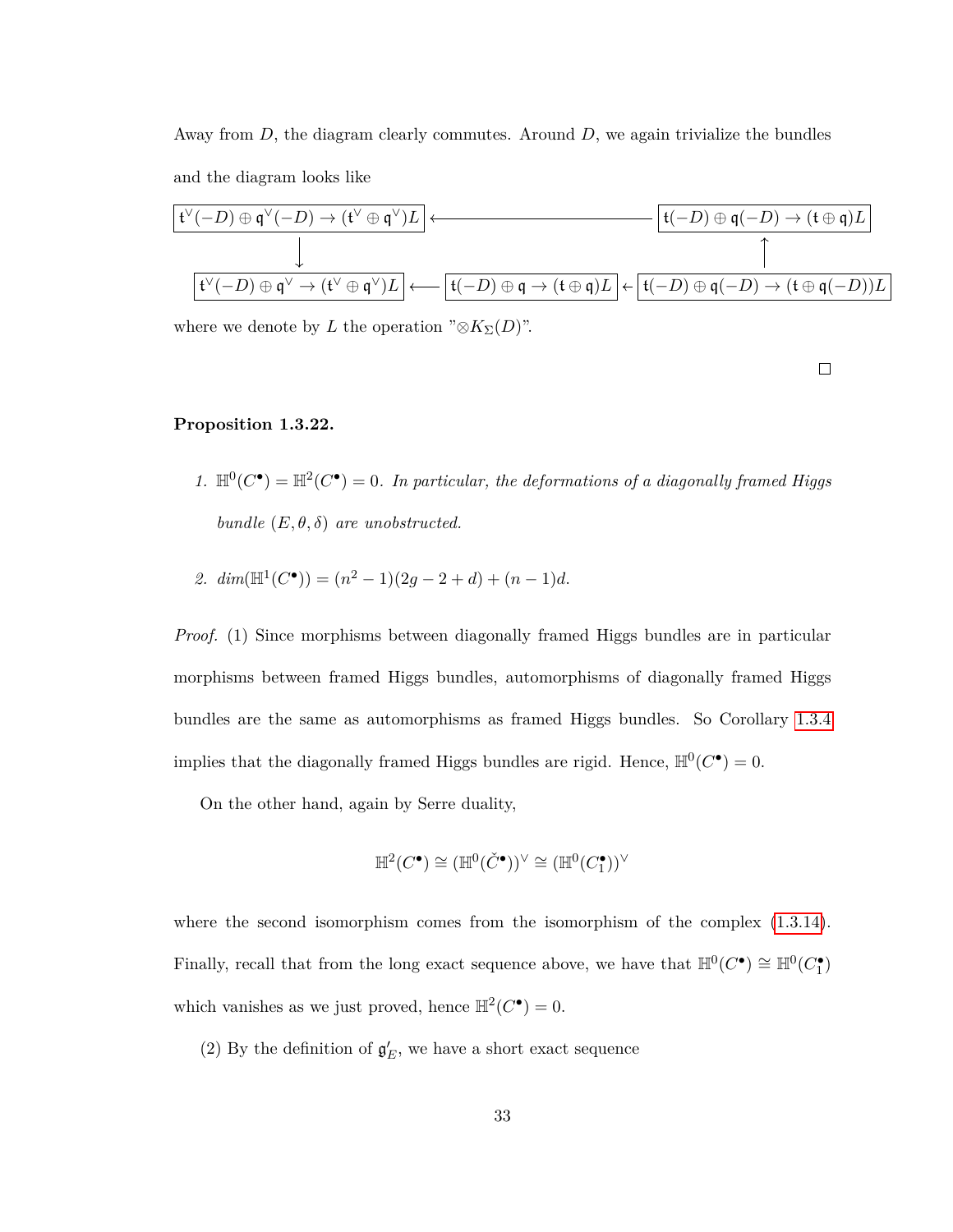Away from *D*, the diagram clearly commutes. Around *D*, we again trivialize the bundles and the diagram looks like

$$
\boxed{ \begin{array}{c} \mathfrak{t}^{\vee}(-D) \oplus \mathfrak{q}^{\vee}(-D) \to (\mathfrak{t}^{\vee} \oplus \mathfrak{q}^{\vee})L \\ \downarrow \\ \hline \end{array} } \left\{ \begin{array}{c} \mathfrak{t}(-D) \oplus \mathfrak{q}(-D) \to (\mathfrak{t} \oplus \mathfrak{q})L \\ \downarrow \\ \hline \end{array} \right\}
$$

where we denote by *L* the operation " $\otimes K_{\Sigma}(D)$ ".

 $\Box$ 

#### <span id="page-40-0"></span>**Proposition 1.3.22.**

- 1.  $\mathbb{H}^0(C^{\bullet}) = \mathbb{H}^2(C^{\bullet}) = 0$ . In particular, the deformations of a diagonally framed Higgs *bundle*  $(E, \theta, \delta)$  *are unobstructed.*
- 2.  $dim(\mathbb{H}^1(C^{\bullet})) = (n^2 1)(2g 2 + d) + (n 1)d.$

*Proof.* (1) Since morphisms between diagonally framed Higgs bundles are in particular morphisms between framed Higgs bundles, automorphisms of diagonally framed Higgs bundles are the same as automorphisms as framed Higgs bundles. So Corollary [1.3.4](#page-23-0) implies that the diagonally framed Higgs bundles are rigid. Hence,  $\mathbb{H}^0(C^{\bullet}) = 0$ .

On the other hand, again by Serre duality,

$$
\mathbb{H}^2(C^\bullet) \cong (\mathbb{H}^0(\check{C}^\bullet))^\vee \cong (\mathbb{H}^0(C_1^\bullet))^\vee
$$

where the second isomorphism comes from the isomorphism of the complex [\(1.3.14\)](#page-37-1). Finally, recall that from the long exact sequence above, we have that  $\mathbb{H}^0(C^{\bullet}) \cong \mathbb{H}^0(C_1^{\bullet})$ which vanishes as we just proved, hence  $\mathbb{H}^2(C^{\bullet}) = 0$ .

(2) By the definition of  $\mathfrak{g}'_E$ , we have a short exact sequence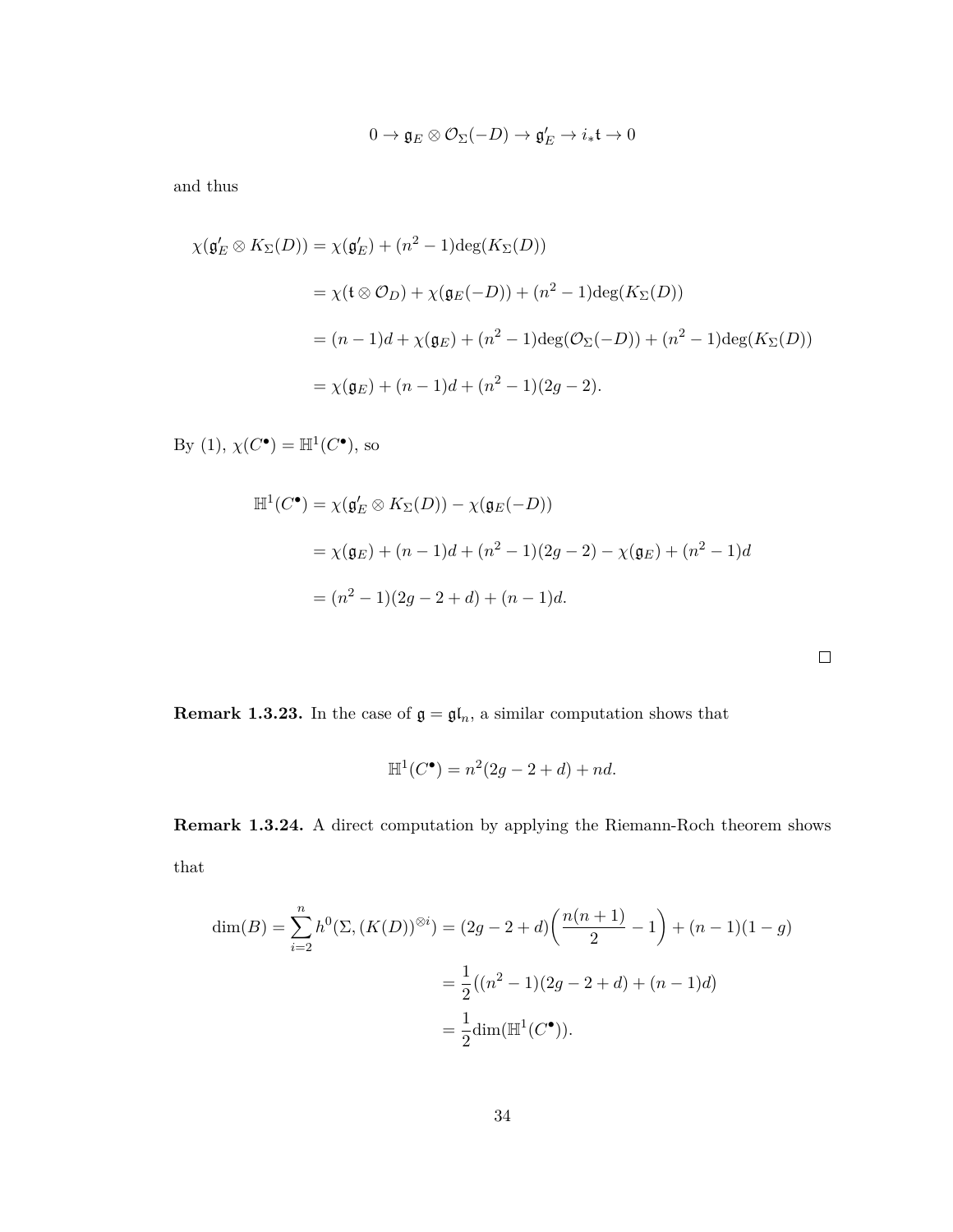$$
0 \to \mathfrak{g}_E \otimes \mathcal{O}_\Sigma(-D) \to \mathfrak{g}'_E \to i_*\mathfrak{t} \to 0
$$

and thus

$$
\chi(\mathfrak{g}'_E \otimes K_{\Sigma}(D)) = \chi(\mathfrak{g}'_E) + (n^2 - 1)\deg(K_{\Sigma}(D))
$$
  
=  $\chi(\mathfrak{t} \otimes \mathcal{O}_D) + \chi(\mathfrak{g}_E(-D)) + (n^2 - 1)\deg(K_{\Sigma}(D))$   
=  $(n - 1)d + \chi(\mathfrak{g}_E) + (n^2 - 1)\deg(\mathcal{O}_{\Sigma}(-D)) + (n^2 - 1)\deg(K_{\Sigma}(D))$   
=  $\chi(\mathfrak{g}_E) + (n - 1)d + (n^2 - 1)(2g - 2).$ 

By (1),  $\chi(C^{\bullet}) = \mathbb{H}^1(C^{\bullet})$ , so

$$
\mathbb{H}^{1}(C^{\bullet}) = \chi(\mathfrak{g}'_{E} \otimes K_{\Sigma}(D)) - \chi(\mathfrak{g}_{E}(-D))
$$
  
=  $\chi(\mathfrak{g}_{E}) + (n - 1)d + (n^{2} - 1)(2g - 2) - \chi(\mathfrak{g}_{E}) + (n^{2} - 1)d$   
=  $(n^{2} - 1)(2g - 2 + d) + (n - 1)d$ .

**Remark 1.3.23.** In the case of  $\mathfrak{g} = \mathfrak{gl}_n$ , a similar computation shows that

$$
\mathbb{H}^{1}(C^{\bullet}) = n^{2}(2g - 2 + d) + nd.
$$

<span id="page-41-0"></span>**Remark 1.3.24.** A direct computation by applying the Riemann-Roch theorem shows that

$$
\dim(B) = \sum_{i=2}^{n} h^{0}(\Sigma, (K(D))^{\otimes i}) = (2g - 2 + d) \left( \frac{n(n+1)}{2} - 1 \right) + (n-1)(1-g)
$$

$$
= \frac{1}{2} ((n^{2} - 1)(2g - 2 + d) + (n - 1)d)
$$

$$
= \frac{1}{2} \dim(\mathbb{H}^{1}(C^{\bullet})).
$$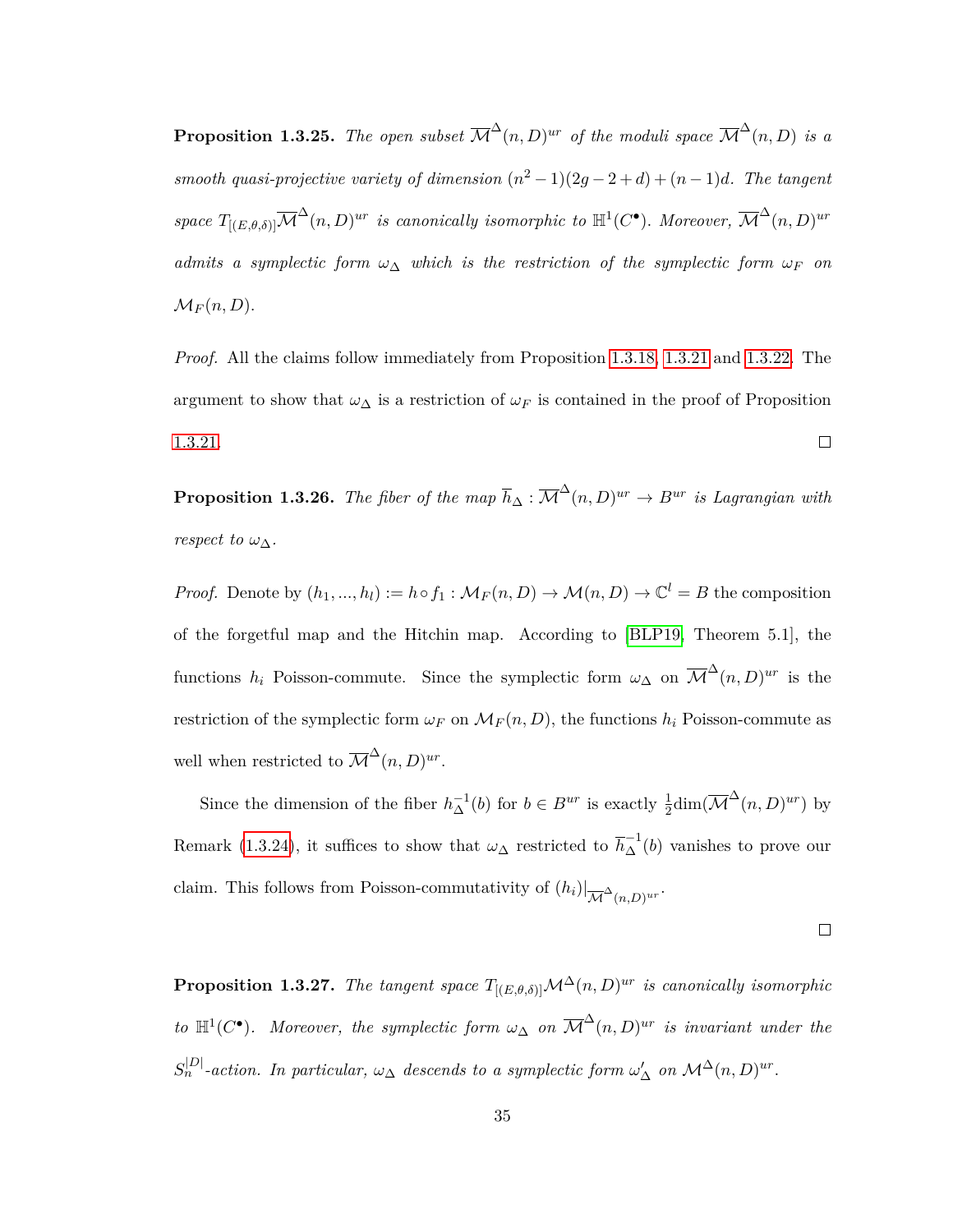**Proposition 1.3.25.** The open subset  $\overline{\mathcal{M}}^{\Delta}(n, D)^{ur}$  of the moduli space  $\overline{\mathcal{M}}^{\Delta}(n, D)$  is a *smooth quasi-projective variety of dimension*  $(n^2-1)(2g-2+d)+(n-1)d$ *. The tangent space*  $T_{[(E,\theta,\delta)]} \overline{\mathcal{M}}^{\Delta}(n,D)^{ur}$  *is canonically isomorphic to*  $\mathbb{H}^1(C^{\bullet})$ *. Moreover,*  $\overline{\mathcal{M}}^{\Delta}(n,D)^{ur}$ *admits a symplectic form*  $\omega_{\Delta}$  *which is the restriction of the symplectic form*  $\omega_F$  *on*  $\mathcal{M}_F(n,D)$ .

*Proof.* All the claims follow immediately from Proposition [1.3.18,](#page-35-1) [1.3.21](#page-38-0) and [1.3.22.](#page-40-0) The argument to show that  $\omega_{\Delta}$  is a restriction of  $\omega_F$  is contained in the proof of Proposition  $\Box$ [1.3.21.](#page-38-0)

<span id="page-42-0"></span>**Proposition 1.3.26.** *The fiber of the map*  $\overline{h}_{\Delta} : \overline{\mathcal{M}}^{\Delta}(n, D)^{ur} \rightarrow B^{ur}$  *is Lagrangian with respect to*  $\omega_{\Lambda}$ *.* 

*Proof.* Denote by  $(h_1, ..., h_l) := h \circ f_1 : \mathcal{M}_F(n, D) \to \mathcal{M}(n, D) \to \mathbb{C}^l = B$  the composition of the forgetful map and the Hitchin map. According to [\[BLP19,](#page-112-0) Theorem 5.1], the functions  $h_i$  Poisson-commute. Since the symplectic form  $\omega_{\Delta}$  on  $\overline{\mathcal{M}}^{\Delta}(n, D)^{ur}$  is the restriction of the symplectic form  $\omega_F$  on  $\mathcal{M}_F(n, D)$ , the functions  $h_i$  Poisson-commute as well when restricted to  $\overline{\mathcal{M}}^{\Delta}(n, D)^{ur}$ .

Since the dimension of the fiber  $h_{\Lambda}^{-1}$  $\Delta^{-1}(b)$  for *b* ∈ *B*<sup>*ur*</sup> is exactly  $\frac{1}{2}$ dim( $\overline{\mathcal{M}}^{\Delta}(n, D)^{ur}$ ) by Remark [\(1.3.24\)](#page-41-0), it suffices to show that  $\omega_{\Delta}$  restricted to  $\overline{h}_{\Delta}^{-1}(b)$  vanishes to prove our claim. This follows from Poisson-commutativity of  $(h_i)|_{\overline{\mathcal{M}}^{\Delta}(n,D)^{ur}}$ .

 $\Box$ 

**Proposition 1.3.27.** *The tangent space*  $T_{[(E,\theta,\delta)]}\mathcal{M}^{\Delta}(n,D)^{ur}$  *is canonically isomorphic to*  $\mathbb{H}^1(C^{\bullet})$ *. Moreover, the symplectic form*  $\omega_{\Delta}$  *on*  $\overline{\mathcal{M}}^{\Delta}(n, D)^{ur}$  *is invariant under the*  $S_n^{|D|}$ -action. In particular,  $\omega_{\Delta}$  descends to a symplectic form  $\omega_{\Delta}'$  on  $\mathcal{M}^{\Delta}(n, D)^{ur}$ .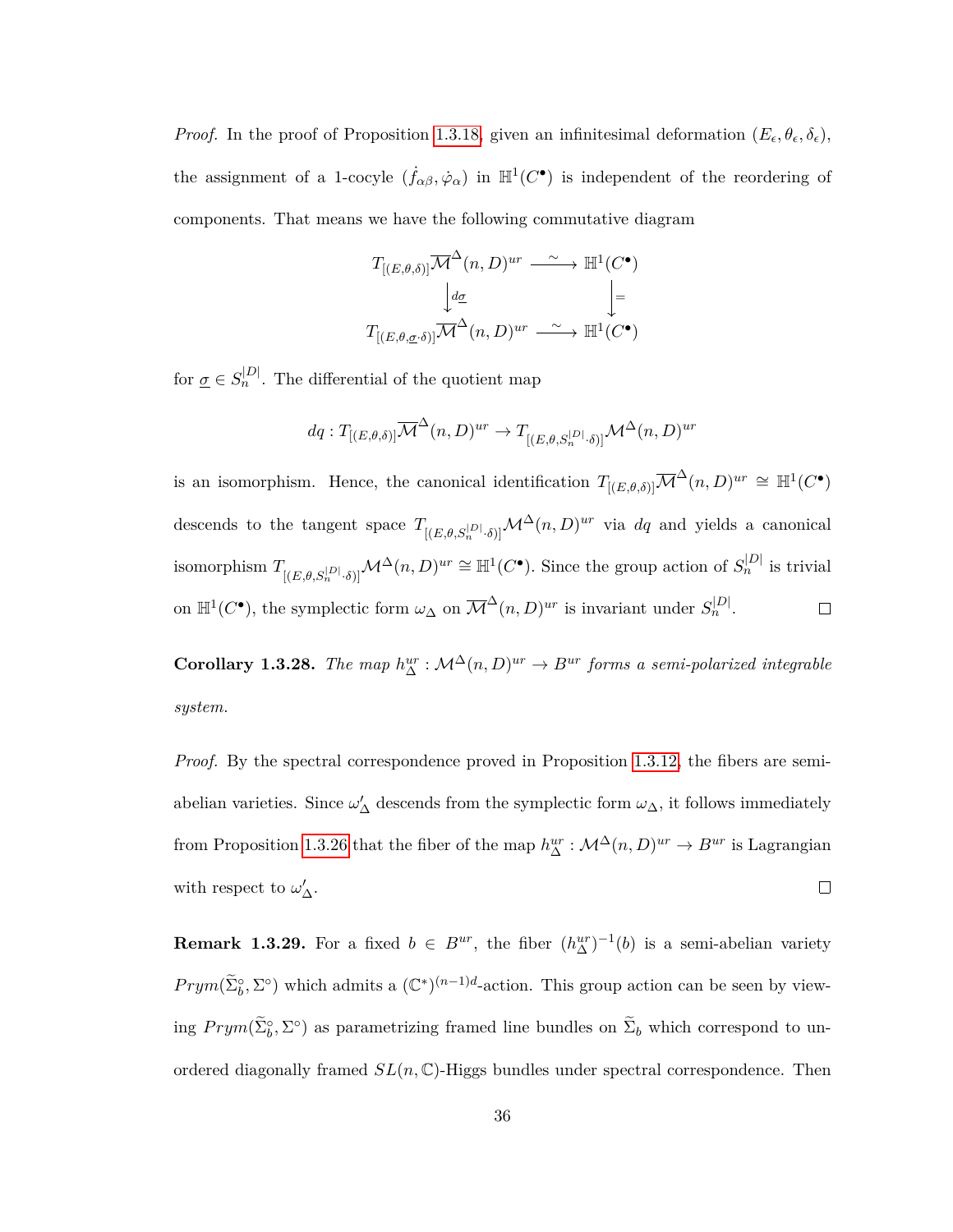*Proof.* In the proof of Proposition 1.3.[18,](#page-35-1) given an infinitesimal deformation  $(E_{\epsilon}, \theta_{\epsilon}, \delta_{\epsilon})$ , the assignment of a 1-cocyle  $( \dot{f}_{\alpha\beta}, \dot{\varphi}_{\alpha})$  in  $\mathbb{H}^1(C^{\bullet})$  is independent of the reordering of components. That means we have the following commutative diagram

$$
T_{[(E,\theta,\delta)]}\overline{\mathcal{M}}^{\Delta}(n,D)^{ur} \xrightarrow{\sim} \mathbb{H}^{1}(C^{\bullet})
$$

$$
\downarrow d\underline{\sigma} \qquad \qquad \downarrow =
$$

$$
T_{[(E,\theta,\underline{\sigma}\cdot\delta)]}\overline{\mathcal{M}}^{\Delta}(n,D)^{ur} \xrightarrow{\sim} \mathbb{H}^{1}(C^{\bullet})
$$

for  $\underline{\sigma} \in S_n^{|D|}$ . The differential of the quotient map

$$
dq: T_{[(E,\theta,\delta)]}\overline{\mathcal{M}}^{\Delta}(n,D)^{ur} \to T_{[(E,\theta,S_n^{|D|}\cdot\delta)]}\mathcal{M}^{\Delta}(n,D)^{ur}
$$

is an isomorphism. Hence, the canonical identification  $T_{[(E,\theta,\delta)]} \overline{\mathcal{M}}^{\Delta}(n,D)^{ur} \cong \mathbb{H}^1(C^{\bullet})$ descends to the tangent space  $T_{[(E,\theta,S_n^{|D|}\cdot\delta)]}\mathcal{M}^{\Delta}(n,D)^{ur}$  via dq and yields a canonical isomorphism  $T_{[(E,\theta,S_n^{|D|}\cdot\delta)]}\mathcal{M}^{\Delta}(n,D)^{ur} \cong \mathbb{H}^1(C^{\bullet})$ . Since the group action of  $S_n^{|D|}$  is trivial on  $\mathbb{H}^1(C^{\bullet})$ , the symplectic form  $\omega_{\Delta}$  on  $\overline{\mathcal{M}}^{\Delta}(n, D)^{ur}$  is invariant under  $S_n^{|D|}$ .  $\Box$ 

**Corollary 1.3.28.** *The map*  $h_{\Delta}^{ur}: \mathcal{M}^{\Delta}(n, D)^{ur} \to B^{ur}$  *forms a semi-polarized integrable system.*

*Proof.* By the spectral correspondence proved in Proposition [1.3.12,](#page-30-0) the fibers are semiabelian varieties. Since  $\omega'_{\Delta}$  descends from the symplectic form  $\omega_{\Delta}$ , it follows immediately from Proposition [1.3.26](#page-42-0) that the fiber of the map  $h_{\Delta}^{ur}: \mathcal{M}^{\Delta}(n, D)^{ur} \to B^{ur}$  is Lagrangian with respect to  $\omega'_{\Delta}$ .  $\Box$ 

**Remark 1.3.29.** For a fixed  $b \in B^{ur}$ , the fiber  $(h_{\Delta}^{ur})^{-1}(b)$  is a semi-abelian variety  $Prym(\tilde{\Sigma}_b^{\circ}, \Sigma^{\circ})$  which admits a  $(\mathbb{C}^*)^{(n-1)d}$ -action. This group action can be seen by viewing  $Prym(\tilde{\Sigma}_b^{\circ}, \Sigma^{\circ})$  as parametrizing framed line bundles on  $\tilde{\Sigma}_b$  which correspond to unordered diagonally framed  $SL(n, \mathbb{C})$ -Higgs bundles under spectral correspondence. Then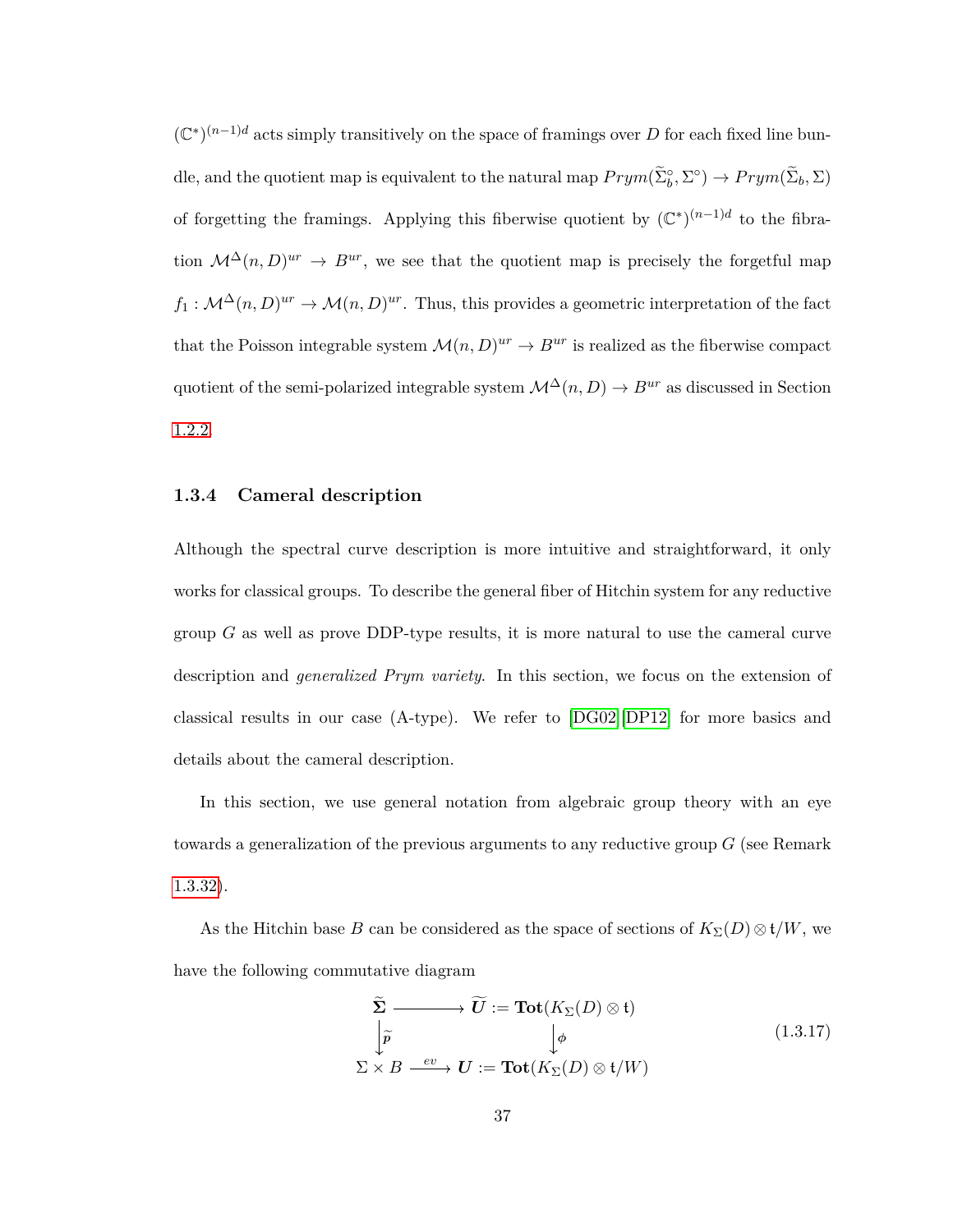$(\mathbb{C}^*)^{(n-1)d}$  acts simply transitively on the space of framings over *D* for each fixed line bundle, and the quotient map is equivalent to the natural map  $Prym(\tilde{\Sigma}_b^{\circ}, \Sigma^{\circ}) \to Prym(\tilde{\Sigma}_b, \Sigma)$ of forgetting the framings. Applying this fiberwise quotient by  $(\mathbb{C}^*)^{(n-1)d}$  to the fibration  $\mathcal{M}^{\Delta}(n, D)^{ur} \to B^{ur}$ , we see that the quotient map is precisely the forgetful map  $f_1: \mathcal{M}^{\Delta}(n, D)^{ur} \to \mathcal{M}(n, D)^{ur}$ . Thus, this provides a geometric interpretation of the fact that the Poisson integrable system  $\mathcal{M}(n, D)^{ur} \to B^{ur}$  is realized as the fiberwise compact quotient of the semi-polarized integrable system  $\mathcal{M}^\Delta(n,D) \to B^{ur}$  as discussed in Section [1.2.2.](#page-19-0)

#### **1.3.4 Cameral description**

Although the spectral curve description is more intuitive and straightforward, it only works for classical groups. To describe the general fiber of Hitchin system for any reductive group *G* as well as prove DDP-type results, it is more natural to use the cameral curve description and *generalized Prym variety*. In this section, we focus on the extension of classical results in our case (A-type). We refer to [\[DG02\]](#page-113-0)[\[DP12\]](#page-113-1) for more basics and details about the cameral description.

In this section, we use general notation from algebraic group theory with an eye towards a generalization of the previous arguments to any reductive group *G* (see Remark [1.3.32\)](#page-46-0).

As the Hitchin base *B* can be considered as the space of sections of  $K_{\Sigma}(D) \otimes \mathfrak{t}/W$ , we have the following commutative diagram

<span id="page-44-0"></span>
$$
\widetilde{\Sigma} \longrightarrow \widetilde{U} := \textbf{Tot}(K_{\Sigma}(D) \otimes \mathfrak{t})
$$
\n
$$
\downarrow \widetilde{p} \qquad \qquad \downarrow \phi
$$
\n
$$
\Sigma \times B \xrightarrow{ev} U := \textbf{Tot}(K_{\Sigma}(D) \otimes \mathfrak{t}/W)
$$
\n(1.3.17)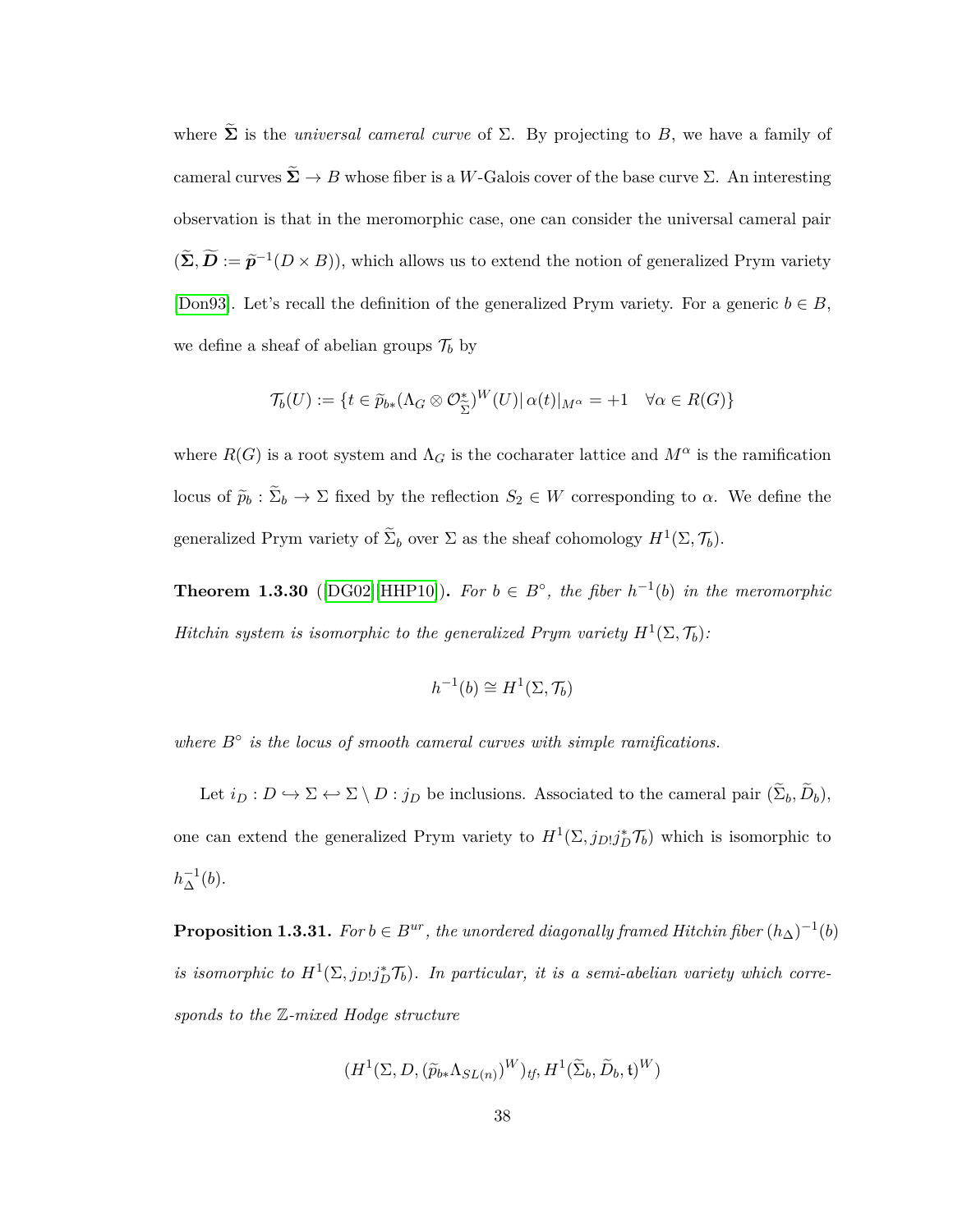where  $\tilde{\Sigma}$  is the *universal cameral curve* of  $\Sigma$ . By projecting to *B*, we have a family of cameral curves  $\widetilde{\Sigma} \to B$  whose fiber is a *W*-Galois cover of the base curve  $\Sigma$ . An interesting observation is that in the meromorphic case, one can consider the universal cameral pair  $(\widetilde{\Sigma}, \widetilde{D} := \widetilde{p}^{-1}(D \times B))$ , which allows us to extend the notion of generalized Prym variety [\[Don93\]](#page-113-2). Let's recall the definition of the generalized Prym variety. For a generic  $b \in B$ , we define a sheaf of abelian groups  $\mathcal{T}_b$  by

$$
\mathcal{T}_b(U) := \{ t \in \widetilde{p}_{b*}(\Lambda_G \otimes \mathcal{O}_{\widetilde{\Sigma}}^*)^W(U) | \alpha(t)|_{M^\alpha} = +1 \quad \forall \alpha \in R(G) \}
$$

where  $R(G)$  is a root system and  $\Lambda_G$  is the cocharater lattice and  $M^{\alpha}$  is the ramification locus of  $\tilde{p}_b : \Sigma_b \to \Sigma$  fixed by the reflection  $S_2 \in W$  corresponding to *α*. We define the generalized Prym variety of  $\widetilde{\Sigma}_b$  over  $\Sigma$  as the sheaf cohomology  $H^1(\Sigma, \mathcal{T}_b)$ .

**Theorem 1.3.30** ([\[DG02\]](#page-113-0)[\[HHP10\]](#page-114-0)). For  $b \in B^{\circ}$ , the fiber  $h^{-1}(b)$  in the meromorphic *Hitchin system is isomorphic to the generalized Prym variety*  $H^1(\Sigma, \mathcal{T}_b)$ :

$$
h^{-1}(b) \cong H^1(\Sigma, \mathcal{T}_b)
$$

*where B*◦ *is the locus of smooth cameral curves with simple ramifications.*

Let  $i_D: D \hookrightarrow \Sigma \hookleftarrow \Sigma \setminus D : j_D$  be inclusions. Associated to the cameral pair  $(\Sigma_b, D_b)$ , one can extend the generalized Prym variety to  $H^1(\Sigma, j_D j_D^* \mathcal{T}_b)$  which is isomorphic to  $h^{-1}_{\Delta}$  $\bar{\Delta}^{(b)}$ .

**Proposition 1.3.31.** *For*  $b \in B^{ur}$ *, the unordered diagonally framed Hitchin fiber*  $(h_{\Delta})^{-1}(b)$ *is isomorphic to*  $H^1(\Sigma, j_D, j_D^* \mathcal{T}_b)$ *. In particular, it is a semi-abelian variety which corresponds to the* Z*-mixed Hodge structure*

$$
(H^1(\Sigma, D, (\widetilde{p}_{b*}\Lambda_{SL(n)})^W)_{tf}, H^1(\widetilde{\Sigma}_b, \widetilde{D}_b, \mathfrak{t})^W)
$$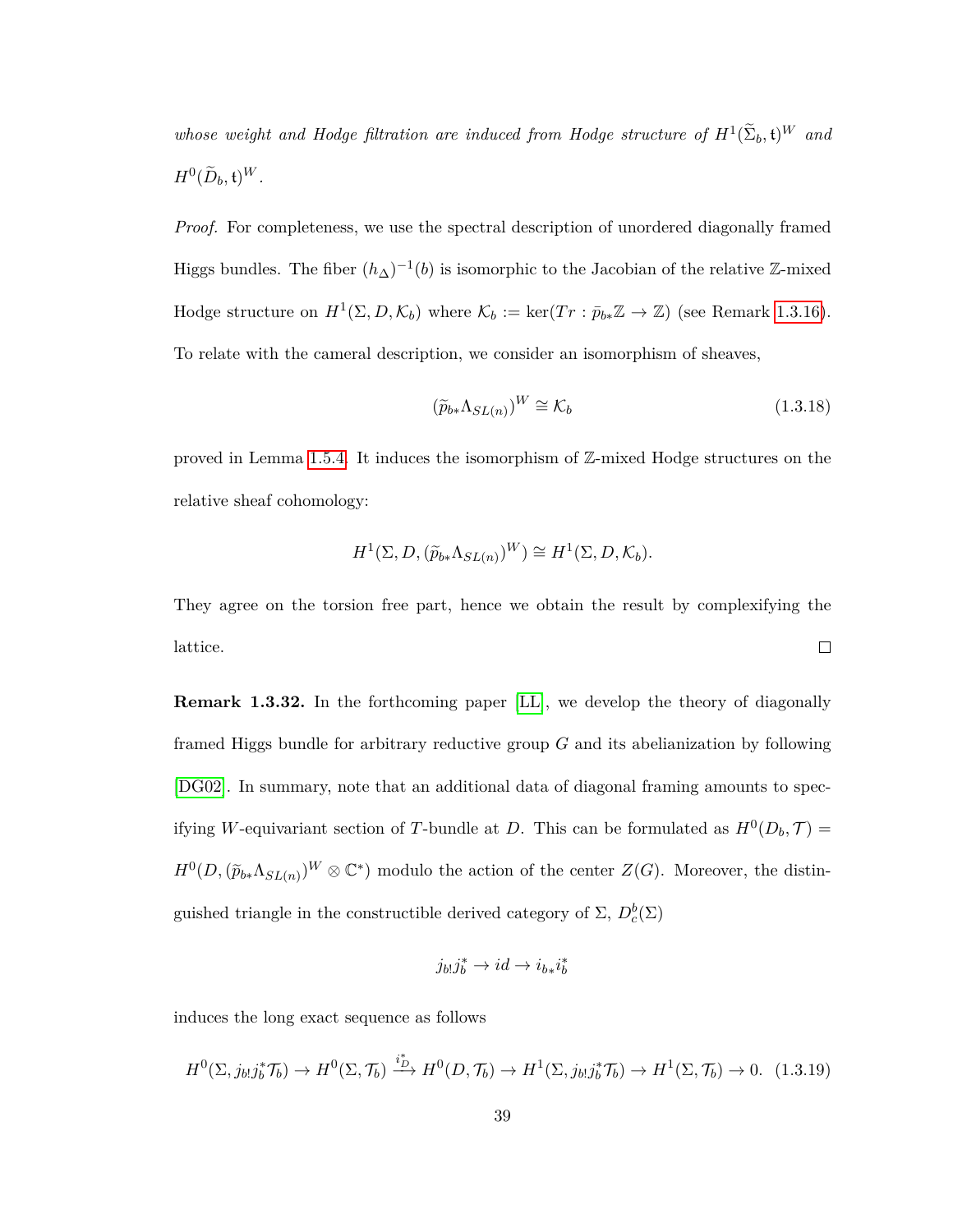*whose weight and Hodge filtration are induced from Hodge structure of*  $H^1(\widetilde{\Sigma}_b, \mathfrak{t})^W$  and  $H^0(\widetilde{D}_b, \mathfrak{t})^W$ *.* 

*Proof.* For completeness, we use the spectral description of unordered diagonally framed Higgs bundles. The fiber  $(h_{\Delta})^{-1}(b)$  is isomorphic to the Jacobian of the relative Z-mixed Hodge structure on  $H^1(\Sigma, D, \mathcal{K}_b)$  where  $\mathcal{K}_b := \ker(Tr : \bar{p}_{b*}\mathbb{Z} \to \mathbb{Z})$  (see Remark [1.3.16\)](#page-33-0). To relate with the cameral description, we consider an isomorphism of sheaves,

$$
(\widetilde{p}_{b*}\Lambda_{SL(n)})^W \cong \mathcal{K}_b \tag{1.3.18}
$$

proved in Lemma [1.5.4.](#page-61-0) It induces the isomorphism of Z-mixed Hodge structures on the relative sheaf cohomology:

$$
H^{1}(\Sigma, D, (\widetilde{p}_{b*}\Lambda_{SL(n)})^{W}) \cong H^{1}(\Sigma, D, \mathcal{K}_{b}).
$$

They agree on the torsion free part, hence we obtain the result by complexifying the lattice.  $\Box$ 

<span id="page-46-0"></span>**Remark 1.3.32.** In the forthcoming paper [\[LL\]](#page-115-0), we develop the theory of diagonally framed Higgs bundle for arbitrary reductive group *G* and its abelianization by following [\[DG02\]](#page-113-0). In summary, note that an additional data of diagonal framing amounts to specifying W-equivariant section of T-bundle at D. This can be formulated as  $H^0(D_b, \mathcal{T}) =$  $H^0(D, (\widetilde{p}_{b*}\Lambda_{SL(n)})^W \otimes \mathbb{C}^*$  modulo the action of the center  $Z(G)$ . Moreover, the distinguished triangle in the constructible derived category of  $\Sigma$ ,  $D_c^b(\Sigma)$ 

$$
j_{b!}j_b^*\to id\to i_{b*}i_b^*
$$

induces the long exact sequence as follows

$$
H^0(\Sigma, j_{b!}j_b^*\mathcal{T}_b) \to H^0(\Sigma, \mathcal{T}_b) \xrightarrow{i_D^*} H^0(D, \mathcal{T}_b) \to H^1(\Sigma, j_{b!}j_b^*\mathcal{T}_b) \to H^1(\Sigma, \mathcal{T}_b) \to 0. \tag{1.3.19}
$$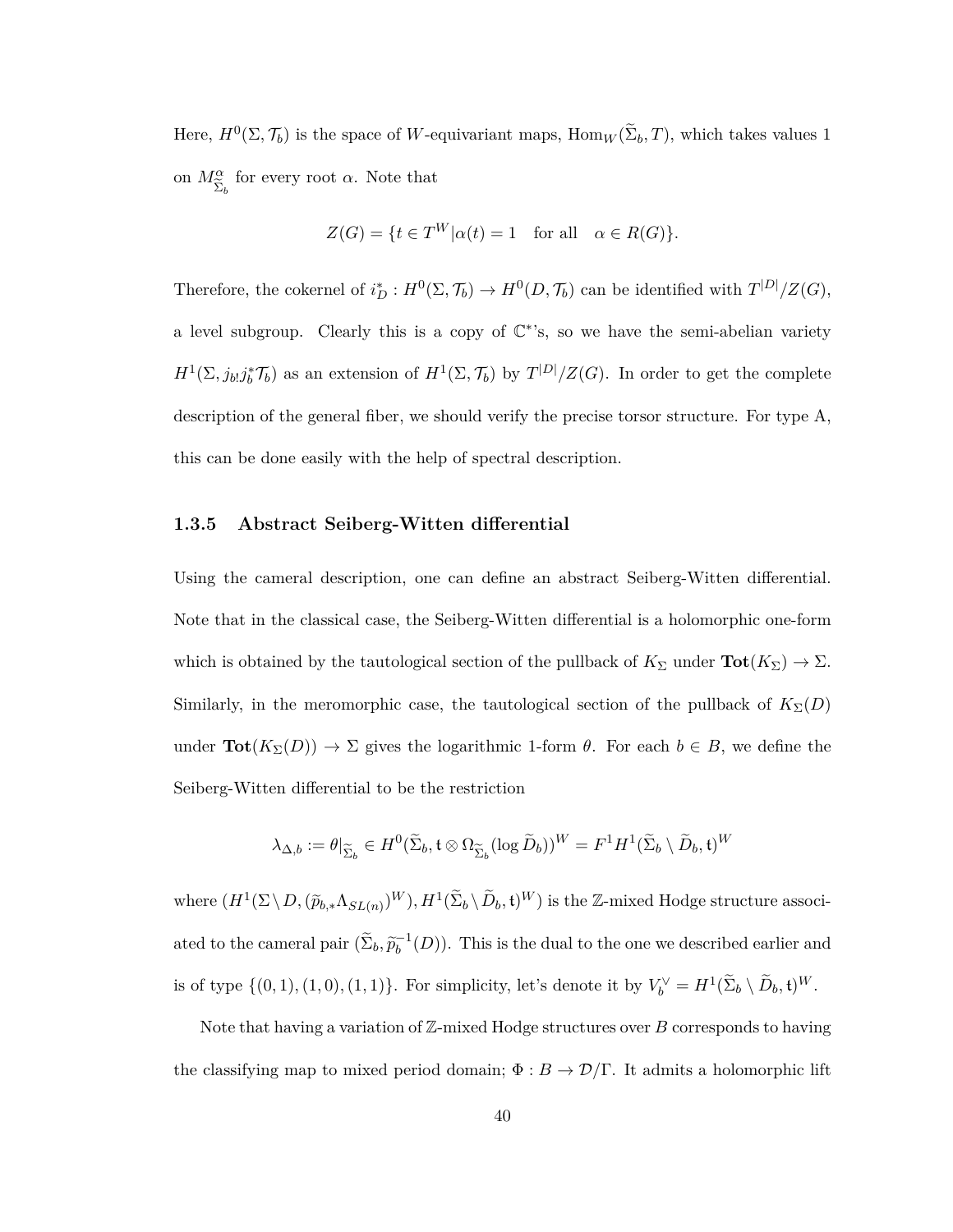Here,  $H^0(\Sigma, \mathcal{T}_b)$  is the space of *W*-equivariant maps,  $\text{Hom}_W(\widetilde{\Sigma}_b, T)$ , which takes values 1 on  $M^{\alpha}_{\widetilde{\mathbf{R}}}$  $\Sigma_b$ for every root *α*. Note that

$$
Z(G) = \{ t \in T^W | \alpha(t) = 1 \text{ for all } \alpha \in R(G) \}.
$$

Therefore, the cokernel of  $i_D^*: H^0(\Sigma, \mathcal{T}_b) \to H^0(D, \mathcal{T}_b)$  can be identified with  $T^{|D|}/Z(G)$ , a level subgroup. Clearly this is a copy of  $\mathbb{C}^*$ 's, so we have the semi-abelian variety  $H^1(\Sigma, j_{b} \cup j_b^* \mathcal{T}_b)$  as an extension of  $H^1(\Sigma, \mathcal{T}_b)$  by  $T^{|D|}/Z(G)$ . In order to get the complete description of the general fiber, we should verify the precise torsor structure. For type A, this can be done easily with the help of spectral description.

#### **1.3.5 Abstract Seiberg-Witten differential**

Using the cameral description, one can define an abstract Seiberg-Witten differential. Note that in the classical case, the Seiberg-Witten differential is a holomorphic one-form which is obtained by the tautological section of the pullback of  $K_{\Sigma}$  under  $\text{Tot}(K_{\Sigma}) \to \Sigma$ . Similarly, in the meromorphic case, the tautological section of the pullback of  $K_{\Sigma}(D)$ under  $\text{Tot}(K_{\Sigma}(D)) \to \Sigma$  gives the logarithmic 1-form  $\theta$ . For each  $b \in B$ , we define the Seiberg-Witten differential to be the restriction

$$
\lambda_{\Delta,b} := \theta|_{\widetilde{\Sigma}_b} \in H^0(\widetilde{\Sigma}_b, \mathfrak{t} \otimes \Omega_{\widetilde{\Sigma}_b}(\log \widetilde{D}_b))^W = F^1 H^1(\widetilde{\Sigma}_b \setminus \widetilde{D}_b, \mathfrak{t})^W
$$

 $\text{where } (H^1(\Sigma \setminus D, (\widetilde{p}_{b,*}\Lambda_{SL(n)})^W), H^1(\widetilde{\Sigma}_b \setminus \widetilde{D}_b, \mathfrak{t})^W) \text{ is the Z-mixed Hodge structure associ-}$ ated to the cameral pair  $(\tilde{\Sigma}_b, \tilde{p}_b^{-1}(D))$ . This is the dual to the one we described earlier and is of type  $\{(0,1), (1,0), (1,1)\}$ . For simplicity, let's denote it by  $V_b^{\vee} = H^1(\tilde{\Sigma}_b \setminus \tilde{D}_b, t)^W$ .

Note that having a variation of Z-mixed Hodge structures over *B* corresponds to having the classifying map to mixed period domain;  $\Phi: B \to \mathcal{D}/\Gamma$ . It admits a holomorphic lift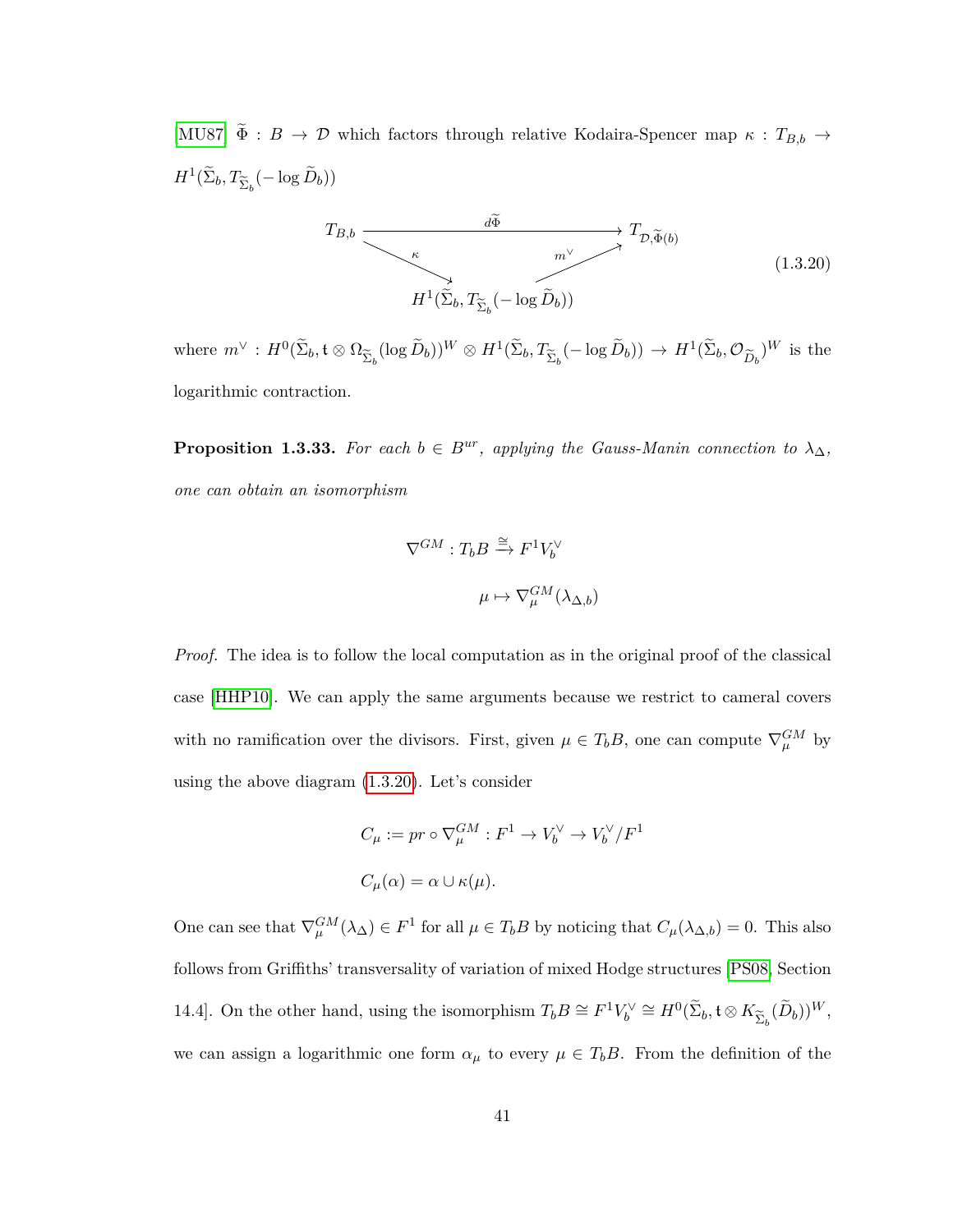[\[MU87\]](#page-116-0)  $\widetilde{\Phi}$  :  $B \to \mathcal{D}$  which factors through relative Kodaira-Spencer map  $\kappa$  :  $T_{B,b} \to$  $H^1(\widetilde{\Sigma}_b, T_{\widetilde{\Sigma}_b}(-\log \widetilde{D}_b))$ 

<span id="page-48-0"></span>

where  $m^{\vee}: H^0(\widetilde{\Sigma}_b, \mathfrak{t} \otimes \Omega_{\widetilde{\Sigma}_b}(\log \widetilde{D}_b))^W \otimes H^1(\widetilde{\Sigma}_b, T_{\widetilde{\Sigma}_b}(-\log \widetilde{D}_b)) \to H^1(\widetilde{\Sigma}_b, \mathcal{O}_{\widetilde{D}_b})^W$  is the logarithmic contraction.

**Proposition 1.3.33.** For each  $b \in B^{ur}$ , applying the Gauss-Manin connection to  $\lambda_{\Delta}$ , *one can obtain an isomorphism*

$$
\nabla^{GM} : T_b B \xrightarrow{\cong} F^1 V_b^{\vee}
$$

$$
\mu \mapsto \nabla_{\mu}^{GM} (\lambda_{\Delta, b})
$$

*Proof.* The idea is to follow the local computation as in the original proof of the classical case [\[HHP10\]](#page-114-0). We can apply the same arguments because we restrict to cameral covers with no ramification over the divisors. First, given  $\mu \in T_bB$ , one can compute  $\nabla_{\mu}^{GM}$  by using the above diagram [\(1.3.20\)](#page-48-0). Let's consider

$$
C_{\mu} := pr \circ \nabla_{\mu}^{GM} : F^{1} \to V_{b}^{\vee} \to V_{b}^{\vee}/F^{1}
$$
  

$$
C_{\mu}(\alpha) = \alpha \cup \kappa(\mu).
$$

One can see that  $\nabla_{\mu}^{GM}(\lambda_{\Delta}) \in F^1$  for all  $\mu \in T_bB$  by noticing that  $C_{\mu}(\lambda_{\Delta,b}) = 0$ . This also follows from Griffiths' transversality of variation of mixed Hodge structures [\[PS08,](#page-116-1) Section 14.4. On the other hand, using the isomorphism  $T_b B \cong F^1 V_b^{\vee} \cong H^0(\tilde{\Sigma}_b, \mathfrak{t} \otimes K_{\tilde{\Sigma}_b}(\tilde{D}_b))^W$ , we can assign a logarithmic one form  $\alpha_{\mu}$  to every  $\mu \in T_bB$ . From the definition of the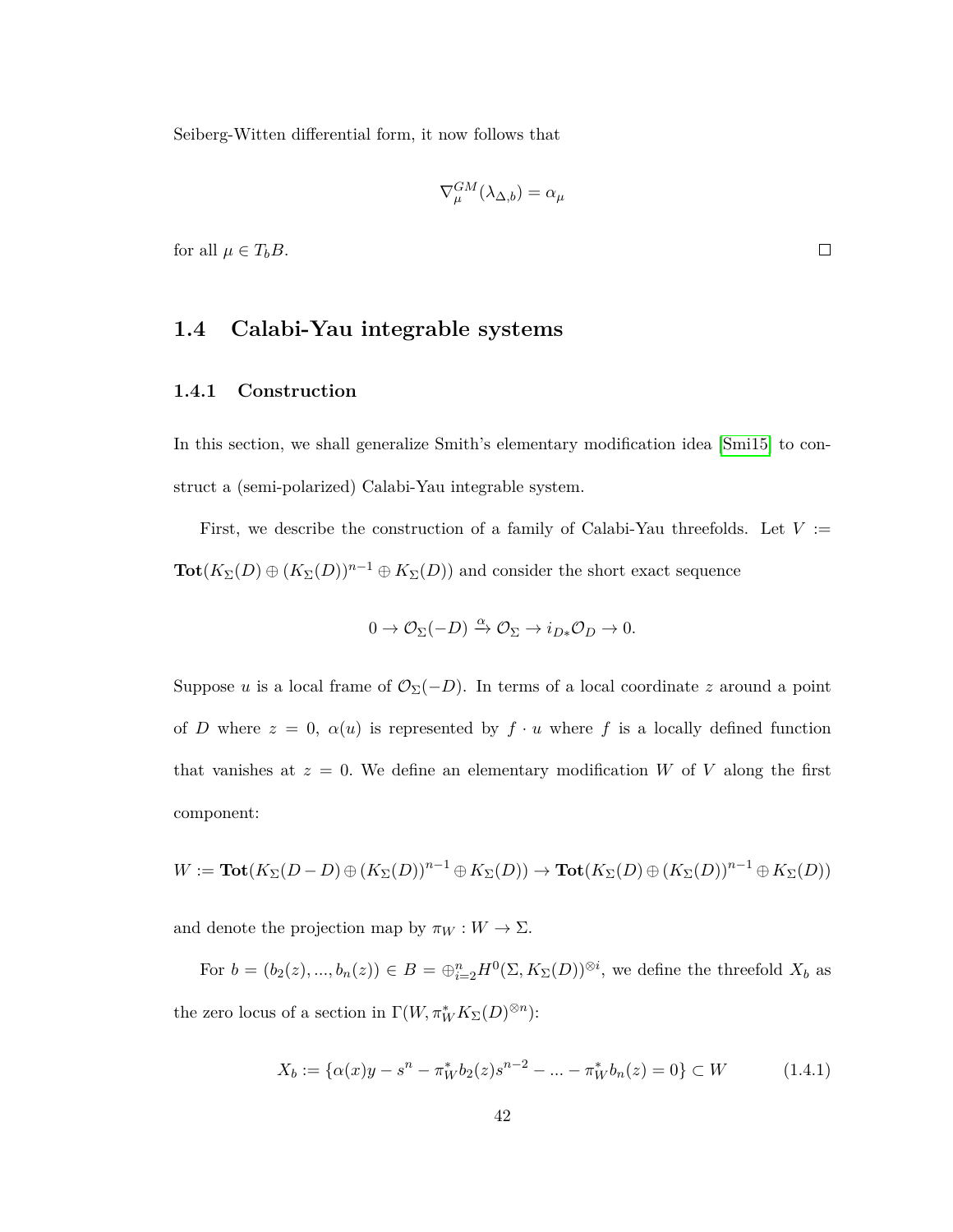Seiberg-Witten differential form, it now follows that

$$
\nabla^{GM}_\mu(\lambda_{\Delta,b})=\alpha_\mu
$$

for all  $\mu \in T_b B$ .

# **1.4 Calabi-Yau integrable systems**

#### **1.4.1 Construction**

In this section, we shall generalize Smith's elementary modification idea [\[Smi15\]](#page-117-0) to construct a (semi-polarized) Calabi-Yau integrable system.

First, we describe the construction of a family of Calabi-Yau threefolds. Let  $V :=$  $\textbf{Tot}(K_{\Sigma}(D) \oplus (K_{\Sigma}(D))^{n-1} \oplus K_{\Sigma}(D))$  and consider the short exact sequence

$$
0 \to \mathcal{O}_{\Sigma}(-D) \xrightarrow{\alpha} \mathcal{O}_{\Sigma} \to i_{D*}\mathcal{O}_D \to 0.
$$

Suppose *u* is a local frame of  $\mathcal{O}_{\Sigma}(-D)$ . In terms of a local coordinate *z* around a point of *D* where  $z = 0$ ,  $\alpha(u)$  is represented by  $f \cdot u$  where  $f$  is a locally defined function that vanishes at  $z = 0$ . We define an elementary modification *W* of *V* along the first component:

$$
W := \textbf{Tot}(K_{\Sigma}(D - D) \oplus (K_{\Sigma}(D))^{n-1} \oplus K_{\Sigma}(D)) \rightarrow \textbf{Tot}(K_{\Sigma}(D) \oplus (K_{\Sigma}(D))^{n-1} \oplus K_{\Sigma}(D))
$$

and denote the projection map by  $\pi_W : W \to \Sigma$ .

For  $b = (b_2(z), ..., b_n(z)) \in B = \bigoplus_{i=2}^n H^0(\Sigma, K_{\Sigma}(D))^{\otimes i}$ , we define the threefold  $X_b$  as the zero locus of a section in  $\Gamma(W, \pi^*_{W} K_{\Sigma}(D)^{\otimes n})$ :

<span id="page-49-0"></span>
$$
X_b := \{ \alpha(x)y - s^n - \pi_W^* b_2(z)s^{n-2} - \dots - \pi_W^* b_n(z) = 0 \} \subset W \tag{1.4.1}
$$

 $\Box$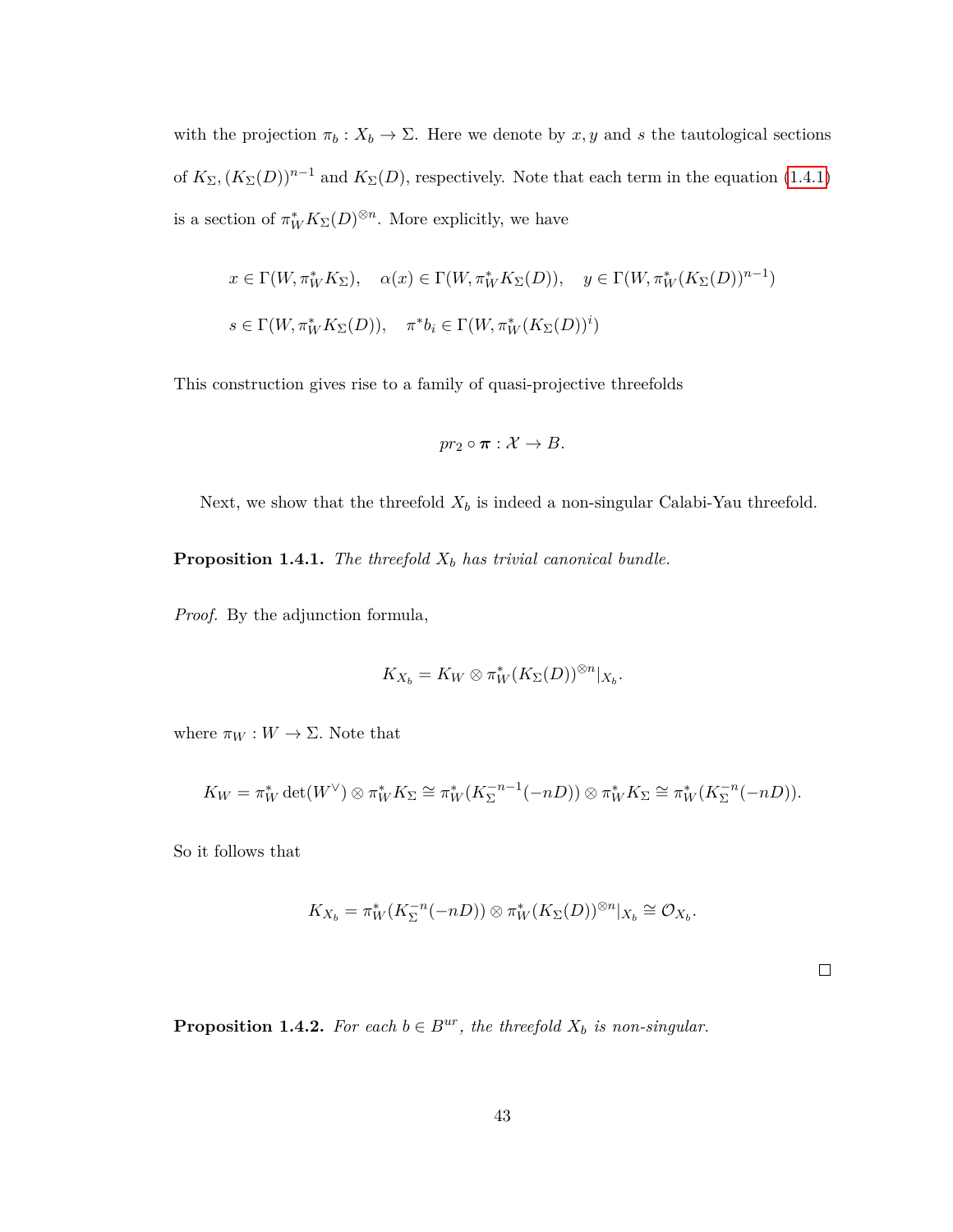with the projection  $\pi_b : X_b \to \Sigma$ . Here we denote by  $x, y$  and  $s$  the tautological sections of  $K_{\Sigma}$ ,  $(K_{\Sigma}(D))^{n-1}$  and  $K_{\Sigma}(D)$ , respectively. Note that each term in the equation [\(1.4.1\)](#page-49-0) is a section of  $\pi^*_{W} K_{\Sigma}(D)^{\otimes n}$ . More explicitly, we have

$$
x \in \Gamma(W, \pi_W^* K_\Sigma), \quad \alpha(x) \in \Gamma(W, \pi_W^* K_\Sigma(D)), \quad y \in \Gamma(W, \pi_W^* (K_\Sigma(D))^{n-1})
$$
  

$$
s \in \Gamma(W, \pi_W^* K_\Sigma(D)), \quad \pi^* b_i \in \Gamma(W, \pi_W^* (K_\Sigma(D))^i)
$$

This construction gives rise to a family of quasi-projective threefolds

$$
pr_2 \circ \pi : \mathcal{X} \to B.
$$

Next, we show that the threefold  $X_b$  is indeed a non-singular Calabi-Yau threefold.

**Proposition 1.4.1.** *The threefold X<sup>b</sup> has trivial canonical bundle.*

*Proof.* By the adjunction formula,

$$
K_{X_b}=K_W\otimes \pi_W^*(K_{\Sigma}(D))^{\otimes n}|_{X_b}.
$$

where  $\pi_W : W \to \Sigma$ . Note that

$$
K_W = \pi_W^* \det(W^\vee) \otimes \pi_W^* K_\Sigma \cong \pi_W^* (K_\Sigma^{-n-1}(-nD)) \otimes \pi_W^* K_\Sigma \cong \pi_W^* (K_\Sigma^{-n}(-nD)).
$$

So it follows that

$$
K_{X_b} = \pi_W^* (K_{\Sigma}^{-n} (-nD)) \otimes \pi_W^* (K_{\Sigma}(D))^{\otimes n} |_{X_b} \cong \mathcal{O}_{X_b}.
$$

 $\Box$ 

**Proposition 1.4.2.** *For each*  $b \in B^{ur}$ *, the threefold*  $X_b$  *is non-singular.*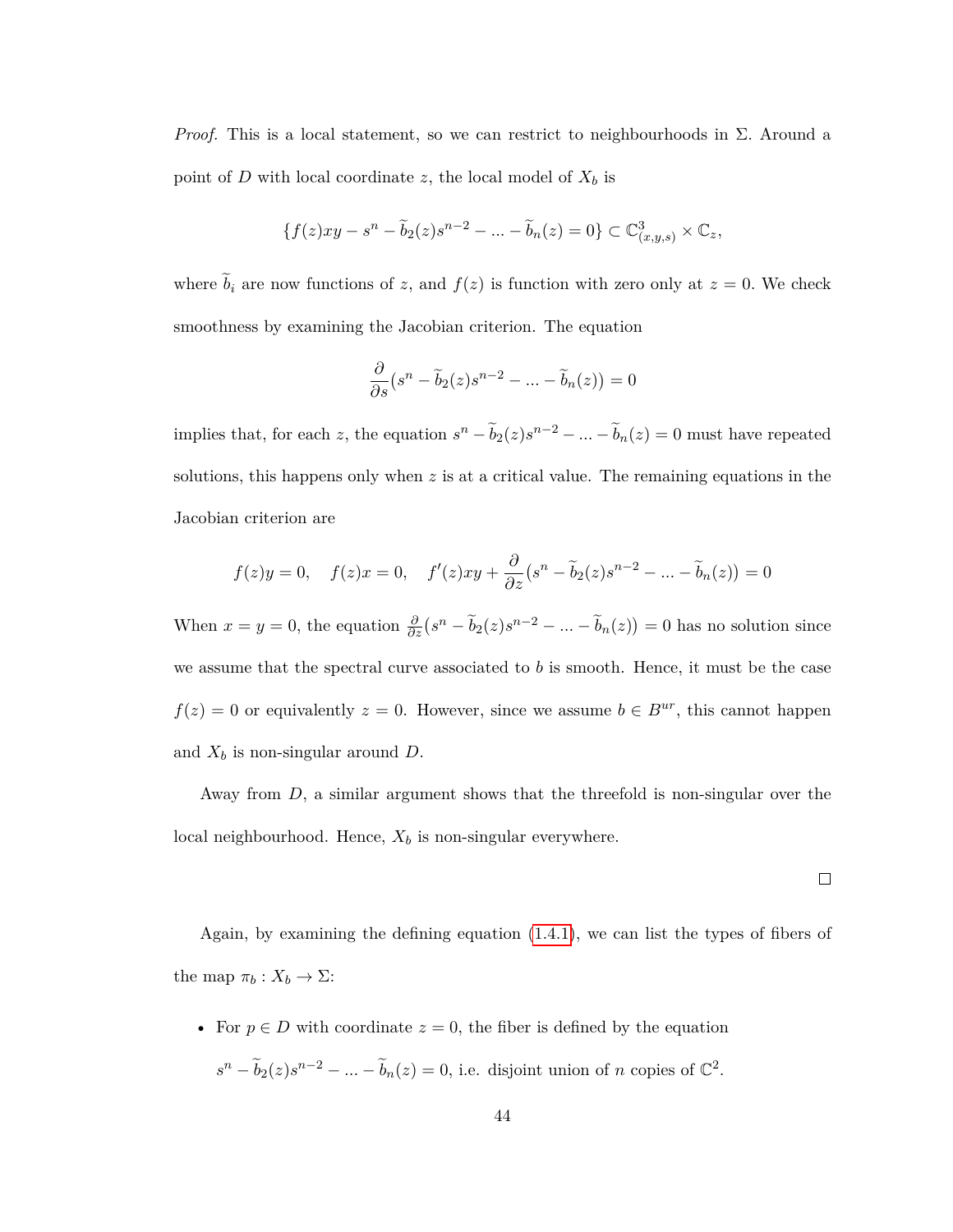*Proof.* This is a local statement, so we can restrict to neighbourhoods in  $\Sigma$ . Around a point of *D* with local coordinate *z*, the local model of  $X_b$  is

$$
\{f(z)xy - s^n - \widetilde{b}_2(z)s^{n-2} - \dots - \widetilde{b}_n(z) = 0\} \subset \mathbb{C}^3_{(x,y,s)} \times \mathbb{C}_z,
$$

where  $\tilde{b}_i$  are now functions of *z*, and  $f(z)$  is function with zero only at  $z = 0$ . We check smoothness by examining the Jacobian criterion. The equation

$$
\frac{\partial}{\partial s}(s^n - \widetilde{b}_2(z)s^{n-2} - \dots - \widetilde{b}_n(z)) = 0
$$

implies that, for each *z*, the equation  $s^n - \tilde{b}_2(z)s^{n-2} - ... - \tilde{b}_n(z) = 0$  must have repeated solutions, this happens only when *z* is at a critical value. The remaining equations in the Jacobian criterion are

$$
f(z)y = 0, \quad f(z)x = 0, \quad f'(z)xy + \frac{\partial}{\partial z}(s^n - \tilde{b}_2(z)s^{n-2} - \dots - \tilde{b}_n(z)) = 0
$$

When  $x = y = 0$ , the equation  $\frac{\partial}{\partial z}(s^n - \tilde{b}_2(z)s^{n-2} - \dots - \tilde{b}_n(z)) = 0$  has no solution since we assume that the spectral curve associated to *b* is smooth. Hence, it must be the case  $f(z) = 0$  or equivalently  $z = 0$ . However, since we assume  $b \in B^{ur}$ , this cannot happen and *X<sup>b</sup>* is non-singular around *D.*

Away from *D*, a similar argument shows that the threefold is non-singular over the local neighbourhood. Hence, *X<sup>b</sup>* is non-singular everywhere.

 $\Box$ 

Again, by examining the defining equation [\(1.4.1\)](#page-49-0), we can list the types of fibers of the map  $\pi_b: X_b \to \Sigma$ :

• For  $p \in D$  with coordinate  $z = 0$ , the fiber is defined by the equation  $s^n - \tilde{b}_2(z)s^{n-2} - \dots - \tilde{b}_n(z) = 0$ , i.e. disjoint union of *n* copies of  $\mathbb{C}^2$ .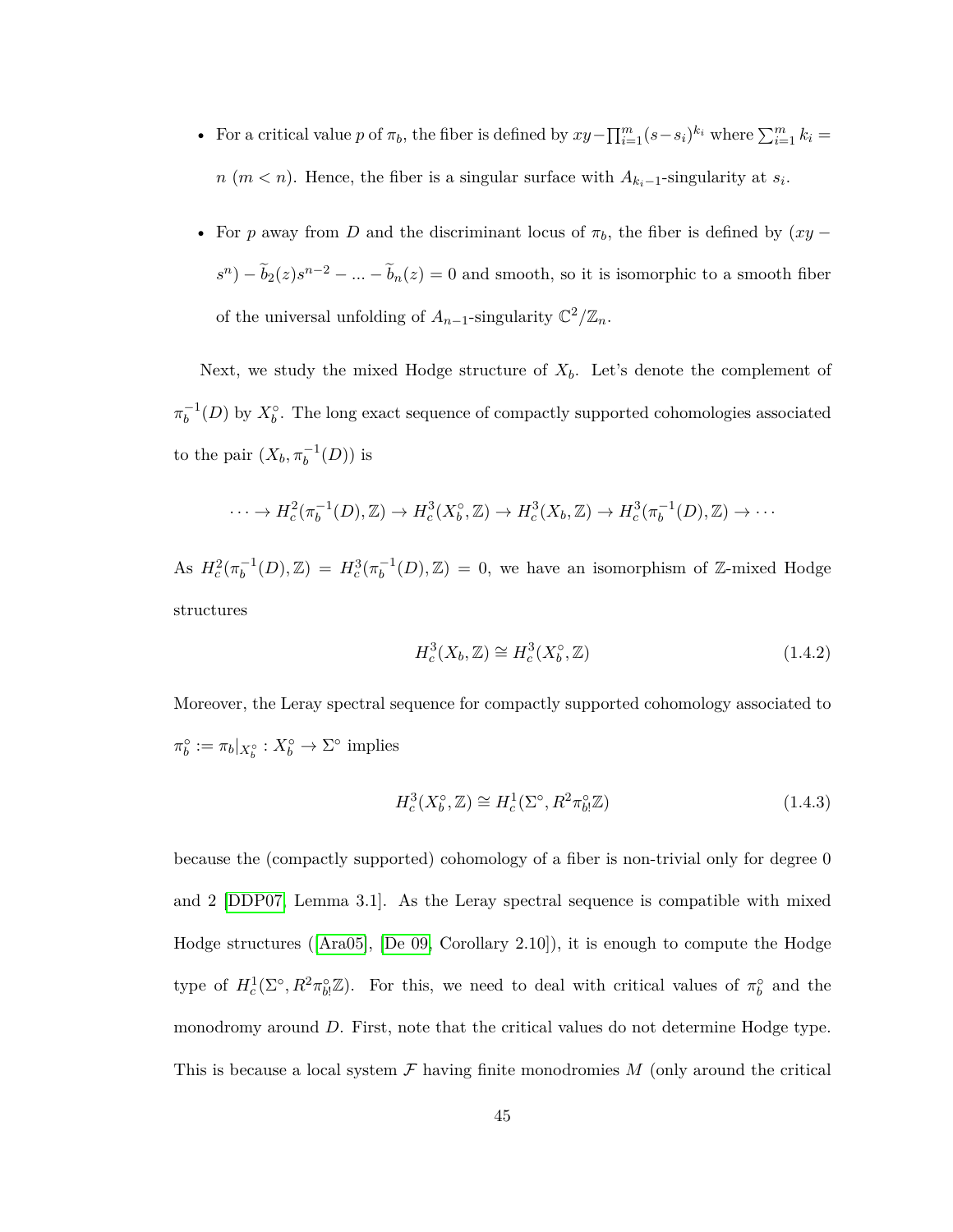- For a critical value *p* of  $\pi_b$ , the fiber is defined by  $xy \prod_{i=1}^m (s s_i)^{k_i}$  where  $\sum_{i=1}^m k_i =$ *n* (*m* < *n*). Hence, the fiber is a singular surface with  $A_{k_i-1}$ -singularity at  $s_i$ .
- For *p* away from *D* and the discriminant locus of  $\pi_b$ , the fiber is defined by  $(xy (s^n) - \tilde{b}_2(z)s^{n-2} - \dots - \tilde{b}_n(z) = 0$  and smooth, so it is isomorphic to a smooth fiber of the universal unfolding of  $A_{n-1}$ -singularity  $\mathbb{C}^2/\mathbb{Z}_n$ .

Next, we study the mixed Hodge structure of  $X_b$ . Let's denote the complement of  $\pi_b^{-1}(D)$  by  $X_b^{\circ}$ . The long exact sequence of compactly supported cohomologies associated to the pair  $(X_b, \pi_b^{-1}(D))$  is

$$
\cdots \to H_c^2(\pi_b^{-1}(D), \mathbb{Z}) \to H_c^3(X_b^{\circ}, \mathbb{Z}) \to H_c^3(X_b, \mathbb{Z}) \to H_c^3(\pi_b^{-1}(D), \mathbb{Z}) \to \cdots
$$

As  $H_c^2(\pi_b^{-1}(D), \mathbb{Z}) = H_c^3(\pi_b^{-1}(D), \mathbb{Z}) = 0$ , we have an isomorphism of Z-mixed Hodge structures

<span id="page-52-0"></span>
$$
H_c^3(X_b, \mathbb{Z}) \cong H_c^3(X_b^\circ, \mathbb{Z}) \tag{1.4.2}
$$

Moreover, the Leray spectral sequence for compactly supported cohomology associated to  $\pi_b^{\circ} := \pi_b |_{X_b^{\circ}} : X_b^{\circ} \to \Sigma^{\circ}$  implies

<span id="page-52-1"></span>
$$
H_c^3(X_b^\circ, \mathbb{Z}) \cong H_c^1(\Sigma^\circ, R^2 \pi_{b!}^\circ \mathbb{Z}) \tag{1.4.3}
$$

because the (compactly supported) cohomology of a fiber is non-trivial only for degree 0 and 2 [\[DDP07,](#page-113-3) Lemma 3.1]. As the Leray spectral sequence is compatible with mixed Hodge structures([\[Ara05\]](#page-110-0), [\[De 09,](#page-112-1) Corollary 2.10]), it is enough to compute the Hodge type of  $H_c^1(\Sigma^{\circ}, R^2 \pi_{b}^{\circ} \mathbb{Z})$ . For this, we need to deal with critical values of  $\pi_b^{\circ}$  and the monodromy around *D*. First, note that the critical values do not determine Hodge type. This is because a local system F having finite monodromies *M* (only around the critical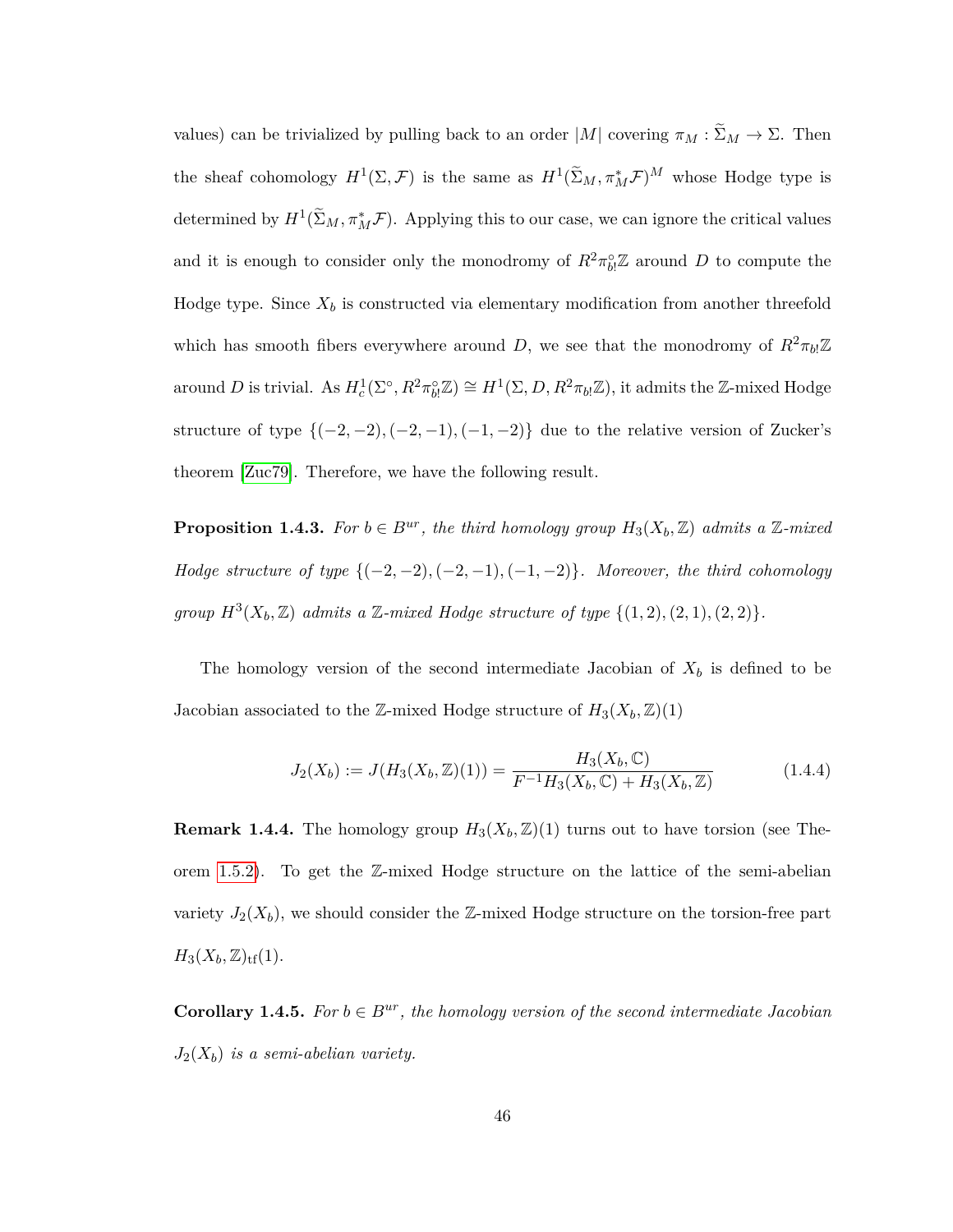values) can be trivialized by pulling back to an order  $|M|$  covering  $\pi_M : \Sigma_M \to \Sigma$ . Then the sheaf cohomology  $H^1(\Sigma, \mathcal{F})$  is the same as  $H^1(\tilde{\Sigma}_M, \pi_M^* \mathcal{F})^M$  whose Hodge type is determined by  $H^1(\tilde{\Sigma}_M, \pi_M^* \mathcal{F})$ . Applying this to our case, we can ignore the critical values and it is enough to consider only the monodromy of  $R^2 \pi_{bl}^{\circ} \mathbb{Z}$  around *D* to compute the Hodge type. Since  $X_b$  is constructed via elementary modification from another threefold which has smooth fibers everywhere around *D*, we see that the monodromy of  $R^2 \pi_{b} \mathbb{Z}$ around *D* is trivial. As  $H_c^1(\Sigma^{\circ}, R^2 \pi_{bl}^{\circ} \mathbb{Z}) \cong H^1(\Sigma, D, R^2 \pi_{bl} \mathbb{Z})$ , it admits the Z-mixed Hodge structure of type  $\{(-2, -2), (-2, -1), (-1, -2)\}$  due to the relative version of Zucker's theorem [\[Zuc79\]](#page-117-1). Therefore, we have the following result.

<span id="page-53-0"></span>**Proposition 1.4.3.** *For*  $b \in B^{ur}$ *, the third homology group*  $H_3(X_b, \mathbb{Z})$  *admits a* Z-mixed *Hodge structure of type* {(−2*,* −2)*,*(−2*,* −1)*,*(−1*,* −2)}*. Moreover, the third cohomology group*  $H^3(X_b, \mathbb{Z})$  *admits a*  $\mathbb{Z}$ *-mixed Hodge structure of type*  $\{(1, 2), (2, 1), (2, 2)\}.$ 

The homology version of the second intermediate Jacobian of *X<sup>b</sup>* is defined to be Jacobian associated to the Z-mixed Hodge structure of  $H_3(X_b, \mathbb{Z})(1)$ 

$$
J_2(X_b) := J(H_3(X_b, \mathbb{Z})(1)) = \frac{H_3(X_b, \mathbb{C})}{F^{-1}H_3(X_b, \mathbb{C}) + H_3(X_b, \mathbb{Z})}
$$
(1.4.4)

**Remark 1.4.4.** The homology group  $H_3(X_b, \mathbb{Z})(1)$  turns out to have torsion (see Theorem [1.5.2\)](#page-59-0). To get the Z-mixed Hodge structure on the lattice of the semi-abelian variety  $J_2(X_b)$ , we should consider the  $\mathbb{Z}$ -mixed Hodge structure on the torsion-free part  $H_3(X_b, \mathbb{Z})_{\text{tf}}(1).$ 

**Corollary 1.4.5.** *For*  $b \in B^{ur}$ *, the homology version of the second intermediate Jacobian J*2(*Xb*) *is a semi-abelian variety.*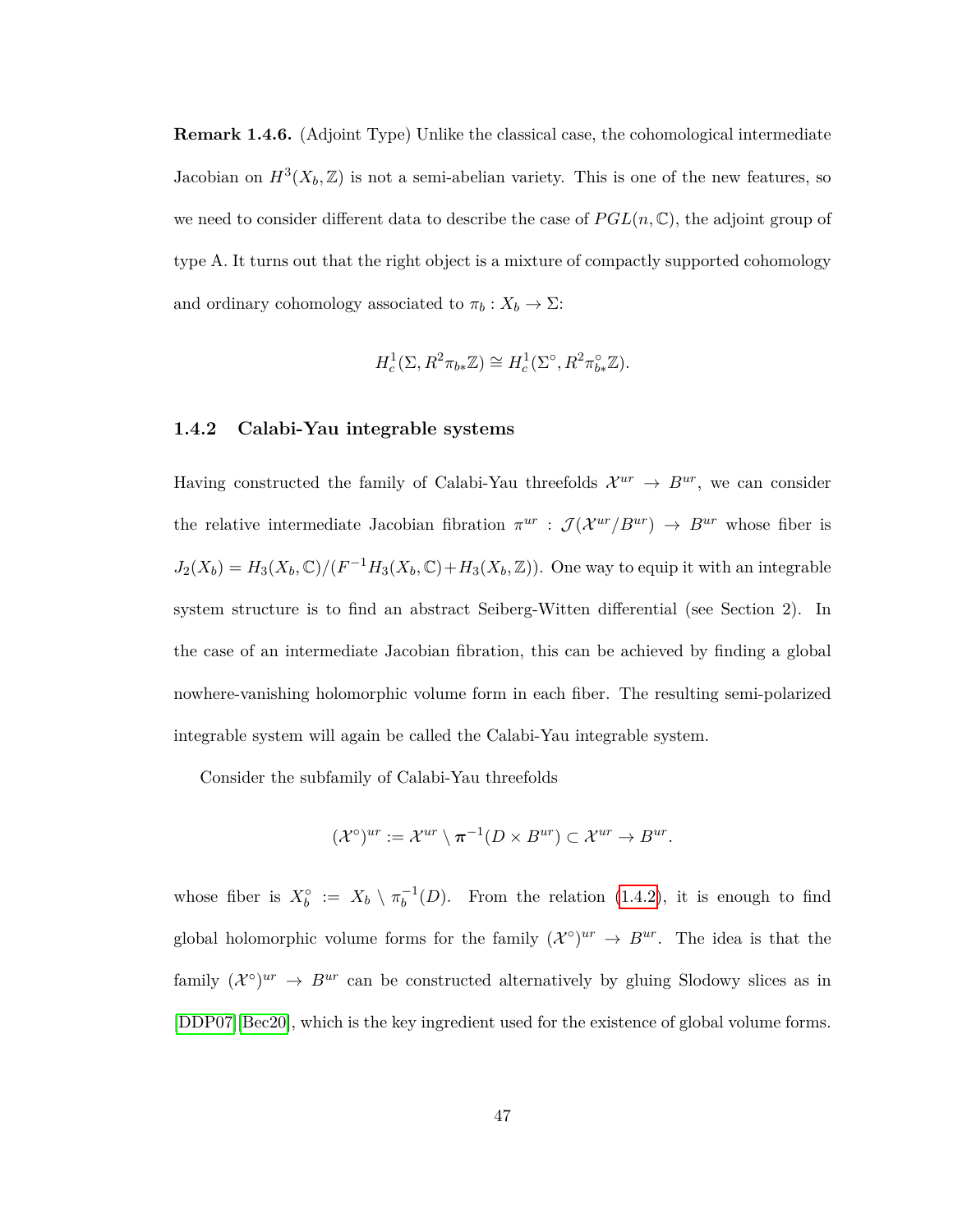<span id="page-54-0"></span>**Remark 1.4.6.** (Adjoint Type) Unlike the classical case, the cohomological intermediate Jacobian on  $H^3(X_b, \mathbb{Z})$  is not a semi-abelian variety. This is one of the new features, so we need to consider different data to describe the case of  $PGL(n,\mathbb{C})$ , the adjoint group of type A. It turns out that the right object is a mixture of compactly supported cohomology and ordinary cohomology associated to  $\pi_b : X_b \to \Sigma$ :

$$
H^1_c(\Sigma, R^2 \pi_{b*} \mathbb{Z}) \cong H^1_c(\Sigma^{\circ}, R^2 \pi_{b*}^{\circ} \mathbb{Z}).
$$

#### **1.4.2 Calabi-Yau integrable systems**

Having constructed the family of Calabi-Yau threefolds  $\mathcal{X}^{ur} \to B^{ur}$ , we can consider the relative intermediate Jacobian fibration  $\pi^{ur}$ :  $\mathcal{J}(\mathcal{X}^{ur}/B^{ur}) \to B^{ur}$  whose fiber is  $J_2(X_b) = H_3(X_b, \mathbb{C})/(F^{-1}H_3(X_b, \mathbb{C}) + H_3(X_b, \mathbb{Z}))$ . One way to equip it with an integrable system structure is to find an abstract Seiberg-Witten differential (see Section 2). In the case of an intermediate Jacobian fibration, this can be achieved by finding a global nowhere-vanishing holomorphic volume form in each fiber. The resulting semi-polarized integrable system will again be called the Calabi-Yau integrable system.

Consider the subfamily of Calabi-Yau threefolds

$$
(\mathcal{X}^{\circ})^{ur} := \mathcal{X}^{ur} \setminus \pi^{-1}(D \times B^{ur}) \subset \mathcal{X}^{ur} \to B^{ur}.
$$

whose fiber is  $X_b^{\circ} := X_b \setminus \pi_b^{-1}(D)$ . From the relation [\(1.4.2\)](#page-52-0), it is enough to find global holomorphic volume forms for the family  $({\cal X}^{\circ})^{ur} \to B^{ur}$ . The idea is that the family  $({\cal X}^{\circ})^{ur} \to B^{ur}$  can be constructed alternatively by gluing Slodowy slices as in [\[DDP07\]](#page-113-3)[\[Bec20\]](#page-111-0), which is the key ingredient used for the existence of global volume forms.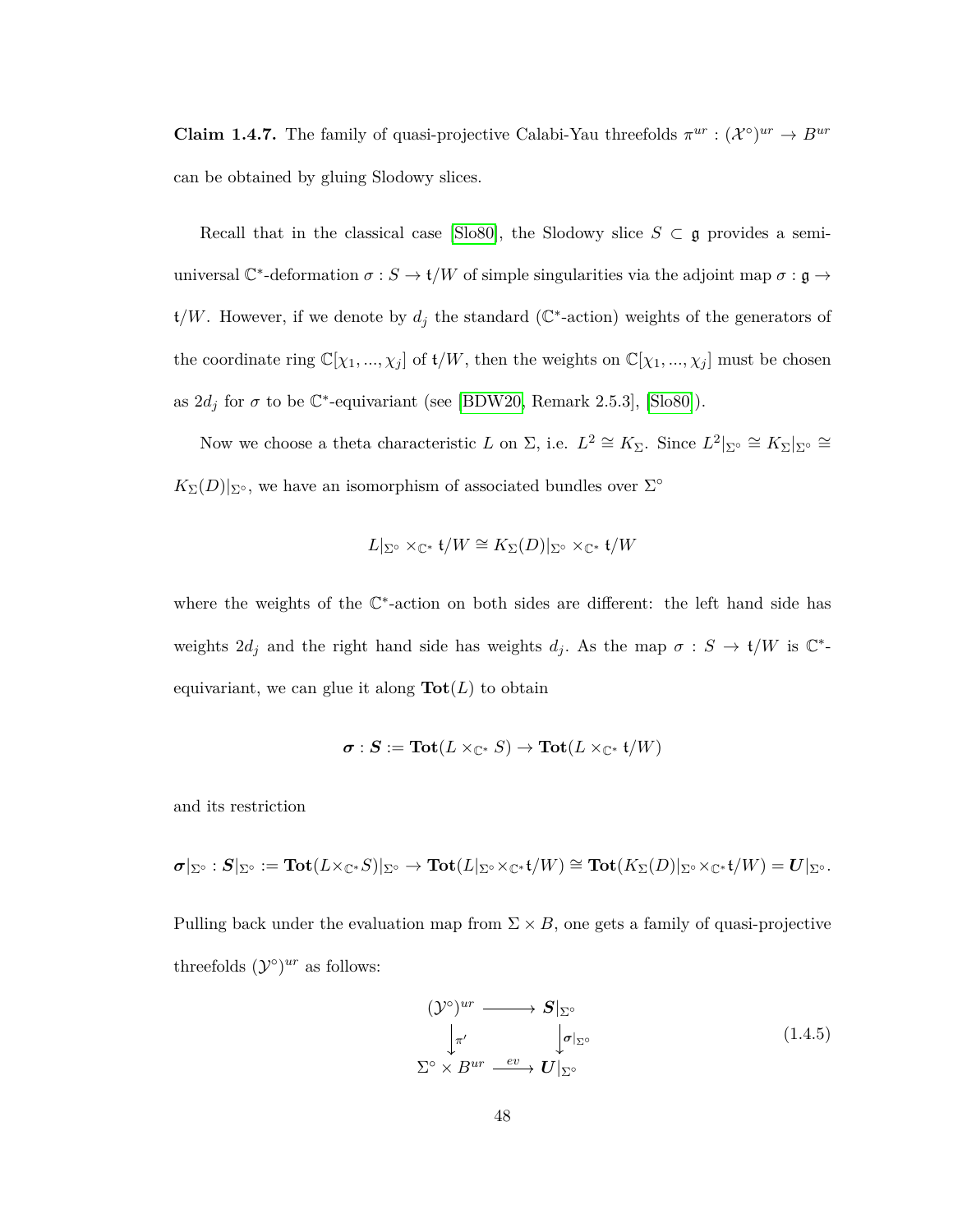<span id="page-55-0"></span>**Claim 1.4.7.** The family of quasi-projective Calabi-Yau threefolds  $\pi^{ur} : (\mathcal{X}^{\circ})^{ur} \to B^{ur}$ can be obtained by gluing Slodowy slices.

Recall that in the classical case [\[Slo80\]](#page-117-2), the Slodowy slice  $S \subset \mathfrak{g}$  provides a semiuniversal  $\mathbb{C}^*$ -deformation  $\sigma : S \to \mathfrak{t}/W$  of simple singularities via the adjoint map  $\sigma : \mathfrak{g} \to$  $t/W$ . However, if we denote by  $d_j$  the standard ( $\mathbb{C}^*$ -action) weights of the generators of the coordinate ring  $\mathbb{C}[\chi_1, ..., \chi_j]$  of  $\mathfrak{t}/W$ , then the weights on  $\mathbb{C}[\chi_1, ..., \chi_j]$  must be chosen as  $2d_j$  for  $\sigma$  to be  $\mathbb{C}^*$ -equivariant (see [\[BDW20,](#page-111-1) Remark 2.5.3], [\[Slo80\]](#page-117-2)).

Now we choose a theta characteristic *L* on  $\Sigma$ , i.e.  $L^2 \cong K_{\Sigma}$ . Since  $L^2|_{\Sigma^{\circ}} \cong K_{\Sigma}|_{\Sigma^{\circ}} \cong$  $K_{\Sigma}(D)|_{\Sigma^{\circ}}$ , we have an isomorphism of associated bundles over  $\Sigma^{\circ}$ 

$$
L|_{\Sigma^\circ}\times_{\mathbb C^*}\mathfrak t/W\cong K_\Sigma(D)|_{\Sigma^\circ}\times_{\mathbb C^*}\mathfrak t/W
$$

where the weights of the  $\mathbb{C}^*$ -action on both sides are different: the left hand side has weights  $2d_j$  and the right hand side has weights  $d_j$ . As the map  $\sigma : S \to \mathfrak{t}/W$  is  $\mathbb{C}^*$ equivariant, we can glue it along  $\text{Tot}(L)$  to obtain

$$
\sigma: S:=\textbf{Tot}(L\times_{\mathbb{C}^*}S)\to \textbf{Tot}(L\times_{\mathbb{C}^*}\mathfrak{t}/W)
$$

and its restriction

$$
\sigma|_{\Sigma^\circ}:S|_{\Sigma^\circ}:=\mathrm{Tot}(L\times_{\mathbb{C}^*}S)|_{\Sigma^\circ}\to \mathrm{Tot}(L|_{\Sigma^\circ}\times_{\mathbb{C}^*}\mathfrak{t}/W)\cong \mathrm{Tot}(K_\Sigma(D)|_{\Sigma^\circ}\times_{\mathbb{C}^*}\mathfrak{t}/W)=\bm{U}|_{\Sigma^\circ}.
$$

Pulling back under the evaluation map from  $\Sigma \times B$ , one gets a family of quasi-projective threefolds  $({\cal Y}^{\circ})^{ur}$  as follows:

$$
(\mathcal{Y}^{\circ})^{ur} \longrightarrow S|_{\Sigma^{\circ}}
$$
  
\n
$$
\downarrow_{\pi'} \qquad \qquad \downarrow_{\sigma|_{\Sigma^{\circ}}}
$$
  
\n
$$
\Sigma^{\circ} \times B^{ur} \xrightarrow{ev} U|_{\Sigma^{\circ}}
$$
  
\n
$$
(1.4.5)
$$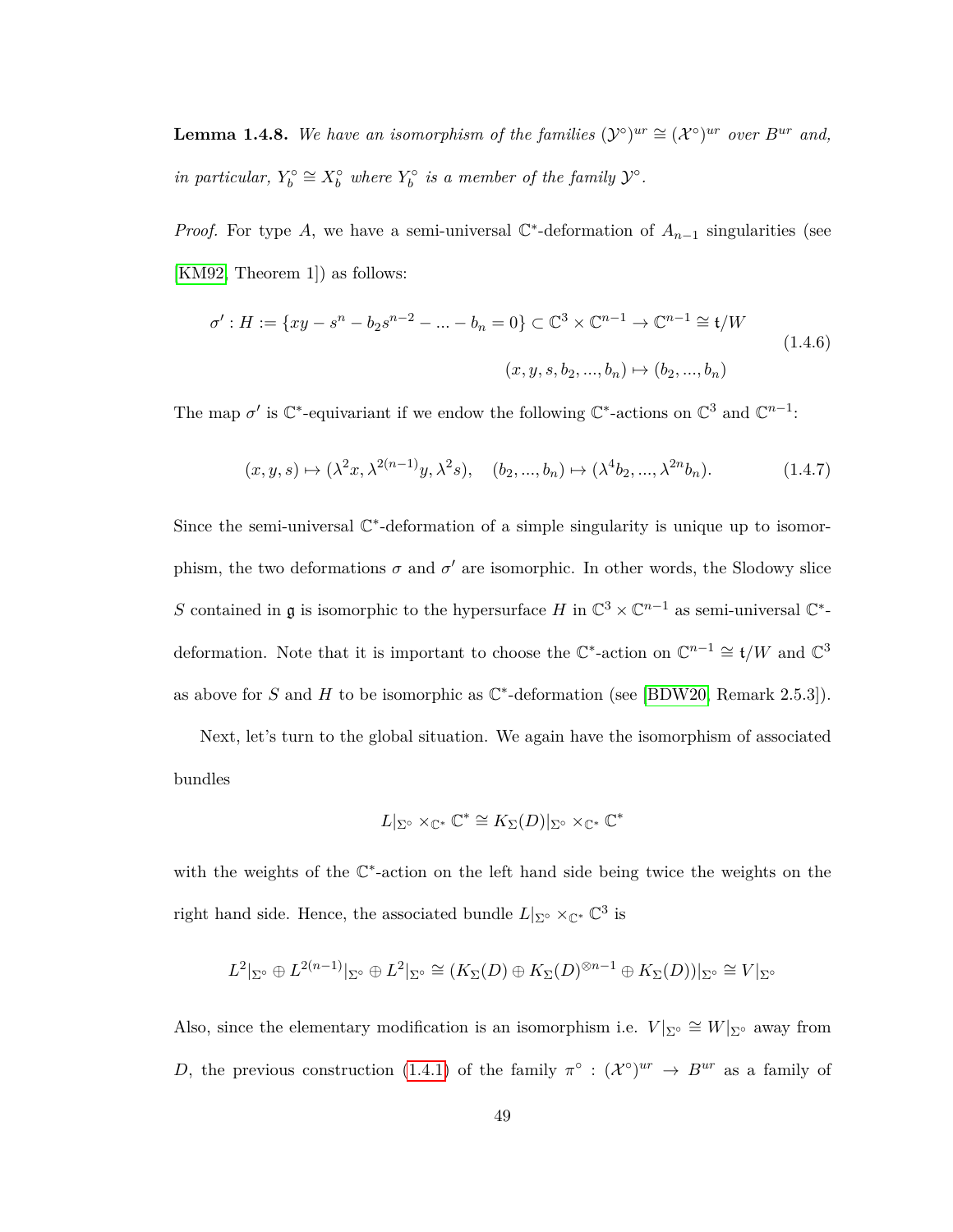**Lemma 1.4.8.** We have an isomorphism of the families  $({\cal Y}^{\circ})^{ur} \cong ({\cal X}^{\circ})^{ur}$  over  $B^{ur}$  and, *in particular,*  $Y_b^{\circ} \cong X_b^{\circ}$  *where*  $Y_b^{\circ}$  *is a member of the family*  $\mathcal{Y}^{\circ}$ *.* 

*Proof.* For type *A*, we have a semi-universal  $\mathbb{C}^*$ -deformation of  $A_{n-1}$  singularities (see [\[KM92,](#page-115-1) Theorem 1]) as follows:

$$
\sigma': H := \{xy - s^n - b_2 s^{n-2} - \dots - b_n = 0\} \subset \mathbb{C}^3 \times \mathbb{C}^{n-1} \to \mathbb{C}^{n-1} \cong \mathfrak{t}/W
$$
  

$$
(x, y, s, b_2, ..., b_n) \mapsto (b_2, ..., b_n)
$$
  

$$
(1.4.6)
$$

The map  $\sigma'$  is  $\mathbb{C}^*$ -equivariant if we endow the following  $\mathbb{C}^*$ -actions on  $\mathbb{C}^3$  and  $\mathbb{C}^{n-1}$ :

<span id="page-56-0"></span>
$$
(x, y, s) \mapsto (\lambda^2 x, \lambda^{2(n-1)} y, \lambda^2 s), \quad (b_2, ..., b_n) \mapsto (\lambda^4 b_2, ..., \lambda^{2n} b_n). \tag{1.4.7}
$$

Since the semi-universal  $\mathbb{C}^*$ -deformation of a simple singularity is unique up to isomorphism, the two deformations  $\sigma$  and  $\sigma'$  are isomorphic. In other words, the Slodowy slice S contained in g is isomorphic to the hypersurface  $H$  in  $\mathbb{C}^3 \times \mathbb{C}^{n-1}$  as semi-universal  $\mathbb{C}^*$ deformation. Note that it is important to choose the  $\mathbb{C}^*$ -action on  $\mathbb{C}^{n-1} \cong \mathfrak{t}/W$  and  $\mathbb{C}^3$ as above for *S* and *H* to be isomorphic as  $\mathbb{C}^*$ -deformation (see [\[BDW20,](#page-111-1) Remark 2.5.3]).

Next, let's turn to the global situation. We again have the isomorphism of associated bundles

$$
L|_{\Sigma^\circ}\times_{\mathbb C^*}\mathbb C^*\cong K_\Sigma(D)|_{\Sigma^\circ}\times_{\mathbb C^*}\mathbb C^*
$$

with the weights of the  $\mathbb{C}^*$ -action on the left hand side being twice the weights on the right hand side. Hence, the associated bundle  $L|_{\Sigma}$ <sup>°</sup> × $\mathbb{C}^*$ <sup>3</sup> is

$$
L^2|_{\Sigma^{\circ}} \oplus L^{2(n-1)}|_{\Sigma^{\circ}} \oplus L^2|_{\Sigma^{\circ}} \cong (K_{\Sigma}(D) \oplus K_{\Sigma}(D)^{\otimes n-1} \oplus K_{\Sigma}(D))|_{\Sigma^{\circ}} \cong V|_{\Sigma^{\circ}}
$$

Also, since the elementary modification is an isomorphism i.e.  $V|_{\Sigma} \cong W|_{\Sigma} \cong W|_{\Sigma}$  away from *D*, the previous construction [\(1.4.1\)](#page-49-0) of the family  $\pi^{\circ}$  :  $({\cal X}^{\circ})^{ur} \to B^{ur}$  as a family of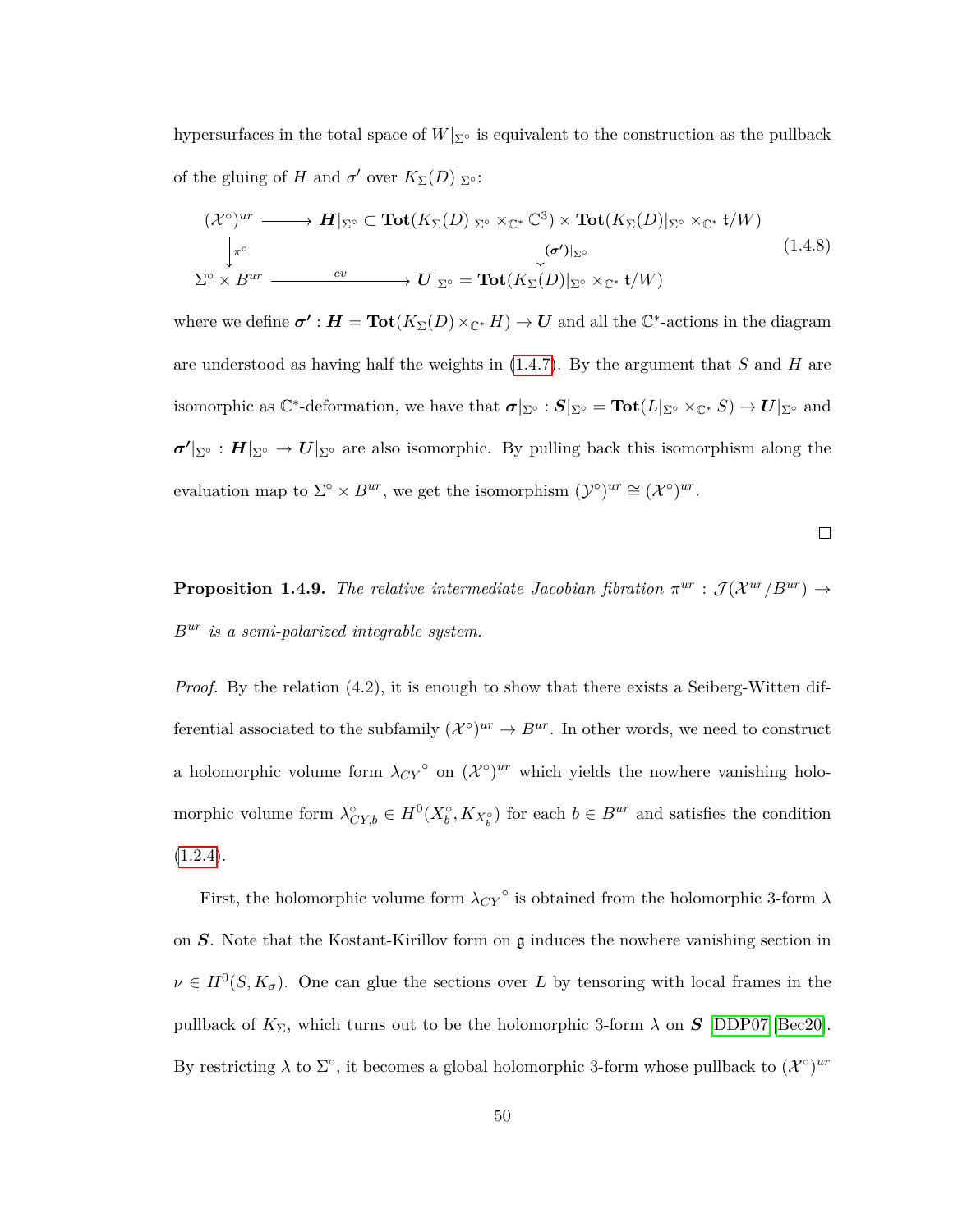hypersurfaces in the total space of  $W|_{\Sigma}$ <sup>°</sup> is equivalent to the construction as the pullback of the gluing of *H* and  $\sigma'$  over  $K_{\Sigma}(D)|_{\Sigma^{\circ}}$ :

<span id="page-57-0"></span>
$$
(\mathcal{X}^{\circ})^{ur} \longrightarrow \mathbf{H}|_{\Sigma^{\circ}} \subset \mathbf{Tot}(K_{\Sigma}(D)|_{\Sigma^{\circ}} \times_{\mathbb{C}^*} \mathbb{C}^3) \times \mathbf{Tot}(K_{\Sigma}(D)|_{\Sigma^{\circ}} \times_{\mathbb{C}^*} \mathfrak{t}/W)
$$
  
\n
$$
\downarrow_{\pi^{\circ}} \qquad \qquad \downarrow (\sigma')|_{\Sigma^{\circ}} \qquad \qquad (\text{1.4.8})
$$
  
\n
$$
\Sigma^{\circ} \times B^{ur} \longrightarrow \mathbf{U}|_{\Sigma^{\circ}} = \mathbf{Tot}(K_{\Sigma}(D)|_{\Sigma^{\circ}} \times_{\mathbb{C}^*} \mathfrak{t}/W)
$$

where we define  $\sigma'$  :  $H = \text{Tot}(K_{\Sigma}(D) \times_{\mathbb{C}^*} H) \to U$  and all the  $\mathbb{C}^*$ -actions in the diagram are understood as having half the weights in [\(1.4.7\)](#page-56-0). By the argument that *S* and *H* are isomorphic as  $\mathbb{C}^*$ -deformation, we have that  $\sigma|_{\Sigma^{\circ}} : S|_{\Sigma^{\circ}} = \textbf{Tot}(L|_{\Sigma^{\circ}} \times_{\mathbb{C}^*} S) \to U|_{\Sigma^{\circ}}$  and  $\sigma'|_{\Sigma^{\circ}} : H|_{\Sigma^{\circ}} \to U|_{\Sigma^{\circ}}$  are also isomorphic. By pulling back this isomorphism along the evaluation map to  $\Sigma^{\circ} \times B^{ur}$ , we get the isomorphism  $({\cal Y}^{\circ})^{ur} \cong ({\cal X}^{\circ})^{ur}$ .

**Proposition 1.4.9.** *The relative intermediate Jacobian fibration*  $\pi^{ur}$  :  $\mathcal{J}(\mathcal{X}^{ur}/B^{ur}) \rightarrow$ *Bur is a semi-polarized integrable system.*

*Proof.* By the relation (4.2), it is enough to show that there exists a Seiberg-Witten differential associated to the subfamily  $({\cal X}^{\circ})^{ur} \to B^{ur}$ . In other words, we need to construct a holomorphic volume form  $\lambda_{CY}^{\circ}$  on  $({\cal X}^{\circ})^{ur}$  which yields the nowhere vanishing holomorphic volume form  $\lambda_{CY,b}^{\circ} \in H^0(X_b^{\circ}, K_{X_b^{\circ}})$  for each  $b \in B^{ur}$  and satisfies the condition  $(1.2.4).$  $(1.2.4).$ 

First, the holomorphic volume form  $\lambda_{CY}$ <sup>°</sup> is obtained from the holomorphic 3-form  $\lambda$ on *S*. Note that the Kostant-Kirillov form on g induces the nowhere vanishing section in  $\nu \in H^0(S, K_{\sigma})$ . One can glue the sections over *L* by tensoring with local frames in the pullback of  $K_{\Sigma}$ , which turns out to be the holomorphic 3-form  $\lambda$  on **S** [\[DDP07\]](#page-113-3)[\[Bec20\]](#page-111-0). By restricting  $\lambda$  to  $\Sigma^{\circ}$ , it becomes a global holomorphic 3-form whose pullback to  $({\cal X}^{\circ})^{ur}$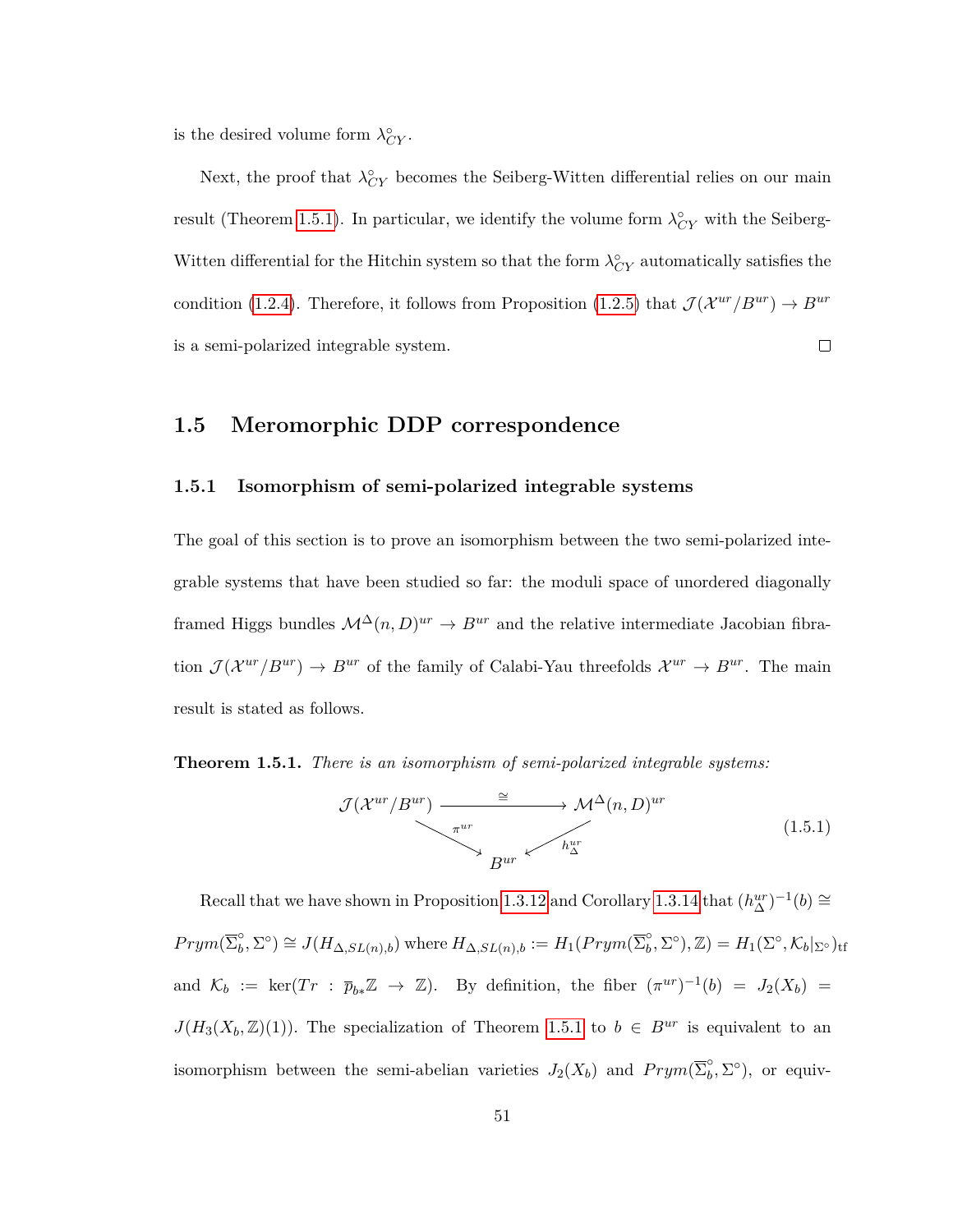is the desired volume form  $\lambda_{CY}^{\circ}$ .

Next, the proof that  $\lambda_{CY}^{\circ}$  becomes the Seiberg-Witten differential relies on our main result (Theorem [1.5.1\)](#page-58-0). In particular, we identify the volume form  $\lambda_{CY}^{\circ}$  with the Seiberg-Witten differential for the Hitchin system so that the form  $\lambda_{CY}^{\circ}$  automatically satisfies the condition [\(1.2.4\)](#page-20-0). Therefore, it follows from Proposition [\(1.2.5\)](#page-21-0) that  $\mathcal{J}(\mathcal{X}^{ur}/B^{ur}) \to B^{ur}$ is a semi-polarized integrable system.  $\Box$ 

### **1.5 Meromorphic DDP correspondence**

#### **1.5.1 Isomorphism of semi-polarized integrable systems**

The goal of this section is to prove an isomorphism between the two semi-polarized integrable systems that have been studied so far: the moduli space of unordered diagonally framed Higgs bundles  $\mathcal{M}^{\Delta}(n, D)^{ur} \rightarrow B^{ur}$  and the relative intermediate Jacobian fibration  $\mathcal{J}(\mathcal{X}^{ur}/B^{ur}) \to B^{ur}$  of the family of Calabi-Yau threefolds  $\mathcal{X}^{ur} \to B^{ur}$ . The main result is stated as follows.

<span id="page-58-0"></span>**Theorem 1.5.1.** *There is an isomorphism of semi-polarized integrable systems:*

$$
\mathcal{J}(\mathcal{X}^{ur}/B^{ur}) \xrightarrow{\cong} \mathcal{M}^{\Delta}(n,D)^{ur}
$$
\n
$$
B^{ur} \xleftarrow{h_{\Delta}^{ur}} (1.5.1)
$$

Recall that we have shown in Proposition [1.3.12](#page-30-0) and Corollary [1.3.14](#page-32-0) that  $(h_{\Delta}^{ur})^{-1}(b) \cong$ 

 $Prym(\overline{\Sigma}_{b}^{\circ})$  $\phi$ <sup>o</sup>,  $\Sigma$ <sup>o</sup>)  $\cong J(H_{\Delta,SL(n),b})$  where  $H_{\Delta,SL(n),b} := H_1(Prym(\overline{\Sigma}_b^{\circ}))$  $\mathcal{L}_b^{\circ}, \Sigma^{\circ}), \mathbb{Z}$ ) =  $H_1(\Sigma^{\circ}, \mathcal{K}_b|_{\Sigma^{\circ}})_{\text{tf}}$ and  $\mathcal{K}_b := \ker(Tr : \overline{p}_{b*}\mathbb{Z} \to \mathbb{Z})$ . By definition, the fiber  $(\pi^{ur})^{-1}(b) = J_2(X_b) =$ *J*( $H_3(X_b, \mathbb{Z})(1)$ ). The specialization of Theorem [1.5.1](#page-58-0) to  $b \in B^{ur}$  is equivalent to an isomorphism between the semi-abelian varieties  $J_2(X_b)$  and  $Prym(\overline{\Sigma}_b^{\circ})$  $\int_b^{\circ}$ ,  $\Sigma^{\circ}$ ), or equiv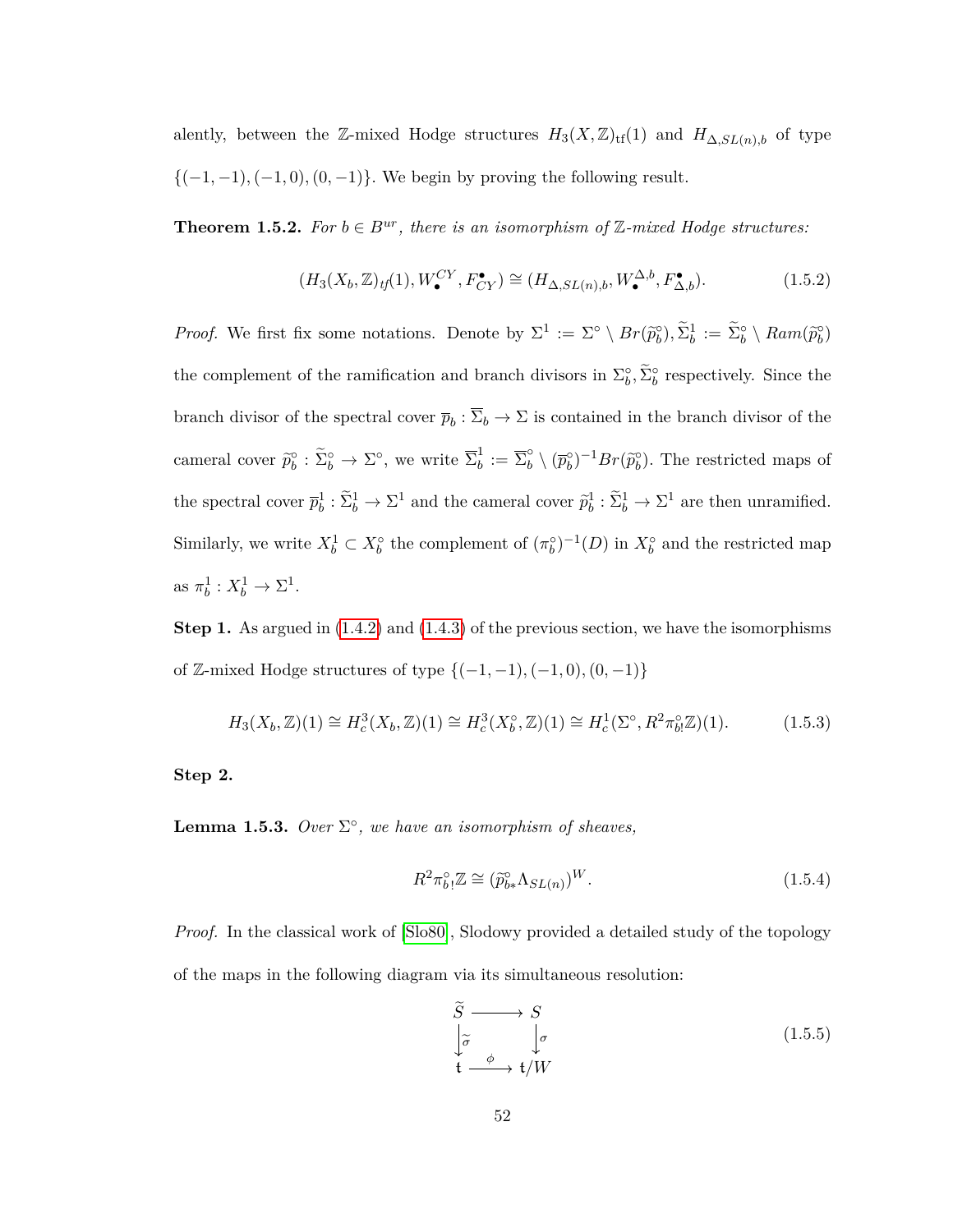alently, between the Z-mixed Hodge structures  $H_3(X, \mathbb{Z})_{\text{tf}}(1)$  and  $H_{\Delta, SL(n), b}$  of type {(−1*,* −1)*,*(−1*,* 0)*,*(0*,* −1)}*.* We begin by proving the following result.

<span id="page-59-0"></span>**Theorem 1.5.2.** *For*  $b \in B^{ur}$ *, there is an isomorphism of* Z-mixed Hodge structures:

$$
(H_3(X_b, \mathbb{Z})_{tf}(1), W_{\bullet}^{CY}, F_{CY}^{\bullet}) \cong (H_{\Delta, SL(n), b}, W_{\bullet}^{\Delta, b}, F_{\Delta, b}^{\bullet}).
$$
\n(1.5.2)

*Proof.* We first fix some notations. Denote by  $\Sigma^1 := \Sigma^{\circ} \setminus Br(\tilde{p}_b^{\circ}), \tilde{\Sigma}_b^1 := \tilde{\Sigma}_b^{\circ} \setminus Ram(\tilde{p}_b^{\circ})$ the complement of the ramification and branch divisors in  $\Sigma_b^{\circ}, \tilde{\Sigma}_b^{\circ}$  respectively. Since the branch divisor of the spectral cover  $\overline{p}_b : \overline{\Sigma}_b \to \Sigma$  is contained in the branch divisor of the cameral cover  $\tilde{p}_b^{\circ} : \tilde{\Sigma}_b^{\circ} \to \Sigma^{\circ}$ , we write  $\overline{\Sigma}_b^1$  $b^1$  :=  $\overline{\Sigma}_b^{\circ} \setminus (\overline{p}_b^{\circ})^{-1} Br(\widetilde{p}_b^{\circ})$ . The restricted maps of the spectral cover  $\bar{p}_b^1 : \tilde{\Sigma}_b^1 \to \Sigma^1$  and the cameral cover  $\tilde{p}_b^1 : \tilde{\Sigma}_b^1 \to \Sigma^1$  are then unramified. Similarly, we write  $X_b^1 \subset X_b^{\circ}$  the complement of  $(\pi_b^{\circ})^{-1}(D)$  in  $X_b^{\circ}$  and the restricted map as  $\pi_b^1: X_b^1 \to \Sigma^1$ .

**Step 1.** As argued in  $(1.4.2)$  and  $(1.4.3)$  of the previous section, we have the isomorphisms of Z-mixed Hodge structures of type {(−1*,* −1)*,*(−1*,* 0)*,*(0*,* −1)}

$$
H_3(X_b, \mathbb{Z})(1) \cong H_c^3(X_b, \mathbb{Z})(1) \cong H_c^3(X_b^{\circ}, \mathbb{Z})(1) \cong H_c^1(\Sigma^{\circ}, R^2 \pi_b^{\circ} \mathbb{Z})(1). \tag{1.5.3}
$$

**Step 2.**

**Lemma 1.5.3.** *Over*  $\Sigma^{\circ}$ , we have an isomorphism of sheaves,

$$
R^2 \pi_b^{\circ} \mathbb{Z} \cong (\tilde{p}_{b*}^{\circ} \Lambda_{SL(n)})^W.
$$
\n(1.5.4)

*Proof.* In the classical work of [\[Slo80\]](#page-117-2), Slodowy provided a detailed study of the topology of the maps in the following diagram via its simultaneous resolution:

$$
\widetilde{S} \longrightarrow S
$$
\n
$$
\downarrow \widetilde{\sigma} \qquad \downarrow \sigma
$$
\n
$$
\mathfrak{t} \longrightarrow \mathfrak{t}/W
$$
\n(1.5.5)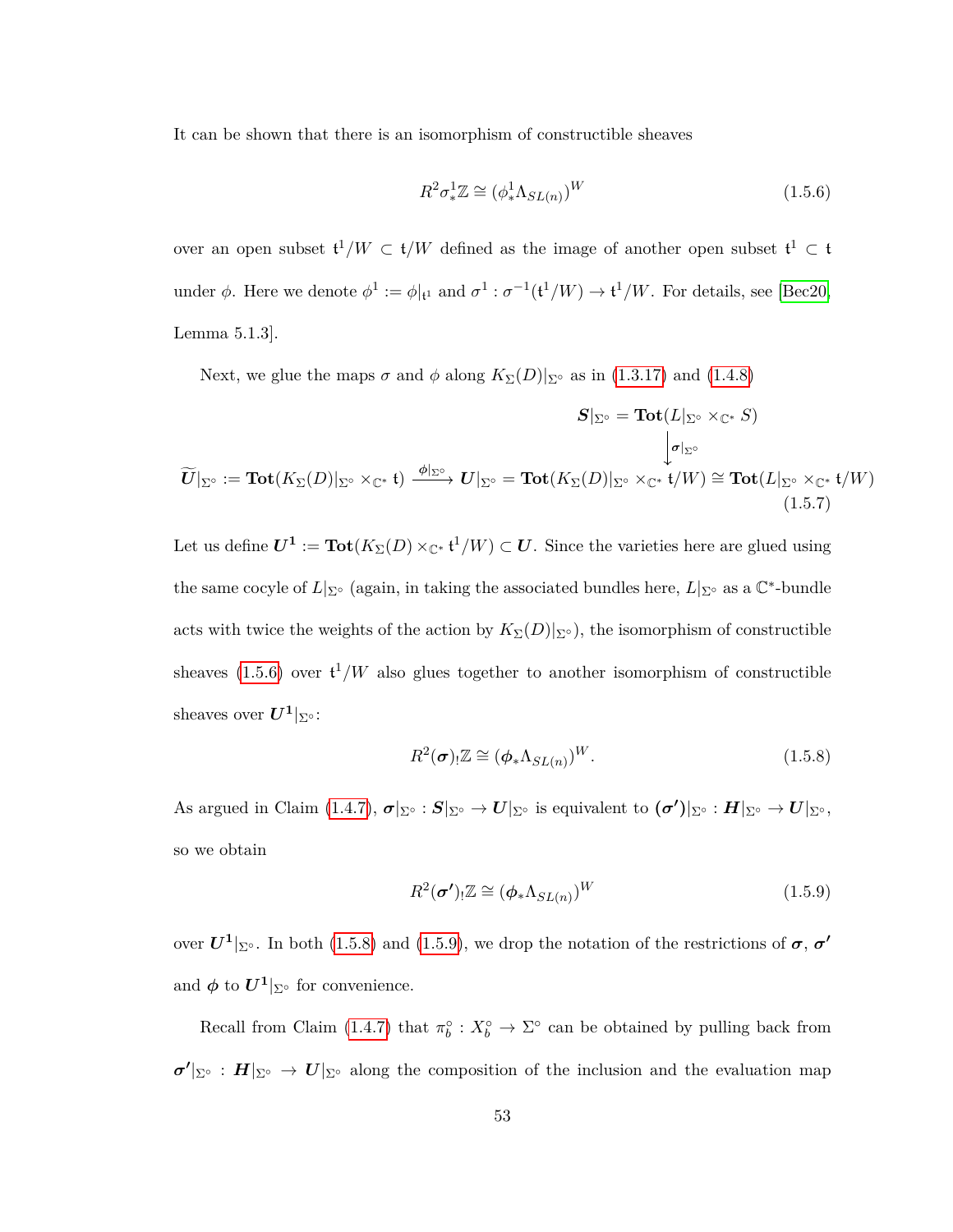It can be shown that there is an isomorphism of constructible sheaves

<span id="page-60-0"></span>
$$
R^2 \sigma_*^1 \mathbb{Z} \cong (\phi_*^1 \Lambda_{SL(n)})^W \tag{1.5.6}
$$

over an open subset  $\mathfrak{t}^1/W \subset \mathfrak{t}/W$  defined as the image of another open subset  $\mathfrak{t}^1 \subset \mathfrak{t}$ under  $\phi$ . Here we denote  $\phi^1 := \phi|_{\mathfrak{t}^1}$  and  $\sigma^1 : \sigma^{-1}(\mathfrak{t}^1/W) \to \mathfrak{t}^1/W$ . For details, see [\[Bec20,](#page-111-0) Lemma 5.1.3].

Next, we glue the maps  $\sigma$  and  $\phi$  along  $K_{\Sigma}(D)|_{\Sigma}$  as in [\(1.3.17\)](#page-44-0) and [\(1.4.8\)](#page-57-0)

<span id="page-60-3"></span>
$$
\mathbf{S}|_{\Sigma^{\circ}} = \textbf{Tot}(L|_{\Sigma^{\circ}} \times_{\mathbb{C}^*} S) \n\downarrow \sigma|_{\Sigma^{\circ}} \n\widetilde{U}|_{\Sigma^{\circ}} := \textbf{Tot}(K_{\Sigma}(D)|_{\Sigma^{\circ}} \times_{\mathbb{C}^*} \mathfrak{t}) \xrightarrow{\phi|_{\Sigma^{\circ}}} U|_{\Sigma^{\circ}} = \textbf{Tot}(K_{\Sigma}(D)|_{\Sigma^{\circ}} \times_{\mathbb{C}^*} \mathfrak{t}/W) \cong \textbf{Tot}(L|_{\Sigma^{\circ}} \times_{\mathbb{C}^*} \mathfrak{t}/W) \n(1.5.7)
$$

Let us define  $U^1 := \text{Tot}(K_\Sigma(D) \times_{\mathbb{C}^*} {\mathfrak{t}}^1/W) \subset U$ . Since the varieties here are glued using the same cocyle of  $L|_{\Sigma}$ ∘ (again, in taking the associated bundles here,  $L|_{\Sigma}$ ∘ as a  $\mathbb{C}^*$ -bundle acts with twice the weights of the action by  $K_{\Sigma}(D)|_{\Sigma^{\circ}}$ , the isomorphism of constructible sheaves  $(1.5.6)$  over  $\mathfrak{t}^1/W$  also glues together to another isomorphism of constructible sheaves over  $U^1|_{\Sigma^\circ}$ :

<span id="page-60-1"></span>
$$
R^2(\boldsymbol{\sigma}) \cdot \mathbb{Z} \cong (\boldsymbol{\phi}_* \Lambda_{SL(n)})^W. \tag{1.5.8}
$$

 $\mathbf{A}$ s argued in Claim [\(1.4.7\)](#page-55-0),  $\boldsymbol{\sigma}|_{\Sigma^{\circ}} : \boldsymbol{S}|_{\Sigma^{\circ}} \to \boldsymbol{U}|_{\Sigma^{\circ}}$  is equivalent to  $(\boldsymbol{\sigma'})|_{\Sigma^{\circ}} : \boldsymbol{H}|_{\Sigma^{\circ}} \to \boldsymbol{U}|_{\Sigma^{\circ}},$ so we obtain

<span id="page-60-2"></span>
$$
R^2(\boldsymbol{\sigma'}) \mathbb{Z} \cong (\boldsymbol{\phi}_* \Lambda_{SL(n)})^W \tag{1.5.9}
$$

over  $U^1|_{\Sigma^{\circ}}$ . In both [\(1.5.8\)](#page-60-1) and [\(1.5.9\)](#page-60-2), we drop the notation of the restrictions of  $\sigma$ ,  $\sigma'$ and  $\phi$  to  $U^1|_{\Sigma}$ <sup>°</sup> for convenience.

Recall from Claim [\(1.4.7\)](#page-55-0) that  $\pi_b^{\circ}: X_b^{\circ} \to \Sigma^{\circ}$  can be obtained by pulling back from  $\sigma'|_{\Sigma^{\circ}} : H|_{\Sigma^{\circ}} \to U|_{\Sigma^{\circ}}$  along the composition of the inclusion and the evaluation map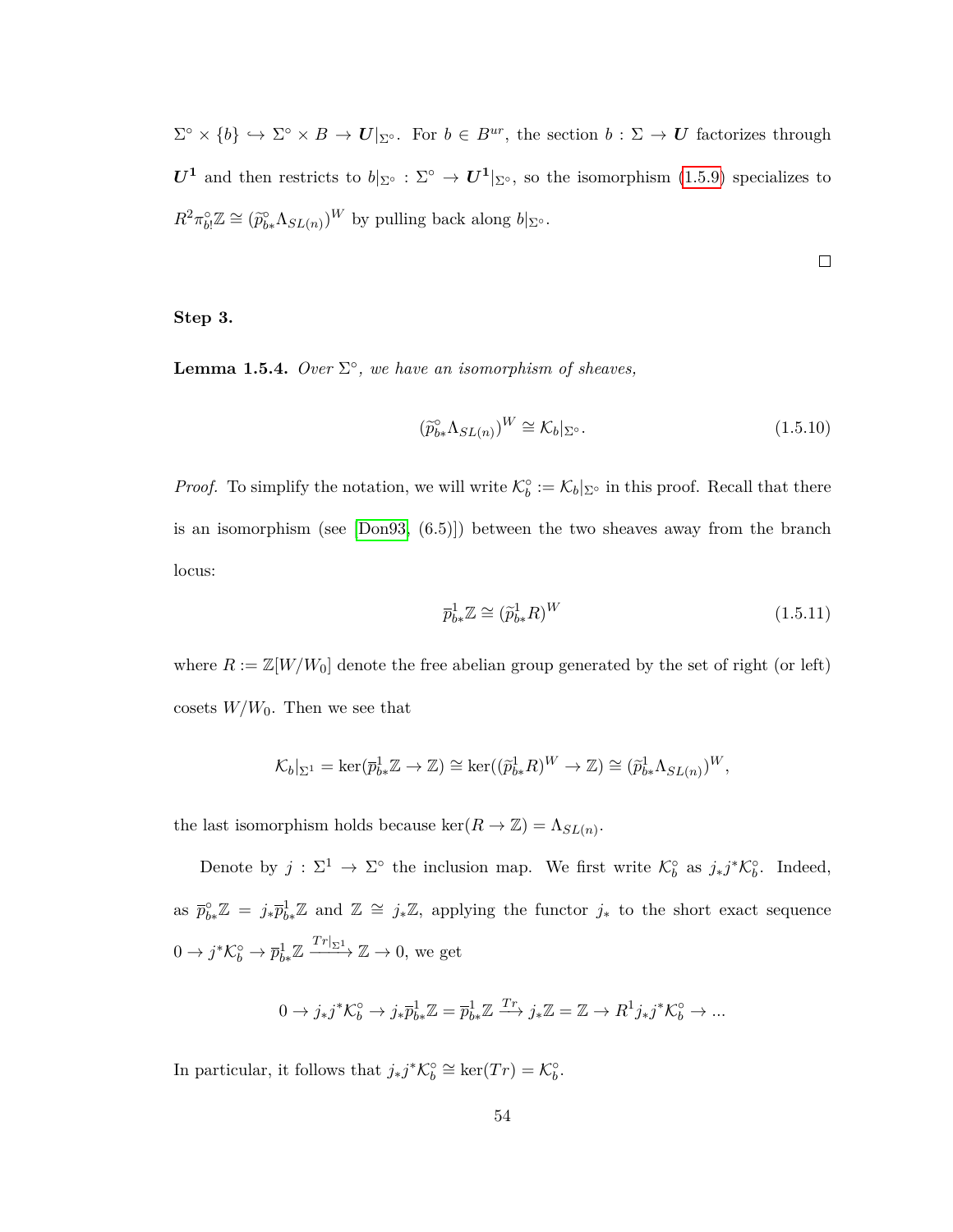$\Sigma^{\circ} \times \{b\} \hookrightarrow \Sigma^{\circ} \times B \to U|_{\Sigma^{\circ}}$ . For  $b \in B^{ur}$ , the section  $b : \Sigma \to U$  factorizes through  $U^1$  and then restricts to  $b|_{\Sigma^{\circ}} : \Sigma^{\circ} \to U^1|_{\Sigma^{\circ}}$ , so the isomorphism [\(1.5.9\)](#page-60-2) specializes to  $R^2 \pi_{bl}^{\circ} \mathbb{Z} \cong (\tilde{p}_{b*}^{\circ} \Lambda_{SL(n)})^W$  by pulling back along  $b|_{\Sigma^{\circ}}$ .

$$
\qquad \qquad \Box
$$

<span id="page-61-0"></span>**Step 3.**

**Lemma 1.5.4.** *Over*  $\Sigma^{\circ}$ , we have an isomorphism of sheaves,

$$
(\widetilde{p}_{b*}^{\circ} \Lambda_{SL(n)})^W \cong \mathcal{K}_b|_{\Sigma^{\circ}}.
$$
\n(1.5.10)

*Proof.* To simplify the notation, we will write  $\mathcal{K}_b^\circ := \mathcal{K}_b|_{\Sigma^\circ}$  in this proof. Recall that there is an isomorphism (see [\[Don93,](#page-113-2) (6.5)]) between the two sheaves away from the branch locus:

<span id="page-61-1"></span>
$$
\overline{p}_{b*}^1 \mathbb{Z} \cong (\widetilde{p}_{b*}^1 R)^W \tag{1.5.11}
$$

where  $R := \mathbb{Z}[W/W_0]$  denote the free abelian group generated by the set of right (or left) cosets  $W/W_0$ . Then we see that

$$
\mathcal{K}_b|_{\Sigma^1} = \ker(\overline{p}_{b*}^1 \mathbb{Z} \to \mathbb{Z}) \cong \ker((\widetilde{p}_{b*}^1 R)^W \to \mathbb{Z}) \cong (\widetilde{p}_{b*}^1 \Lambda_{SL(n)})^W,
$$

the last isomorphism holds because  $\ker(R \to \mathbb{Z}) = \Lambda_{SL(n)}$ .

Denote by  $j : \Sigma^1 \to \Sigma^{\circ}$  the inclusion map. We first write  $\mathcal{K}_b^{\circ}$  as  $j_*j^*\mathcal{K}_b^{\circ}$ . Indeed, as  $\bar{p}_{b*}^{\circ}\mathbb{Z} = j_*\bar{p}_{b*}^1\mathbb{Z}$  and  $\mathbb{Z} \cong j_*\mathbb{Z}$ , applying the functor  $j_*$  to the short exact sequence  $0 \to j^* \mathcal{K}_b^{\circ} \to \overline{p}_{b*}^1 \mathbb{Z} \xrightarrow{Tr|_{\Sigma^1}} \mathbb{Z} \to 0$ , we get

$$
0 \to j_*j^* \mathcal{K}_b^{\circ} \to j_* \overline{p}_{b*}^1 \mathbb{Z} = \overline{p}_{b*}^1 \mathbb{Z} \xrightarrow{\operatorname{Tr}} j_* \mathbb{Z} = \mathbb{Z} \to R^1 j_* j^* \mathcal{K}_b^{\circ} \to \dots
$$

In particular, it follows that  $j_*j^*{\mathcal{K}}_b^{\circ} \cong \ker(Tr) = {\mathcal{K}}_b^{\circ}$ .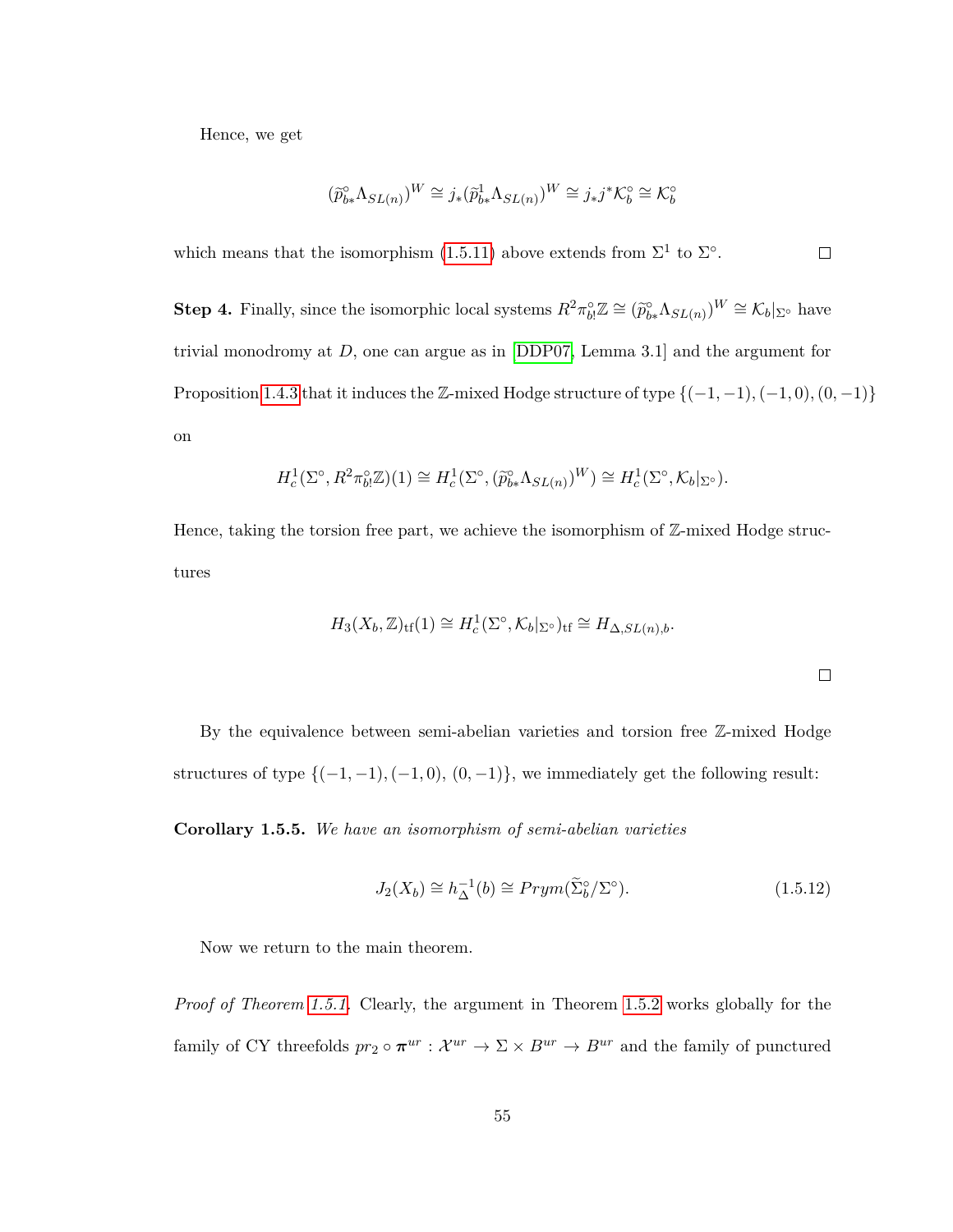Hence, we get

$$
(\widehat{p}_{b*}^{\circ} \Lambda_{SL(n)})^W \cong j_*(\widehat{p}_{b*}^1 \Lambda_{SL(n)})^W \cong j_*j^* \mathcal{K}_b^{\circ} \cong \mathcal{K}_b^{\circ}
$$

which means that the isomorphism [\(1.5.11\)](#page-61-1) above extends from  $\Sigma^1$  to  $\Sigma^{\circ}$ .  $\Box$ 

**Step 4.** Finally, since the isomorphic local systems  $R^2 \pi_{bl}^{\circ} \mathbb{Z} \cong (\tilde{p}_{b*}^{\circ} \Lambda_{SL(n)})^W \cong \mathcal{K}_b|_{\Sigma^{\circ}}$  have trivial monodromy at *D*, one can argue as in [\[DDP07,](#page-113-3) Lemma 3.1] and the argument for Proposition [1.4.3](#page-53-0) that it induces the Z-mixed Hodge structure of type {(−1*,* −1)*,*(−1*,* 0)*,*(0*,* −1)} on

$$
H_c^1(\Sigma^\circ, R^2 \pi_b^\circ \mathbb{Z})(1) \cong H_c^1(\Sigma^\circ, (\widetilde{p}_{b*}^\circ \Lambda_{SL(n)})^W) \cong H_c^1(\Sigma^\circ, \mathcal{K}_b|_{\Sigma^\circ}).
$$

Hence, taking the torsion free part, we achieve the isomorphism of  $\mathbb{Z}$ -mixed Hodge structures

$$
H_3(X_b, \mathbb{Z})_{\rm tf}(1) \cong H_c^1(\Sigma^\circ, \mathcal{K}_b|_{\Sigma^\circ})_{\rm tf} \cong H_{\Delta, SL(n), b}.
$$

By the equivalence between semi-abelian varieties and torsion free Z-mixed Hodge structures of type  $\{(-1, -1), (-1, 0), (0, -1)\}$ , we immediately get the following result:

**Corollary 1.5.5.** *We have an isomorphism of semi-abelian varieties*

$$
J_2(X_b) \cong h_{\Delta}^{-1}(b) \cong Prym(\tilde{\Sigma}_b^{\circ}/\Sigma^{\circ}). \tag{1.5.12}
$$

Now we return to the main theorem.

*Proof of Theorem [1.5.1.](#page-58-0)* Clearly, the argument in Theorem [1.5.2](#page-59-0) works globally for the family of CY threefolds  $pr_2 \circ \pi^{ur} : \mathcal{X}^{ur} \to \Sigma \times B^{ur} \to B^{ur}$  and the family of punctured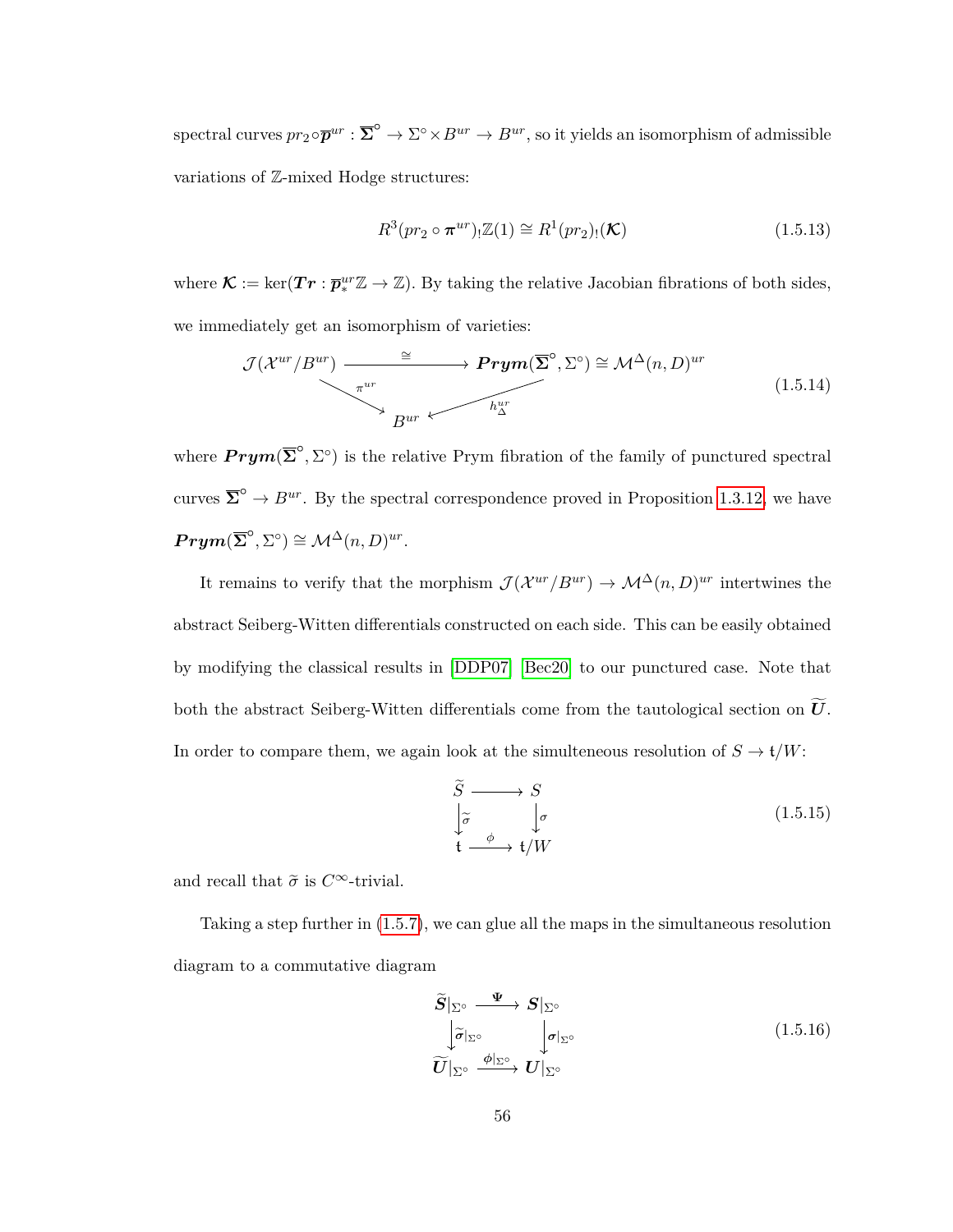$Spectral curves pr_2 \circ \overline{p}^{ur}: \overline{\Sigma}^{\circ} \to \Sigma^{\circ} \times B^{ur} \to B^{ur}$ , so it yields an isomorphism of admissible variations of Z-mixed Hodge structures:

$$
R^3(pr_2 \circ \pi^{ur})_! \mathbb{Z}(1) \cong R^1(pr_2)_! (\mathcal{K})
$$
\n(1.5.13)

where  $\mathcal{K} := \ker(\mathcal{I}\mathcal{I}\mathcal{I}: \overline{p}_{*}^{ur}\mathbb{Z} \to \mathbb{Z})$ . By taking the relative Jacobian fibrations of both sides, we immediately get an isomorphism of varieties:

$$
\mathcal{J}(\mathcal{X}^{ur}/B^{ur}) \xrightarrow{\cong} \mathbf{Prym}(\overline{\Sigma}^{\circ}, \Sigma^{\circ}) \cong \mathcal{M}^{\Delta}(n, D)^{ur}
$$
\n
$$
\downarrow^{ur} \mathcal{B}^{ur} \longleftarrow \mathcal{M}^{\Delta}(n, D)^{ur}
$$
\n(1.5.14)

where  $Prym(\overline{\Sigma}^{\circ}, \Sigma^{\circ})$  is the relative Prym fibration of the family of punctured spectral curves  $\overline{\Sigma}^{\circ} \to B^{ur}$ . By the spectral correspondence proved in Proposition [1.3.12,](#page-30-0) we have  $Prym(\overline{\Sigma}^{\circ}, \Sigma^{\circ}) \cong \mathcal{M}^{\Delta}(n, D)^{ur}.$ 

It remains to verify that the morphism  $\mathcal{J}(\mathcal{X}^{ur}/B^{ur}) \to \mathcal{M}^{\Delta}(n, D)^{ur}$  intertwines the abstract Seiberg-Witten differentials constructed on each side. This can be easily obtained by modifying the classical results in [\[DDP07\]](#page-113-3) [\[Bec20\]](#page-111-0) to our punctured case. Note that both the abstract Seiberg-Witten differentials come from the tautological section on  $\overline{U}$ . In order to compare them, we again look at the simulteneous resolution of  $S \to \mathfrak{t}/W$ :

$$
\widetilde{S} \longrightarrow S
$$
\n
$$
\downarrow \widetilde{\sigma} \qquad \downarrow \sigma
$$
\n
$$
t \longrightarrow t/W
$$
\n(1.5.15)

and recall that  $\tilde{\sigma}$  is  $C^{\infty}$ -trivial.

Taking a step further in [\(1.5.7\)](#page-60-3), we can glue all the maps in the simultaneous resolution diagram to a commutative diagram

$$
\widetilde{S}|_{\Sigma^{\circ}} \xrightarrow{\Psi} S|_{\Sigma^{\circ}}
$$
\n
$$
\downarrow \widetilde{\sigma}|_{\Sigma^{\circ}} \qquad \downarrow \sigma|_{\Sigma^{\circ}}
$$
\n
$$
\widetilde{U}|_{\Sigma^{\circ}} \xrightarrow{\phi|_{\Sigma^{\circ}}} U|_{\Sigma^{\circ}}
$$
\n
$$
(1.5.16)
$$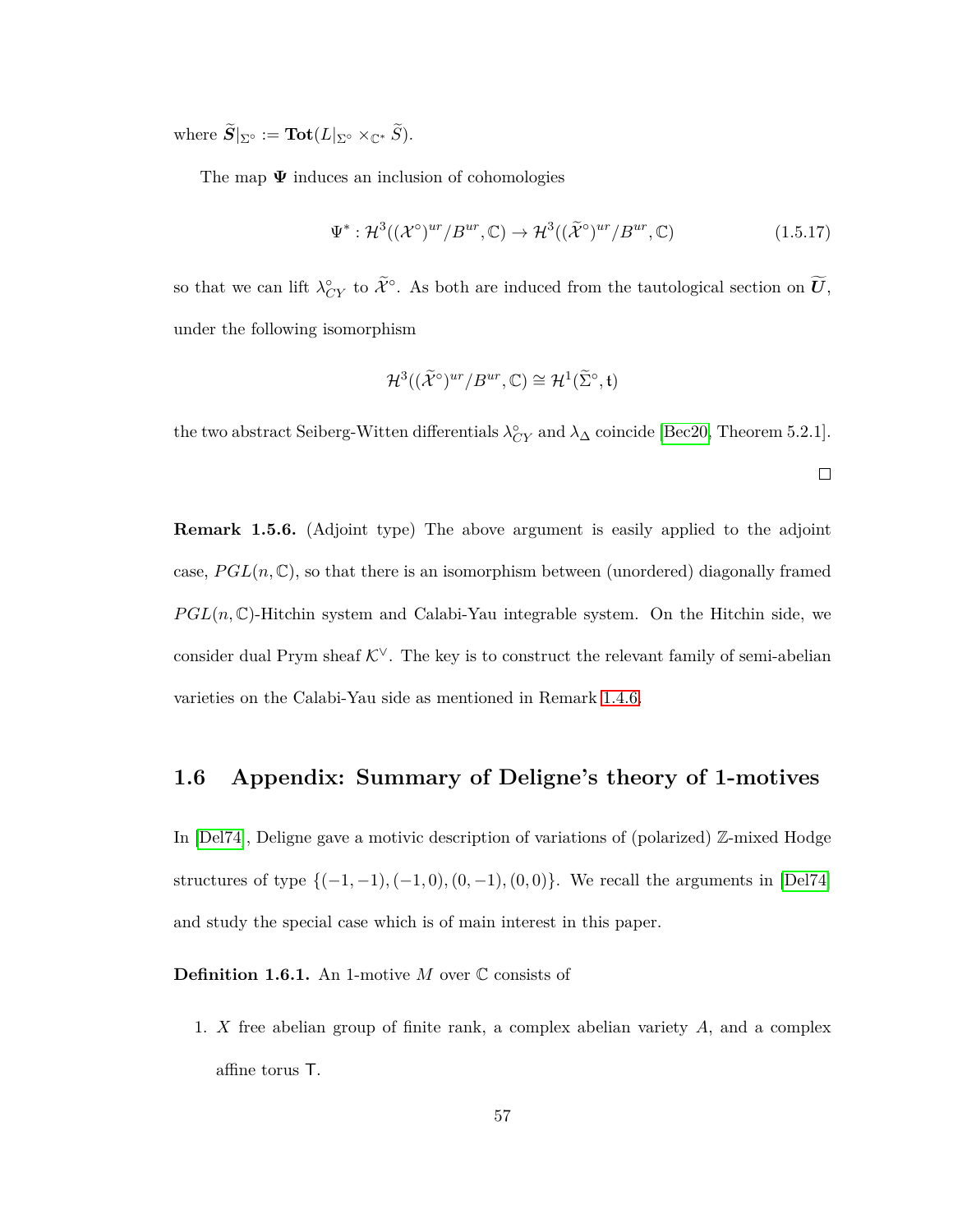where  $\widetilde{S}|_{\Sigma^{\circ}} := \textbf{Tot}(L|_{\Sigma^{\circ}} \times_{\mathbb{C}^*} \widetilde{S}).$ 

The map **Ψ** induces an inclusion of cohomologies

$$
\Psi^* : \mathcal{H}^3((\mathcal{X}^\circ)^{ur}/B^{ur}, \mathbb{C}) \to \mathcal{H}^3((\widetilde{\mathcal{X}}^\circ)^{ur}/B^{ur}, \mathbb{C})
$$
\n(1.5.17)

so that we can lift  $\lambda_{CY}^{\circ}$  to  $\tilde{\mathcal{X}}^{\circ}$ . As both are induced from the tautological section on  $\tilde{U}$ , under the following isomorphism

$$
\mathcal{H}^3((\widetilde{\mathcal{X}}^\circ)^{ur}/B^{ur},\mathbb{C})\cong \mathcal{H}^1(\widetilde{\Sigma}^\circ,\mathfrak{t})
$$

the two abstract Seiberg-Witten differentials  $\lambda_{CY}^{\circ}$  and  $\lambda_{\Delta}$  coincide [\[Bec20,](#page-111-0) Theorem 5.2.1].

 $\Box$ 

**Remark 1.5.6.** (Adjoint type) The above argument is easily applied to the adjoint case,  $PGL(n, \mathbb{C})$ , so that there is an isomorphism between (unordered) diagonally framed  $PGL(n,\mathbb{C})$ -Hitchin system and Calabi-Yau integrable system. On the Hitchin side, we consider dual Prym sheaf  $K^{\vee}$ . The key is to construct the relevant family of semi-abelian varieties on the Calabi-Yau side as mentioned in Remark [1.4.6.](#page-54-0)

## **1.6 Appendix: Summary of Deligne's theory of 1-motives**

In [\[Del74\]](#page-113-4), Deligne gave a motivic description of variations of (polarized) Z-mixed Hodge structures of type  $\{(-1, -1), (-1, 0), (0, -1), (0, 0)\}$ . We recall the arguments in [\[Del74\]](#page-113-4) and study the special case which is of main interest in this paper.

**Definition 1.6.1.** An 1-motive *M* over C consists of

1. *X* free abelian group of finite rank, a complex abelian variety *A*, and a complex affine torus T.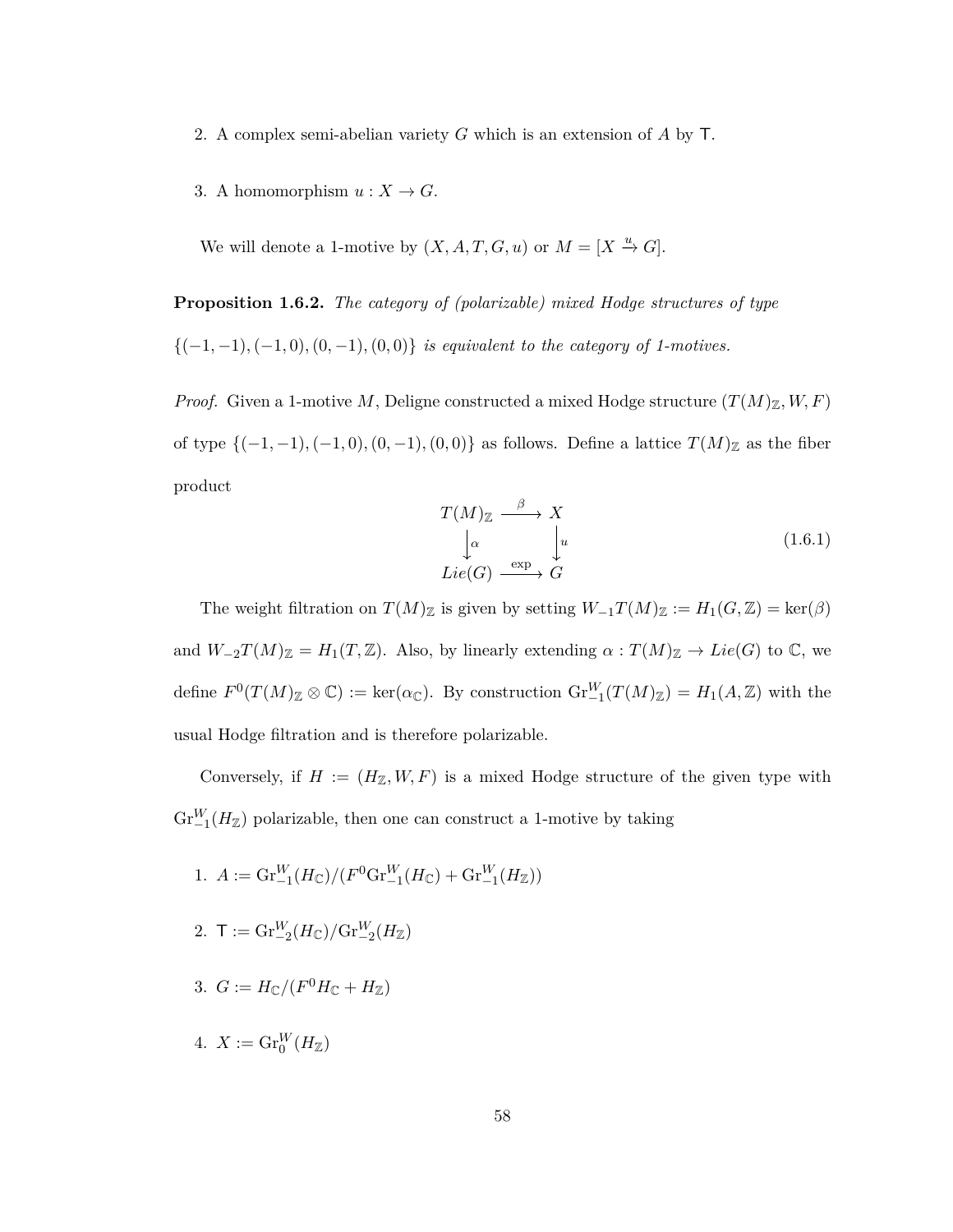- 2. A complex semi-abelian variety *G* which is an extension of *A* by T.
- 3. A homomorphism  $u: X \to G$ .

We will denote a 1-motive by  $(X, A, T, G, u)$  or  $M = [X \stackrel{u}{\rightarrow} G].$ 

<span id="page-65-0"></span>**Proposition 1.6.2.** *The category of (polarizable) mixed Hodge structures of type* {(−1*,* −1)*,*(−1*,* 0)*,*(0*,* −1)*,*(0*,* 0)} *is equivalent to the category of 1-motives.*

*Proof.* Given a 1-motive *M*, Deligne constructed a mixed Hodge structure  $(T(M)_\mathbb{Z}, W, F)$ of type  $\{(-1, -1), (-1, 0), (0, -1), (0, 0)\}$  as follows. Define a lattice  $T(M)_{\mathbb{Z}}$  as the fiber product

$$
T(M)_{\mathbb{Z}} \xrightarrow{\beta} X
$$
  
\n
$$
\downarrow^{\alpha} \qquad \qquad \downarrow^{\mathcal{U}} \qquad (1.6.1)
$$
  
\n
$$
Lie(G) \xrightarrow{\exp} G
$$

The weight filtration on  $T(M)_{\mathbb{Z}}$  is given by setting  $W_{-1}T(M)_{\mathbb{Z}} := H_1(G,\mathbb{Z}) = \text{ker}(\beta)$ and  $W_{-2}T(M)_\mathbb{Z} = H_1(T,\mathbb{Z})$ . Also, by linearly extending  $\alpha: T(M)_\mathbb{Z} \to Lie(G)$  to  $\mathbb{C}$ , we define  $F^0(T(M)_\mathbb{Z} \otimes \mathbb{C}) := \text{ker}(\alpha_{\mathbb{C}})$ . By construction  $\text{Gr}_{-1}^W(T(M)_\mathbb{Z}) = H_1(A, \mathbb{Z})$  with the usual Hodge filtration and is therefore polarizable.

Conversely, if  $H := (H_{\mathbb{Z}}, W, F)$  is a mixed Hodge structure of the given type with  $\text{Gr}_{-1}^W(H_{\mathbb{Z}})$  polarizable, then one can construct a 1-motive by taking

- 1.  $A := \mathrm{Gr}_{-1}^W(H_{\mathbb{C}})/(F^0\mathrm{Gr}_{-1}^W(H_{\mathbb{C}}) + \mathrm{Gr}_{-1}^W(H_{\mathbb{Z}}))$
- 2.  $\mathsf{T} := \mathrm{Gr}_{-2}^W(H_{\mathbb{C}})/\mathrm{Gr}_{-2}^W(H_{\mathbb{Z}})$
- 3.  $G := H_{\mathbb{C}}/(F^0 H_{\mathbb{C}} + H_{\mathbb{Z}})$
- 4.  $X := \mathrm{Gr}^W_0(H_{\mathbb{Z}})$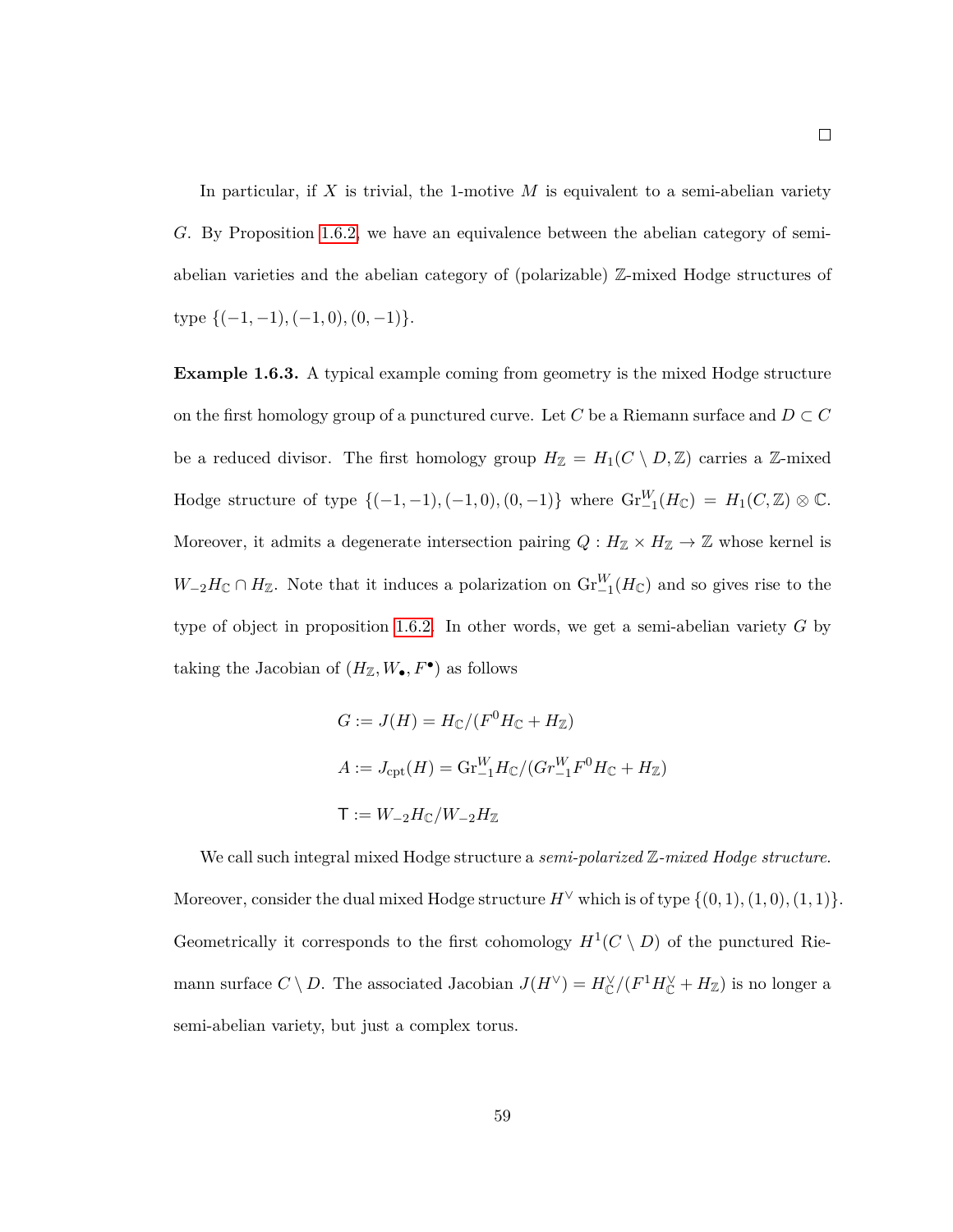In particular, if *X* is trivial, the 1-motive *M* is equivalent to a semi-abelian variety *G*. By Proposition [1.6.2,](#page-65-0) we have an equivalence between the abelian category of semiabelian varieties and the abelian category of (polarizable) Z-mixed Hodge structures of type {(−1*,* −1)*,*(−1*,* 0)*,*(0*,* −1)}.

**Example 1.6.3.** A typical example coming from geometry is the mixed Hodge structure on the first homology group of a punctured curve. Let *C* be a Riemann surface and  $D \subset C$ be a reduced divisor. The first homology group  $H_{\mathbb{Z}} = H_1(C \setminus D, \mathbb{Z})$  carries a Z-mixed Hodge structure of type  $\{(-1, -1), (-1, 0), (0, -1)\}$  where  $\text{Gr}_{-1}^{W}(H_{\mathbb{C}}) = H_1(C, \mathbb{Z}) \otimes \mathbb{C}$ . Moreover, it admits a degenerate intersection pairing  $Q: H_{\mathbb{Z}} \times H_{\mathbb{Z}} \rightarrow \mathbb{Z}$  whose kernel is  $W_{-2}H_{\mathbb{C}} \cap H_{\mathbb{Z}}$ . Note that it induces a polarization on  $\text{Gr}_{-1}^W(H_{\mathbb{C}})$  and so gives rise to the type of object in proposition [1.6.2.](#page-65-0) In other words, we get a semi-abelian variety *G* by taking the Jacobian of  $(H_{\mathbb{Z}}, W_{\bullet}, F^{\bullet})$  as follows

$$
G := J(H) = H_{\mathbb{C}}/(F^0 H_{\mathbb{C}} + H_{\mathbb{Z}})
$$

$$
A := J_{\text{cpt}}(H) = \text{Gr}_{-1}^W H_{\mathbb{C}}/(Gr_{-1}^W F^0 H_{\mathbb{C}} + H_{\mathbb{Z}})
$$

$$
T := W_{-2} H_{\mathbb{C}}/W_{-2} H_{\mathbb{Z}}
$$

We call such integral mixed Hodge structure a *semi-polarized*  $\mathbb{Z}$ -mixed Hodge structure. Moreover, consider the dual mixed Hodge structure  $H^{\vee}$  which is of type  $\{(0, 1), (1, 0), (1, 1)\}.$ Geometrically it corresponds to the first cohomology  $H^1(C \setminus D)$  of the punctured Riemann surface  $C \setminus D$ . The associated Jacobian  $J(H^{\vee}) = H_{\mathbb{C}}^{\vee}/(F^1 H_{\mathbb{C}}^{\vee} + H_{\mathbb{Z}})$  is no longer a semi-abelian variety, but just a complex torus.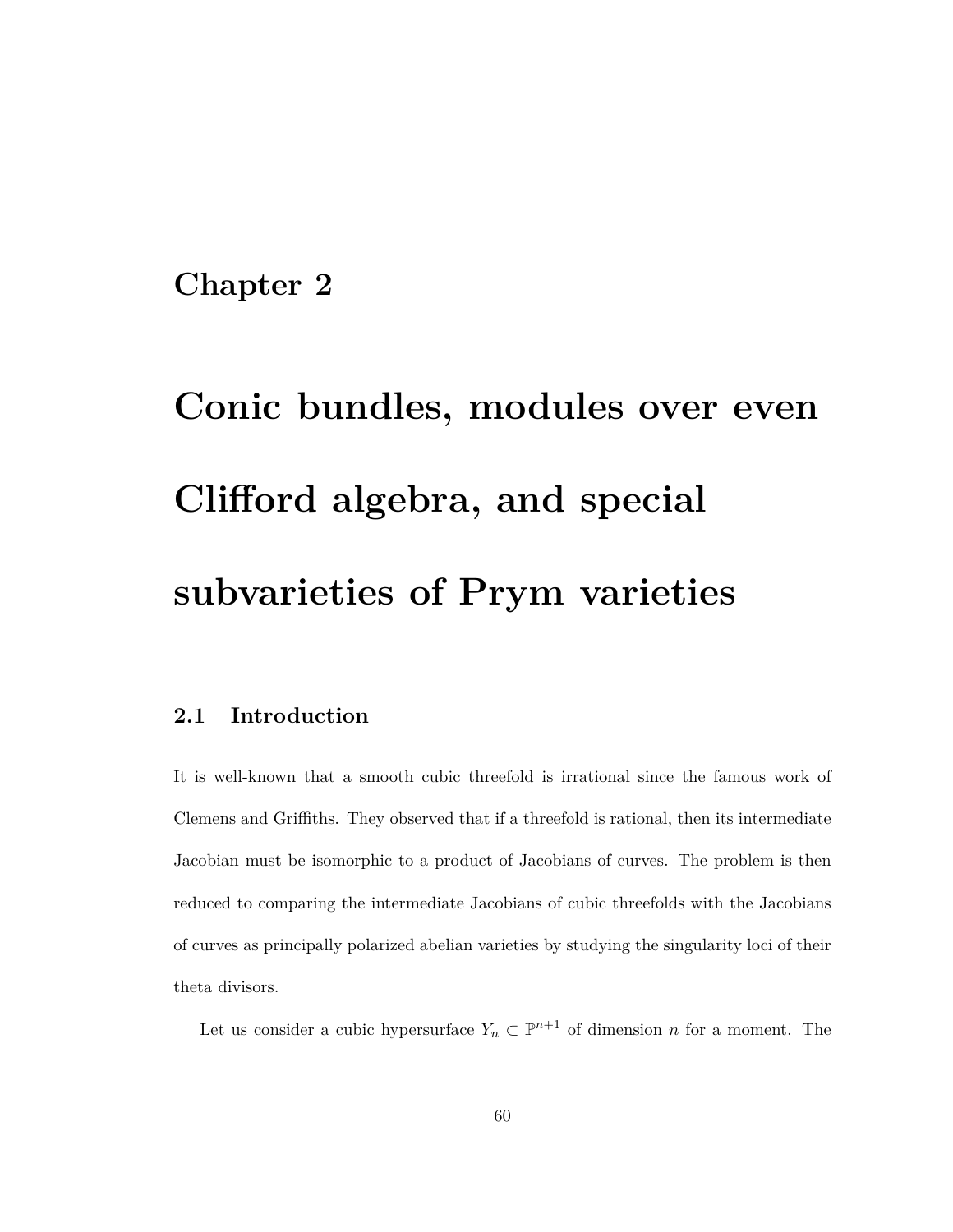# **Chapter 2**

# **Conic bundles, modules over even Clifford algebra, and special subvarieties of Prym varieties**

# **2.1 Introduction**

It is well-known that a smooth cubic threefold is irrational since the famous work of Clemens and Griffiths. They observed that if a threefold is rational, then its intermediate Jacobian must be isomorphic to a product of Jacobians of curves. The problem is then reduced to comparing the intermediate Jacobians of cubic threefolds with the Jacobians of curves as principally polarized abelian varieties by studying the singularity loci of their theta divisors.

Let us consider a cubic hypersurface  $Y_n \subset \mathbb{P}^{n+1}$  of dimension *n* for a moment. The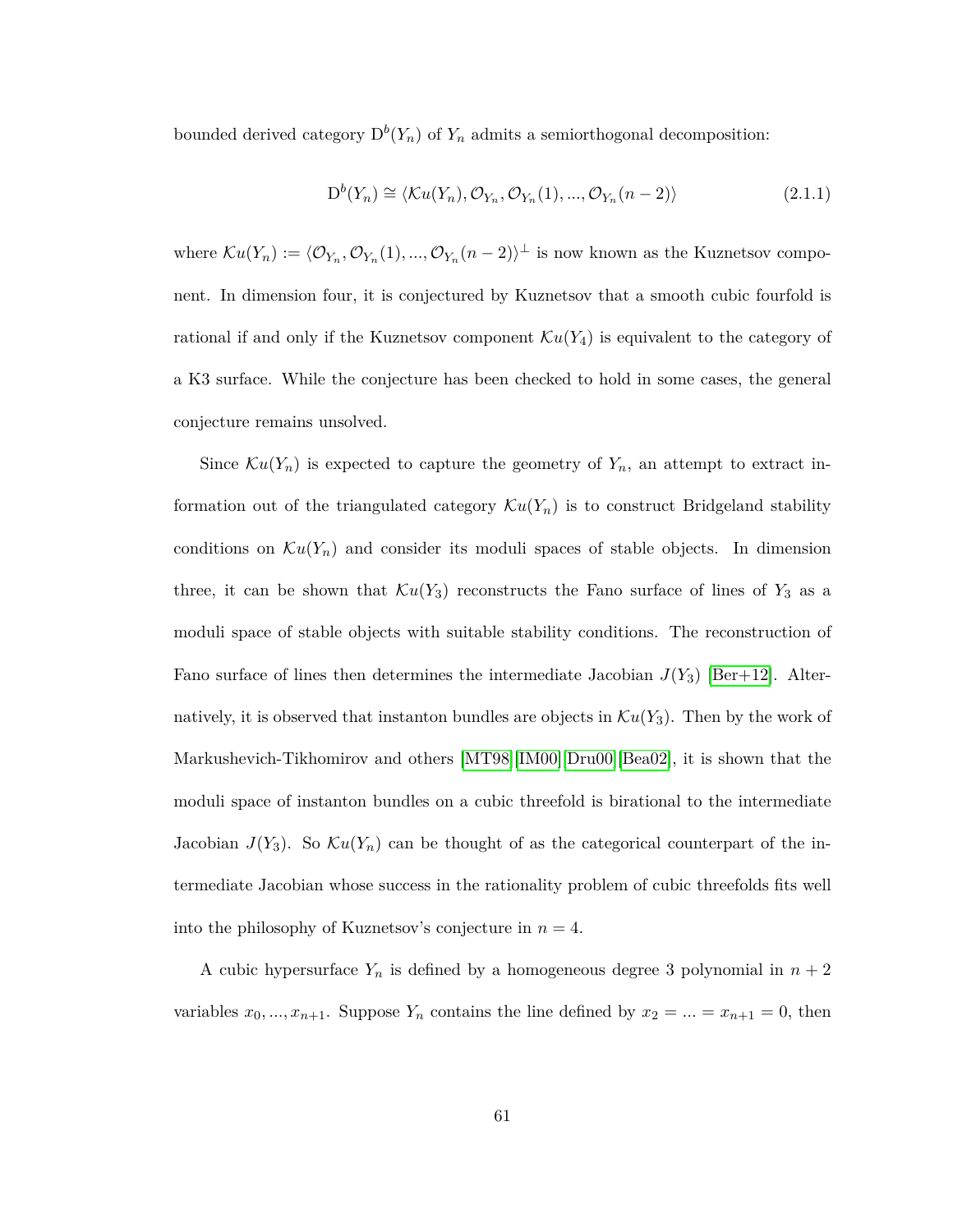bounded derived category  $D^b(Y_n)$  of  $Y_n$  admits a semiorthogonal decomposition:

<span id="page-68-0"></span>
$$
D^{b}(Y_n) \cong \langle \mathcal{K}u(Y_n), \mathcal{O}_{Y_n}, \mathcal{O}_{Y_n}(1), ..., \mathcal{O}_{Y_n}(n-2) \rangle
$$
\n(2.1.1)

where  $\mathcal{K}u(Y_n) := \langle \mathcal{O}_{Y_n}, \mathcal{O}_{Y_n}(1), ..., \mathcal{O}_{Y_n}(n-2) \rangle^{\perp}$  is now known as the Kuznetsov component. In dimension four, it is conjectured by Kuznetsov that a smooth cubic fourfold is rational if and only if the Kuznetsov component  $\mathcal{K}u(Y_4)$  is equivalent to the category of a K3 surface. While the conjecture has been checked to hold in some cases, the general conjecture remains unsolved.

Since  $\mathcal{K}u(Y_n)$  is expected to capture the geometry of  $Y_n$ , an attempt to extract information out of the triangulated category  $\mathcal{K}u(Y_n)$  is to construct Bridgeland stability conditions on  $\mathcal{K}u(Y_n)$  and consider its moduli spaces of stable objects. In dimension three, it can be shown that  $\mathcal{K}u(Y_3)$  reconstructs the Fano surface of lines of  $Y_3$  as a moduli space of stable objects with suitable stability conditions. The reconstruction of Fano surface of lines then determines the intermediate Jacobian  $J(Y_3)$  [\[Ber+12\]](#page-111-2). Alternatively, it is observed that instanton bundles are objects in  $\mathcal{K}u(Y_3)$ . Then by the work of Markushevich-Tikhomirov and others [\[MT98\]](#page-115-2)[\[IM00\]](#page-114-1)[\[Dru00\]](#page-114-2)[\[Bea02\]](#page-111-3), it is shown that the moduli space of instanton bundles on a cubic threefold is birational to the intermediate Jacobian  $J(Y_3)$ . So  $\mathcal{K}u(Y_n)$  can be thought of as the categorical counterpart of the intermediate Jacobian whose success in the rationality problem of cubic threefolds fits well into the philosophy of Kuznetsov's conjecture in  $n = 4$ .

A cubic hypersurface  $Y_n$  is defined by a homogeneous degree 3 polynomial in  $n+2$ variables  $x_0, ..., x_{n+1}$ . Suppose  $Y_n$  contains the line defined by  $x_2 = ... = x_{n+1} = 0$ , then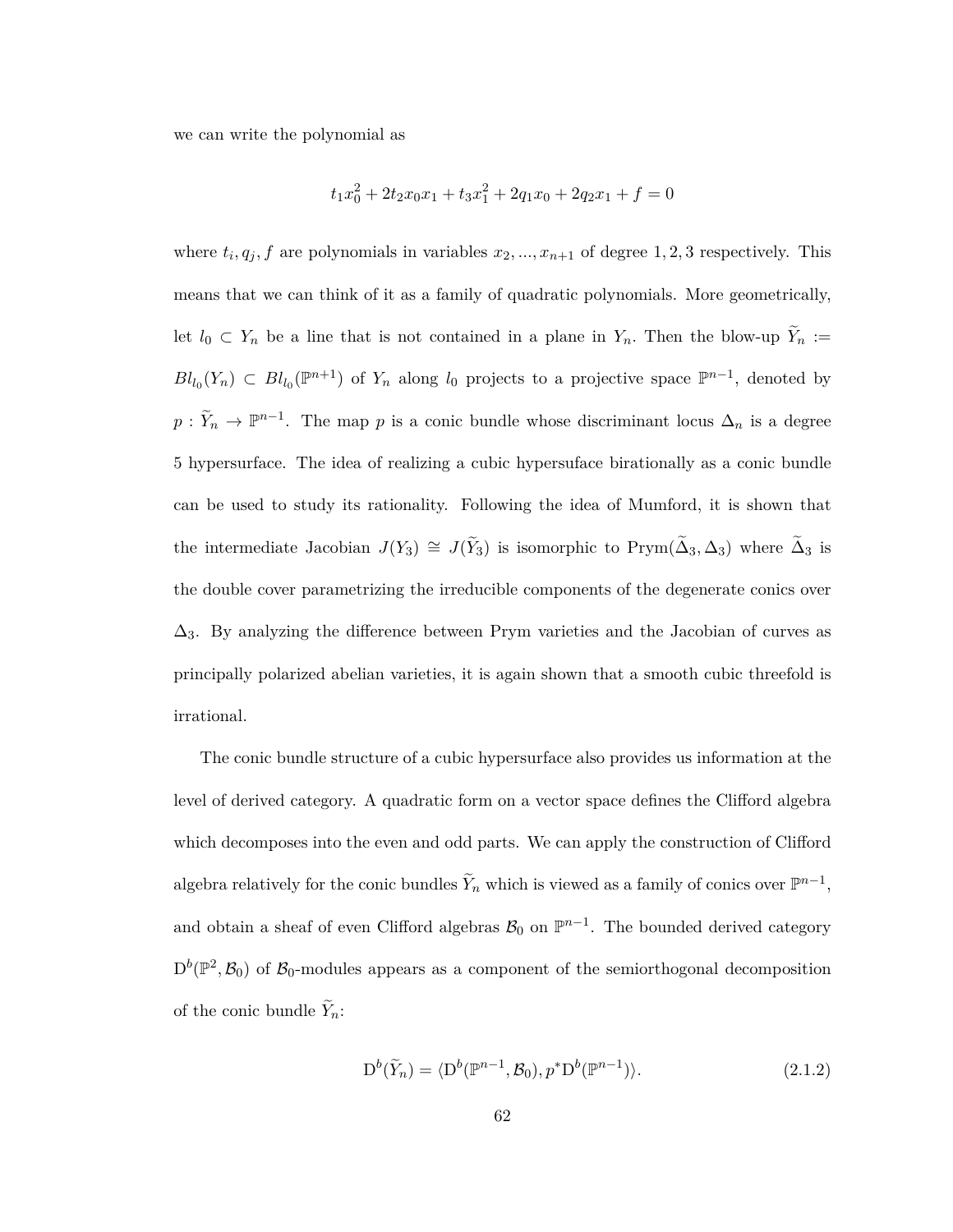we can write the polynomial as

$$
t_1x_0^2 + 2t_2x_0x_1 + t_3x_1^2 + 2q_1x_0 + 2q_2x_1 + f = 0
$$

where  $t_i, q_j, f$  are polynomials in variables  $x_2, \ldots, x_{n+1}$  of degree 1, 2, 3 respectively. This means that we can think of it as a family of quadratic polynomials. More geometrically, let  $l_0 \subset Y_n$  be a line that is not contained in a plane in  $Y_n$ . Then the blow-up  $\widetilde{Y}_n :=$  $Bl_{l_0}(Y_n) \subset Bl_{l_0}(\mathbb{P}^{n+1})$  of  $Y_n$  along  $l_0$  projects to a projective space  $\mathbb{P}^{n-1}$ , denoted by  $p: \widetilde{Y}_n \to \mathbb{P}^{n-1}$ . The map *p* is a conic bundle whose discriminant locus  $\Delta_n$  is a degree 5 hypersurface. The idea of realizing a cubic hypersuface birationally as a conic bundle can be used to study its rationality. Following the idea of Mumford, it is shown that the intermediate Jacobian  $J(Y_3) \cong J(\tilde{Y}_3)$  is isomorphic to Prym( $\tilde{\Delta}_3$ ,  $\Delta_3$ ) where  $\tilde{\Delta}_3$  is the double cover parametrizing the irreducible components of the degenerate conics over  $\Delta_3$ . By analyzing the difference between Prym varieties and the Jacobian of curves as principally polarized abelian varieties, it is again shown that a smooth cubic threefold is irrational.

The conic bundle structure of a cubic hypersurface also provides us information at the level of derived category. A quadratic form on a vector space defines the Clifford algebra which decomposes into the even and odd parts. We can apply the construction of Clifford algebra relatively for the conic bundles  $\widetilde{Y}_n$  which is viewed as a family of conics over  $\mathbb{P}^{n-1}$ , and obtain a sheaf of even Clifford algebras  $\mathcal{B}_0$  on  $\mathbb{P}^{n-1}$ . The bounded derived category  $D^b(\mathbb{P}^2, \mathcal{B}_0)$  of  $\mathcal{B}_0$ -modules appears as a component of the semiorthogonal decomposition of the conic bundle  $\widetilde{Y}_n$ :

<span id="page-69-0"></span>
$$
D^{b}(\widetilde{Y}_{n}) = \langle D^{b}(\mathbb{P}^{n-1}, \mathcal{B}_{0}), p^{*}D^{b}(\mathbb{P}^{n-1})\rangle.
$$
 (2.1.2)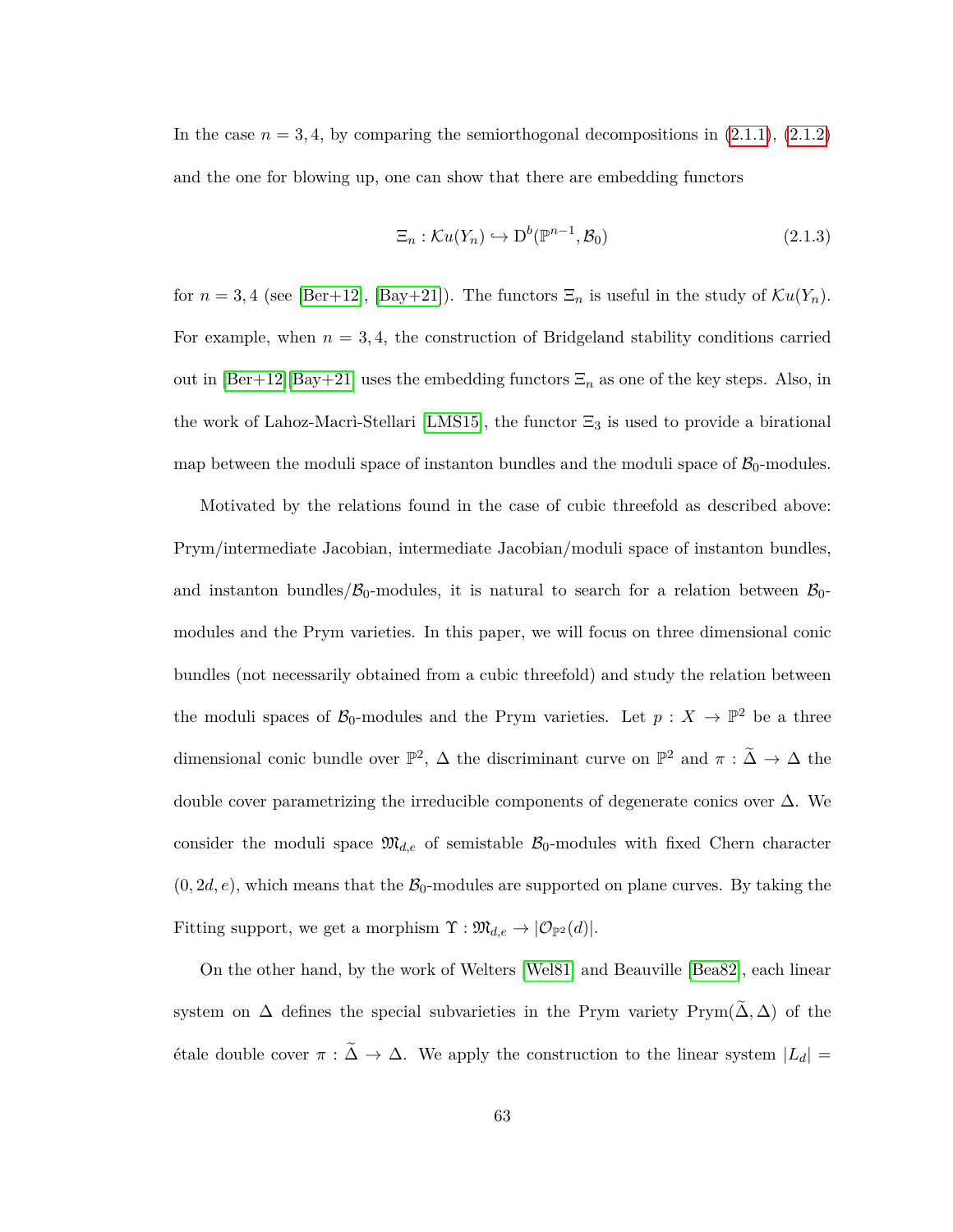In the case  $n = 3, 4$ , by comparing the semiorthogonal decompositions in  $(2.1.1)$ ,  $(2.1.2)$ and the one for blowing up, one can show that there are embedding functors

$$
\Xi_n: \mathcal{K}u(Y_n) \hookrightarrow \mathcal{D}^b(\mathbb{P}^{n-1}, \mathcal{B}_0) \tag{2.1.3}
$$

for  $n = 3, 4$  (see [\[Ber+12\]](#page-111-2), [\[Bay+21\]](#page-111-4)). The functors  $\Xi_n$  is useful in the study of  $\mathcal{K}u(Y_n)$ . For example, when  $n = 3, 4$ , the construction of Bridgeland stability conditions carried out in  $\text{[Ber+12]}[\text{Bay+21]}$  uses the embedding functors  $\Xi_n$  as one of the key steps. Also, in the work of Lahoz-Macri-Stellari [\[LMS15\]](#page-115-3), the functor  $\Xi_3$  is used to provide a birational map between the moduli space of instanton bundles and the moduli space of  $\mathcal{B}_0$ -modules.

Motivated by the relations found in the case of cubic threefold as described above: Prym/intermediate Jacobian, intermediate Jacobian/moduli space of instanton bundles, and instanton bundles/ $\mathcal{B}_0$ -modules, it is natural to search for a relation between  $\mathcal{B}_0$ modules and the Prym varieties. In this paper, we will focus on three dimensional conic bundles (not necessarily obtained from a cubic threefold) and study the relation between the moduli spaces of  $\mathcal{B}_0$ -modules and the Prym varieties. Let  $p: X \to \mathbb{P}^2$  be a three dimensional conic bundle over  $\mathbb{P}^2$ ,  $\Delta$  the discriminant curve on  $\mathbb{P}^2$  and  $\pi : \tilde{\Delta} \to \Delta$  the double cover parametrizing the irreducible components of degenerate conics over  $\Delta$ . We consider the moduli space  $\mathfrak{M}_{d,e}$  of semistable  $\mathcal{B}_0$ -modules with fixed Chern character  $(0, 2d, e)$ , which means that the  $\mathcal{B}_0$ -modules are supported on plane curves. By taking the Fitting support, we get a morphism  $\Upsilon : \mathfrak{M}_{d,e} \to |\mathcal{O}_{\mathbb{P}^2}(d)|$ .

On the other hand, by the work of Welters [\[Wel81\]](#page-117-3) and Beauville [\[Bea82\]](#page-111-5), each linear system on  $\Delta$  defines the special subvarieties in the Prym variety Prym( $\Delta$ ,  $\Delta$ ) of the  $\acute{\text{e}}$ tale double cover  $\pi : \widetilde{\Delta} \to \Delta$ . We apply the construction to the linear system  $|L_d|$  =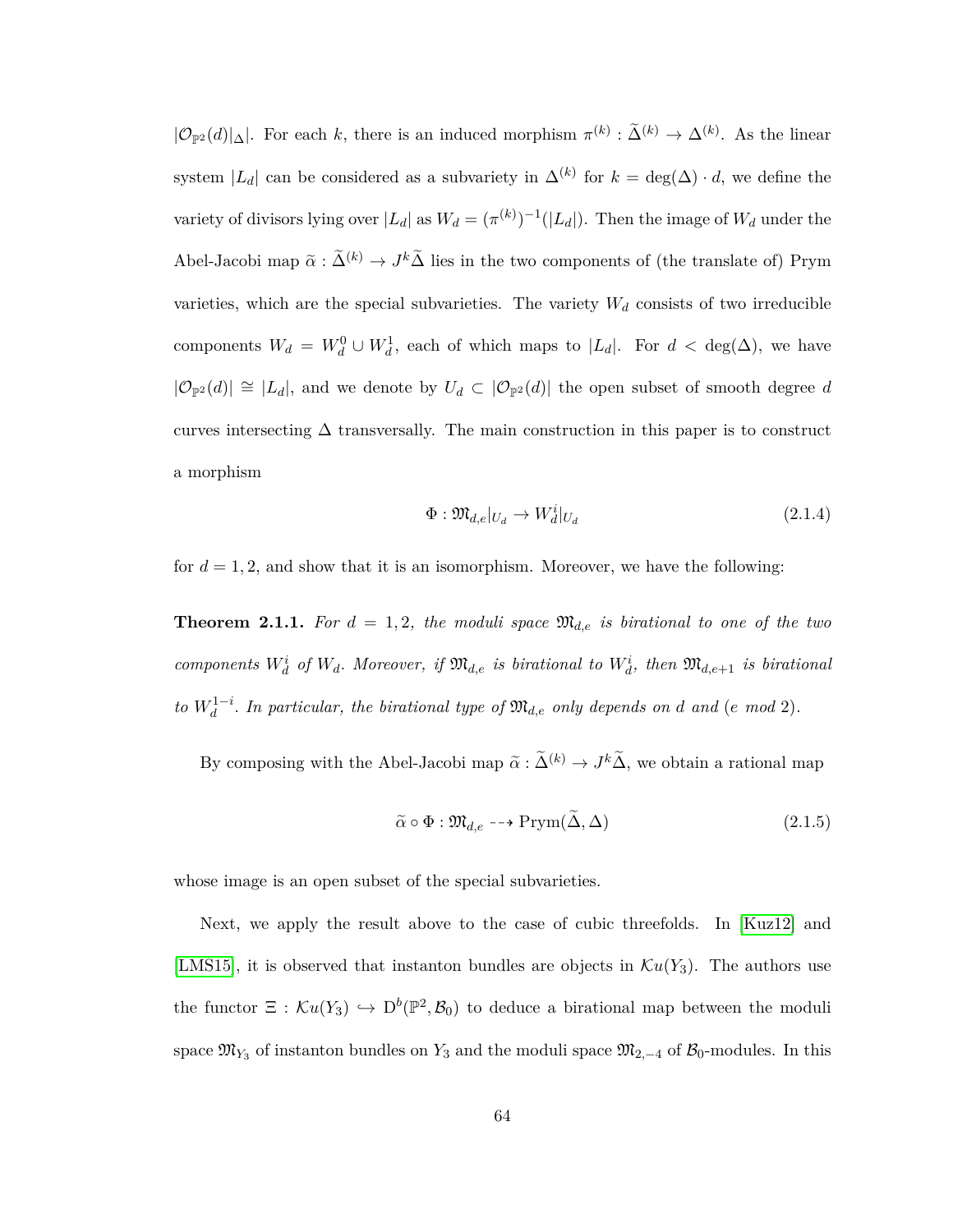$|\mathcal{O}_{\mathbb{P}^2}(d)|_{\Delta}$ . For each *k*, there is an induced morphism  $\pi^{(k)} : \tilde{\Delta}^{(k)} \to \Delta^{(k)}$ . As the linear system  $|L_d|$  can be considered as a subvariety in  $\Delta^{(k)}$  for  $k = \deg(\Delta) \cdot d$ , we define the variety of divisors lying over  $|L_d|$  as  $W_d = (\pi^{(k)})^{-1}(|L_d|)$ . Then the image of  $W_d$  under the Abel-Jacobi map  $\tilde{\alpha}: \tilde{\Delta}^{(k)} \to J^k \tilde{\Delta}$  lies in the two components of (the translate of) Prym varieties, which are the special subvarieties. The variety  $W_d$  consists of two irreducible components  $W_d = W_d^0 \cup W_d^1$ , each of which maps to  $|L_d|$ . For  $d < deg(\Delta)$ , we have  $|\mathcal{O}_{\mathbb{P}^2}(d)| \cong |L_d|$ , and we denote by  $U_d \subset |\mathcal{O}_{\mathbb{P}^2}(d)|$  the open subset of smooth degree *d* curves intersecting  $\Delta$  transversally. The main construction in this paper is to construct a morphism

$$
\Phi: \mathfrak{M}_{d,e}|_{U_d} \to W_d^i|_{U_d} \tag{2.1.4}
$$

for  $d = 1, 2$ , and show that it is an isomorphism. Moreover, we have the following:

**Theorem 2.1.1.** For  $d = 1, 2$ , the moduli space  $\mathfrak{M}_{d,e}$  is birational to one of the two *components*  $W_d^i$  *of*  $W_d$ . Moreover, if  $\mathfrak{M}_{d,e}$  *is birational to*  $W_d^i$ , then  $\mathfrak{M}_{d,e+1}$  *is birational to*  $W_d^{1-i}$ *. In particular, the birational type of*  $\mathfrak{M}_{d,e}$  *only depends on d and* (*e mod* 2)*.* 

By composing with the Abel-Jacobi map  $\tilde{\alpha}$  :  $\tilde{\Delta}^{(k)} \to J^k \tilde{\Delta}$ , we obtain a rational map

$$
\widetilde{\alpha} \circ \Phi : \mathfrak{M}_{d,e} \dashrightarrow \mathrm{Prym}(\widetilde{\Delta}, \Delta) \tag{2.1.5}
$$

whose image is an open subset of the special subvarieties.

Next, we apply the result above to the case of cubic threefolds. In [\[Kuz12\]](#page-115-4) and [\[LMS15\]](#page-115-3), it is observed that instanton bundles are objects in  $\mathcal{K}u(Y_3)$ . The authors use the functor  $\Xi : \mathcal{K}u(Y_3) \hookrightarrow D^b(\mathbb{P}^2, \mathcal{B}_0)$  to deduce a birational map between the moduli space  $\mathfrak{M}_{Y_3}$  of instanton bundles on  $Y_3$  and the moduli space  $\mathfrak{M}_{2,-4}$  of  $\mathcal{B}_0$ -modules. In this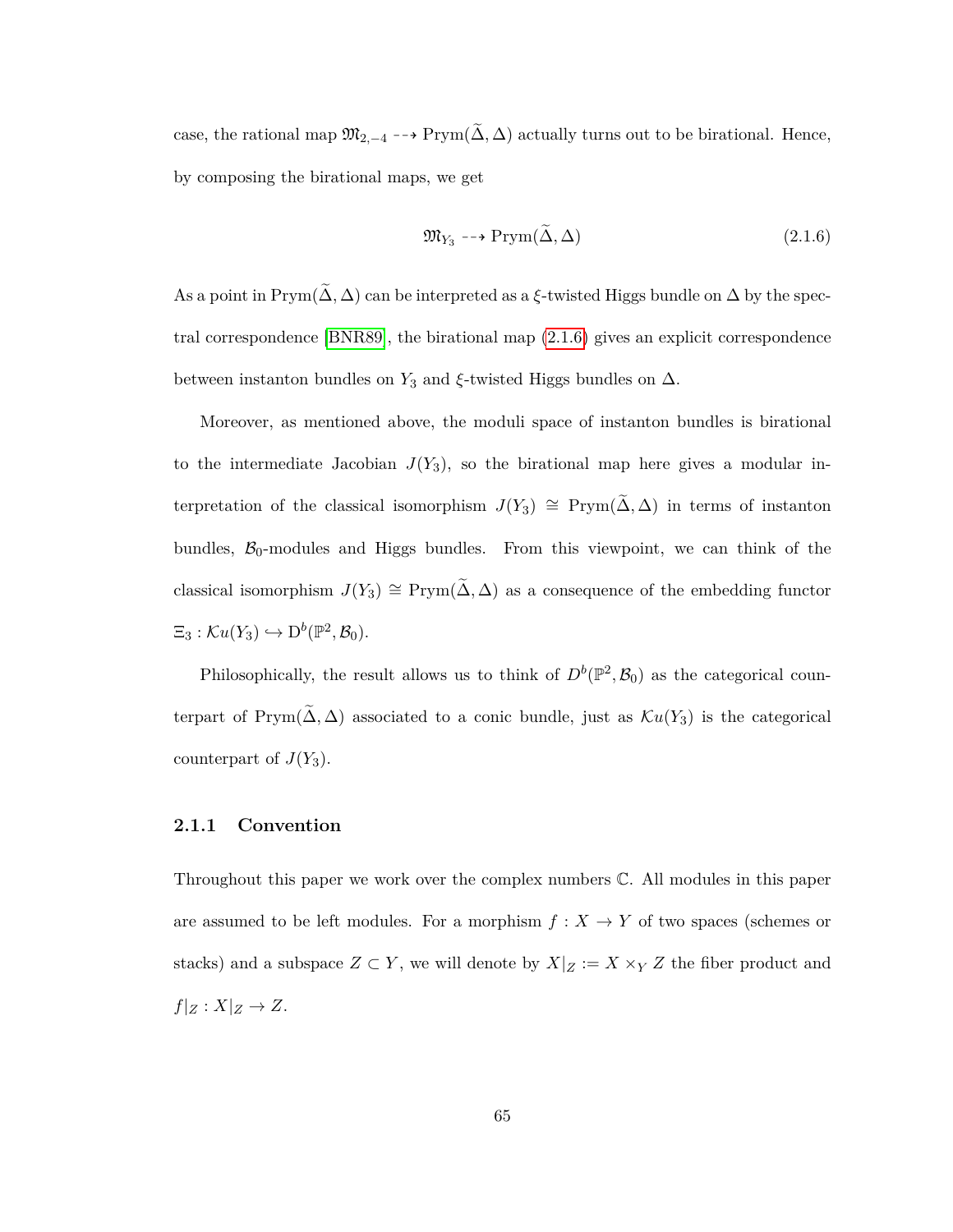case, the rational map  $\mathfrak{M}_{2,-4}$  -→ Prym( $\tilde{\Delta}, \Delta$ ) actually turns out to be birational. Hence, by composing the birational maps, we get

<span id="page-72-0"></span>
$$
\mathfrak{M}_{Y_3} \dashrightarrow \mathrm{Prym}(\tilde{\Delta}, \Delta) \tag{2.1.6}
$$

As a point in Prym( $\tilde{\Delta}$ ,  $\Delta$ ) can be interpreted as a  $\xi$ -twisted Higgs bundle on  $\Delta$  by the spectral correspondence [\[BNR89\]](#page-111-0), the birational map [\(2.1.6\)](#page-72-0) gives an explicit correspondence between instanton bundles on  $Y_3$  and  $\xi$ -twisted Higgs bundles on  $\Delta$ .

Moreover, as mentioned above, the moduli space of instanton bundles is birational to the intermediate Jacobian  $J(Y_3)$ , so the birational map here gives a modular interpretation of the classical isomorphism  $J(Y_3) \cong \text{Prym}(\tilde{\Delta}, \Delta)$  in terms of instanton bundles,  $\mathcal{B}_0$ -modules and Higgs bundles. From this viewpoint, we can think of the classical isomorphism  $J(Y_3) \cong \text{Prym}(\tilde{\Delta}, \Delta)$  as a consequence of the embedding functor  $\Xi_3 : \mathcal{K}u(Y_3) \hookrightarrow D^b(\mathbb{P}^2, \mathcal{B}_0).$ 

Philosophically, the result allows us to think of  $D^b(\mathbb{P}^2, \mathcal{B}_0)$  as the categorical counterpart of Prym( $\Delta, \Delta$ ) associated to a conic bundle, just as  $\mathcal{K}u(Y_3)$  is the categorical counterpart of  $J(Y_3)$ .

# **2.1.1 Convention**

Throughout this paper we work over the complex numbers C. All modules in this paper are assumed to be left modules. For a morphism  $f: X \to Y$  of two spaces (schemes or stacks) and a subspace  $Z \subset Y$ , we will denote by  $X|_Z := X \times_Y Z$  the fiber product and  $f|Z: X|Z \to Z$ .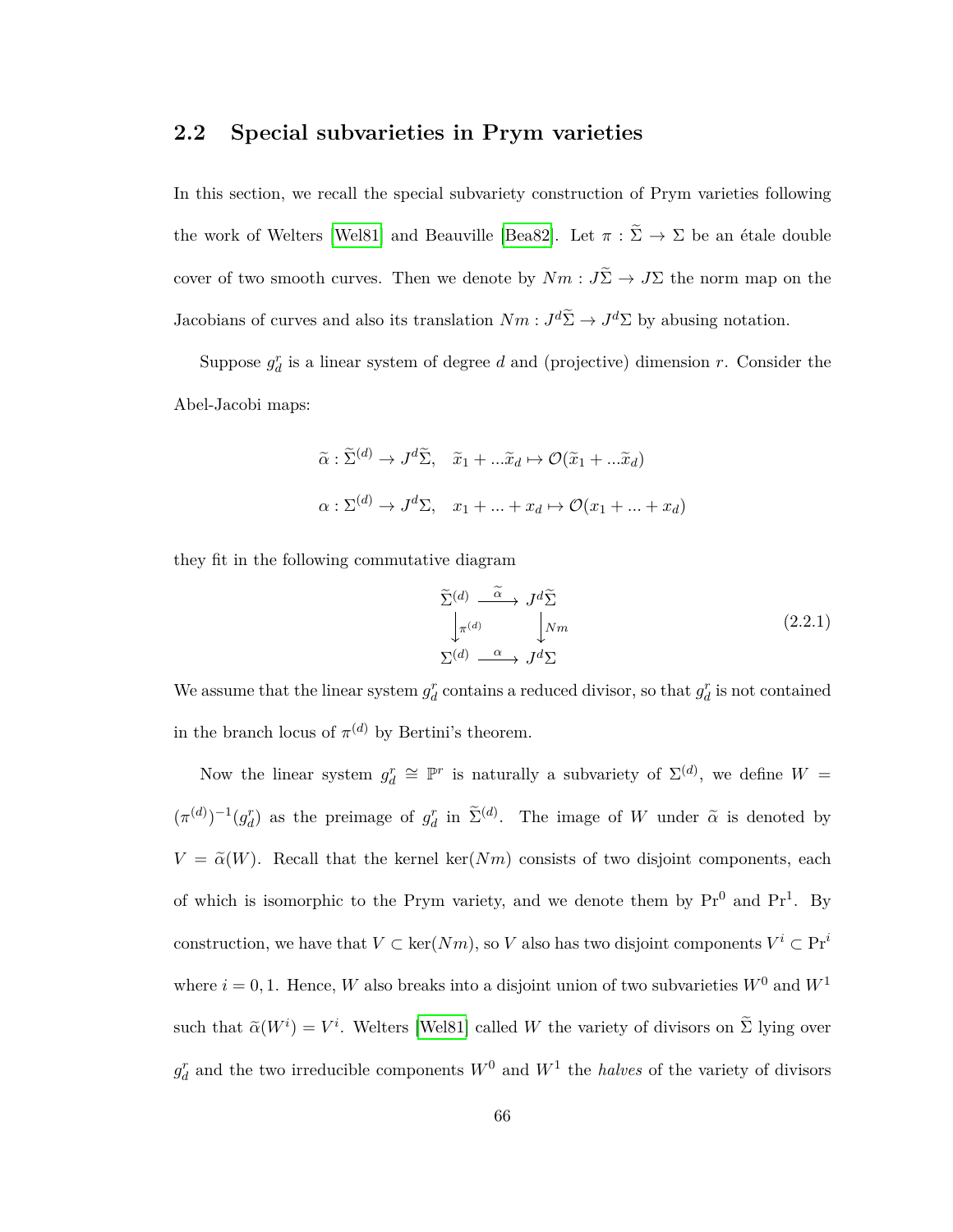# **2.2 Special subvarieties in Prym varieties**

In this section, we recall the special subvariety construction of Prym varieties following the work of Welters [\[Wel81\]](#page-117-0) and Beauville [\[Bea82\]](#page-111-1). Let  $\pi : \widetilde{\Sigma} \to \Sigma$  be an étale double cover of two smooth curves. Then we denote by  $Nm: J\tilde{\Sigma} \to J\Sigma$  the norm map on the Jacobians of curves and also its translation  $Nm: J^d\tilde{\Sigma} \to J^d\Sigma$  by abusing notation.

Suppose  $g_d^r$  is a linear system of degree *d* and (projective) dimension *r*. Consider the Abel-Jacobi maps:

$$
\widetilde{\alpha}: \widetilde{\Sigma}^{(d)} \to J^d \widetilde{\Sigma}, \quad \widetilde{x}_1 + \dots \widetilde{x}_d \mapsto \mathcal{O}(\widetilde{x}_1 + \dots \widetilde{x}_d)
$$

$$
\alpha: \Sigma^{(d)} \to J^d \Sigma, \quad x_1 + \dots + x_d \mapsto \mathcal{O}(x_1 + \dots + x_d)
$$

they fit in the following commutative diagram

$$
\tilde{\Sigma}^{(d)} \xrightarrow{\tilde{\alpha}} J^d \tilde{\Sigma}
$$
\n
$$
\downarrow_{\pi^{(d)}} \qquad \qquad J^m
$$
\n
$$
\Sigma^{(d)} \xrightarrow{\alpha} J^d \Sigma
$$
\n(2.2.1)

We assume that the linear system  $g_d^r$  contains a reduced divisor, so that  $g_d^r$  is not contained in the branch locus of  $\pi^{(d)}$  by Bertini's theorem.

Now the linear system  $g_d^r \cong \mathbb{P}^r$  is naturally a subvariety of  $\Sigma^{(d)}$ , we define  $W =$  $(\pi^{(d)})^{-1}(g_d^r)$  as the preimage of  $g_d^r$  in  $\tilde{\Sigma}^{(d)}$ . The image of *W* under  $\tilde{\alpha}$  is denoted by  $V = \tilde{\alpha}(W)$ . Recall that the kernel ker(*Nm*) consists of two disjoint components, each of which is isomorphic to the Prym variety, and we denote them by  $Pr^0$  and  $Pr^1$ . By construction, we have that  $V \subset \text{ker}(Nm)$ , so *V* also has two disjoint components  $V^i \subset \text{Pr}^i$ where  $i = 0, 1$ . Hence, *W* also breaks into a disjoint union of two subvarieties  $W^0$  and  $W^1$ such that  $\tilde{\alpha}(W^i) = V^i$ . Welters [\[Wel81\]](#page-117-0) called *W* the variety of divisors on  $\tilde{\Sigma}$  lying over  $g_d^r$  and the two irreducible components  $W^0$  and  $W^1$  the *halves* of the variety of divisors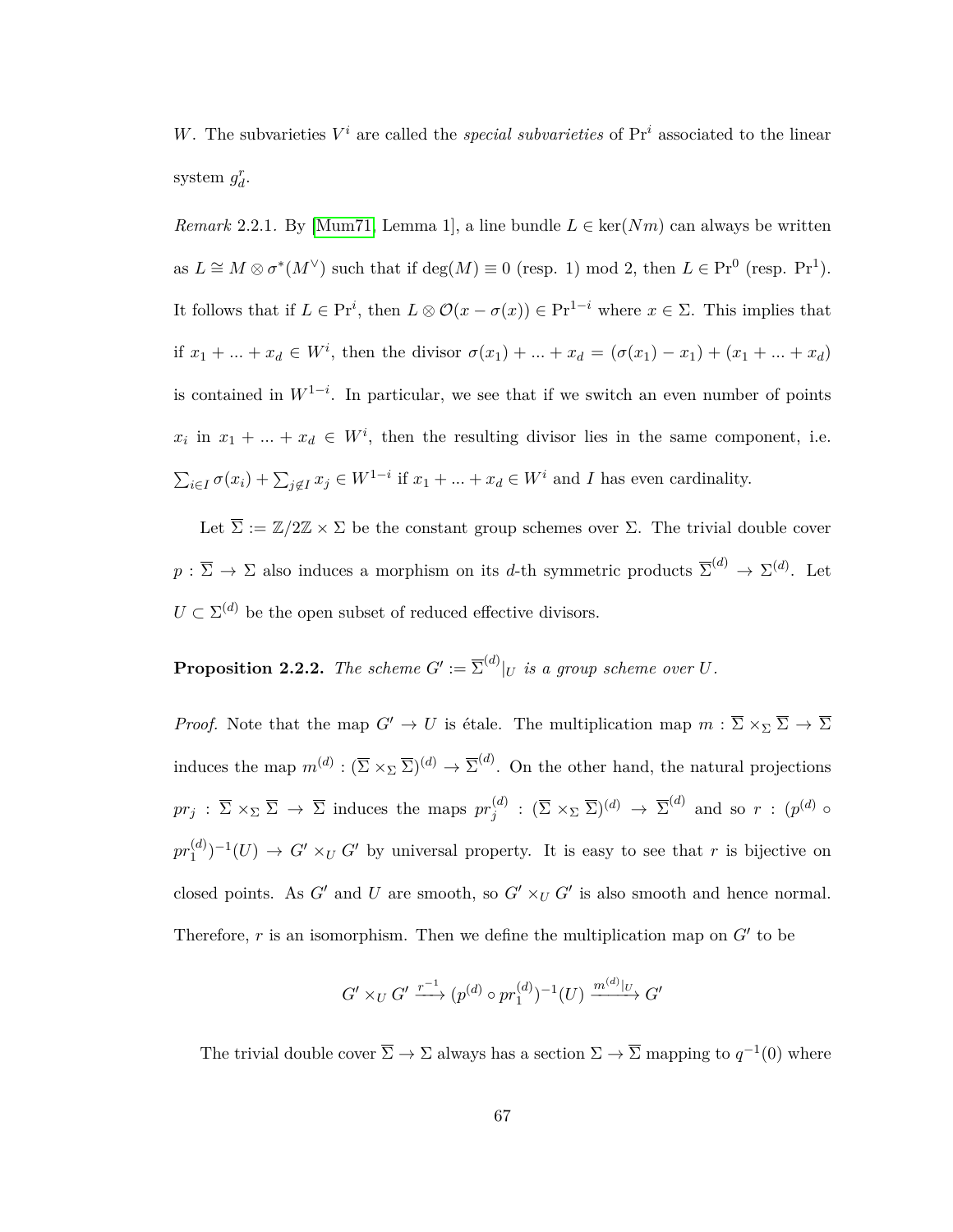*W*. The subvarieties  $V^i$  are called the *special subvarieties* of  $Pr^i$  associated to the linear system  $g_d^r$ .

<span id="page-74-1"></span>*Remark* 2.2.1. By [\[Mum71,](#page-116-0) Lemma 1], a line bundle  $L \in \text{ker}(Nm)$  can always be written as  $L \cong M \otimes \sigma^*(M^{\vee})$  such that if  $\deg(M) \equiv 0$  (resp. 1) mod 2, then  $L \in \text{Pr}^0$  (resp.  $\text{Pr}^1$ ). It follows that if  $L \in \text{Pr}^i$ , then  $L \otimes \mathcal{O}(x - \sigma(x)) \in \text{Pr}^{1-i}$  where  $x \in \Sigma$ . This implies that if  $x_1 + ... + x_d \in W^i$ , then the divisor  $\sigma(x_1) + ... + x_d = (\sigma(x_1) - x_1) + (x_1 + ... + x_d)$ is contained in  $W^{1-i}$ . In particular, we see that if we switch an even number of points  $x_i$  in  $x_1 + \ldots + x_d \in W^i$ , then the resulting divisor lies in the same component, i.e.  $\sum_{i \in I} \sigma(x_i) + \sum_{j \notin I} x_j \in W^{1-i}$  if  $x_1 + \ldots + x_d \in W^i$  and *I* has even cardinality.

Let  $\overline{\Sigma} := \mathbb{Z}/2\mathbb{Z} \times \Sigma$  be the constant group schemes over  $\Sigma$ . The trivial double cover  $p: \overline{\Sigma} \to \Sigma$  also induces a morphism on its *d*-th symmetric products  $\overline{\Sigma}^{(d)} \to \Sigma^{(d)}$ . Let  $U \subset \Sigma^{(d)}$  be the open subset of reduced effective divisors.

<span id="page-74-0"></span>**Proposition 2.2.2.** *The scheme*  $G' := \overline{\Sigma}^{(d)}|_U$  *is a group scheme over*  $U$ *.* 

*Proof.* Note that the map  $G' \to U$  is étale. The multiplication map  $m : \overline{\Sigma} \times_{\Sigma} \overline{\Sigma} \to \overline{\Sigma}$ induces the map  $m^{(d)} : (\overline{\Sigma} \times_{\Sigma} \overline{\Sigma})^{(d)} \to \overline{\Sigma}^{(d)}$ . On the other hand, the natural projections  $pr_j$  :  $\overline{\Sigma} \times_{\Sigma} \overline{\Sigma} \rightarrow \overline{\Sigma}$  induces the maps  $pr_j^{(d)}$  $j^{(d)}$  :  $(\overline{\Sigma} \times_{\Sigma} \overline{\Sigma})^{(d)} \rightarrow \overline{\Sigma}^{(d)}$  and so  $r$  :  $(p^{(d)} \circ$  $pr_1^{(d)}$  $\binom{d}{1}$  $\neg$ <sup>1</sup> $(U)$   $\rightarrow$  *G'*  $\times_U$  *G'* by universal property. It is easy to see that *r* is bijective on closed points. As  $G'$  and  $U$  are smooth, so  $G' \times_U G'$  is also smooth and hence normal. Therefore,  $r$  is an isomorphism. Then we define the multiplication map on  $G'$  to be

$$
G'\times_U G'\xrightarrow{r^{-1}} (p^{(d)}\circ pr_1^{(d)})^{-1}(U)\xrightarrow{m^{(d)}|_U} G'
$$

The trivial double cover  $\overline{\Sigma} \to \Sigma$  always has a section  $\Sigma \to \overline{\Sigma}$  mapping to  $q^{-1}(0)$  where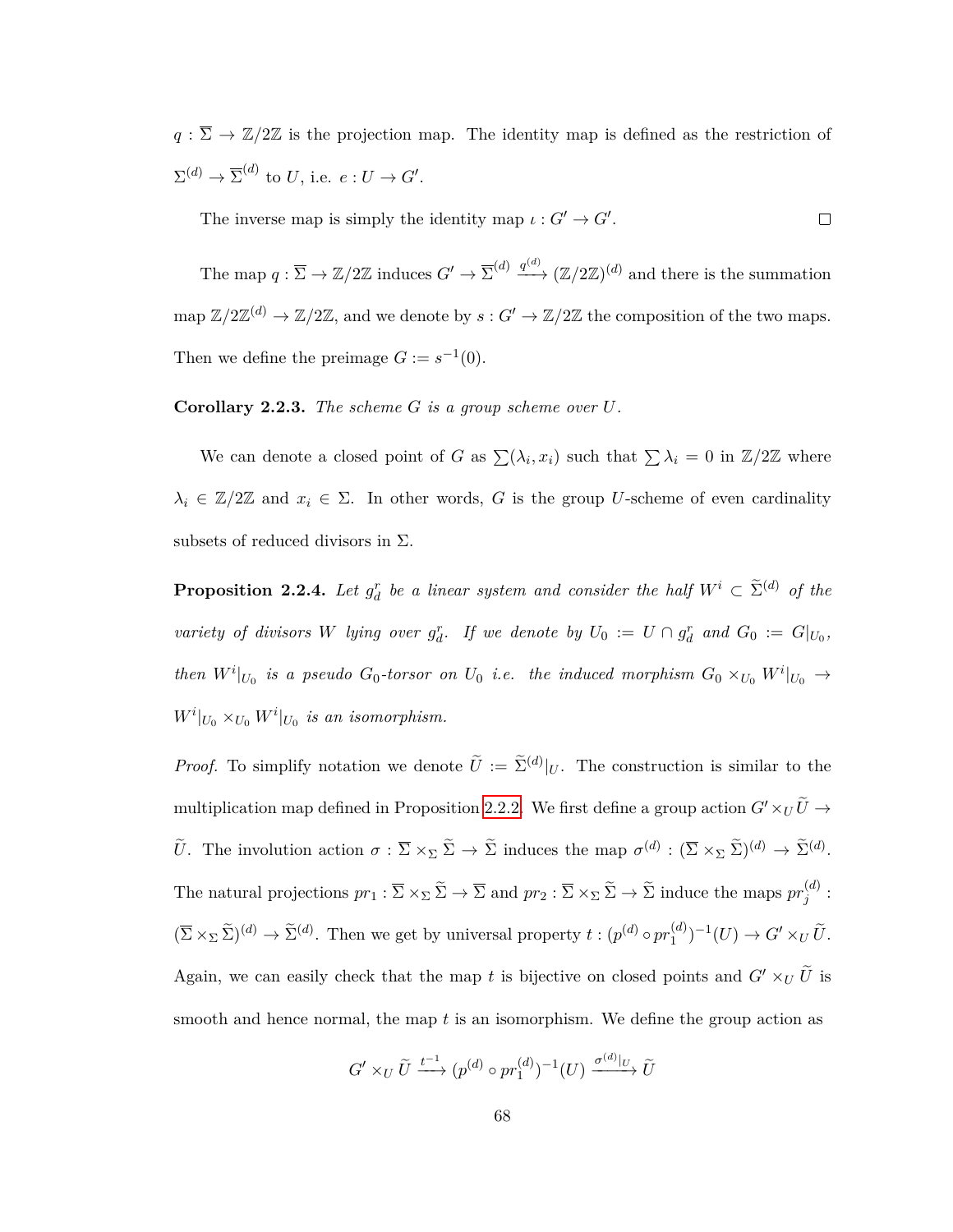$q: \overline{\Sigma} \to \mathbb{Z}/2\mathbb{Z}$  is the projection map. The identity map is defined as the restriction of  $\Sigma^{(d)} \to \overline{\Sigma}^{(d)}$  to *U*, i.e.  $e: U \to G'$ .

The inverse map is simply the identity map  $\iota : G' \to G'$ .  $\Box$ 

The map  $q: \overline{\Sigma} \to \mathbb{Z}/2\mathbb{Z}$  induces  $G' \to \overline{\Sigma}^{(d)} \xrightarrow{q^{(d)}} (\mathbb{Z}/2\mathbb{Z})^{(d)}$  and there is the summation map  $\mathbb{Z}/2\mathbb{Z}^{(d)} \to \mathbb{Z}/2\mathbb{Z}$ , and we denote by  $s: G' \to \mathbb{Z}/2\mathbb{Z}$  the composition of the two maps. Then we define the preimage  $G := s^{-1}(0)$ .

**Corollary 2.2.3.** *The scheme G is a group scheme over U.*

We can denote a closed point of *G* as  $\sum(\lambda_i, x_i)$  such that  $\sum \lambda_i = 0$  in  $\mathbb{Z}/2\mathbb{Z}$  where  $\lambda_i \in \mathbb{Z}/2\mathbb{Z}$  and  $x_i \in \Sigma$ . In other words, *G* is the group *U*-scheme of even cardinality subsets of reduced divisors in  $\Sigma$ .

**Proposition 2.2.4.** Let  $g_d^r$  be a linear system and consider the half  $W^i \subset \tilde{\Sigma}^{(d)}$  of the *variety of divisors W lying over*  $g_d^r$ . *If we denote by*  $U_0 := U \cap g_d^r$  *and*  $G_0 := G|_{U_0}$ , *then*  $W^i|_{U_0}$  *is a pseudo*  $G_0$ -torsor on  $U_0$  *i.e. the induced morphism*  $G_0 \times_{U_0} W^i|_{U_0} \to$  $W^i|_{U_0} \times_{U_0} W^i|_{U_0}$  *is an isomorphism.* 

*Proof.* To simplify notation we denote  $\tilde{U} := \tilde{\Sigma}^{(d)}|_{U}$ . The construction is similar to the multiplication map defined in Proposition [2.2.2.](#page-74-0) We first define a group action  $G' \times_U \widetilde{U} \to$ *U*. The involution action  $\sigma : \overline{\Sigma} \times_{\Sigma} \widetilde{\Sigma} \to \widetilde{\Sigma}$  induces the map  $\sigma^{(d)} : (\overline{\Sigma} \times_{\Sigma} \widetilde{\Sigma})^{(d)} \to \widetilde{\Sigma}^{(d)}$ . The natural projections  $pr_1 : \overline{\Sigma} \times_{\Sigma} \widetilde{\Sigma} \to \overline{\Sigma}$  and  $pr_2 : \overline{\Sigma} \times_{\Sigma} \widetilde{\Sigma} \to \widetilde{\Sigma}$  induce the maps  $pr_j^{(d)}$  $\stackrel{(a)}{j}$  :  $(\overline{\Sigma} \times_{\Sigma} \widetilde{\Sigma})^{(d)} \to \widetilde{\Sigma}^{(d)}$ . Then we get by universal property  $t : (p^{(d)} \circ pr_1^{(d)}$  $j_1^{(d)}$  $j^{-1}(U) \to G' \times_U \tilde{U}.$ Again, we can easily check that the map *t* is bijective on closed points and  $G' \times_U U$  is smooth and hence normal, the map *t* is an isomorphism. We define the group action as

$$
G' \times_U \widetilde{U} \xrightarrow{t^{-1}} (p^{(d)} \circ pr_1^{(d)})^{-1}(U) \xrightarrow{\sigma^{(d)}|_U} \widetilde{U}
$$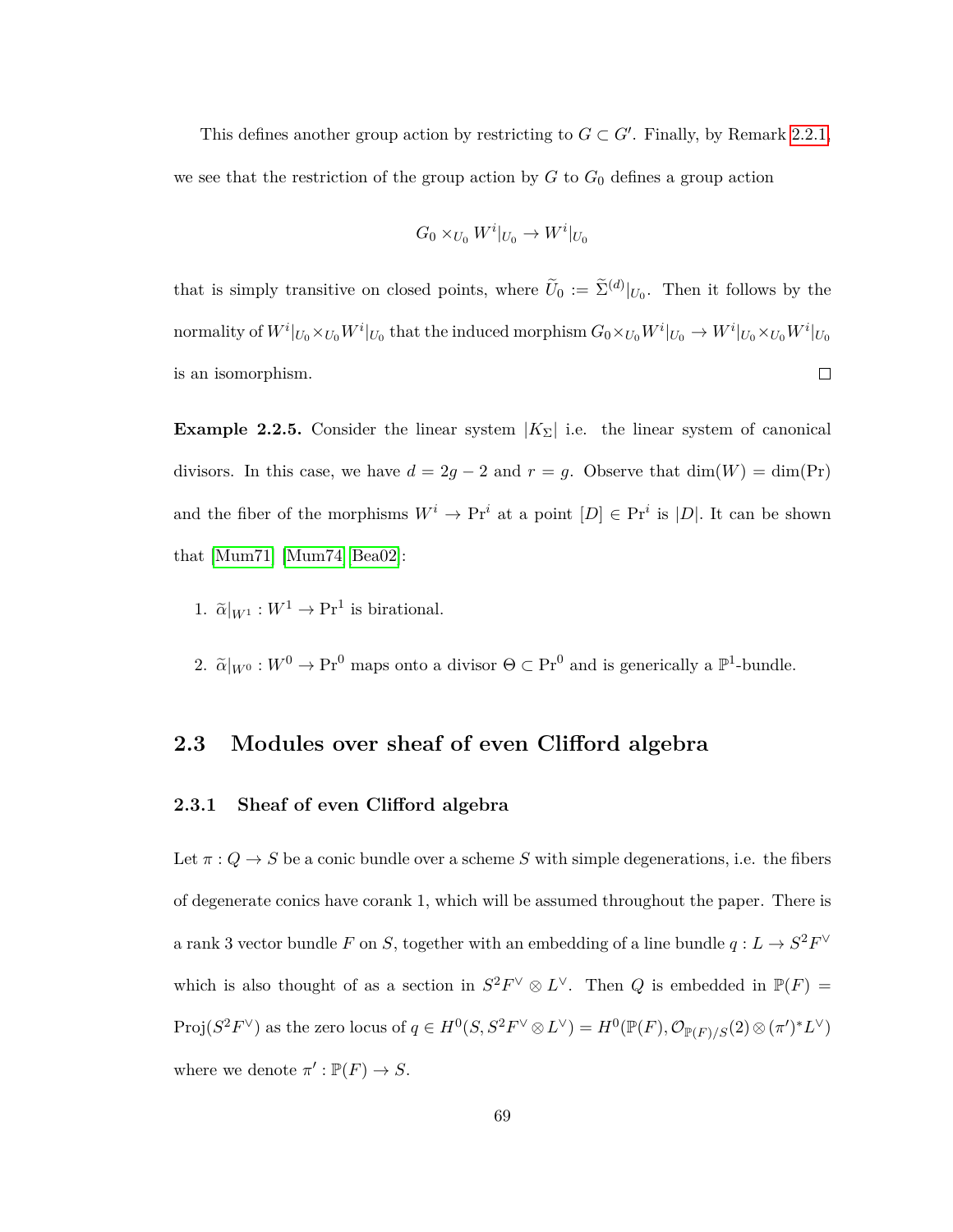This defines another group action by restricting to  $G \subset G'$ . Finally, by Remark [2.2.1,](#page-74-1) we see that the restriction of the group action by  $G$  to  $G_0$  defines a group action

$$
G_0 \times_{U_0} W^i|_{U_0} \to W^i|_{U_0}
$$

that is simply transitive on closed points, where  $\tilde{U}_0 := \tilde{\Sigma}^{(d)}|_{U_0}$ . Then it follows by the  $\int_{U_0}^{\infty}$  *W*  $\int_{U_0}^{\infty}$  *W*  $\int_{U_0}^{\infty}$  that the induced morphism  $G_0 \times_{U_0} W^i|_{U_0} \to W^i|_{U_0} \times_{U_0} W^i|_{U_0}$ is an isomorphism.  $\Box$ 

<span id="page-76-0"></span>**Example 2.2.5.** Consider the linear system  $|K_{\Sigma}|$  i.e. the linear system of canonical divisors. In this case, we have  $d = 2g - 2$  and  $r = g$ . Observe that  $\dim(W) = \dim(\Pr)$ and the fiber of the morphisms  $W^i \to \text{Pr}^i$  at a point  $[D] \in \text{Pr}^i$  is  $[D]$ . It can be shown that [\[Mum71\]](#page-116-0) [\[Mum74\]](#page-116-1)[\[Bea02\]](#page-111-2):

- 1.  $\tilde{\alpha}|_{W^1}: W^1 \to \mathrm{Pr}^1$  is birational.
- 2.  $\tilde{\alpha}|_{W^0}: W^0 \to \text{Pr}^0$  maps onto a divisor  $\Theta \subset \text{Pr}^0$  and is generically a  $\mathbb{P}^1$ -bundle.

# **2.3 Modules over sheaf of even Clifford algebra**

## **2.3.1 Sheaf of even Clifford algebra**

Let  $\pi: Q \to S$  be a conic bundle over a scheme S with simple degenerations, i.e. the fibers of degenerate conics have corank 1, which will be assumed throughout the paper. There is a rank 3 vector bundle *F* on *S*, together with an embedding of a line bundle  $q: L \to S^2 F^{\vee}$ which is also thought of as a section in  $S^2F^{\vee} \otimes L^{\vee}$ . Then *Q* is embedded in  $\mathbb{P}(F) =$  $Proj(S^2F^{\vee})$  as the zero locus of  $q \in H^0(S, S^2F^{\vee} \otimes L^{\vee}) = H^0(\mathbb{P}(F), \mathcal{O}_{\mathbb{P}(F)/S}(2) \otimes (\pi')^*L^{\vee})$ where we denote  $\pi': \mathbb{P}(F) \to S$ .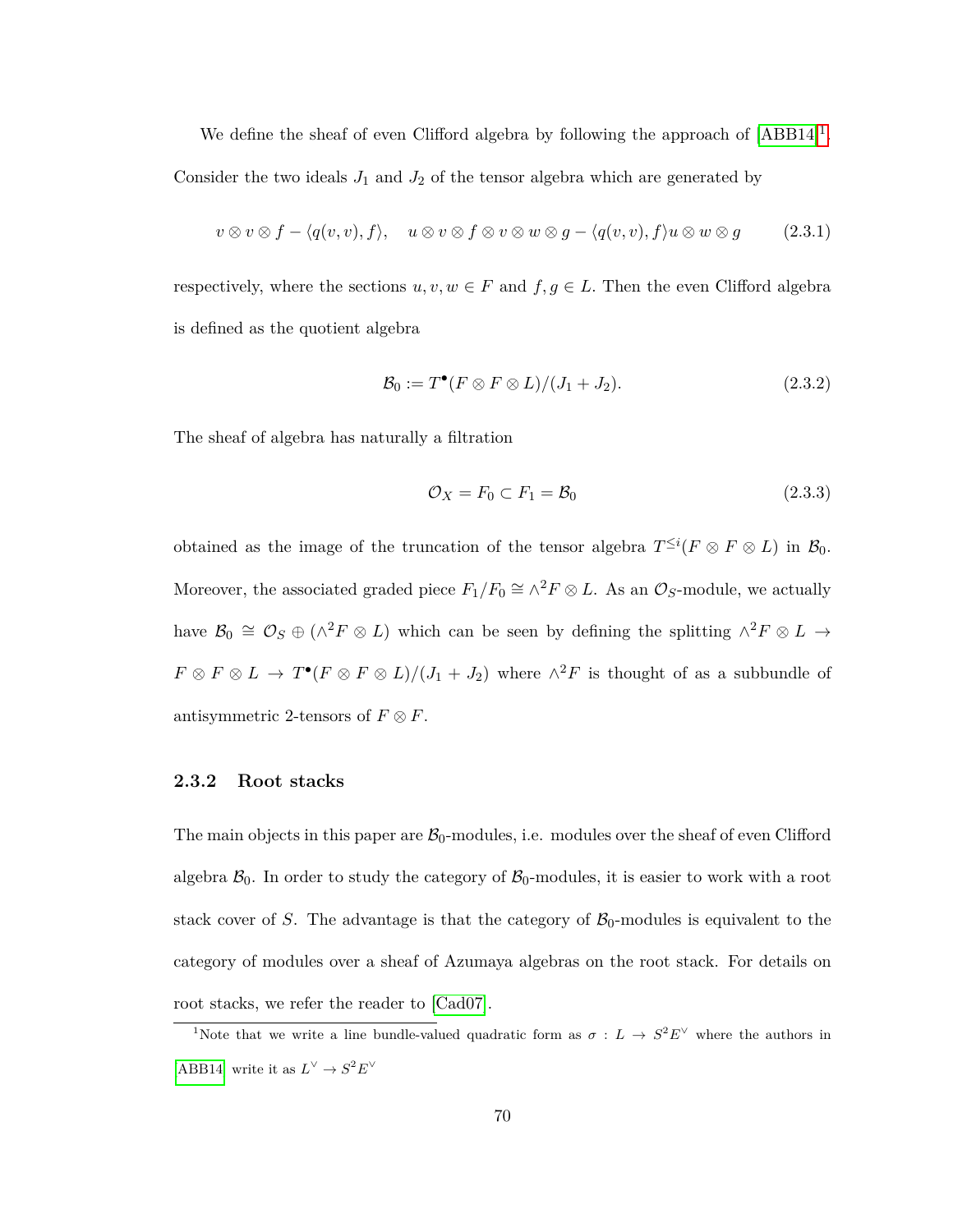We define the sheaf of even Clifford algebra by following the approach of  $[ABB14]$  $[ABB14]$  $[ABB14]$ <sup>1</sup>. Consider the two ideals  $J_1$  and  $J_2$  of the tensor algebra which are generated by

$$
v \otimes v \otimes f - \langle q(v,v), f \rangle, \quad u \otimes v \otimes f \otimes v \otimes w \otimes g - \langle q(v,v), f \rangle u \otimes w \otimes g \qquad (2.3.1)
$$

respectively, where the sections  $u, v, w \in F$  and  $f, g \in L$ . Then the even Clifford algebra is defined as the quotient algebra

$$
\mathcal{B}_0 := T^{\bullet}(F \otimes F \otimes L)/(J_1 + J_2). \tag{2.3.2}
$$

The sheaf of algebra has naturally a filtration

$$
\mathcal{O}_X = F_0 \subset F_1 = \mathcal{B}_0 \tag{2.3.3}
$$

obtained as the image of the truncation of the tensor algebra  $T^{\leq i}(F \otimes F \otimes L)$  in  $\mathcal{B}_0$ . Moreover, the associated graded piece  $F_1/F_0 \cong \wedge^2 F \otimes L$ . As an  $\mathcal{O}_S$ -module, we actually have  $\mathcal{B}_0 \cong \mathcal{O}_S \oplus (\wedge^2 F \otimes L)$  which can be seen by defining the splitting  $\wedge^2 F \otimes L \to$  $F \otimes F \otimes L \to T^{\bullet}(F \otimes F \otimes L)/(J_1 + J_2)$  where  $\wedge^2 F$  is thought of as a subbundle of antisymmetric 2-tensors of  $F \otimes F$ .

# **2.3.2 Root stacks**

The main objects in this paper are  $\mathcal{B}_0$ -modules, i.e. modules over the sheaf of even Clifford algebra  $\mathcal{B}_0$ . In order to study the category of  $\mathcal{B}_0$ -modules, it is easier to work with a root stack cover of *S*. The advantage is that the category of  $B_0$ -modules is equivalent to the category of modules over a sheaf of Azumaya algebras on the root stack. For details on root stacks, we refer the reader to [\[Cad07\]](#page-112-0).

<span id="page-77-0"></span><sup>&</sup>lt;sup>1</sup>Note that we write a line bundle-valued quadratic form as  $\sigma : L \to S^2E^{\vee}$  where the authors in [\[ABB14\]](#page-110-0) write it as  $L^{\vee} \to S^2 E^{\vee}$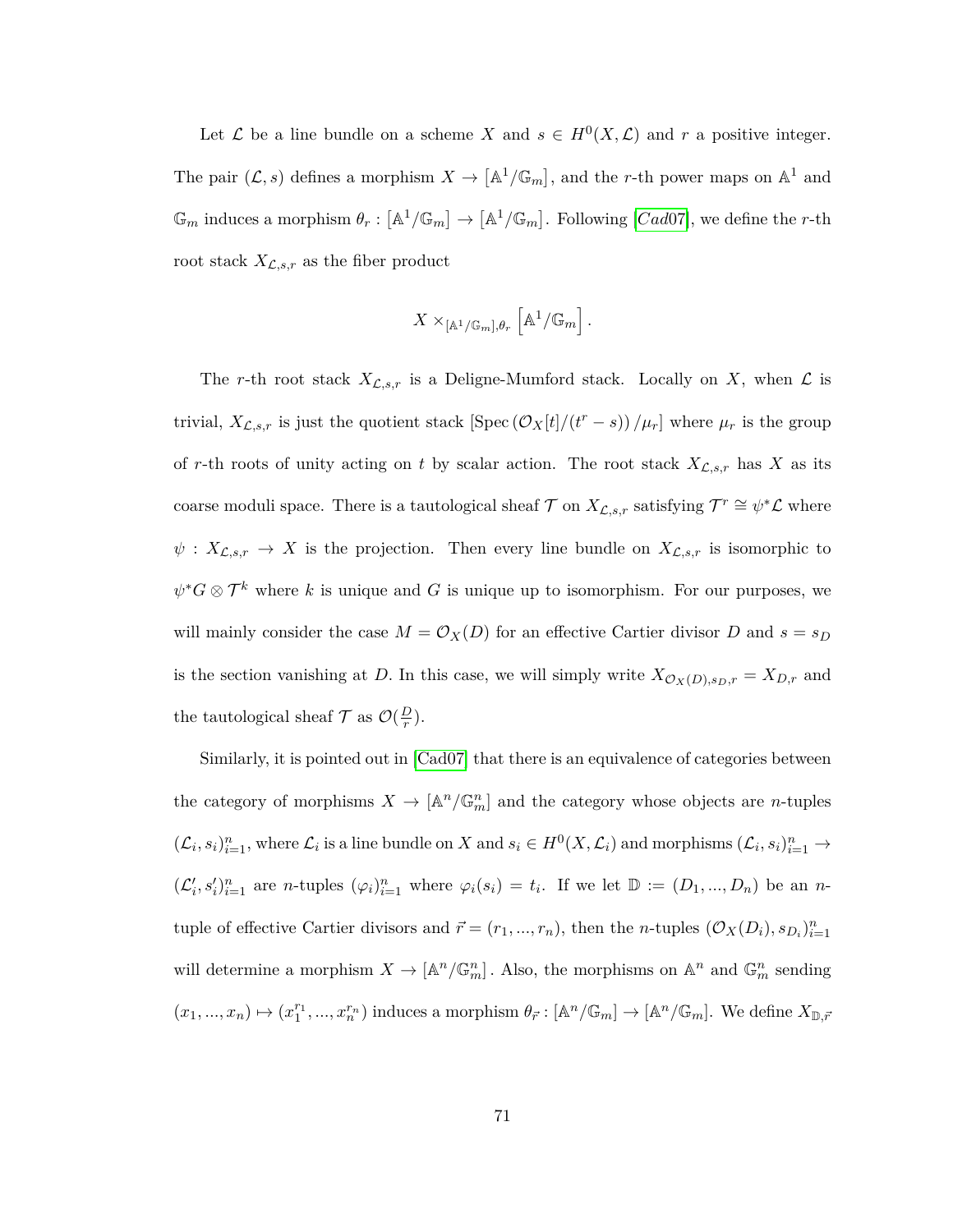Let  $\mathcal L$  be a line bundle on a scheme *X* and  $s \in H^0(X, \mathcal L)$  and *r* a positive integer. The pair  $(L, s)$  defines a morphism  $X \to [\mathbb{A}^1/\mathbb{G}_m]$ , and the *r*-th power maps on  $\mathbb{A}^1$  and  $\mathbb{G}_m$  induces a morphism  $\theta_r : [\mathbb{A}^1/\mathbb{G}_m] \to [\mathbb{A}^1/\mathbb{G}_m]$ . Following [*[Cad](#page-112-0)*07], we define the *r*-th root stack  $X_{\mathcal{L},s,r}$  as the fiber product

$$
X \times_{[\mathbb{A}^1/\mathbb{G}_m], \theta_r} \left[\mathbb{A}^1/\mathbb{G}_m\right].
$$

The *r*-th root stack  $X_{\mathcal{L},s,r}$  is a Deligne-Mumford stack. Locally on *X*, when  $\mathcal{L}$  is trivial,  $X_{\mathcal{L},s,r}$  is just the quotient stack  $[\text{Spec}(\mathcal{O}_X[t]/(t^r-s))/\mu_r]$  where  $\mu_r$  is the group of *r*-th roots of unity acting on *t* by scalar action. The root stack  $X_{\mathcal{L},s,r}$  has *X* as its coarse moduli space. There is a tautological sheaf  $\mathcal T$  on  $X_{\mathcal L,s,r}$  satisfying  $\mathcal T^r \cong \psi^*\mathcal L$  where  $\psi: X_{\mathcal{L},s,r} \to X$  is the projection. Then every line bundle on  $X_{\mathcal{L},s,r}$  is isomorphic to  $\psi^*G \otimes \mathcal{T}^k$  where *k* is unique and *G* is unique up to isomorphism. For our purposes, we will mainly consider the case  $M = \mathcal{O}_X(D)$  for an effective Cartier divisor *D* and  $s = s_D$ is the section vanishing at *D*. In this case, we will simply write  $X_{\mathcal{O}_X(D),s_D,r} = X_{D,r}$  and the tautological sheaf  $\mathcal T$  as  $\mathcal O(\frac{D}{r})$  $(\frac{D}{r})$ .

Similarly, it is pointed out in [\[Cad07\]](#page-112-0) that there is an equivalence of categories between the category of morphisms  $X \to [\mathbb{A}^n/\mathbb{G}_m^n]$  and the category whose objects are *n*-tuples  $(\mathcal{L}_i, s_i)_{i=1}^n$ , where  $\mathcal{L}_i$  is a line bundle on *X* and  $s_i \in H^0(X, \mathcal{L}_i)$  and morphisms  $(\mathcal{L}_i, s_i)_{i=1}^n \to$  $(\mathcal{L}'_i,s'_i)_{i=1}^n$  are *n*-tuples  $(\varphi_i)_{i=1}^n$  where  $\varphi_i(s_i) = t_i$ . If we let  $\mathbb{D} := (D_1,...,D_n)$  be an *n*tuple of effective Cartier divisors and  $\vec{r} = (r_1, ..., r_n)$ , then the *n*-tuples  $(\mathcal{O}_X(D_i), s_{D_i})_{i=1}^n$ will determine a morphism  $X \to [\mathbb{A}^n/\mathbb{G}_m^n]$ . Also, the morphisms on  $\mathbb{A}^n$  and  $\mathbb{G}_m^n$  sending  $(x_1, ..., x_n) \mapsto (x_1^{r_1}, ..., x_n^{r_n})$  induces a morphism  $\theta_{\vec{r}} : [\mathbb{A}^n/\mathbb{G}_m] \to [\mathbb{A}^n/\mathbb{G}_m]$ . We define  $X_{\mathbb{D}, \vec{r}}$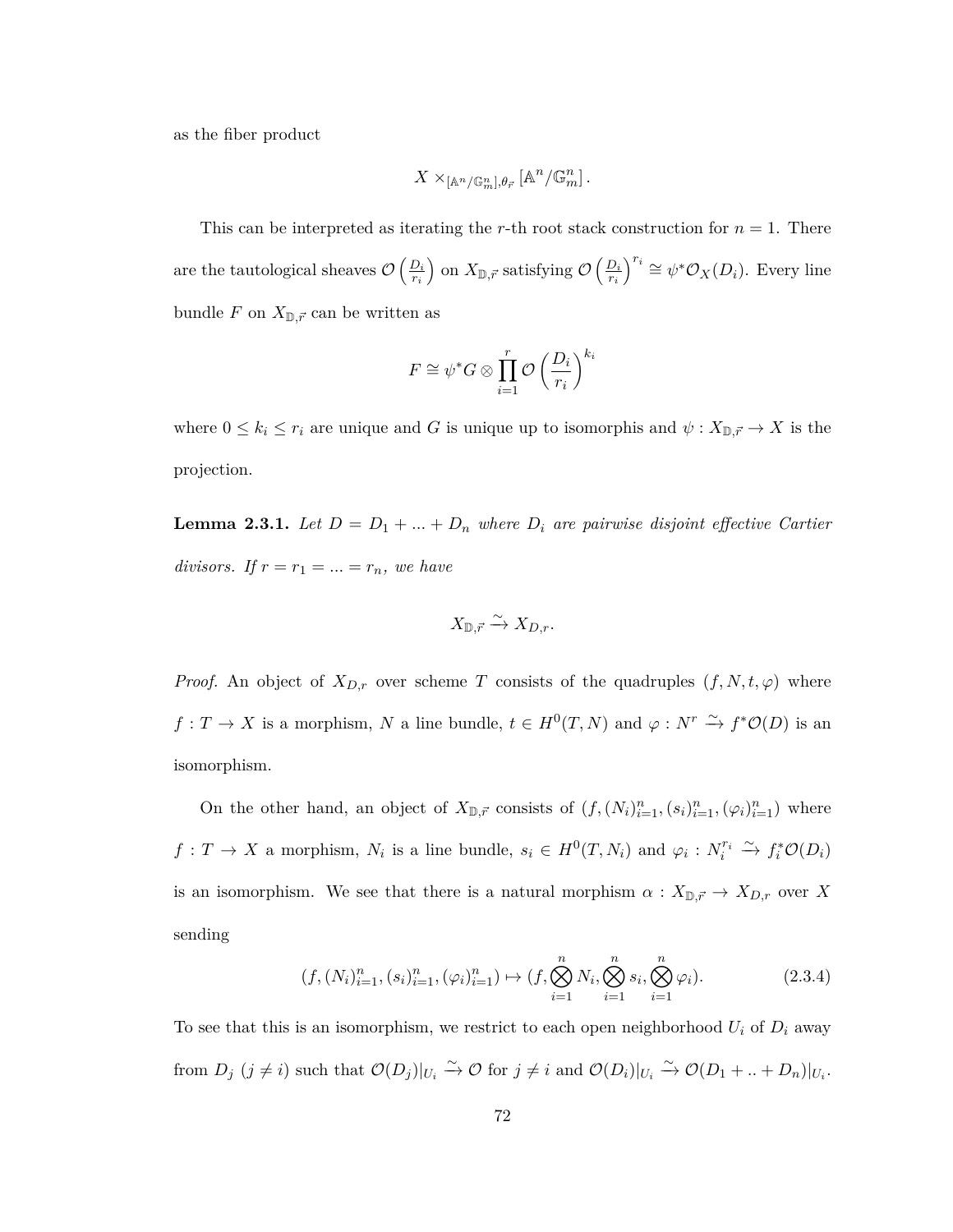as the fiber product

$$
X \times_{[\mathbb{A}^n/\mathbb{G}_m^n], \theta_{\vec{r}}} [\mathbb{A}^n/\mathbb{G}_m^n].
$$

This can be interpreted as iterating the *r*-th root stack construction for  $n = 1$ . There are the tautological sheaves  $\mathcal{O}\left(\frac{D_i}{T}\right)$ *ri*  $\int$  on  $X_{\mathbb{D},\vec{r}}$  satisfying  $\mathcal{O}\left(\frac{D_i}{r_i}\right)$ *ri*  $\int^{r_i} \cong \psi^* \mathcal{O}_X(D_i)$ . Every line bundle *F* on  $X_{\mathbb{D}, \vec{r}}$  can be written as

$$
F \cong \psi^* G \otimes \prod_{i=1}^r \mathcal{O}\left(\frac{D_i}{r_i}\right)^{k_i}
$$

where  $0 \leq k_i \leq r_i$  are unique and *G* is unique up to isomorphis and  $\psi: X_{\mathbb{D}, \vec{r}} \to X$  is the projection.

<span id="page-79-1"></span>**Lemma 2.3.1.** Let  $D = D_1 + ... + D_n$  where  $D_i$  are pairwise disjoint effective Cartier *divisors.* If  $r = r_1 = \ldots = r_n$ *, we have* 

$$
X_{\mathbb{D},\vec{r}} \xrightarrow{\sim} X_{D,r}.
$$

*Proof.* An object of  $X_{D,r}$  over scheme *T* consists of the quadruples  $(f, N, t, \varphi)$  where  $f: T \to X$  is a morphism, *N* a line bundle,  $t \in H^0(T, N)$  and  $\varphi: N^r \xrightarrow{\sim} f^* \mathcal{O}(D)$  is an isomorphism.

On the other hand, an object of  $X_{\mathbb{D}, \vec{r}}$  consists of  $(f, (N_i)_{i=1}^n, (s_i)_{i=1}^n, (\varphi_i)_{i=1}^n)$  where  $f: T \to X$  a morphism,  $N_i$  is a line bundle,  $s_i \in H^0(T, N_i)$  and  $\varphi_i: N_i^{r_i} \xrightarrow{\sim} f_i^* \mathcal{O}(D_i)$ is an isomorphism. We see that there is a natural morphism  $\alpha: X_{\mathbb{D}, \vec{r}} \to X_{D,r}$  over X sending

<span id="page-79-0"></span>
$$
(f, (N_i)_{i=1}^n, (s_i)_{i=1}^n, (\varphi_i)_{i=1}^n) \mapsto (f, \bigotimes_{i=1}^n N_i, \bigotimes_{i=1}^n s_i, \bigotimes_{i=1}^n \varphi_i).
$$
 (2.3.4)

To see that this is an isomorphism, we restrict to each open neighborhood  $U_i$  of  $D_i$  away from  $D_j$   $(j \neq i)$  such that  $\mathcal{O}(D_j)|_{U_i} \xrightarrow{\sim} \mathcal{O}$  for  $j \neq i$  and  $\mathcal{O}(D_i)|_{U_i} \xrightarrow{\sim} \mathcal{O}(D_1 + ... + D_n)|_{U_i}$ .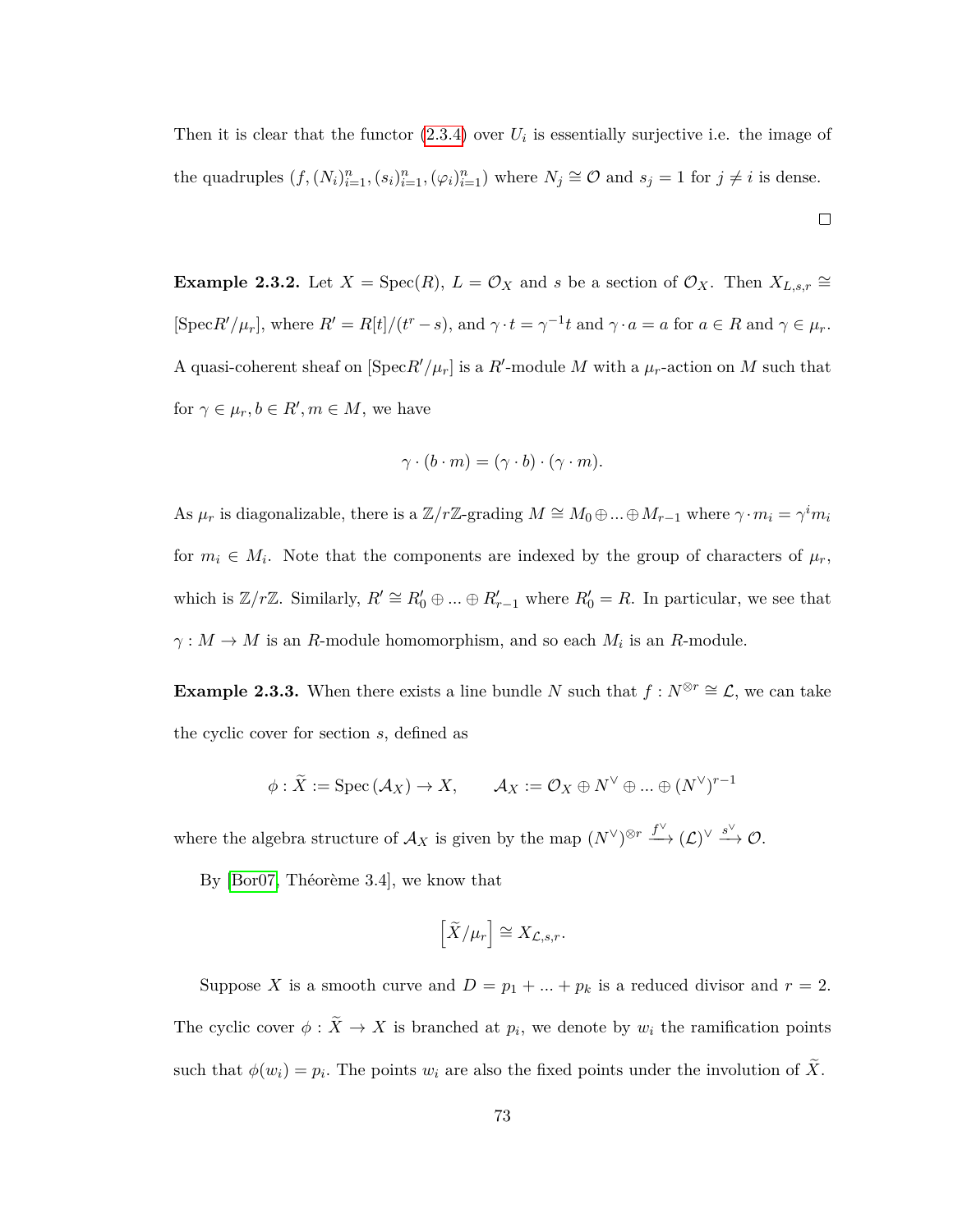Then it is clear that the functor  $(2.3.4)$  over  $U_i$  is essentially surjective i.e. the image of the quadruples  $(f, (N_i)_{i=1}^n, (s_i)_{i=1}^n, (\varphi_i)_{i=1}^n)$  where  $N_j \cong \mathcal{O}$  and  $s_j = 1$  for  $j \neq i$  is dense.

 $\Box$ 

**Example 2.3.2.** Let *X* = Spec(*R*), *L* =  $\mathcal{O}_X$  and *s* be a section of  $\mathcal{O}_X$ . Then  $X_{L,s,r} \cong$ [SpecR'/ $\mu_r$ ], where  $R' = R[t]/(t^r - s)$ , and  $\gamma \cdot t = \gamma^{-1}t$  and  $\gamma \cdot a = a$  for  $a \in R$  and  $\gamma \in \mu_r$ . A quasi-coherent sheaf on  $[\text{Spec}R'/\mu_r]$  is a  $R'$ -module M with a  $\mu_r$ -action on M such that for  $\gamma \in \mu_r, b \in R', m \in M$ , we have

$$
\gamma \cdot (b \cdot m) = (\gamma \cdot b) \cdot (\gamma \cdot m).
$$

As  $\mu_r$  is diagonalizable, there is a  $\mathbb{Z}/r\mathbb{Z}$ -grading  $M \cong M_0 \oplus ... \oplus M_{r-1}$  where  $\gamma \cdot m_i = \gamma^i m_i$ for  $m_i \in M_i$ . Note that the components are indexed by the group of characters of  $\mu_r$ , which is  $\mathbb{Z}/r\mathbb{Z}$ . Similarly,  $R' \cong R'_0 \oplus ... \oplus R'_{r-1}$  where  $R'_0 = R$ . In particular, we see that  $\gamma: M \to M$  is an *R*-module homomorphism, and so each  $M_i$  is an *R*-module.

<span id="page-80-0"></span>**Example 2.3.3.** When there exists a line bundle *N* such that  $f : N^{\otimes r} \cong \mathcal{L}$ , we can take the cyclic cover for section *s*, defined as

$$
\phi : \widetilde{X} := \operatorname{Spec} (\mathcal{A}_X) \to X, \qquad \mathcal{A}_X := \mathcal{O}_X \oplus N^\vee \oplus \dots \oplus (N^\vee)^{r-1}
$$

where the algebra structure of  $\mathcal{A}_X$  is given by the map  $(N^{\vee})^{\otimes r} \xrightarrow{f^{\vee}} (\mathcal{L})^{\vee} \xrightarrow{s^{\vee}} \mathcal{O}$ .

By  $[Bor07, Théorème 3.4]$ , we know that

$$
\left[\widetilde{X}/\mu_r\right] \cong X_{\mathcal{L},s,r}.
$$

Suppose *X* is a smooth curve and  $D = p_1 + ... + p_k$  is a reduced divisor and  $r = 2$ . The cyclic cover  $\phi: X \to X$  is branched at  $p_i$ , we denote by  $w_i$  the ramification points such that  $\phi(w_i) = p_i$ . The points  $w_i$  are also the fixed points under the involution of *X*.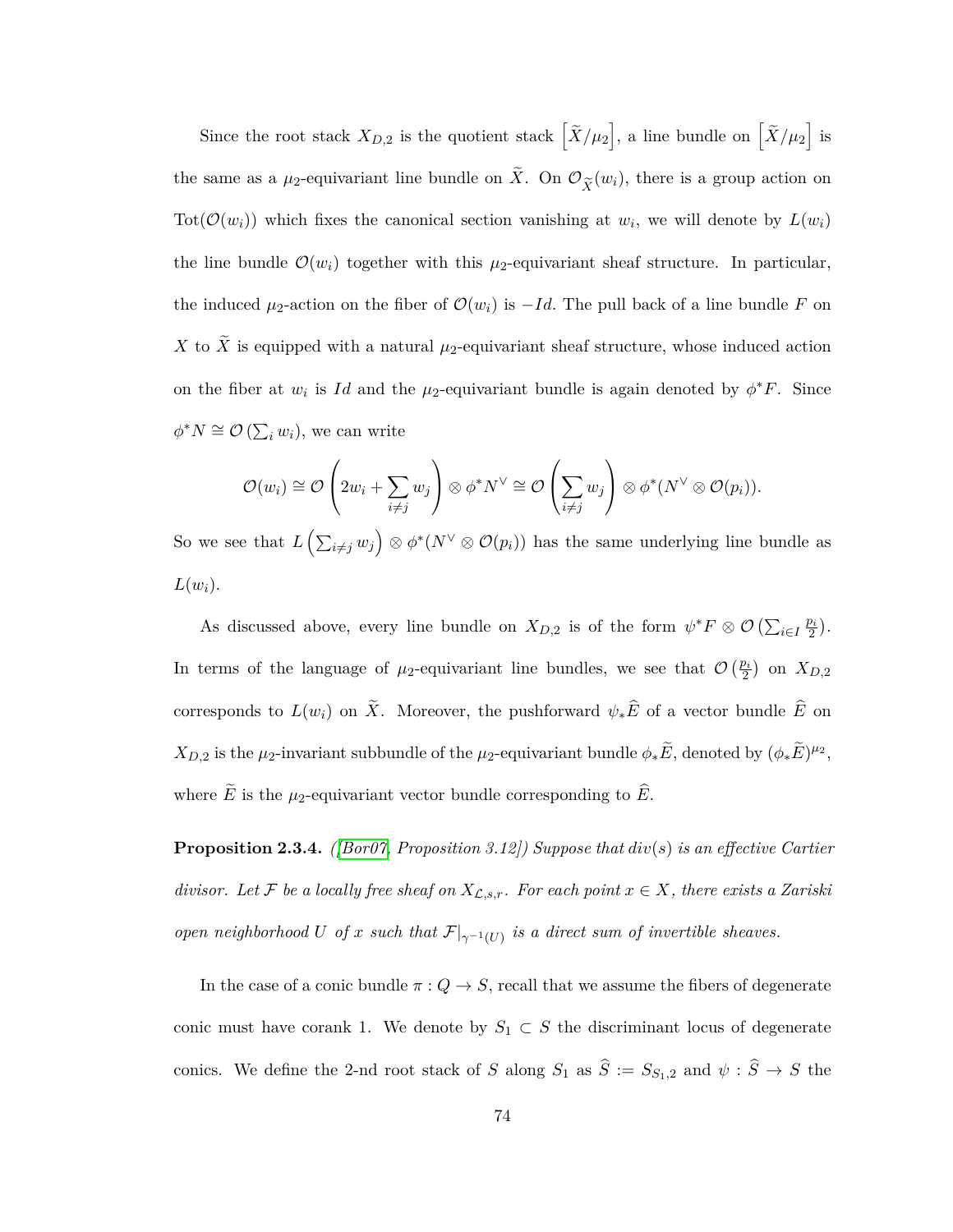Since the root stack  $X_{D,2}$  is the quotient stack  $\left[\widetilde{X}/\mu_2\right]$ , a line bundle on  $\left[\widetilde{X}/\mu_2\right]$  is the same as a  $\mu_2$ -equivariant line bundle on *X*. On  $\mathcal{O}_{\widetilde{X}}(w_i)$ , there is a group action on Tot( $\mathcal{O}(w_i)$ ) which fixes the canonical section vanishing at  $w_i$ , we will denote by  $L(w_i)$ the line bundle  $\mathcal{O}(w_i)$  together with this  $\mu_2$ -equivariant sheaf structure. In particular, the induced  $\mu_2$ -action on the fiber of  $\mathcal{O}(w_i)$  is  $-Id$ . The pull back of a line bundle *F* on *X* to  $\tilde{X}$  is equipped with a natural  $\mu_2$ -equivariant sheaf structure, whose induced action on the fiber at  $w_i$  is *Id* and the  $\mu_2$ -equivariant bundle is again denoted by  $\phi^* F$ . Since  $\phi^* N \cong \mathcal{O}\left(\sum_i w_i\right)$ , we can write

$$
\mathcal{O}(w_i) \cong \mathcal{O}\left(2w_i + \sum_{i \neq j} w_j\right) \otimes \phi^*N^\vee \cong \mathcal{O}\left(\sum_{i \neq j} w_j\right) \otimes \phi^*(N^\vee \otimes \mathcal{O}(p_i)).
$$

So we see that  $L\left(\sum_{i\neq j} w_j\right) \otimes \phi^*(N^{\vee} \otimes \mathcal{O}(p_i))$  has the same underlying line bundle as  $L(w_i)$ .

As discussed above, every line bundle on  $X_{D,2}$  is of the form  $\psi^* F \otimes \mathcal{O}(\sum_{i \in I} \frac{p_i}{2}).$ In terms of the language of  $\mu_2$ -equivariant line bundles, we see that  $\mathcal{O}\left(\frac{p_i}{2}\right)$  on  $X_{D,2}$ corresponds to  $L(w_i)$  on  $\tilde{X}$ . Moreover, the pushforward  $\psi_*\hat{E}$  of a vector bundle  $\hat{E}$  on *X*<sub>*D*</sub>,2 is the *µ*<sub>2</sub>-invariant subbundle of the *µ*<sub>2</sub>-equivariant bundle  $\phi_* \tilde{E}$ , denoted by  $(\phi_* \tilde{E})^{\mu_2}$ , where  $\tilde{E}$  is the  $\mu_2$ -equivariant vector bundle corresponding to  $\hat{E}$ .

<span id="page-81-0"></span>**Proposition 2.3.4.** *([\[Bor07,](#page-112-1) Proposition 3.12]) Suppose that div*(*s*) *is an effective Cartier divisor.* Let F be a locally free sheaf on  $X_{\mathcal{L},s,r}$ . For each point  $x \in X$ *, there exists a Zariski open neighborhood U of x such that*  $\mathcal{F}|_{\gamma^{-1}(U)}$  *is a direct sum of invertible sheaves.* 

In the case of a conic bundle  $\pi: Q \to S$ , recall that we assume the fibers of degenerate conic must have corank 1. We denote by  $S_1 \subset S$  the discriminant locus of degenerate conics. We define the 2-nd root stack of *S* along  $S_1$  as  $\hat{S} := S_{S_1,2}$  and  $\psi : \hat{S} \to S$  the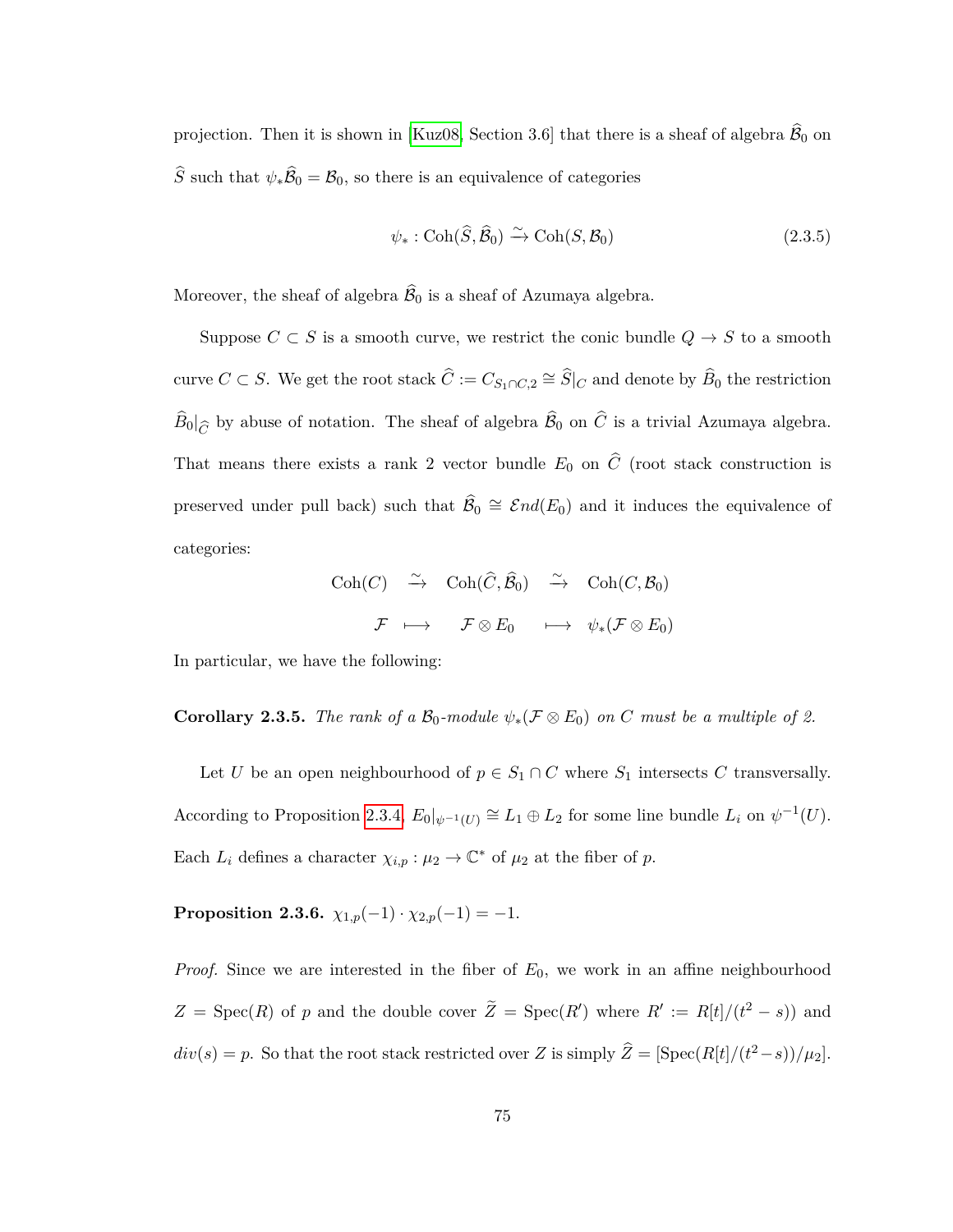projection. Then it is shown in [\[Kuz08,](#page-115-0) Section 3.6] that there is a sheaf of algebra  $\mathcal{B}_0$  on *S* such that  $\psi_*\mathcal{B}_0 = \mathcal{B}_0$ , so there is an equivalence of categories

$$
\psi_* : \mathrm{Coh}(\widehat{S}, \widehat{\mathcal{B}}_0) \xrightarrow{\sim} \mathrm{Coh}(S, \mathcal{B}_0)
$$
\n(2.3.5)

Moreover, the sheaf of algebra  $\mathcal{B}_0$  is a sheaf of Azumaya algebra.

Suppose  $C \subset S$  is a smooth curve, we restrict the conic bundle  $Q \to S$  to a smooth curve  $C \subset S$ . We get the root stack  $\hat{C} := C_{S_1 \cap C,2} \cong \hat{S}|_C$  and denote by  $\hat{B}_0$  the restriction  $B_0|_{\widehat{C}}$  by abuse of notation. The sheaf of algebra  $B_0$  on *C* is a trivial Azumaya algebra. That means there exists a rank 2 vector bundle  $E_0$  on  $\hat{C}$  (root stack construction is preserved under pull back) such that  $\widehat{\mathcal{B}}_0 \cong \mathcal{E}nd(E_0)$  and it induces the equivalence of categories:

$$
\mathrm{Coh}(C) \quad \xrightarrow{\sim} \quad \mathrm{Coh}(\widehat{C}, \widehat{\mathcal{B}}_0) \quad \xrightarrow{\sim} \quad \mathrm{Coh}(C, \mathcal{B}_0)
$$
\n
$$
\mathcal{F} \quad \longmapsto \quad \mathcal{F} \otimes E_0 \quad \longmapsto \quad \psi_*(\mathcal{F} \otimes E_0)
$$

<span id="page-82-0"></span>In particular, we have the following:

**Corollary 2.3.5.** *The rank of a*  $\mathcal{B}_0$ -module  $\psi_*(\mathcal{F} \otimes E_0)$  on *C* must be a multiple of 2.

Let *U* be an open neighbourhood of  $p \in S_1 \cap C$  where  $S_1$  intersects *C* transversally. According to Proposition [2.3.4,](#page-81-0)  $E_0|_{\psi^{-1}(U)} \cong L_1 \oplus L_2$  for some line bundle  $L_i$  on  $\psi^{-1}(U)$ . Each  $L_i$  defines a character  $\chi_{i,p} : \mu_2 \to \mathbb{C}^*$  of  $\mu_2$  at the fiber of p.

<span id="page-82-1"></span>**Proposition 2.3.6.**  $\chi_{1,p}(-1) \cdot \chi_{2,p}(-1) = -1$ .

*Proof.* Since we are interested in the fiber of  $E_0$ , we work in an affine neighbourhood  $Z = \text{Spec}(R)$  of *p* and the double cover  $\tilde{Z} = \text{Spec}(R')$  where  $R' := R[t]/(t^2 - s)$  and  $div(s) = p$ . So that the root stack restricted over *Z* is simply  $\hat{Z} = [\text{Spec}(R[t]/(t^2 - s))/\mu_2]$ .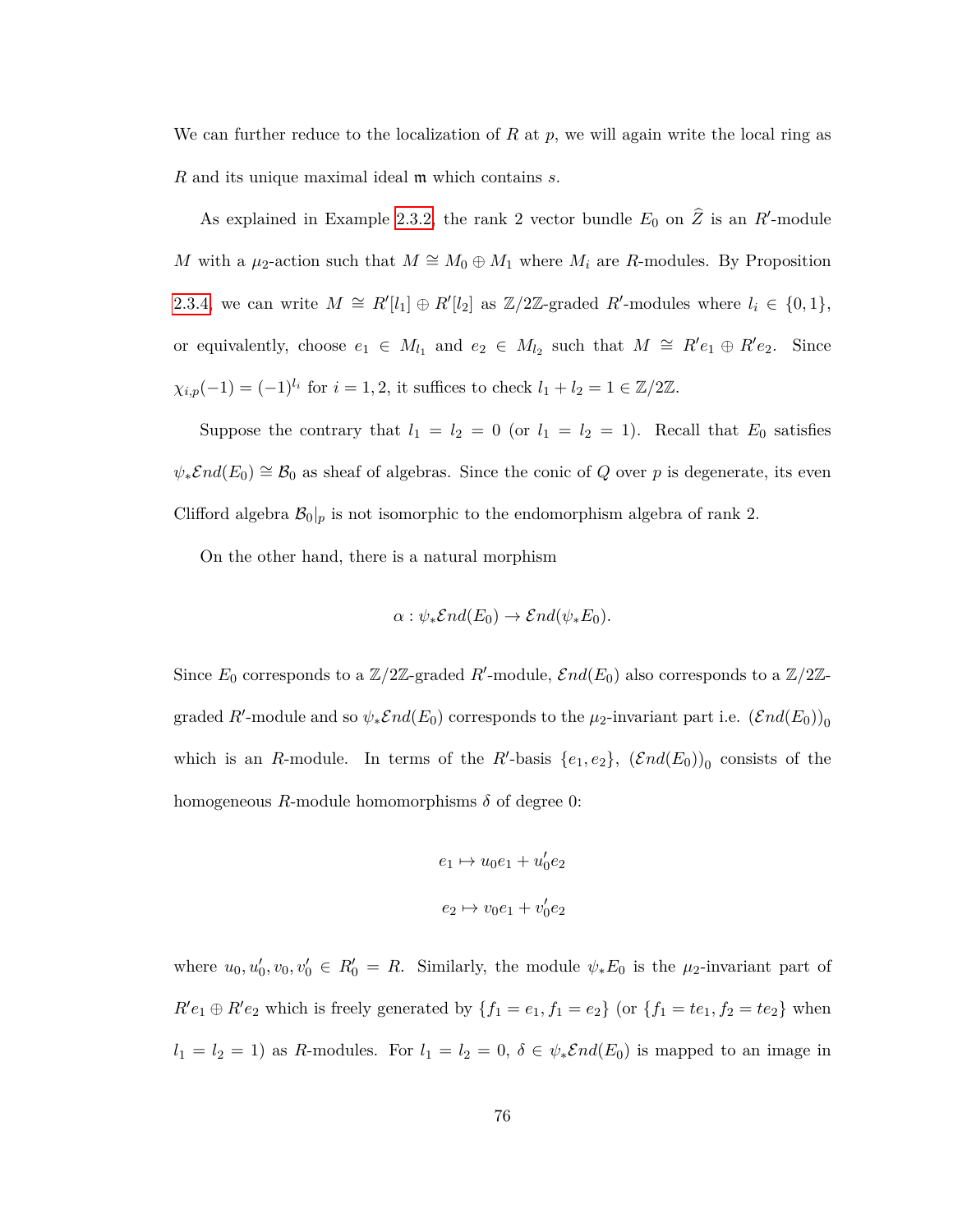We can further reduce to the localization of *R* at *p*, we will again write the local ring as *R* and its unique maximal ideal m which contains *s.*

As explained in Example [2.3.2,](#page-79-0) the rank 2 vector bundle  $E_0$  on  $\hat{Z}$  is an *R*<sup> $\prime$ </sup>-module *M* with a  $\mu_2$ -action such that  $M \cong M_0 \oplus M_1$  where  $M_i$  are *R*-modules. By Proposition [2.3.4,](#page-81-0) we can write  $M \cong R'[l_1] \oplus R'[l_2]$  as  $\mathbb{Z}/2\mathbb{Z}$ -graded  $R'$ -modules where  $l_i \in \{0,1\}$ , or equivalently, choose  $e_1 \in M_{l_1}$  and  $e_2 \in M_{l_2}$  such that  $M \cong R'e_1 \oplus R'e_2$ . Since  $\chi_{i,p}(-1) = (-1)^{l_i}$  for  $i = 1, 2$ , it suffices to check  $l_1 + l_2 = 1 \in \mathbb{Z}/2\mathbb{Z}$ .

Suppose the contrary that  $l_1 = l_2 = 0$  (or  $l_1 = l_2 = 1$ ). Recall that  $E_0$  satisfies  $\psi_*\mathcal{E}nd(E_0) \cong \mathcal{B}_0$  as sheaf of algebras. Since the conic of *Q* over *p* is degenerate, its even Clifford algebra  $\mathcal{B}_0|_p$  is not isomorphic to the endomorphism algebra of rank 2.

On the other hand, there is a natural morphism

$$
\alpha: \psi_* \mathcal{E}nd(E_0) \to \mathcal{E}nd(\psi_* E_0).
$$

Since  $E_0$  corresponds to a  $\mathbb{Z}/2\mathbb{Z}$ -graded  $R'$ -module,  $\mathcal{E}nd(E_0)$  also corresponds to a  $\mathbb{Z}/2\mathbb{Z}$ graded  $R'$ -module and so  $\psi_* \mathcal{E}nd(E_0)$  corresponds to the  $\mu_2$ -invariant part i.e.  $(\mathcal{E}nd(E_0))_0$ which is an *R*-module. In terms of the *R'*-basis  $\{e_1, e_2\}$ ,  $(\mathcal{E}nd(E_0))_0$  consists of the homogeneous *R*-module homomorphisms  $\delta$  of degree 0:

$$
e_1 \mapsto u_0 e_1 + u'_0 e_2
$$
  

$$
e_2 \mapsto v_0 e_1 + v'_0 e_2
$$

where  $u_0, u'_0, v_0, v'_0 \in R'_0 = R$ . Similarly, the module  $\psi_* E_0$  is the  $\mu_2$ -invariant part of  $R'e_1 \oplus R'e_2$  which is freely generated by  $\{f_1 = e_1, f_1 = e_2\}$  (or  $\{f_1 = te_1, f_2 = te_2\}$  when  $l_1 = l_2 = 1$ ) as *R*-modules. For  $l_1 = l_2 = 0$ ,  $\delta \in \psi_* \mathcal{E}nd(E_0)$  is mapped to an image in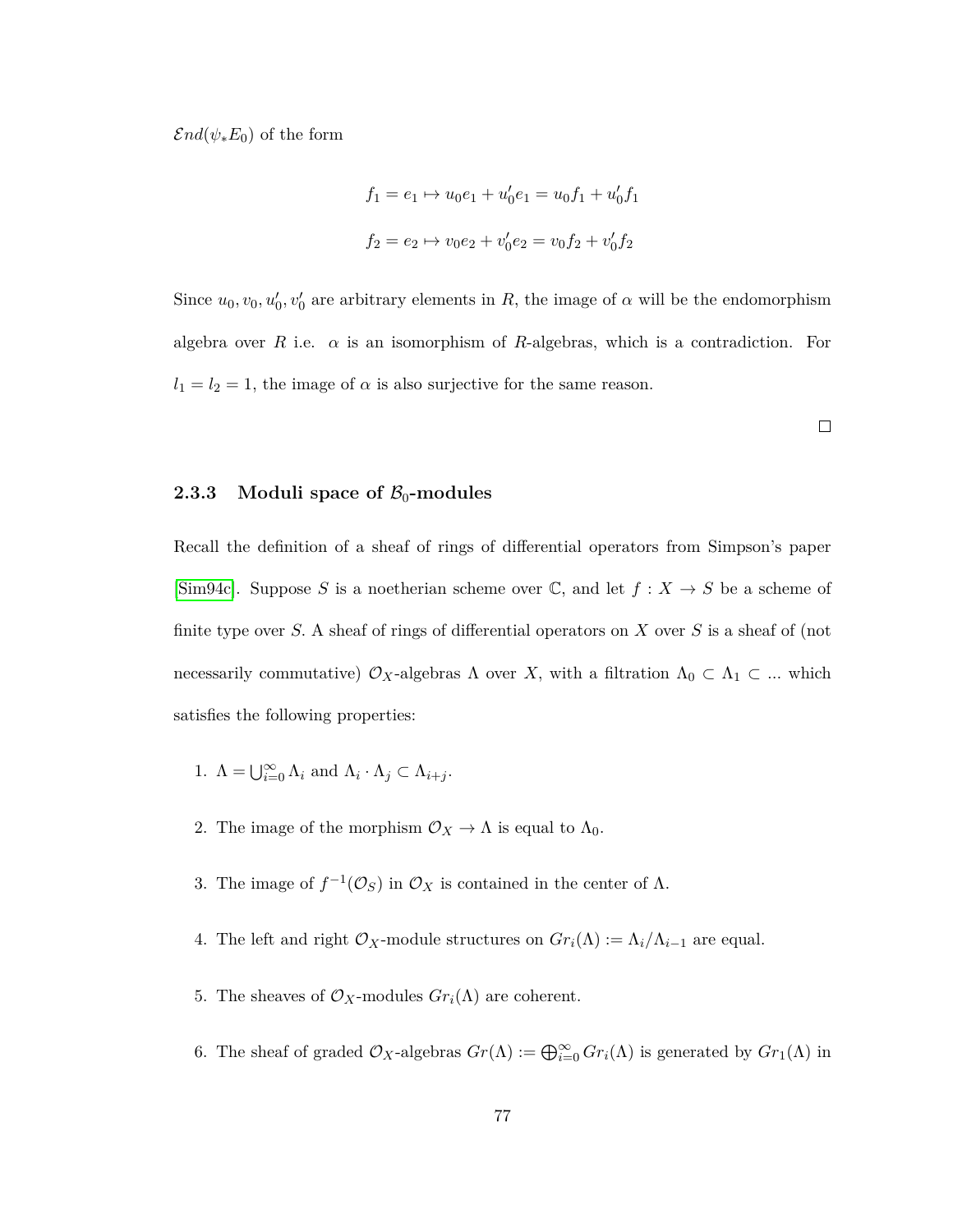$\mathcal{E}nd(\psi_*E_0)$  of the form

$$
f_1 = e_1 \mapsto u_0 e_1 + u'_0 e_1 = u_0 f_1 + u'_0 f_1
$$

$$
f_2 = e_2 \mapsto v_0 e_2 + v'_0 e_2 = v_0 f_2 + v'_0 f_2
$$

Since  $u_0, v_0, u'_0, v'_0$  are arbitrary elements in *R*, the image of  $\alpha$  will be the endomorphism algebra over *R* i.e.  $\alpha$  is an isomorphism of *R*-algebras, which is a contradiction. For  $l_1 = l_2 = 1$ , the image of  $\alpha$  is also surjective for the same reason.

 $\Box$ 

# **2.3.3** Moduli space of  $\mathcal{B}_0$ -modules

Recall the definition of a sheaf of rings of differential operators from Simpson's paper [\[Sim94c\]](#page-116-2). Suppose *S* is a noetherian scheme over  $\mathbb{C}$ , and let  $f : X \to S$  be a scheme of finite type over *S.* A sheaf of rings of differential operators on *X* over *S* is a sheaf of (not necessarily commutative)  $\mathcal{O}_X$ -algebras  $\Lambda$  over  $X$ , with a filtration  $\Lambda_0 \subset \Lambda_1 \subset \dots$  which satisfies the following properties:

- 1.  $\Lambda = \bigcup_{i=0}^{\infty} \Lambda_i$  and  $\Lambda_i \cdot \Lambda_j \subset \Lambda_{i+j}$ .
- 2. The image of the morphism  $\mathcal{O}_X \to \Lambda$  is equal to  $\Lambda_0$ .
- 3. The image of  $f^{-1}(\mathcal{O}_S)$  in  $\mathcal{O}_X$  is contained in the center of  $\Lambda$ .
- 4. The left and right  $\mathcal{O}_X$ -module structures on  $Gr_i(\Lambda) := \Lambda_i/\Lambda_{i-1}$  are equal.
- 5. The sheaves of  $\mathcal{O}_X$ -modules  $Gr_i(\Lambda)$  are coherent.
- 6. The sheaf of graded  $\mathcal{O}_X$ -algebras  $Gr(\Lambda) := \bigoplus_{i=0}^{\infty} Gr_i(\Lambda)$  is generated by  $Gr_1(\Lambda)$  in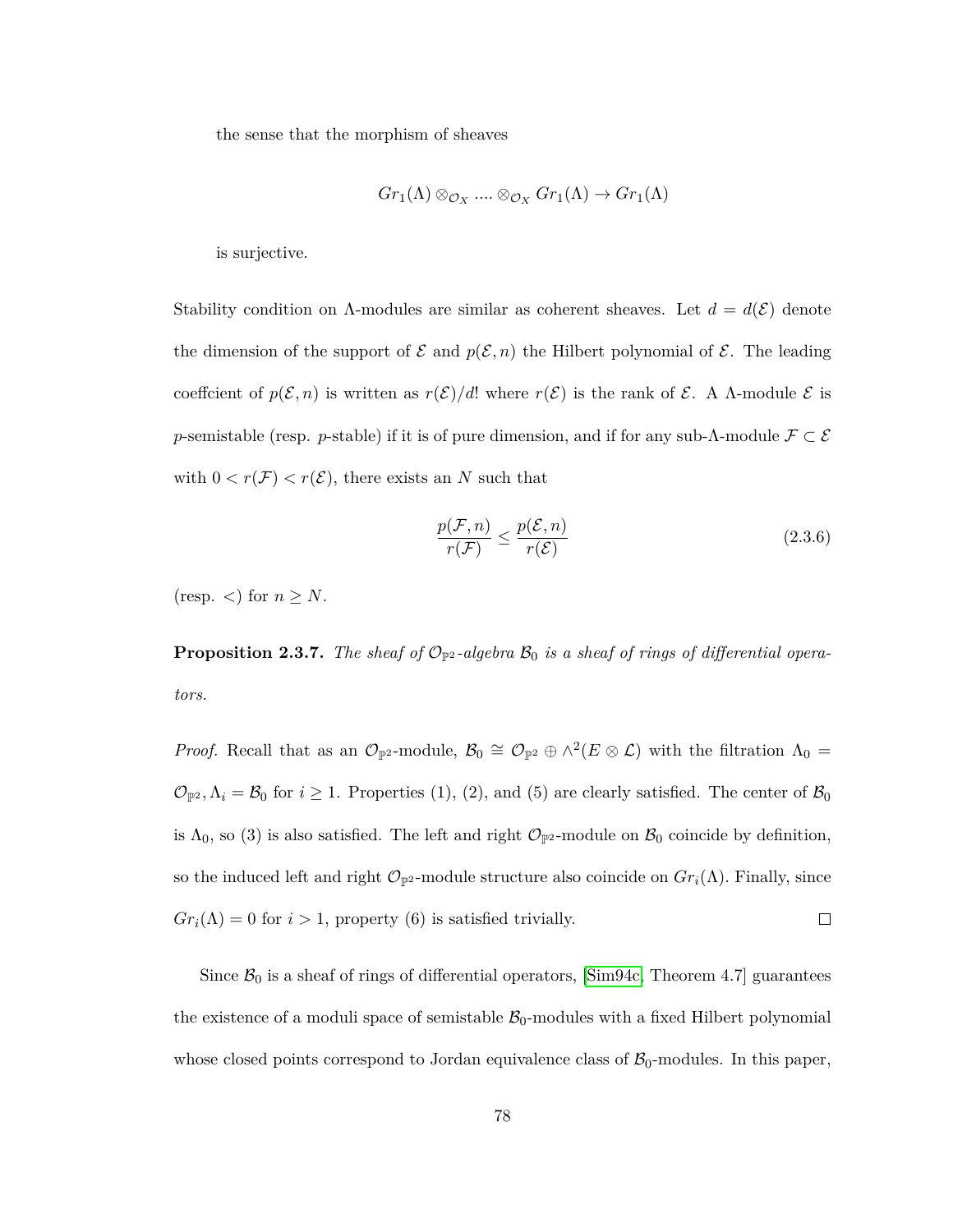the sense that the morphism of sheaves

$$
Gr_1(\Lambda) \otimes_{\mathcal{O}_X} \dots \otimes_{\mathcal{O}_X} Gr_1(\Lambda) \to Gr_1(\Lambda)
$$

is surjective.

Stability condition on  $\Lambda$ -modules are similar as coherent sheaves. Let  $d = d(\mathcal{E})$  denote the dimension of the support of  $\mathcal E$  and  $p(\mathcal E,n)$  the Hilbert polynomial of  $\mathcal E$ . The leading coefficient of  $p(\mathcal{E}, n)$  is written as  $r(\mathcal{E})/d!$  where  $r(\mathcal{E})$  is the rank of  $\mathcal{E}$ . A  $\Lambda$ -module  $\mathcal{E}$  is *p*-semistable (resp. *p*-stable) if it is of pure dimension, and if for any sub-Λ-module  $\mathcal{F} \subset \mathcal{E}$ with  $0 < r(\mathcal{F}) < r(\mathcal{E})$ , there exists an *N* such that

$$
\frac{p(\mathcal{F}, n)}{r(\mathcal{F})} \le \frac{p(\mathcal{E}, n)}{r(\mathcal{E})}
$$
\n(2.3.6)

(resp. <) for  $n \geq N$ .

**Proposition 2.3.7.** The sheaf of  $\mathcal{O}_{\mathbb{P}^2}$ -algebra  $\mathcal{B}_0$  is a sheaf of rings of differential opera*tors.*

*Proof.* Recall that as an  $\mathcal{O}_{\mathbb{P}^2}$ -module,  $\mathcal{B}_0 \cong \mathcal{O}_{\mathbb{P}^2} \oplus \wedge^2(E \otimes \mathcal{L})$  with the filtration  $\Lambda_0 =$  $\mathcal{O}_{\mathbb{P}^2}$ ,  $\Lambda_i = \mathcal{B}_0$  for  $i \geq 1$ . Properties (1), (2), and (5) are clearly satisfied. The center of  $\mathcal{B}_0$ is  $\Lambda_0$ , so (3) is also satisfied. The left and right  $\mathcal{O}_{\mathbb{P}^2}$ -module on  $\mathcal{B}_0$  coincide by definition, so the induced left and right  $\mathcal{O}_{\mathbb{P}^2}$ -module structure also coincide on  $Gr_i(\Lambda)$ . Finally, since  $Gr<sub>i</sub>(\Lambda) = 0$  for  $i > 1$ , property (6) is satisfied trivially.  $\Box$ 

Since  $\mathcal{B}_0$  is a sheaf of rings of differential operators, [\[Sim94c,](#page-116-2) Theorem 4.7] guarantees the existence of a moduli space of semistable  $B_0$ -modules with a fixed Hilbert polynomial whose closed points correspond to Jordan equivalence class of  $B_0$ -modules. In this paper,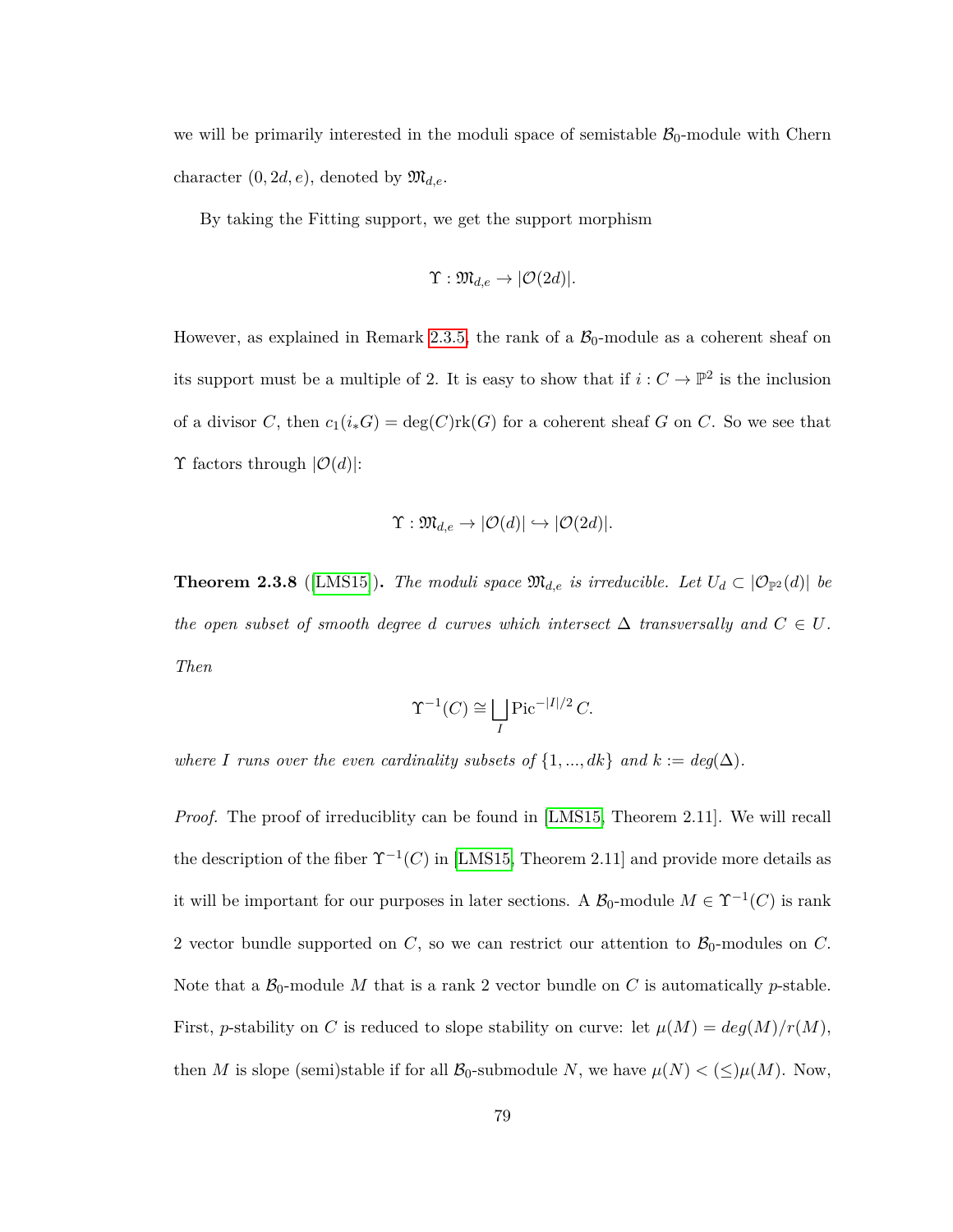we will be primarily interested in the moduli space of semistable  $B_0$ -module with Chern character  $(0, 2d, e)$ , denoted by  $\mathfrak{M}_{d,e}$ .

By taking the Fitting support, we get the support morphism

$$
\Upsilon:\mathfrak{M}_{d,e}\to |\mathcal{O}(2d)|.
$$

However, as explained in Remark [2.3.5,](#page-82-0) the rank of a  $\mathcal{B}_0$ -module as a coherent sheaf on its support must be a multiple of 2. It is easy to show that if  $i: C \to \mathbb{P}^2$  is the inclusion of a divisor *C*, then  $c_1(i_*G) = \deg(C)rk(G)$  for a coherent sheaf *G* on *C*. So we see that  $\Upsilon$  factors through  $|\mathcal{O}(d)|$ :

$$
\Upsilon: \mathfrak{M}_{d,e} \to |\mathcal{O}(d)| \hookrightarrow |\mathcal{O}(2d)|.
$$

<span id="page-86-0"></span>**Theorem 2.3.8** ([\[LMS15\]](#page-115-1)). The moduli space  $\mathfrak{M}_{d,e}$  is irreducible. Let  $U_d \subset |\mathcal{O}_{\mathbb{P}^2}(d)|$  be *the open subset of smooth degree d curves which intersect*  $\Delta$  *transversally and*  $C \in U$ *. Then*

$$
\Upsilon^{-1}(C) \cong \bigsqcup_{I} \text{Pic}^{-|I|/2} C.
$$

*where I runs over the even cardinality subsets of*  $\{1, ..., dk\}$  *and*  $k := deg(\Delta)$ *.* 

*Proof.* The proof of irreduciblity can be found in [\[LMS15,](#page-115-1) Theorem 2.11]. We will recall the description of the fiber  $\Upsilon^{-1}(C)$  in [\[LMS15,](#page-115-1) Theorem 2.11] and provide more details as it will be important for our purposes in later sections. A  $\mathcal{B}_0$ -module  $M \in \Upsilon^{-1}(C)$  is rank 2 vector bundle supported on  $C$ , so we can restrict our attention to  $B_0$ -modules on  $C$ . Note that a  $\mathcal{B}_0$ -module M that is a rank 2 vector bundle on C is automatically p-stable. First, *p*-stability on *C* is reduced to slope stability on curve: let  $\mu(M) = deg(M)/r(M)$ , then *M* is slope (semi)stable if for all  $\mathcal{B}_0$ -submodule *N*, we have  $\mu(N) < (\leq) \mu(M)$ . Now,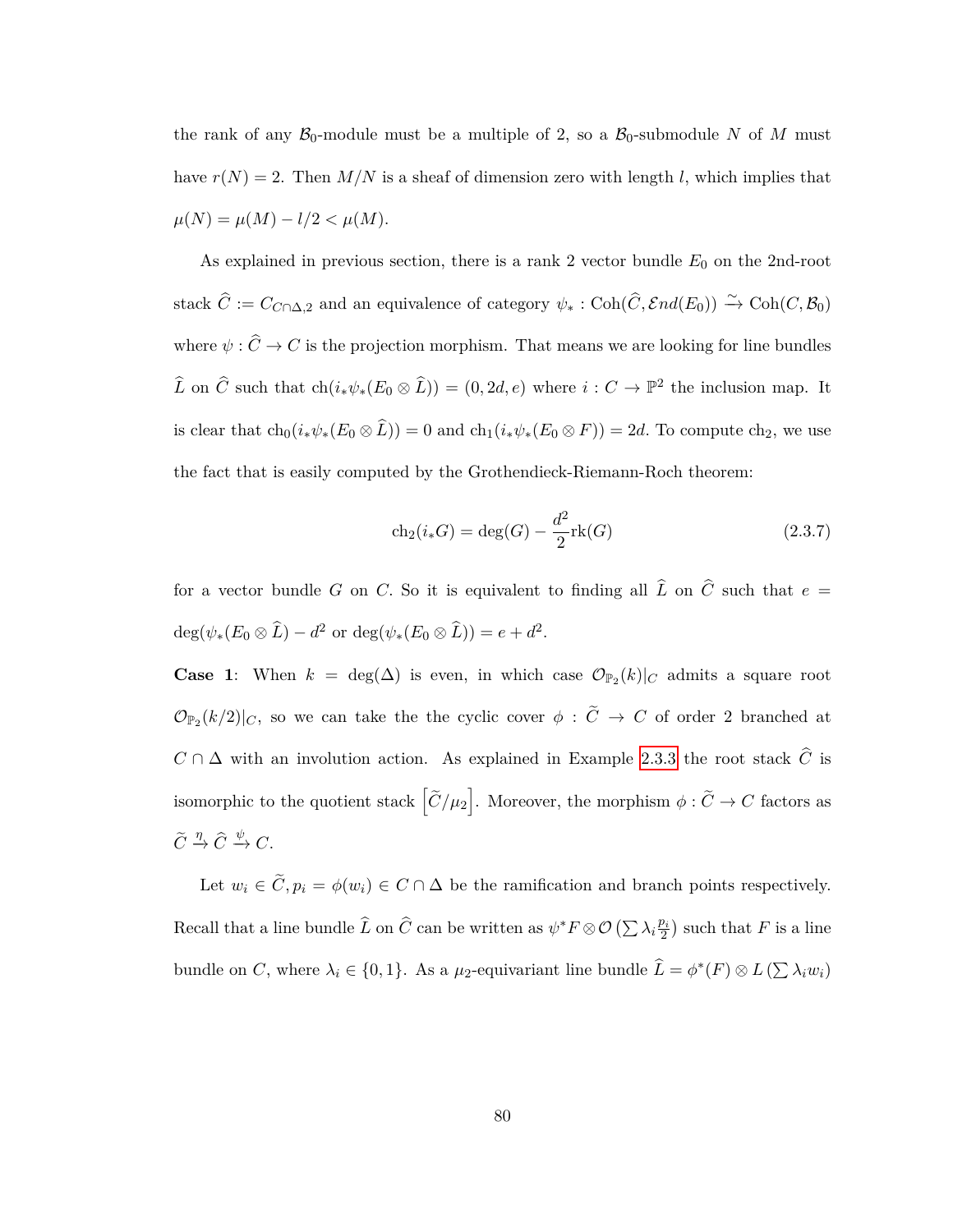the rank of any  $\mathcal{B}_0$ -module must be a multiple of 2, so a  $\mathcal{B}_0$ -submodule N of M must have  $r(N) = 2$ . Then  $M/N$  is a sheaf of dimension zero with length *l*, which implies that  $\mu(N) = \mu(M) - l/2 < \mu(M).$ 

As explained in previous section, there is a rank 2 vector bundle  $E_0$  on the 2nd-root stack  $\hat{C} := C_{C \cap \Delta,2}$  and an equivalence of category  $\psi_* : \text{Coh}(\hat{C}, \mathcal{E}nd(E_0)) \xrightarrow{\sim} \text{Coh}(C, \mathcal{B}_0)$ where  $\psi : \widehat{C} \rightarrow C$  is the projection morphism. That means we are looking for line bundles  $\widehat{L}$  on  $\widehat{C}$  such that  $\text{ch}(i_*\psi_*(E_0 \otimes \widehat{L})) = (0, 2d, e)$  where  $i : C \to \mathbb{P}^2$  the inclusion map. It is clear that  $ch_0(i_*\psi_*(E_0 \otimes \hat{L})) = 0$  and  $ch_1(i_*\psi_*(E_0 \otimes F)) = 2d$ . To compute  $ch_2$ , we use the fact that is easily computed by the Grothendieck-Riemann-Roch theorem:

$$
ch_2(i_*G) = deg(G) - \frac{d^2}{2}rk(G)
$$
\n(2.3.7)

for a vector bundle *G* on *C*. So it is equivalent to finding all  $\hat{L}$  on  $\hat{C}$  such that  $e =$  $deg(\psi_*(E_0 \otimes \hat{L}) - d^2 \text{ or } deg(\psi_*(E_0 \otimes \hat{L})) = e + d^2.$ 

**Case 1**: When  $k = \deg(\Delta)$  is even, in which case  $\mathcal{O}_{\mathbb{P}_2}(k)|_C$  admits a square root  $\mathcal{O}_{\mathbb{P}_2}(k/2)|_C$ , so we can take the the cyclic cover  $\phi : C \to C$  of order 2 branched at *C* ∩ ∆ with an involution action. As explained in Example [2.3.3](#page-80-0) the root stack  $\hat{C}$  is isomorphic to the quotient stack  $\left[\tilde{C}/\mu_2\right]$ . Moreover, the morphism  $\phi : \tilde{C} \to C$  factors as  $\widetilde{C} \stackrel{\eta}{\rightarrow} \widehat{C} \stackrel{\psi}{\rightarrow} C.$ 

Let  $w_i \in C$ ,  $p_i = \phi(w_i) \in C \cap \Delta$  be the ramification and branch points respectively. Recall that a line bundle  $\widehat{L}$  on  $\widehat{C}$  can be written as  $\psi^* F \otimes \mathcal{O}(\sum \lambda_i \frac{p_i}{2})$  such that  $F$  is a line bundle on *C*, where  $\lambda_i \in \{0, 1\}$ . As a  $\mu_2$ -equivariant line bundle  $\hat{L} = \phi^*(F) \otimes L(\sum \lambda_i w_i)$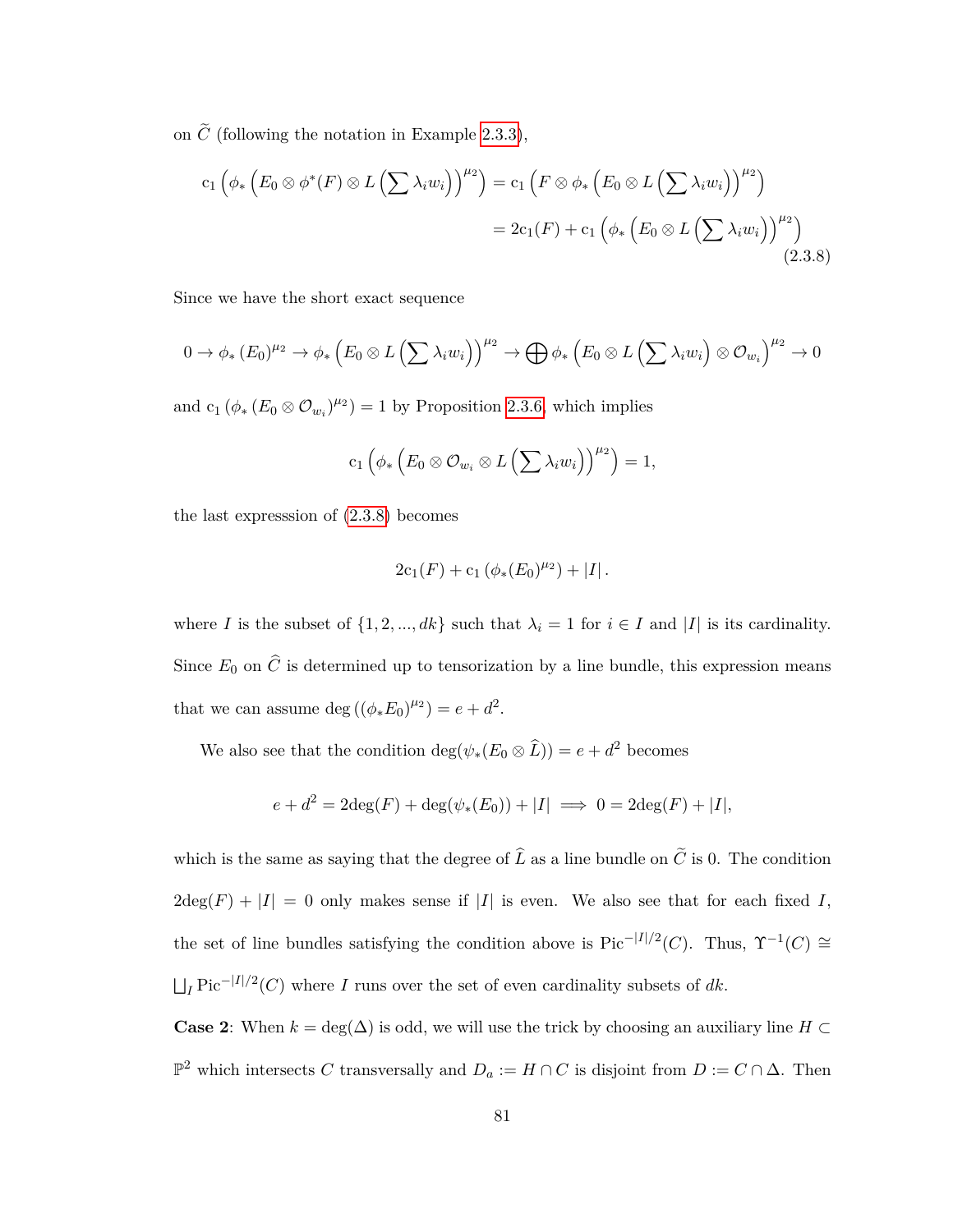on  $\tilde{C}$  (following the notation in Example [2.3.3\)](#page-80-0),

<span id="page-88-0"></span>
$$
c_1\left(\phi_*\left(E_0\otimes\phi^*(F)\otimes L\left(\sum\lambda_i w_i\right)\right)^{\mu_2}\right) = c_1\left(F\otimes\phi_*\left(E_0\otimes L\left(\sum\lambda_i w_i\right)\right)^{\mu_2}\right)
$$

$$
= 2c_1(F) + c_1\left(\phi_*\left(E_0\otimes L\left(\sum\lambda_i w_i\right)\right)^{\mu_2}\right)
$$
(2.3.8)

Since we have the short exact sequence

$$
0 \to \phi_* (E_0)^{\mu_2} \to \phi_* \left( E_0 \otimes L \left( \sum \lambda_i w_i \right) \right)^{\mu_2} \to \bigoplus \phi_* \left( E_0 \otimes L \left( \sum \lambda_i w_i \right) \otimes \mathcal{O}_{w_i} \right)^{\mu_2} \to 0
$$

and  $c_1$  ( $\phi_*$  ( $E_0 \otimes \mathcal{O}_{w_i}$ )<sup> $\mu_2$ </sup>) = 1 by Proposition [2.3.6,](#page-82-1) which implies

$$
c_1\left(\phi_*\left(E_0\otimes\mathcal{O}_{w_i}\otimes L\left(\sum\lambda_iw_i\right)\right)^{\mu_2}\right)=1,
$$

the last expresssion of [\(2.3.8\)](#page-88-0) becomes

$$
2c_1(F) + c_1 \left( \phi_*(E_0)^{\mu_2} \right) + |I|.
$$

where *I* is the subset of  $\{1, 2, ..., dk\}$  such that  $\lambda_i = 1$  for  $i \in I$  and  $|I|$  is its cardinality. Since  $E_0$  on  $\hat{C}$  is determined up to tensorization by a line bundle, this expression means that we can assume  $\deg((\phi_* E_0)^{\mu_2}) = e + d^2$ .

We also see that the condition  $\deg(\psi_*(E_0 \otimes \widehat{L})) = e + d^2$  becomes

$$
e + d^2 = 2\deg(F) + \deg(\psi_*(E_0)) + |I| \implies 0 = 2\deg(F) + |I|,
$$

which is the same as saying that the degree of  $\widehat{L}$  as a line bundle on  $\widetilde{C}$  is 0. The condition  $2\deg(F) + |I| = 0$  only makes sense if |*I*| is even. We also see that for each fixed *I*, the set of line bundles satisfying the condition above is Pic<sup>-|*I*|/2</sup>(*C*). Thus,  $\Upsilon^{-1}(C) \cong$ F *<sup>I</sup>* Pic−|*I*|*/*<sup>2</sup> (*C*) where *I* runs over the set of even cardinality subsets of *dk*.

Case 2: When  $k = \deg(\Delta)$  is odd, we will use the trick by choosing an auxiliary line *H* ⊂  $\mathbb{P}^2$  which intersects *C* transversally and *D<sub>a</sub>* := *H* ∩ *C* is disjoint from *D* := *C* ∩ ∆. Then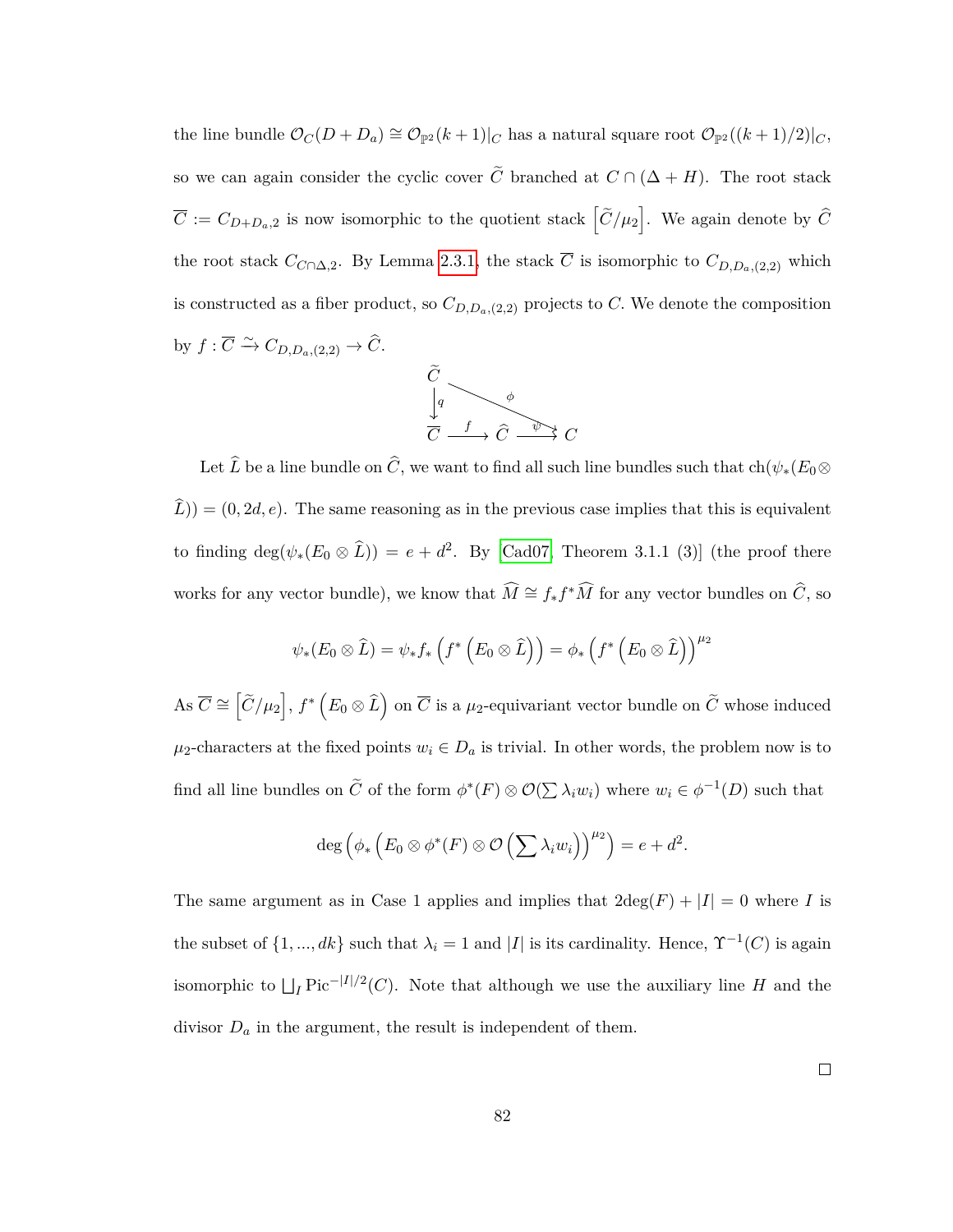the line bundle  $\mathcal{O}_C(D+D_a) \cong \mathcal{O}_{\mathbb{P}^2}(k+1)|_C$  has a natural square root  $\mathcal{O}_{\mathbb{P}^2}((k+1)/2)|_C$ , so we can again consider the cyclic cover  $\tilde{C}$  branched at  $C \cap (\Delta + H)$ . The root stack  $\overline{C} := C_{D+D_a,2}$  is now isomorphic to the quotient stack  $\left[\widetilde{C}/\mu_2\right]$ . We again denote by  $\widehat{C}$ the root stack  $C_{C \cap \Delta,2}$ . By Lemma [2.3.1,](#page-79-1) the stack  $\overline{C}$  is isomorphic to  $C_{D,D_a,(2,2)}$  which is constructed as a fiber product, so  $C_{D,D_a,(2,2)}$  projects to  $C$ . We denote the composition by  $f: \overline{C} \xrightarrow{\sim} C_{D,D_a,(2,2)} \rightarrow \widehat{C}$ .



Let  $\widehat{L}$  be a line bundle on  $\widehat{C}$ , we want to find all such line bundles such that  $\mathrm{ch}(\psi_*(E_0\otimes$  $(L)$ ) =  $(0, 2d, e)$ . The same reasoning as in the previous case implies that this is equivalent to finding  $\deg(\psi_*(E_0 \otimes \hat{L})) = e + d^2$ . By [\[Cad07,](#page-112-0) Theorem 3.1.1 (3)] (the proof there works for any vector bundle), we know that  $\widehat{M} \cong f_* f^* \widehat{M}$  for any vector bundles on  $\widehat{C}$ , so

$$
\psi_*(E_0 \otimes \widehat{L}) = \psi_* f_* \left( f^* \left( E_0 \otimes \widehat{L} \right) \right) = \phi_* \left( f^* \left( E_0 \otimes \widehat{L} \right) \right)^{\mu_2}
$$

 $\hat{A}s\ \overline{C}\cong\left[\widetilde{C}/\mu_2\right],\,f^*\left(E_0\otimes\widehat{L}\right)$  on  $\overline{C}$  is a  $\mu_2$ -equivariant vector bundle on  $\widetilde{C}$  whose induced  $\mu_2$ -characters at the fixed points  $w_i \in D_a$  is trivial. In other words, the problem now is to find all line bundles on  $\tilde{C}$  of the form  $\phi^*(F) \otimes \mathcal{O}(\sum \lambda_i w_i)$  where  $w_i \in \phi^{-1}(D)$  such that

$$
\deg\left(\phi_*\left(E_0\otimes\phi^*(F)\otimes\mathcal{O}\left(\sum\lambda_iw_i\right)\right)^{\mu_2}\right)=e+d^2.
$$

The same argument as in Case 1 applies and implies that  $2deg(F) + |I| = 0$  where *I* is the subset of  $\{1, ..., dk\}$  such that  $\lambda_i = 1$  and  $|I|$  is its cardinality. Hence,  $\Upsilon^{-1}(C)$  is again isomorphic to  $\bigcup_I \text{Pic}^{-|I|/2}(C)$ . Note that although we use the auxiliary line *H* and the divisor  $D_a$  in the argument, the result is independent of them.

 $\Box$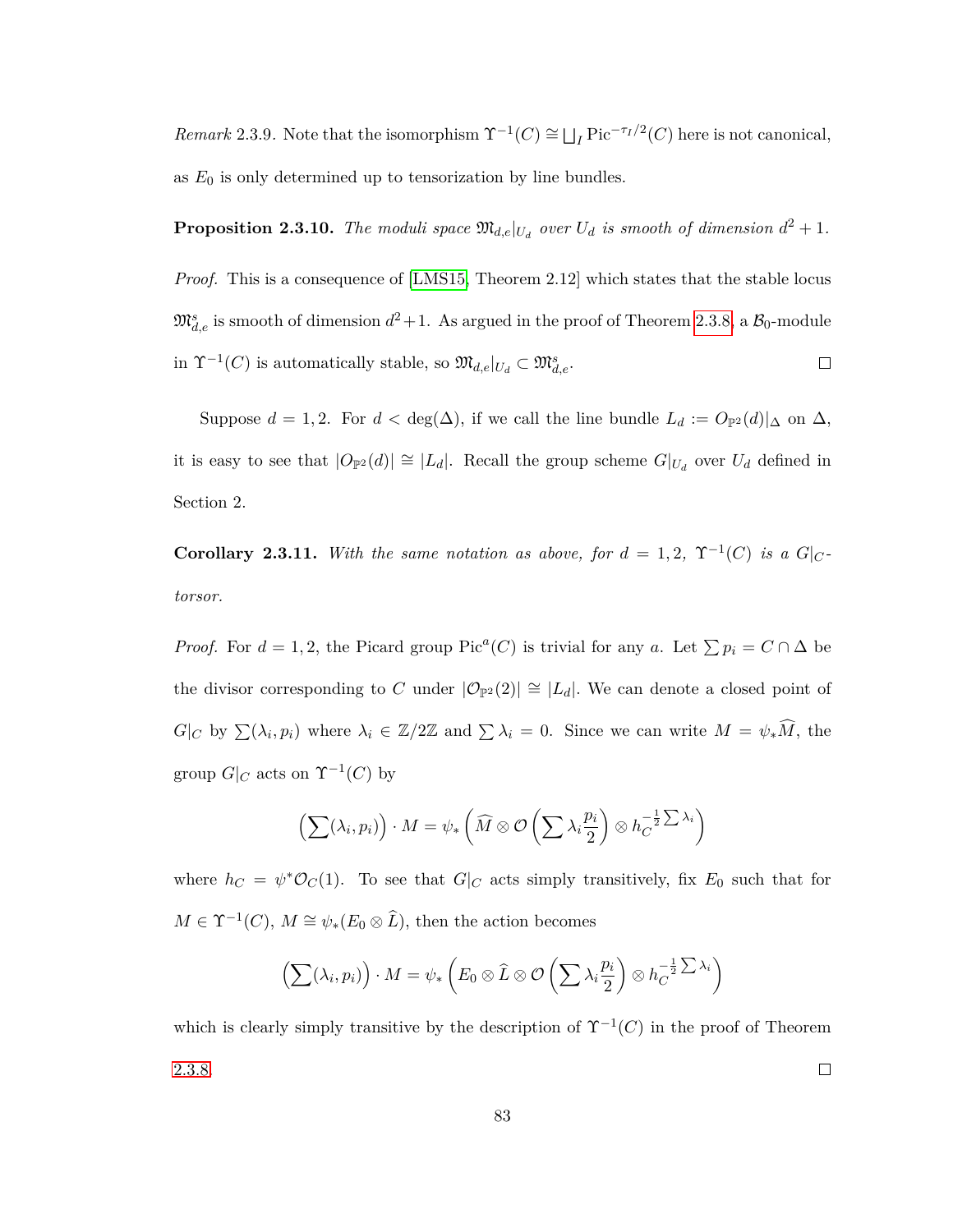*Remark* 2.3.9. Note that the isomorphism  $\Upsilon^{-1}(C) \cong \bigsqcup_I \text{Pic}^{-\tau_I/2}(C)$  here is not canonical, as  $E_0$  is only determined up to tensorization by line bundles.

**Proposition 2.3.10.** The moduli space  $\mathfrak{M}_{d,e}|_{U_d}$  over  $U_d$  is smooth of dimension  $d^2 + 1$ .

*Proof.* This is a consequence of [\[LMS15,](#page-115-1) Theorem 2.12] which states that the stable locus  $\mathfrak{M}^s_{d,e}$  is smooth of dimension  $d^2+1$ . As argued in the proof of Theorem [2.3.8,](#page-86-0) a  $\mathcal{B}_0$ -module in  $\Upsilon^{-1}(C)$  is automatically stable, so  $\mathfrak{M}_{d,e}|_{U_d} \subset \mathfrak{M}_{d,e}^s$ .  $\Box$ 

Suppose  $d = 1, 2$ . For  $d < \deg(\Delta)$ , if we call the line bundle  $L_d := O_{\mathbb{P}^2}(d)|_{\Delta}$  on  $\Delta$ , it is easy to see that  $|O_{\mathbb{P}^2}(d)| \cong |L_d|$ . Recall the group scheme  $G|_{U_d}$  over  $U_d$  defined in Section 2.

**Corollary 2.3.11.** With the same notation as above, for  $d = 1, 2, \Upsilon^{-1}(C)$  is a  $G|_{C}$ *torsor.*

*Proof.* For  $d = 1, 2$ , the Picard group Pic<sup>*a*</sup>(*C*) is trivial for any *a*. Let  $\sum p_i = C \cap \Delta$  be the divisor corresponding to *C* under  $|\mathcal{O}_{\mathbb{P}^2}(2)| \cong |L_d|$ . We can denote a closed point of *G*|*C* by  $\sum (\lambda_i, p_i)$  where  $\lambda_i \in \mathbb{Z}/2\mathbb{Z}$  and  $\sum \lambda_i = 0$ . Since we can write  $M = \psi_* \widehat{M}$ , the group  $G|_C$  acts on  $\Upsilon^{-1}(C)$  by

$$
\left(\sum(\lambda_i, p_i)\right) \cdot M = \psi_*\left(\widehat{M} \otimes \mathcal{O}\left(\sum \lambda_i \frac{p_i}{2}\right) \otimes h_C^{-\frac{1}{2}\sum \lambda_i}\right)
$$

where  $h_C = \psi^* \mathcal{O}_C(1)$ . To see that  $G|_C$  acts simply transitively, fix  $E_0$  such that for  $M \in \Upsilon^{-1}(C)$ ,  $M \cong \psi_*(E_0 \otimes \widehat{L})$ , then the action becomes

$$
\left(\sum(\lambda_i, p_i)\right) \cdot M = \psi_*\left(E_0 \otimes \widehat{L} \otimes \mathcal{O}\left(\sum \lambda_i \frac{p_i}{2}\right) \otimes h_C^{-\frac{1}{2}\sum \lambda_i}\right)
$$

which is clearly simply transitive by the description of  $\Upsilon^{-1}(C)$  in the proof of Theorem  $\Box$ [2.3.8.](#page-86-0)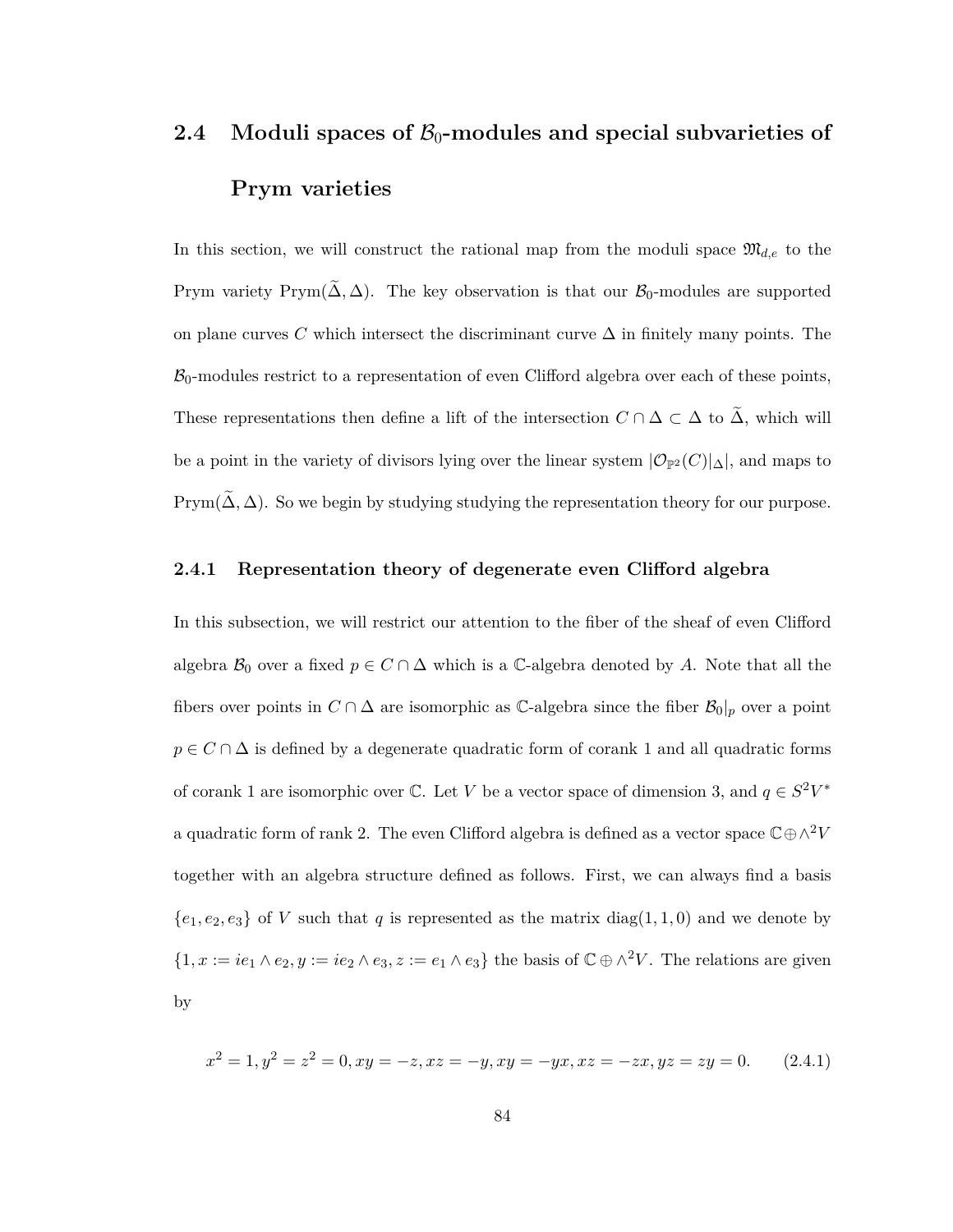# **2.4** Moduli spaces of  $\mathcal{B}_0$ -modules and special subvarieties of **Prym varieties**

In this section, we will construct the rational map from the moduli space  $\mathfrak{M}_{d,e}$  to the Prym variety Prym( $\tilde{\Delta}, \Delta$ ). The key observation is that our  $\mathcal{B}_0$ -modules are supported on plane curves C which intersect the discriminant curve  $\Delta$  in finitely many points. The  $B_0$ -modules restrict to a representation of even Clifford algebra over each of these points, These representations then define a lift of the intersection  $C \cap \Delta \subset \Delta$  to  $\tilde{\Delta}$ , which will be a point in the variety of divisors lying over the linear system  $|\mathcal{O}_{\mathbb{P}^2}(C)|_{\Delta}|$ , and maps to Prym( $\Delta$ ,  $\Delta$ ). So we begin by studying studying the representation theory for our purpose.

# **2.4.1 Representation theory of degenerate even Clifford algebra**

In this subsection, we will restrict our attention to the fiber of the sheaf of even Clifford algebra  $\mathcal{B}_0$  over a fixed  $p \in C \cap \Delta$  which is a  $\mathbb{C}$ -algebra denoted by A. Note that all the fibers over points in  $C \cap \Delta$  are isomorphic as  $\mathbb{C}$ -algebra since the fiber  $\mathcal{B}_0|_p$  over a point  $p \in C \cap \Delta$  is defined by a degenerate quadratic form of corank 1 and all quadratic forms of corank 1 are isomorphic over  $\mathbb{C}$ . Let *V* be a vector space of dimension 3, and  $q \in S^2V^*$ a quadratic form of rank 2. The even Clifford algebra is defined as a vector space C⊕∧2*V* together with an algebra structure defined as follows. First, we can always find a basis  ${e_1, e_2, e_3}$  of *V* such that *q* is represented as the matrix diag(1,1,0) and we denote by  $\{1, x := ie_1 \wedge e_2, y := ie_2 \wedge e_3, z := e_1 \wedge e_3\}$  the basis of  $\mathbb{C} \oplus \wedge^2 V$ . The relations are given by

$$
x^{2} = 1, y^{2} = z^{2} = 0, xy = -z, xz = -y, xy = -yx, xz = -zx, yz = zy = 0.
$$
 (2.4.1)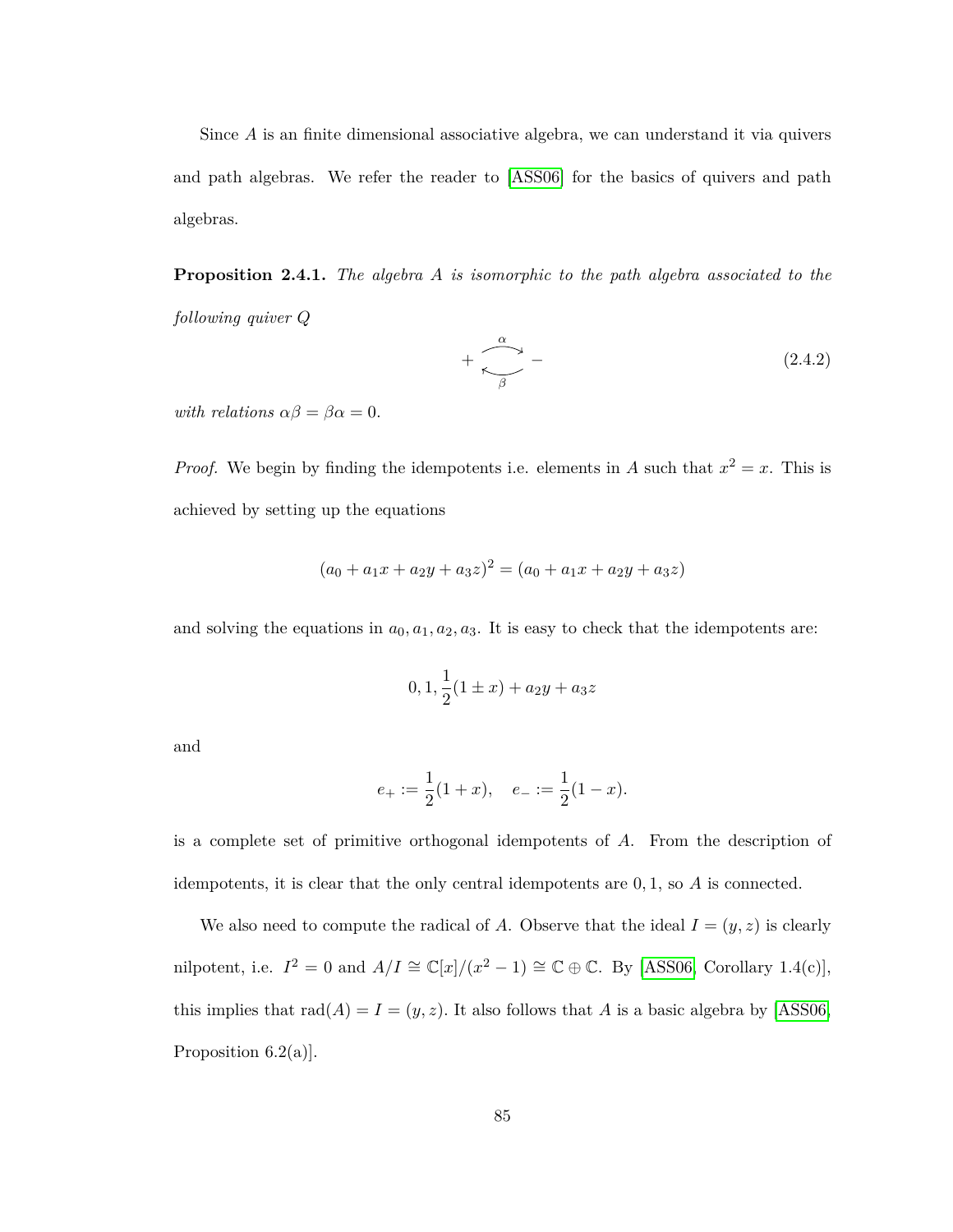Since *A* is an finite dimensional associative algebra, we can understand it via quivers and path algebras. We refer the reader to [\[ASS06\]](#page-110-1) for the basics of quivers and path algebras.

<span id="page-92-0"></span>**Proposition 2.4.1.** *The algebra A is isomorphic to the path algebra associated to the following quiver Q*

$$
+\underbrace{\stackrel{\alpha}{\sim}}_{\beta}-\tag{2.4.2}
$$

*with relations*  $\alpha\beta = \beta\alpha = 0$ *.* 

*Proof.* We begin by finding the idempotents i.e. elements in *A* such that  $x^2 = x$ . This is achieved by setting up the equations

$$
(a_0 + a_1x + a_2y + a_3z)^2 = (a_0 + a_1x + a_2y + a_3z)
$$

and solving the equations in  $a_0, a_1, a_2, a_3$ . It is easy to check that the idempotents are:

$$
0, 1, \frac{1}{2}(1 \pm x) + a_2y + a_3z
$$

and

$$
e_+ := \frac{1}{2}(1+x), \quad e_- := \frac{1}{2}(1-x).
$$

is a complete set of primitive orthogonal idempotents of *A*. From the description of idempotents, it is clear that the only central idempotents are 0*,* 1, so *A* is connected.

We also need to compute the radical of *A*. Observe that the ideal  $I = (y, z)$  is clearly nilpotent, i.e.  $I^2 = 0$  and  $A/I \cong \mathbb{C}[x]/(x^2 - 1) \cong \mathbb{C} \oplus \mathbb{C}$ . By [\[ASS06,](#page-110-1) Corollary 1.4(c)], this implies that  $\text{rad}(A) = I = (y, z)$ . It also follows that *A* is a basic algebra by [\[ASS06,](#page-110-1) Proposition 6.2(a)].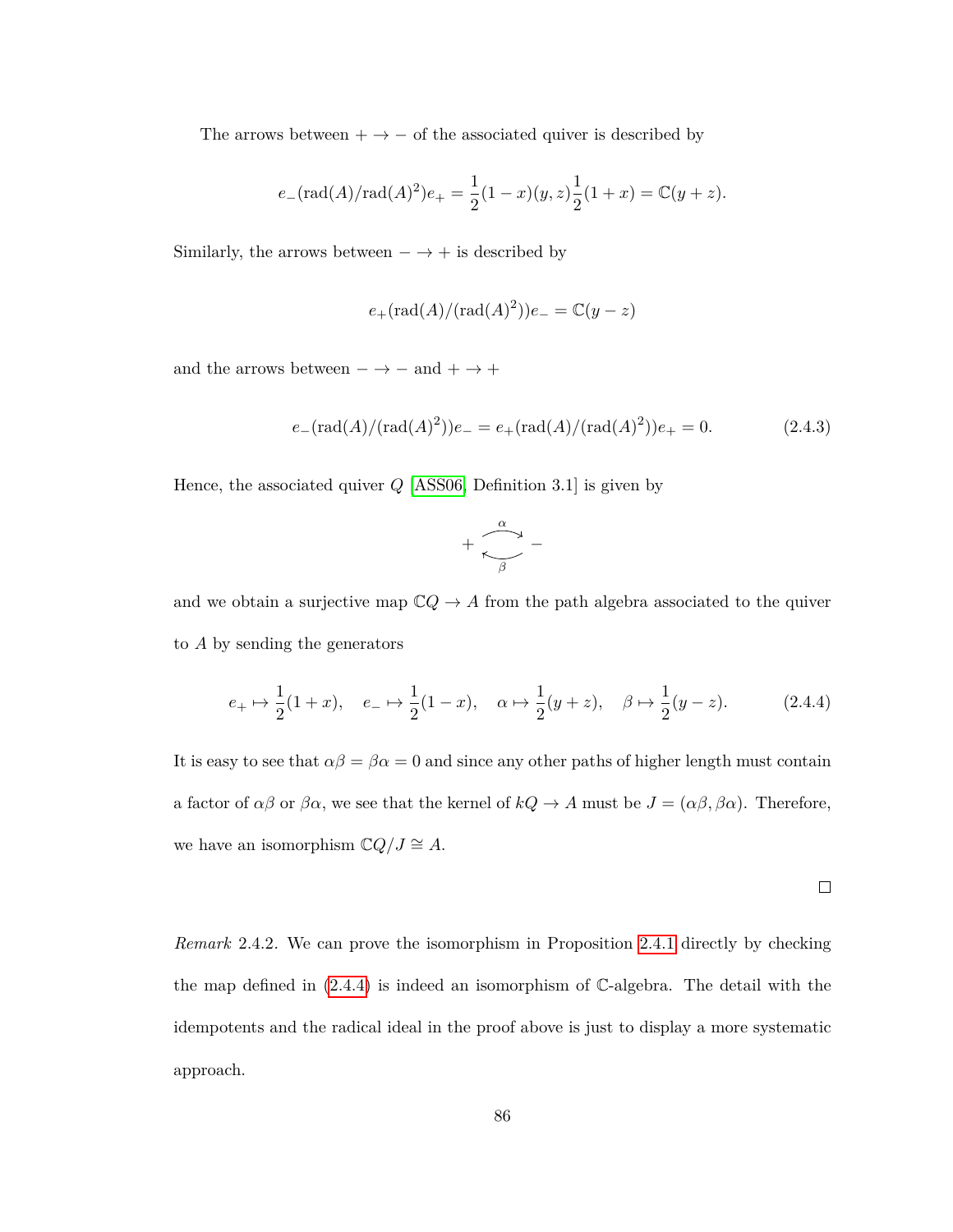The arrows between  $+ \rightarrow -$  of the associated quiver is described by

$$
e_{-}(\text{rad}(A)/\text{rad}(A)^{2})e_{+} = \frac{1}{2}(1-x)(y,z)\frac{1}{2}(1+x) = \mathbb{C}(y+z).
$$

Similarly, the arrows between  $-\rightarrow +$  is described by

$$
e_{+}(\text{rad}(A)/(\text{rad}(A)^{2}))e_{-}=\mathbb{C}(y-z)
$$

and the arrows between  $\rightarrow$   $-$  and  $+$   $\rightarrow$   $+$ 

$$
e_{-}(\text{rad}(A)/(\text{rad}(A)^{2}))e_{-} = e_{+}(\text{rad}(A)/(\text{rad}(A)^{2}))e_{+} = 0.
$$
 (2.4.3)

Hence, the associated quiver *Q* [\[ASS06,](#page-110-1) Definition 3.1] is given by

$$
+\underbrace{\overset{\alpha}{\longmapsto}}_{\beta}-
$$

and we obtain a surjective map  $\mathbb{C}Q \to A$  from the path algebra associated to the quiver to *A* by sending the generators

<span id="page-93-0"></span>
$$
e_{+} \mapsto \frac{1}{2}(1+x), \quad e_{-} \mapsto \frac{1}{2}(1-x), \quad \alpha \mapsto \frac{1}{2}(y+z), \quad \beta \mapsto \frac{1}{2}(y-z).
$$
 (2.4.4)

It is easy to see that  $\alpha\beta = \beta\alpha = 0$  and since any other paths of higher length must contain a factor of  $\alpha\beta$  or  $\beta\alpha$ , we see that the kernel of  $kQ \to A$  must be  $J = (\alpha\beta, \beta\alpha)$ . Therefore, we have an isomorphism  $\mathbb{C} Q/J \cong A.$ 

$$
\Box
$$

*Remark* 2.4.2*.* We can prove the isomorphism in Proposition [2.4.1](#page-92-0) directly by checking the map defined in [\(2.4.4\)](#page-93-0) is indeed an isomorphism of C-algebra. The detail with the idempotents and the radical ideal in the proof above is just to display a more systematic approach.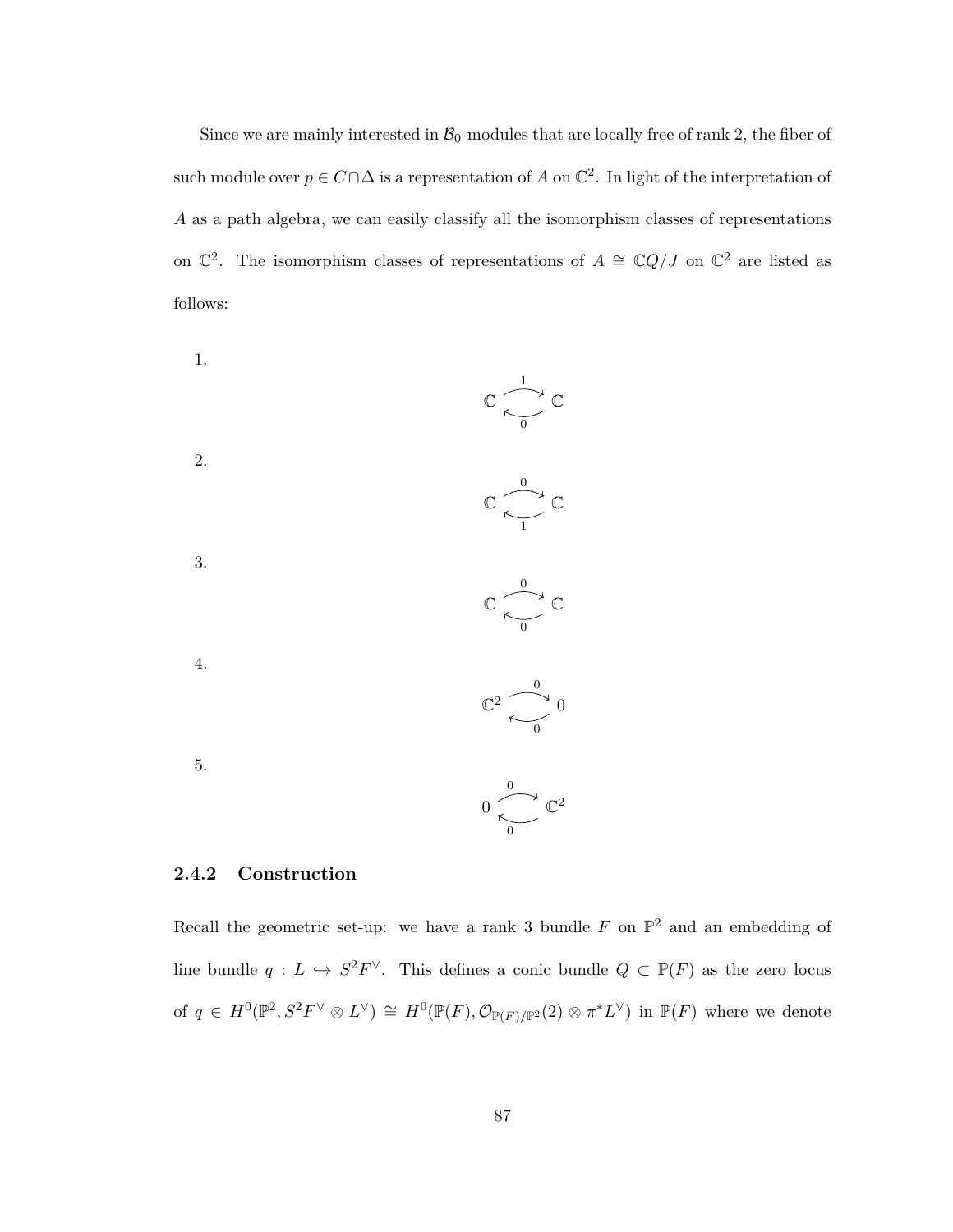Since we are mainly interested in  $\mathcal{B}_0$ -modules that are locally free of rank 2, the fiber of such module over  $p \in C \cap \Delta$  is a representation of A on  $\mathbb{C}^2$ . In light of the interpretation of *A* as a path algebra, we can easily classify all the isomorphism classes of representations on  $\mathbb{C}^2$ . The isomorphism classes of representations of *A* ≅  $\mathbb{C}Q/J$  on  $\mathbb{C}^2$  are listed as follows:

<span id="page-94-1"></span><span id="page-94-0"></span>1.  $\mathbb{C} \longrightarrow \mathbb{C}$ 1 0 2.  $\mathbb{C} \longrightarrow \mathbb{C}$ 0 1 3.  $\mathbb{C}$   $\longrightarrow$   $\mathbb{C}$ 0 0 4.  $\mathbb{C}^2$   $\longrightarrow$  0  $\boldsymbol{0}$  $\boldsymbol{0}$ 5.  $0 \ftrsim \mathbb{C}^2$ 0 0

# **2.4.2 Construction**

Recall the geometric set-up: we have a rank 3 bundle  $F$  on  $\mathbb{P}^2$  and an embedding of line bundle  $q: L \hookrightarrow S^2 F^{\vee}$ . This defines a conic bundle  $Q \subset \mathbb{P}(F)$  as the zero locus of  $q \in H^0(\mathbb{P}^2, S^2 F^{\vee} \otimes L^{\vee}) \cong H^0(\mathbb{P}(F), \mathcal{O}_{\mathbb{P}(F)/\mathbb{P}^2}(2) \otimes \pi^* L^{\vee})$  in  $\mathbb{P}(F)$  where we denote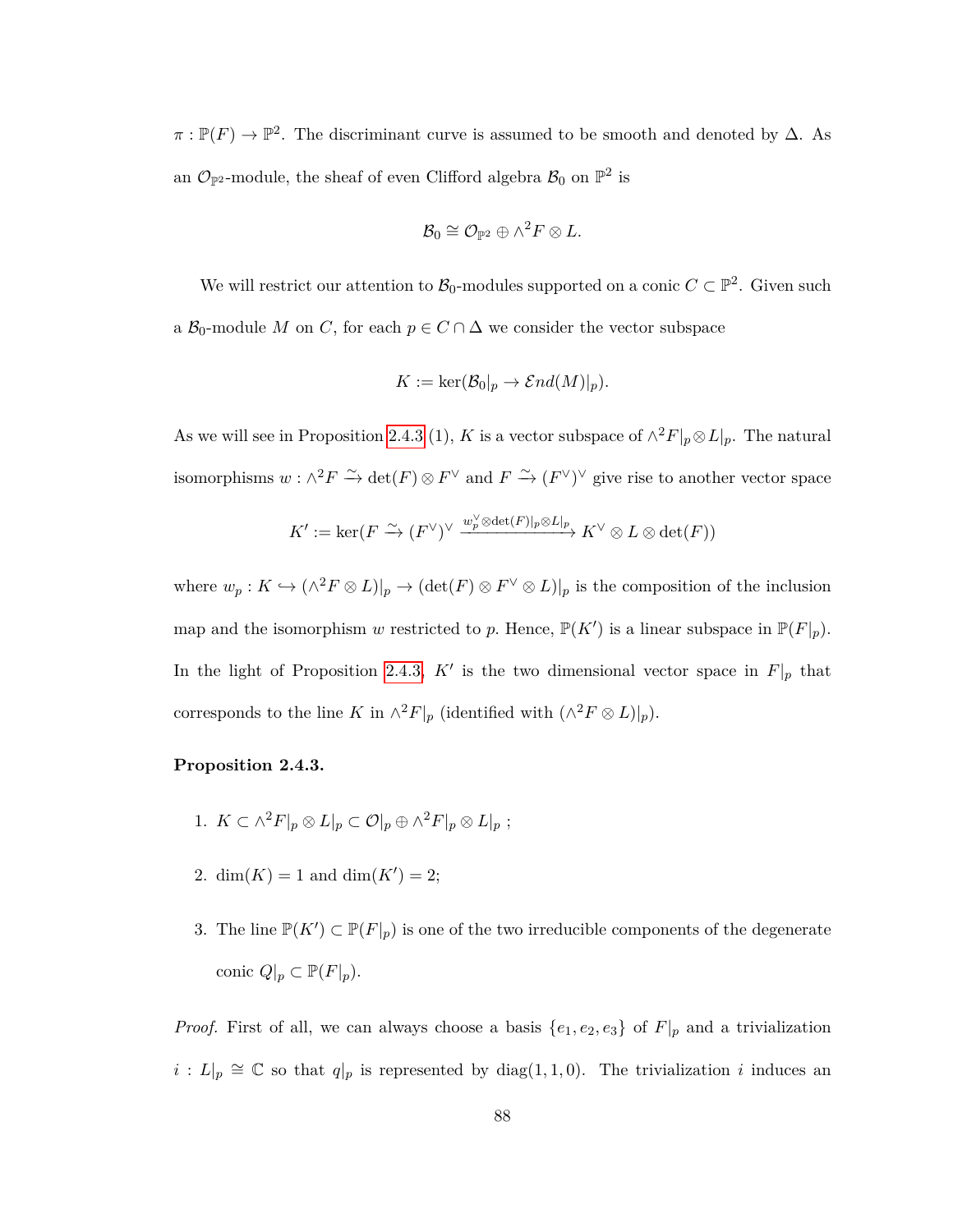$\pi : \mathbb{P}(F) \to \mathbb{P}^2$ . The discriminant curve is assumed to be smooth and denoted by  $\Delta$ . As an  $\mathcal{O}_{\mathbb{P}^2}$ -module, the sheaf of even Clifford algebra  $\mathcal{B}_0$  on  $\mathbb{P}^2$  is

$$
\mathcal{B}_0\cong \mathcal{O}_{\mathbb{P}^2}\oplus \wedge^2 F\otimes L.
$$

We will restrict our attention to  $\mathcal{B}_0$ -modules supported on a conic  $C \subset \mathbb{P}^2$ . Given such a  $\mathcal{B}_0$ -module *M* on *C*, for each  $p \in C \cap \Delta$  we consider the vector subspace

$$
K := \ker(\mathcal{B}_0|_p \to \mathcal{E}nd(M)|_p).
$$

As we will see in Proposition [2.4.3](#page-95-0) (1), *K* is a vector subspace of  $\wedge^2 F|_p \otimes L|_p$ . The natural isomorphisms  $w: \wedge^2 F \xrightarrow{\sim} \det(F) \otimes F^{\vee}$  and  $F \xrightarrow{\sim} (F^{\vee})^{\vee}$  give rise to another vector space

$$
K':=\ker(F \xrightarrow{\sim} (F^\vee)^\vee \xrightarrow{w_p^\vee \otimes \det(F)|_p \otimes L|_p} K^\vee \otimes L \otimes \det(F))
$$

where  $w_p: K \hookrightarrow (\wedge^2 F \otimes L)|_p \to (\det(F) \otimes F^{\vee} \otimes L)|_p$  is the composition of the inclusion map and the isomorphism *w* restricted to *p*. Hence,  $\mathbb{P}(K')$  is a linear subspace in  $\mathbb{P}(F|_p)$ . In the light of Proposition [2.4.3,](#page-95-0)  $K'$  is the two dimensional vector space in  $F|_p$  that corresponds to the line *K* in  $\wedge^2 F|_p$  (identified with  $(\wedge^2 F \otimes L)|_p$ ).

#### <span id="page-95-0"></span>**Proposition 2.4.3.**

- 1.  $K \subset \wedge^2 F|_p \otimes L|_p \subset \mathcal{O}|_p \oplus \wedge^2 F|_p \otimes L|_p;$
- 2. dim(*K*) = 1 and dim(*K'*) = 2;
- 3. The line  $\mathbb{P}(K') \subset \mathbb{P}(F|_p)$  is one of the two irreducible components of the degenerate conic  $Q|_p \subset \mathbb{P}(F|_p)$ .

*Proof.* First of all, we can always choose a basis  $\{e_1, e_2, e_3\}$  of  $F|_p$  and a trivialization  $i: L|_p \cong \mathbb{C}$  so that  $q|_p$  is represented by diag(1,1,0). The trivialization *i* induces an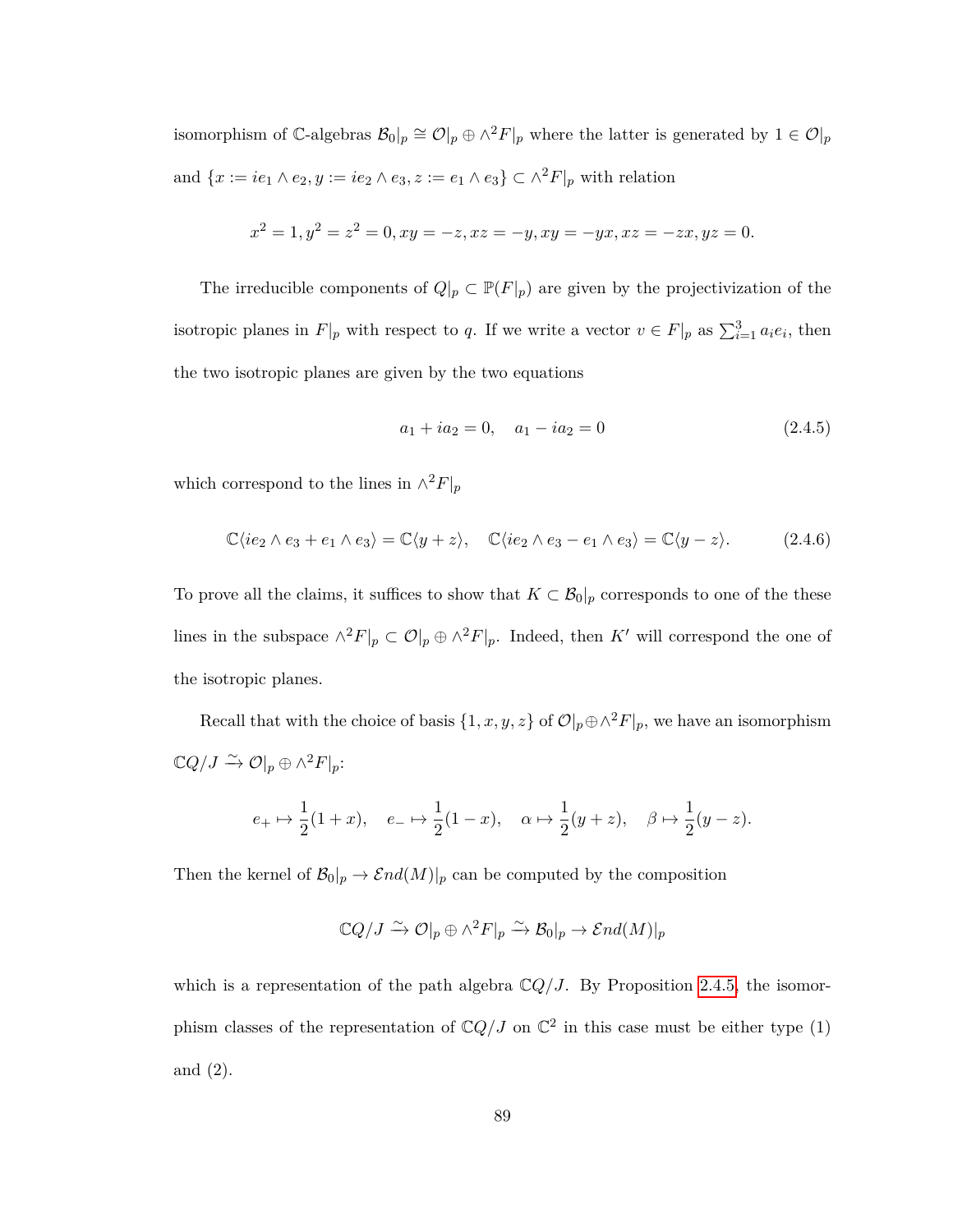isomorphism of  $\mathbb{C}$ -algebras  $\mathcal{B}_0|_p \cong \mathcal{O}|_p \oplus \wedge^2 F|_p$  where the latter is generated by  $1 \in \mathcal{O}|_p$ and  $\{x:=ie_1\wedge e_2, y:=ie_2\wedge e_3, z:=e_1\wedge e_3\}\subset \wedge^2F|_p$  with relation

$$
x^{2} = 1, y^{2} = z^{2} = 0, xy = -z, xz = -y, xy = -yx, xz = -zx, yz = 0.
$$

The irreducible components of  $Q|_p \subset \mathbb{P}(F|_p)$  are given by the projectivization of the isotropic planes in  $F|_p$  with respect to *q*. If we write a vector  $v \in F|_p$  as  $\sum_{i=1}^3 a_i e_i$ , then the two isotropic planes are given by the two equations

$$
a_1 + i a_2 = 0, \quad a_1 - i a_2 = 0 \tag{2.4.5}
$$

which correspond to the lines in  $\wedge^2 F|_p$ 

$$
\mathbb{C}\langle ie_2 \wedge e_3 + e_1 \wedge e_3 \rangle = \mathbb{C}\langle y + z \rangle, \quad \mathbb{C}\langle ie_2 \wedge e_3 - e_1 \wedge e_3 \rangle = \mathbb{C}\langle y - z \rangle. \tag{2.4.6}
$$

To prove all the claims, it suffices to show that  $K \subset \mathcal{B}_0|_p$  corresponds to one of the these lines in the subspace  $\wedge^2 F|_p \subset \mathcal{O}|_p \oplus \wedge^2 F|_p$ . Indeed, then K<sup>*i*</sup> will correspond the one of the isotropic planes.

Recall that with the choice of basis  $\{1, x, y, z\}$  of  $\mathcal{O}|p \oplus \wedge^2 F|p$ , we have an isomorphism  $\mathbb{C}Q/J \xrightarrow{\sim} \mathcal{O}|_p \oplus \wedge^2 F|_p$ :

$$
e_{+} \mapsto \frac{1}{2}(1+x), \quad e_{-} \mapsto \frac{1}{2}(1-x), \quad \alpha \mapsto \frac{1}{2}(y+z), \quad \beta \mapsto \frac{1}{2}(y-z).
$$

Then the kernel of  $\mathcal{B}_0|_p \to \mathcal{E}nd(M)|_p$  can be computed by the composition

$$
\mathbb{C}Q/J \xrightarrow{\sim} \mathcal{O}|_p \oplus \wedge^2 F|_p \xrightarrow{\sim} \mathcal{B}_0|_p \to \mathcal{E}nd(M)|_p
$$

which is a representation of the path algebra  $\mathbb{C}Q/J$ . By Proposition [2.4.5,](#page-97-0) the isomorphism classes of the representation of  $\mathbb{C}Q/J$  on  $\mathbb{C}^2$  in this case must be either type (1) and (2).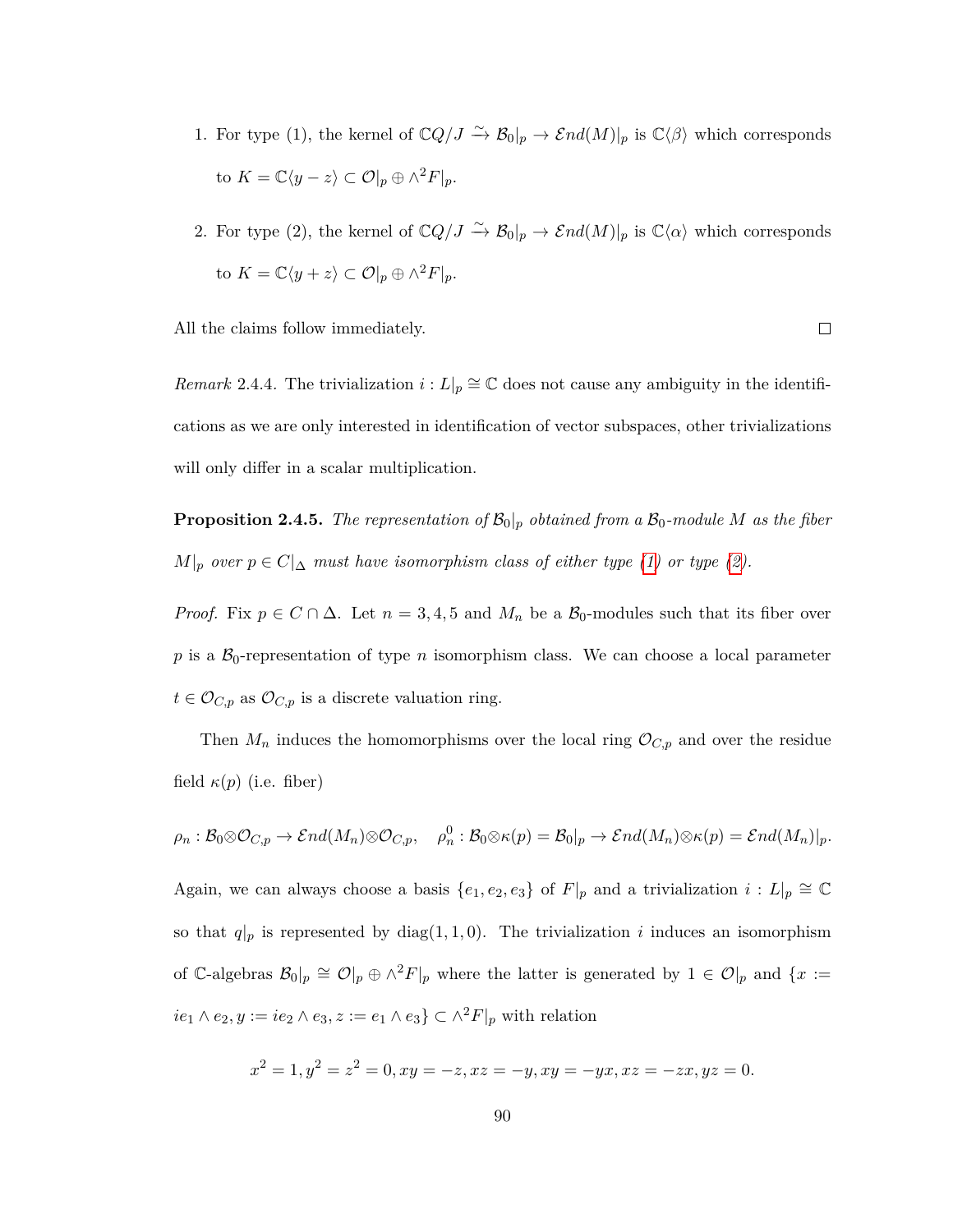- 1. For type (1), the kernel of  $\mathbb{C}Q/J \xrightarrow{\sim} \mathcal{B}_0|_p \to \mathcal{E}nd(M)|_p$  is  $\mathbb{C}\langle \beta \rangle$  which corresponds to  $K = \mathbb{C}\langle y - z \rangle \subset \mathcal{O}|_p \oplus \wedge^2 F|_p$ .
- 2. For type (2), the kernel of  $\mathbb{C}Q/J \xrightarrow{\sim} \mathcal{B}_0|_p \to \mathcal{E}nd(M)|_p$  is  $\mathbb{C}\langle \alpha \rangle$  which corresponds to  $K = \mathbb{C}\langle y + z \rangle \subset \mathcal{O}|_p \oplus \wedge^2 F|_p.$

All the claims follow immediately.

*Remark* 2.4.4. The trivialization  $i: L|_p \cong \mathbb{C}$  does not cause any ambiguity in the identifications as we are only interested in identification of vector subspaces, other trivializations will only differ in a scalar multiplication.

<span id="page-97-0"></span>**Proposition 2.4.5.** *The representation of*  $\mathcal{B}_0|_p$  *obtained from a*  $\mathcal{B}_0$ *-module M as the fiber M*| $_{p}$  *over*  $p \in C |_{\Delta}$  *must have isomorphism class of either type [\(1\)](#page-94-0) or type [\(2\)](#page-94-1).* 

*Proof.* Fix  $p \in C \cap \Delta$ . Let  $n = 3, 4, 5$  and  $M_n$  be a  $\mathcal{B}_0$ -modules such that its fiber over  $p$  is a  $B_0$ -representation of type  $n$  isomorphism class. We can choose a local parameter  $t \in \mathcal{O}_{C,p}$  as  $\mathcal{O}_{C,p}$  is a discrete valuation ring.

Then  $M_n$  induces the homomorphisms over the local ring  $\mathcal{O}_{C,p}$  and over the residue field  $\kappa(p)$  (i.e. fiber)

$$
\rho_n: \mathcal{B}_0\otimes \mathcal{O}_{C,p}\to \mathcal{E}nd(M_n)\otimes \mathcal{O}_{C,p},\quad \rho_n^0: \mathcal{B}_0\otimes \kappa(p)=\mathcal{B}_0|_p\to \mathcal{E}nd(M_n)\otimes \kappa(p)=\mathcal{E}nd(M_n)|_p.
$$

Again, we can always choose a basis  $\{e_1, e_2, e_3\}$  of  $F|_p$  and a trivialization  $i: L|_p \cong \mathbb{C}$ so that  $q|p$  is represented by diag(1,1,0). The trivialization *i* induces an isomorphism of C-algebras  $\mathcal{B}_0|_p \cong \mathcal{O}|_p \oplus \wedge^2 F|_p$  where the latter is generated by 1 ∈  $\mathcal{O}|_p$  and {*x* := *ie*<sub>1</sub> ∧ *e*<sub>2</sub>*, y* := *ie*<sub>2</sub> ∧ *e*<sub>3</sub>*, z* := *e*<sub>1</sub> ∧ *e*<sub>3</sub>} ⊂ ∧<sup>2</sup>*F* $|p|$  with relation

$$
x^{2} = 1, y^{2} = z^{2} = 0, xy = -z, xz = -y, xy = -yx, xz = -zx, yz = 0.
$$

 $\Box$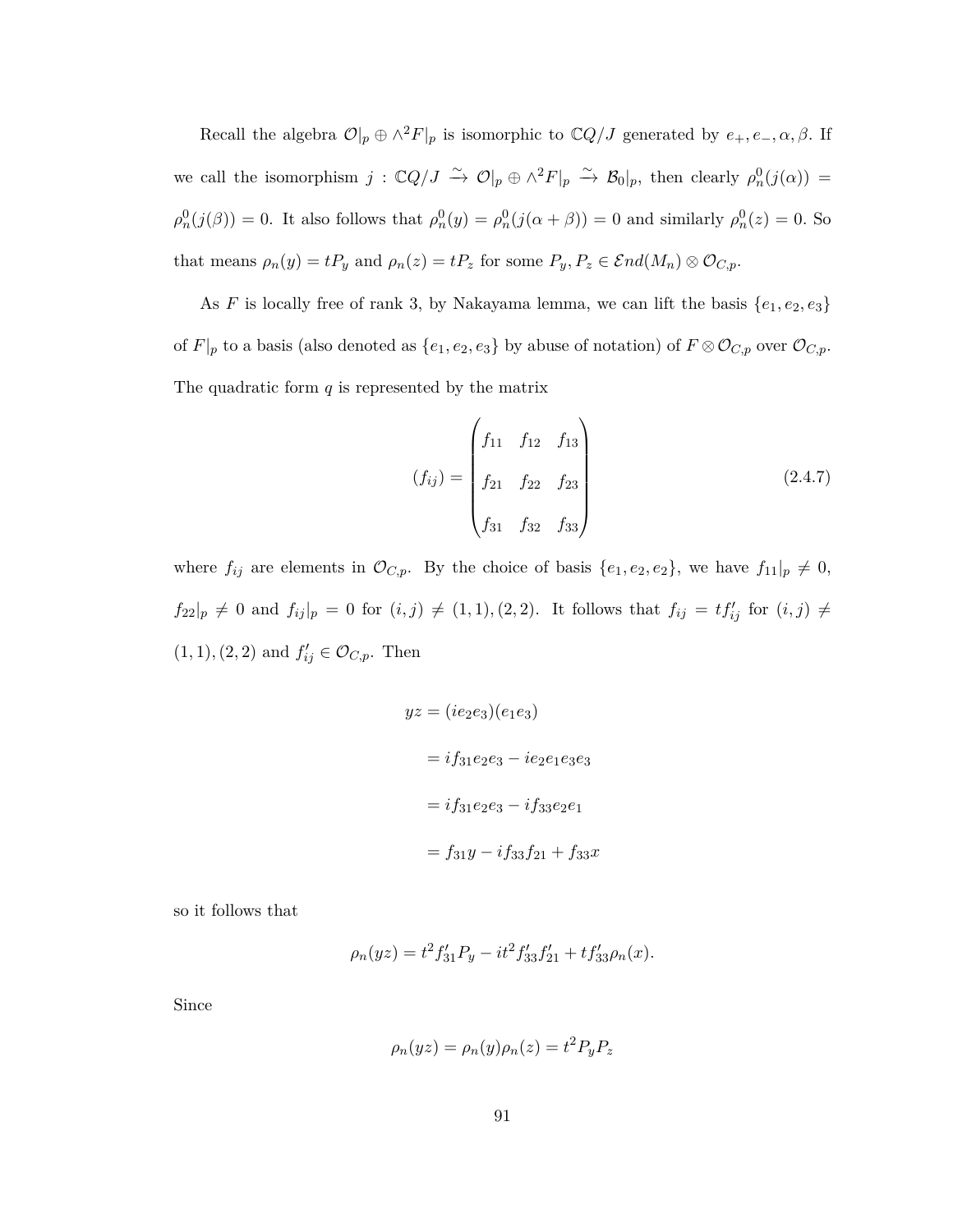Recall the algebra  $\mathcal{O}|_p \oplus \wedge^2 F|_p$  is isomorphic to  $\mathbb{C}Q/J$  generated by  $e_+, e_-, \alpha, \beta$ . If we call the isomorphism  $j : \mathbb{C}Q/J \xrightarrow{\sim} \mathcal{O}|_p \oplus \wedge^2 F|_p \xrightarrow{\sim} \mathcal{B}_0|_p$ , then clearly  $\rho_n^0(j(\alpha)) =$  $\rho_n^0(j(\beta)) = 0$ . It also follows that  $\rho_n^0(y) = \rho_n^0(j(\alpha + \beta)) = 0$  and similarly  $\rho_n^0(z) = 0$ . So that means  $\rho_n(y) = tP_y$  and  $\rho_n(z) = tP_z$  for some  $P_y, P_z \in \mathcal{E}nd(M_n) \otimes \mathcal{O}_{C,p}$ .

As *F* is locally free of rank 3, by Nakayama lemma, we can lift the basis  $\{e_1, e_2, e_3\}$ of  $F|_p$  to a basis (also denoted as  $\{e_1, e_2, e_3\}$  by abuse of notation) of  $F \otimes \mathcal{O}_{C,p}$  over  $\mathcal{O}_{C,p}$ . The quadratic form *q* is represented by the matrix

$$
(f_{ij}) = \begin{pmatrix} f_{11} & f_{12} & f_{13} \\ f_{21} & f_{22} & f_{23} \\ f_{31} & f_{32} & f_{33} \end{pmatrix}
$$
 (2.4.7)

where  $f_{ij}$  are elements in  $\mathcal{O}_{C,p}$ . By the choice of basis  $\{e_1, e_2, e_2\}$ , we have  $f_{11}|_p \neq 0$ ,  $f_{22}|_p \neq 0$  and  $f_{ij}|_p = 0$  for  $(i, j) \neq (1, 1), (2, 2)$ . It follows that  $f_{ij} = tf'_{ij}$  for  $(i, j) \neq j$  $(1, 1), (2, 2)$  and  $f'_{ij} \in \mathcal{O}_{C, p}$ . Then

$$
yz = (ie_2e_3)(e_1e_3)
$$
  
=  $if_{31}e_2e_3 - ie_2e_1e_3e_3$   
=  $if_{31}e_2e_3 - if_{33}e_2e_1$   
=  $f_{31}y - if_{33}f_{21} + f_{33}x$ 

so it follows that

$$
\rho_n(yz) = t^2 f'_{31} P_y - it^2 f'_{33} f'_{21} + t f'_{33} \rho_n(x).
$$

Since

$$
\rho_n(yz) = \rho_n(y)\rho_n(z) = t^2 P_y P_z
$$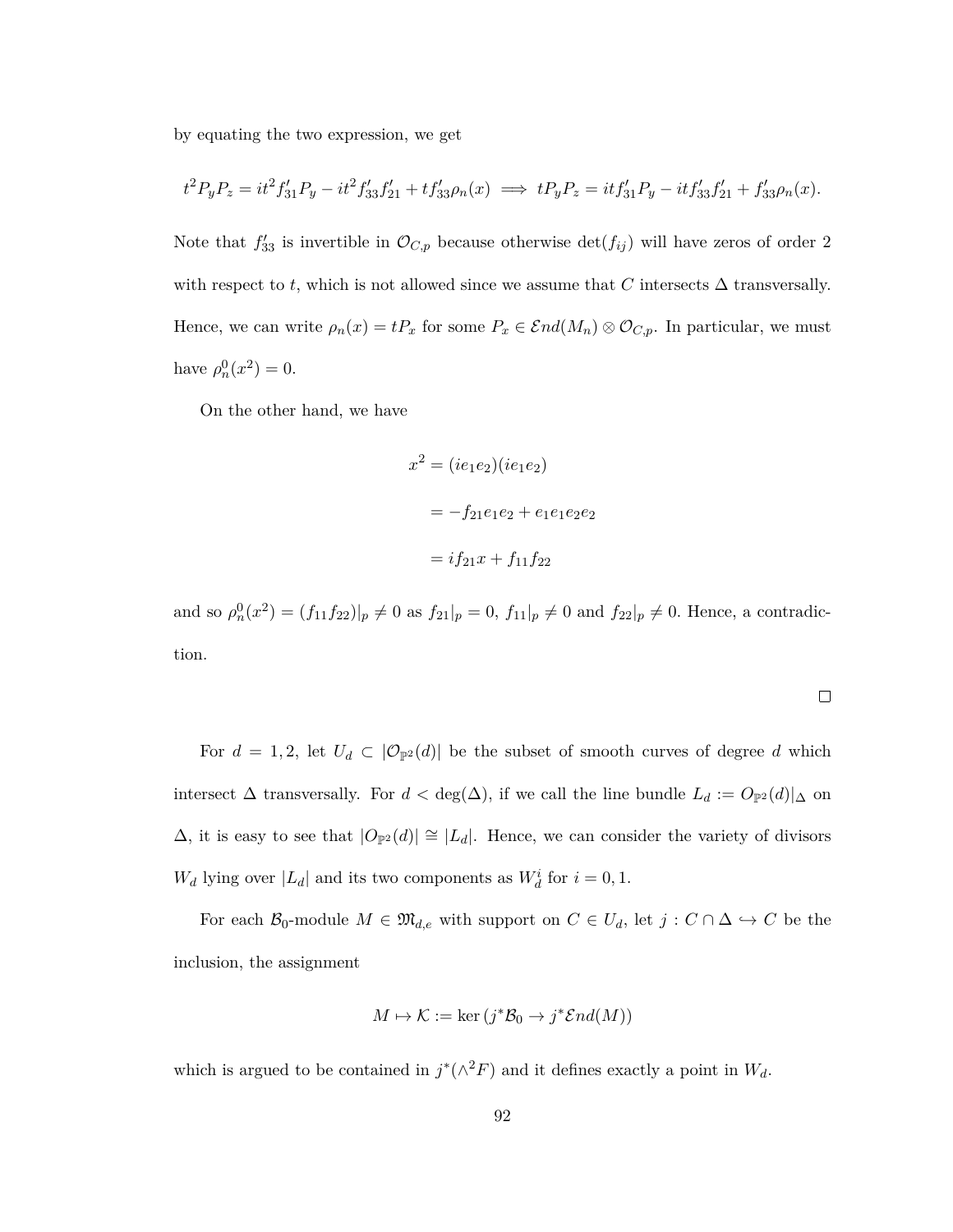by equating the two expression, we get

$$
t^2 P_y P_z = it^2 f'_{31} P_y - it^2 f'_{33} f'_{21} + t f'_{33} \rho_n(x) \implies t P_y P_z = it f'_{31} P_y - it f'_{33} f'_{21} + f'_{33} \rho_n(x).
$$

Note that  $f'_{33}$  is invertible in  $\mathcal{O}_{C,p}$  because otherwise  $\det(f_{ij})$  will have zeros of order 2 with respect to *t*, which is not allowed since we assume that  $C$  intersects  $\Delta$  transversally. Hence, we can write  $\rho_n(x) = tP_x$  for some  $P_x \in \mathcal{E}nd(M_n) \otimes \mathcal{O}_{C,p}$ . In particular, we must have  $\rho_n^0(x^2) = 0$ .

On the other hand, we have

$$
x^{2} = (ie_{1}e_{2})(ie_{1}e_{2})
$$

$$
= -f_{21}e_{1}e_{2} + e_{1}e_{1}e_{2}e_{2}
$$

$$
= if_{21}x + f_{11}f_{22}
$$

and so  $\rho_n^0(x^2) = (f_{11}f_{22})|_p \neq 0$  as  $f_{21}|_p = 0$ ,  $f_{11}|_p \neq 0$  and  $f_{22}|_p \neq 0$ . Hence, a contradiction.

 $\Box$ 

For  $d = 1, 2$ , let  $U_d \subset |\mathcal{O}_{\mathbb{P}^2}(d)|$  be the subset of smooth curves of degree *d* which intersect  $\Delta$  transversally. For  $d < \deg(\Delta)$ , if we call the line bundle  $L_d := O_{\mathbb{P}^2}(d)|_{\Delta}$  on  $\Delta$ , it is easy to see that  $|O_{\mathbb{P}^2}(d)| \cong |L_d|$ . Hence, we can consider the variety of divisors  $W_d$  lying over  $|L_d|$  and its two components as  $W_d^i$  for  $i = 0, 1$ .

For each  $\mathcal{B}_0$ -module  $M \in \mathfrak{M}_{d,e}$  with support on  $C \in U_d$ , let  $j : C \cap \Delta \hookrightarrow C$  be the inclusion, the assignment

$$
M \mapsto \mathcal{K} := \ker(j^* \mathcal{B}_0 \to j^* \mathcal{E} nd(M))
$$

which is argued to be contained in  $j^*(\wedge^2 F)$  and it defines exactly a point in  $W_d$ .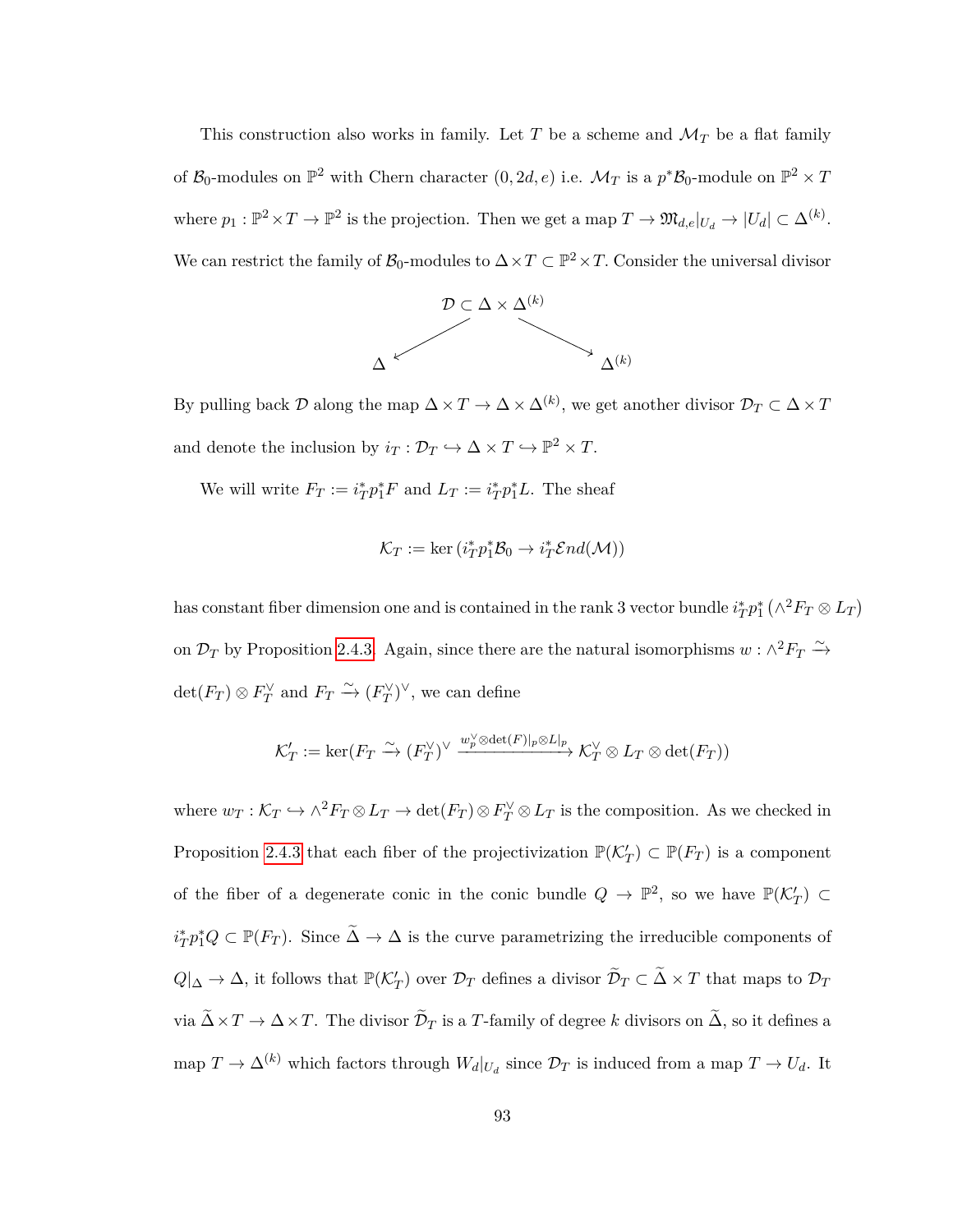This construction also works in family. Let  $T$  be a scheme and  $\mathcal{M}_T$  be a flat family of  $\mathcal{B}_0$ -modules on  $\mathbb{P}^2$  with Chern character  $(0, 2d, e)$  i.e.  $\mathcal{M}_T$  is a  $p^*\mathcal{B}_0$ -module on  $\mathbb{P}^2 \times T$ where  $p_1 : \mathbb{P}^2 \times T \to \mathbb{P}^2$  is the projection. Then we get a map  $T \to \mathfrak{M}_{d,e}|_{U_d} \to |U_d| \subset \Delta^{(k)}$ . We can restrict the family of  $\mathcal{B}_0$ -modules to  $\Delta \times T \subset \mathbb{P}^2 \times T$ . Consider the universal divisor



By pulling back  $\mathcal D$  along the map  $\Delta \times T \to \Delta \times \Delta^{(k)}$ , we get another divisor  $\mathcal D_T \subset \Delta \times T$ and denote the inclusion by  $i_T : \mathcal{D}_T \hookrightarrow \Delta \times T \hookrightarrow \mathbb{P}^2 \times T$ .

We will write  $F_T := i_T^* p_1^* F$  and  $L_T := i_T^* p_1^* L$ . The sheaf

$$
\mathcal{K}_T := \ker \left( i_T^* p_1^* \mathcal{B}_0 \to i_T^* \mathcal{E} nd(\mathcal{M}) \right)
$$

 $\phi_i$  has constant fiber dimension one and is contained in the rank 3 vector bundle  $i_T^*p_1^*\left(\wedge^2F_T\otimes L_T\right)$ on  $\mathcal{D}_T$  by Proposition [2.4.3.](#page-95-0) Again, since there are the natural isomorphisms  $w : \wedge^2 F_T \xrightarrow{\sim}$  $\det(F_T) \otimes F_T^{\vee}$  and  $F_T \xrightarrow{\sim} (F_T^{\vee})^{\vee}$ , we can define

$$
\mathcal{K}'_T := \ker(F_T \xrightarrow{\sim} (F_T^{\vee})^{\vee} \xrightarrow{w_p^{\vee} \otimes \det(F)|_p \otimes L|_p} \mathcal{K}_T^{\vee} \otimes L_T \otimes \det(F_T))
$$

where  $w_T : \mathcal{K}_T \hookrightarrow \wedge^2 F_T \otimes L_T \to \det(F_T) \otimes F_T^{\vee} \otimes L_T$  is the composition. As we checked in Proposition [2.4.3](#page-95-0) that each fiber of the projectivization  $\mathbb{P}(\mathcal{K}'_T) \subset \mathbb{P}(F_T)$  is a component of the fiber of a degenerate conic in the conic bundle  $Q \to \mathbb{P}^2$ , so we have  $\mathbb{P}(\mathcal{K}'_T) \subset$  $i_T^* p_1^* Q \subset \mathbb{P}(F_T)$ . Since  $\tilde{\Delta} \to \Delta$  is the curve parametrizing the irreducible components of  $Q|_{\Delta} \to \Delta$ , it follows that  $\mathbb{P}(\mathcal{K}'_T)$  over  $\mathcal{D}_T$  defines a divisor  $\widetilde{\mathcal{D}}_T \subset \widetilde{\Delta} \times T$  that maps to  $\mathcal{D}_T$ via  $\Delta \times T \to \Delta \times T$ . The divisor  $\mathcal{D}_T$  is a *T*-family of degree *k* divisors on  $\Delta$ , so it defines a map  $T \to \Delta^{(k)}$  which factors through  $W_d|_{U_d}$  since  $\mathcal{D}_T$  is induced from a map  $T \to U_d$ . It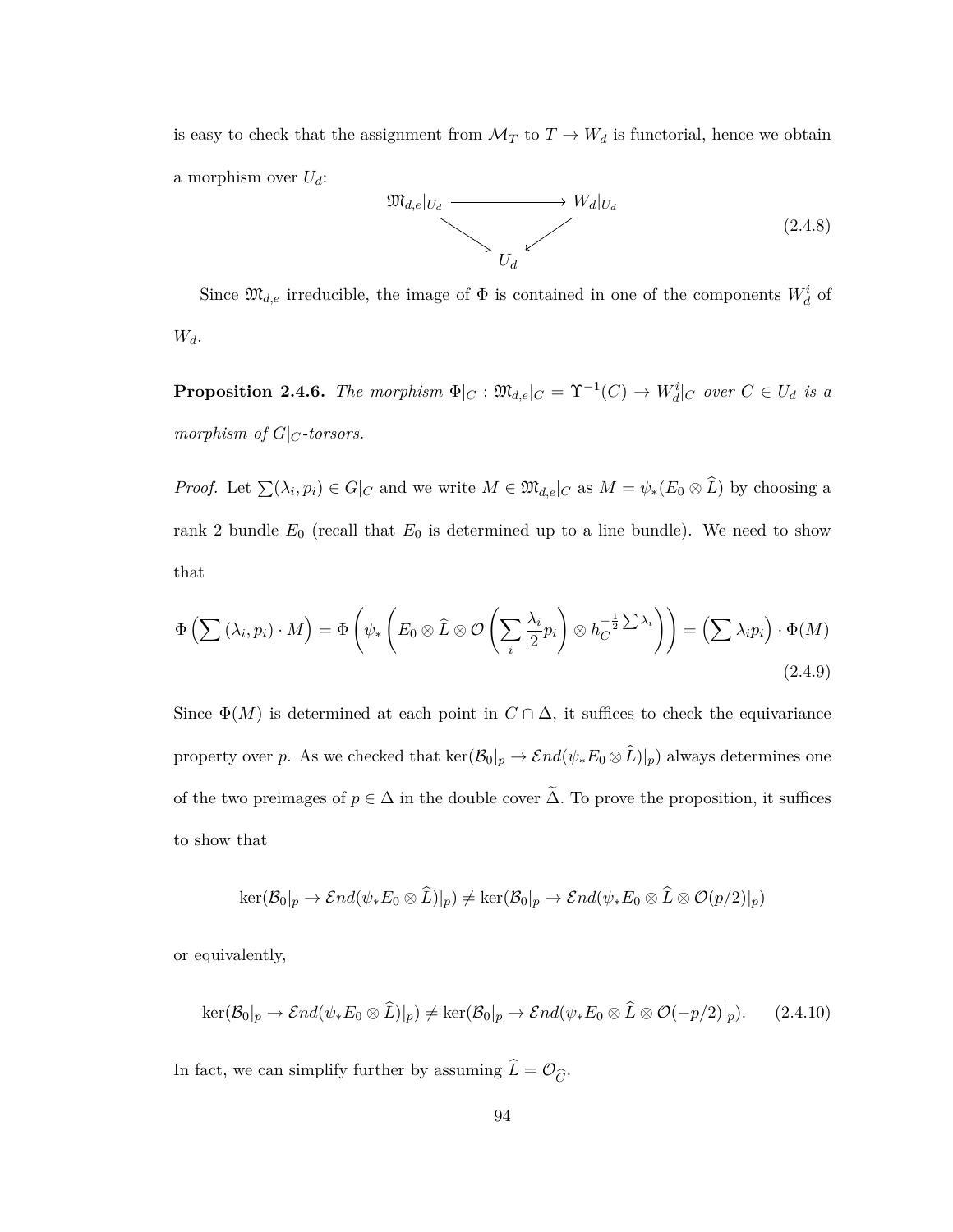is easy to check that the assignment from  $\mathcal{M}_T$  to  $T \to W_d$  is functorial, hence we obtain a morphism over *Ud*:



Since  $\mathfrak{M}_{d,e}$  irreducible, the image of  $\Phi$  is contained in one of the components  $W_d^i$  of *Wd*.

<span id="page-101-1"></span>**Proposition 2.4.6.** *The morphism*  $\Phi|_C : \mathfrak{M}_{d,e}|_C = \Upsilon^{-1}(C) \to W_d^i|_C$  *over*  $C \in U_d$  *is a morphism of*  $G|_{C}$ *-torsors.* 

*Proof.* Let  $\sum(\lambda_i, p_i) \in G|_C$  and we write  $M \in \mathfrak{M}_{d,e}|_C$  as  $M = \psi_*(E_0 \otimes L)$  by choosing a rank 2 bundle  $E_0$  (recall that  $E_0$  is determined up to a line bundle). We need to show that

$$
\Phi\left(\sum (\lambda_i, p_i) \cdot M\right) = \Phi\left(\psi_*\left(E_0 \otimes \widehat{L} \otimes \mathcal{O}\left(\sum_i \frac{\lambda_i}{2} p_i\right) \otimes h_C^{-\frac{1}{2}\sum \lambda_i}\right)\right) = \left(\sum \lambda_i p_i\right) \cdot \Phi(M)
$$
\n(2.4.9)

Since  $\Phi(M)$  is determined at each point in  $C \cap \Delta$ , it suffices to check the equivariance property over *p*. As we checked that  $\ker(\mathcal{B}_0|_p \to \mathcal{E}nd(\psi_*E_0 \otimes \widehat{L})|_p)$  always determines one of the two preimages of  $p \in \Delta$  in the double cover  $\tilde{\Delta}$ . To prove the proposition, it suffices to show that

$$
\ker(\mathcal{B}_0|_p \to \mathcal{E}nd(\psi_* E_0 \otimes \widehat{L})|_p) \neq \ker(\mathcal{B}_0|_p \to \mathcal{E}nd(\psi_* E_0 \otimes \widehat{L} \otimes \mathcal{O}(p/2)|_p)
$$

or equivalently,

<span id="page-101-0"></span>
$$
\ker(\mathcal{B}_0|_p \to \mathcal{E}nd(\psi_*E_0 \otimes \widehat{L})|_p) \neq \ker(\mathcal{B}_0|_p \to \mathcal{E}nd(\psi_*E_0 \otimes \widehat{L} \otimes \mathcal{O}(-p/2)|_p).
$$
 (2.4.10)

In fact, we can simplify further by assuming  $L = \mathcal{O}_{\widehat{C}}$ .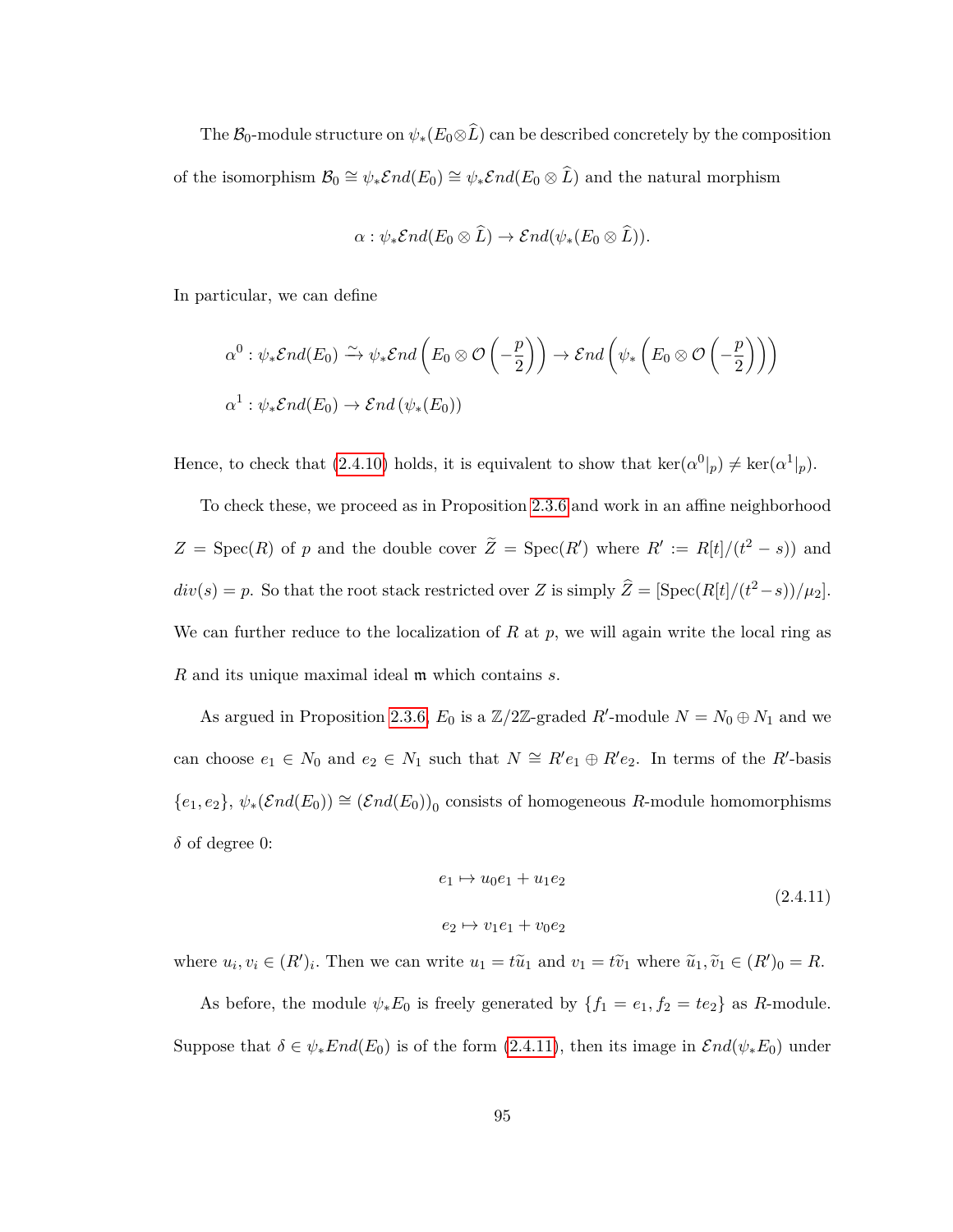The  $\mathcal{B}_0$ -module structure on  $\psi_*(E_0 \otimes \hat{L})$  can be described concretely by the composition of the isomorphism  $\mathcal{B}_0 \cong \psi_*\mathcal{E}nd(E_0) \cong \psi_*\mathcal{E}nd(E_0 \otimes \widehat{L})$  and the natural morphism

$$
\alpha: \psi_* \mathcal{E}nd(E_0 \otimes \widehat{L}) \to \mathcal{E}nd(\psi_*(E_0 \otimes \widehat{L})).
$$

In particular, we can define

$$
\alpha^{0} : \psi_{*} \mathcal{E}nd(E_{0}) \xrightarrow{\sim} \psi_{*} \mathcal{E}nd\left(E_{0} \otimes \mathcal{O}\left(-\frac{p}{2}\right)\right) \to \mathcal{E}nd\left(\psi_{*}\left(E_{0} \otimes \mathcal{O}\left(-\frac{p}{2}\right)\right)\right)
$$
  

$$
\alpha^{1} : \psi_{*} \mathcal{E}nd(E_{0}) \to \mathcal{E}nd\left(\psi_{*}(E_{0})\right)
$$

Hence, to check that [\(2.4.10\)](#page-101-0) holds, it is equivalent to show that  $\ker(\alpha^0|_p) \neq \ker(\alpha^1|_p)$ .

To check these, we proceed as in Proposition [2.3.6](#page-82-1) and work in an affine neighborhood  $Z = \text{Spec}(R)$  of *p* and the double cover  $\tilde{Z} = \text{Spec}(R')$  where  $R' := R[t]/(t^2 - s)$  and  $div(s) = p$ . So that the root stack restricted over *Z* is simply  $\hat{Z} = [\text{Spec}(R[t]/(t^2 - s))/\mu_2]$ . We can further reduce to the localization of *R* at *p*, we will again write the local ring as *R* and its unique maximal ideal m which contains *s.*

As argued in Proposition [2.3.6,](#page-82-1)  $E_0$  is a  $\mathbb{Z}/2\mathbb{Z}$ -graded  $R'$ -module  $N = N_0 \oplus N_1$  and we can choose  $e_1 \in N_0$  and  $e_2 \in N_1$  such that  $N \cong R'e_1 \oplus R'e_2$ . In terms of the *R'*-basis  ${e_1, e_2}, \psi_*(\mathcal{E}nd(E_0)) \cong (\mathcal{E}nd(E_0))_0$  consists of homogeneous *R*-module homomorphisms *δ* of degree 0:

<span id="page-102-0"></span>
$$
e_1 \mapsto u_0 e_1 + u_1 e_2
$$
  
\n
$$
e_2 \mapsto v_1 e_1 + v_0 e_2
$$
  
\n(2.4.11)

where  $u_i, v_i \in (R')_i$ . Then we can write  $u_1 = t\tilde{u}_1$  and  $v_1 = t\tilde{v}_1$  where  $\tilde{u}_1, \tilde{v}_1 \in (R')_0 = R$ .

As before, the module  $\psi_* E_0$  is freely generated by  $\{f_1 = e_1, f_2 = te_2\}$  as *R*-module. Suppose that  $\delta \in \psi_* End(E_0)$  is of the form [\(2.4.11\)](#page-102-0), then its image in  $\mathcal{E}nd(\psi_*E_0)$  under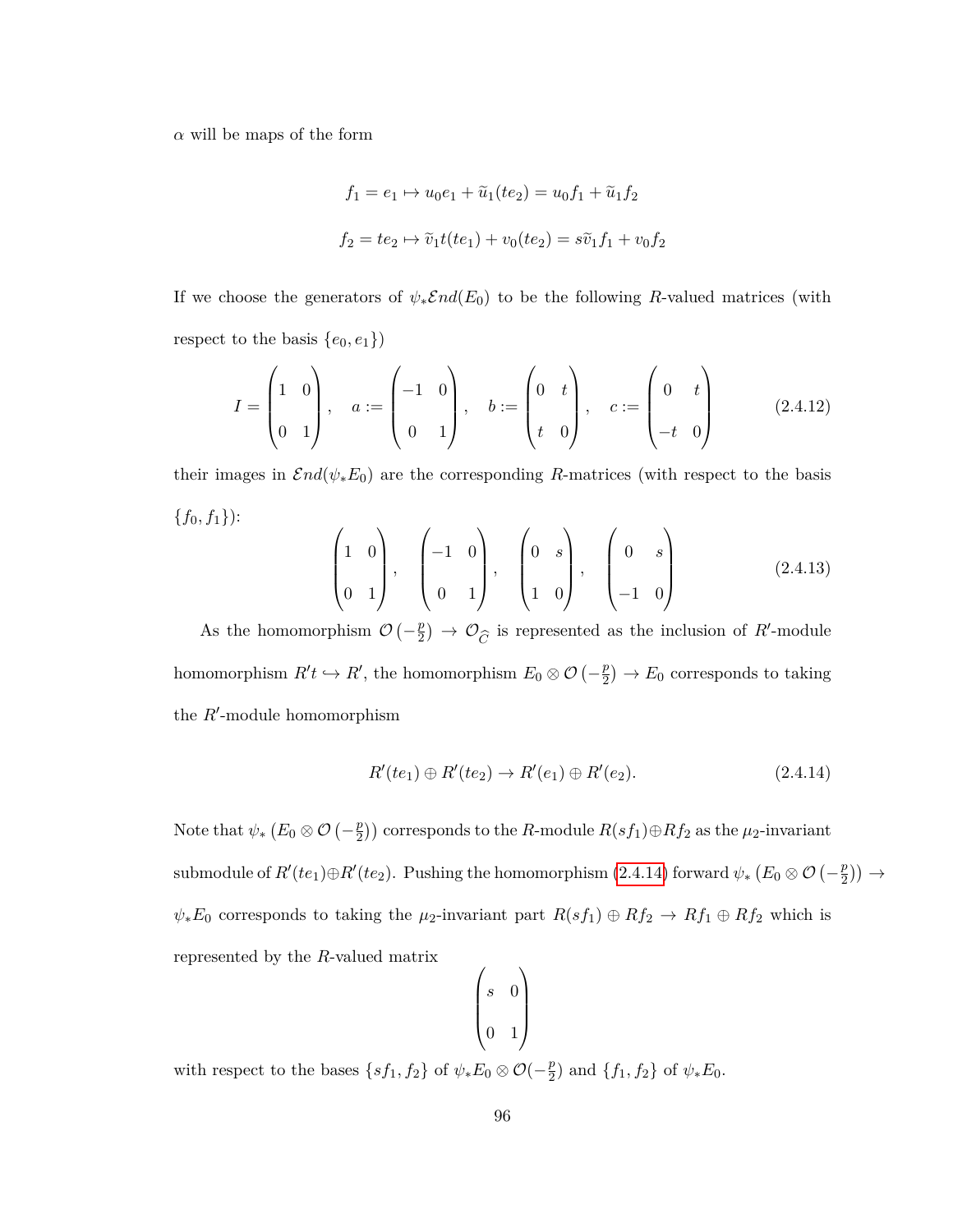*α* will be maps of the form

$$
f_1 = e_1 \mapsto u_0 e_1 + \widetilde{u}_1 (te_2) = u_0 f_1 + \widetilde{u}_1 f_2
$$
  

$$
f_2 = te_2 \mapsto \widetilde{v}_1 t(te_1) + v_0(te_2) = s\widetilde{v}_1 f_1 + v_0 f_2
$$

If we choose the generators of  $\psi_* \mathcal{E}nd(E_0)$  to be the following *R*-valued matrices (with respect to the basis  $\{e_0, e_1\}$ 

$$
I = \begin{pmatrix} 1 & 0 \\ 0 & 1 \end{pmatrix}, \quad a := \begin{pmatrix} -1 & 0 \\ 0 & 1 \end{pmatrix}, \quad b := \begin{pmatrix} 0 & t \\ t & 0 \end{pmatrix}, \quad c := \begin{pmatrix} 0 & t \\ -t & 0 \end{pmatrix}
$$
(2.4.12)

their images in  $\mathcal{E}nd(\psi_*E_0)$  are the corresponding *R*-matrices (with respect to the basis {*f*0*, f*1}):

$$
\begin{pmatrix} 1 & 0 \ 0 & 1 \end{pmatrix}, \quad \begin{pmatrix} -1 & 0 \ 0 & 1 \end{pmatrix}, \quad \begin{pmatrix} 0 & s \ 1 & 0 \end{pmatrix}, \quad \begin{pmatrix} 0 & s \ -1 & 0 \end{pmatrix}
$$
 (2.4.13)

As the homomorphism  $\mathcal{O}\left(-\frac{p}{2}\right)$  $\left(\frac{p}{2}\right) \to \mathcal{O}_{\widehat{C}}$  is represented as the inclusion of *R*<sup> $\prime$ </sup>-module homomorphism  $R't \hookrightarrow R'$ , the homomorphism  $E_0 \otimes \mathcal{O}(-\frac{p}{2})$  $(\frac{p}{2}) \rightarrow E_0$  corresponds to taking the  $R'$ -module homomorphism

<span id="page-103-0"></span>
$$
R'(te_1) \oplus R'(te_2) \to R'(e_1) \oplus R'(e_2). \tag{2.4.14}
$$

Note that  $\psi_*$   $(E_0 \otimes \mathcal{O}(-\frac{p}{2}))$  $\binom{p}{2}$ ) corresponds to the *R*-module  $R(s f_1) \oplus Rf_2$  as the  $\mu_2$ -invariant submodule of  $R'(te_1) \oplus R'(te_2)$ . Pushing the homomorphism [\(2.4.14\)](#page-103-0) forward  $\psi_*$  ( $E_0 \otimes \mathcal{O}(-\frac{p}{2})$  $(\frac{p}{2})$   $\rightarrow$  $\psi_* E_0$  corresponds to taking the *µ*<sub>2</sub>-invariant part  $R(sf_1) \oplus Rf_2 \rightarrow Rf_1 \oplus Rf_2$  which is represented by the *R*-valued matrix

$$
\begin{pmatrix} s & 0 \\ 0 & 1 \end{pmatrix}
$$

with respect to the bases  $\{sf_1, f_2\}$  of  $\psi_* E_0 \otimes \mathcal{O}(-\frac{p}{2})$  $(\frac{p}{2})$  and  $\{f_1, f_2\}$  of  $\psi_* E_0$ .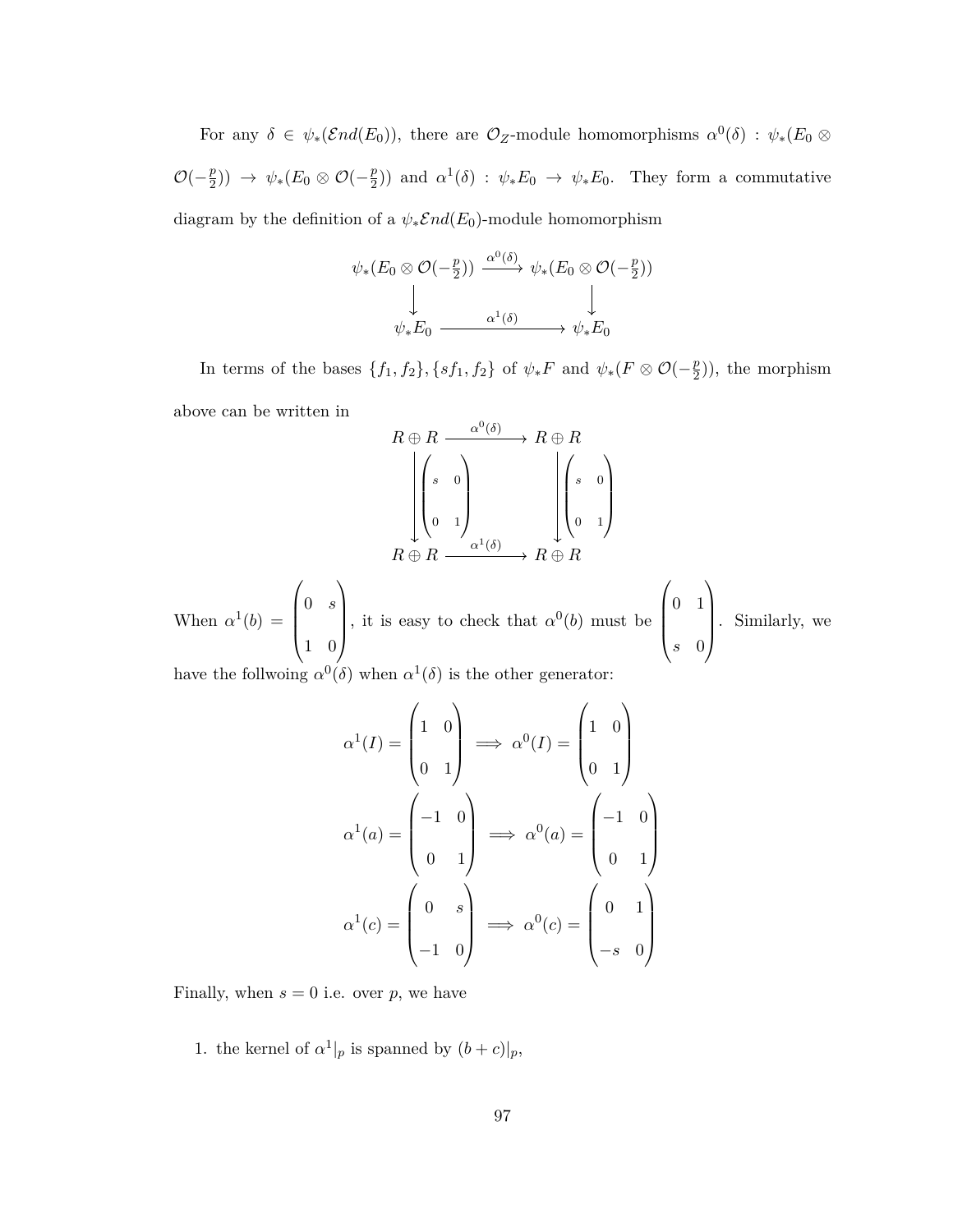For any  $\delta \in \psi_*(\mathcal{E}nd(E_0))$ , there are  $\mathcal{O}_Z$ -module homomorphisms  $\alpha^0(\delta)$ :  $\psi_*(E_0 \otimes$  $\mathcal{O}(-\frac{p}{2})$  $(\frac{p}{2})$ )  $\rightarrow \psi_*(E_0 \otimes \mathcal{O}(-\frac{p}{2}))$  $(\frac{p}{2})$  and  $\alpha^1(\delta)$  :  $\psi_* E_0 \to \psi_* E_0$ . They form a commutative diagram by the definition of a  $\psi_* \mathcal{E}nd(E_0)$ -module homomorphism

$$
\psi_*(E_0 \otimes \mathcal{O}(-\frac{p}{2})) \xrightarrow{\alpha^0(\delta)} \psi_*(E_0 \otimes \mathcal{O}(-\frac{p}{2}))
$$
\n
$$
\downarrow \qquad \qquad \downarrow
$$
\n
$$
\psi_* E_0 \xrightarrow{\alpha^1(\delta)} \psi_* E_0
$$

In terms of the bases  $\{f_1, f_2\}$ ,  $\{sf_1, f_2\}$  of  $\psi_* F$  and  $\psi_*(F \otimes \mathcal{O}(-\frac{p}{2})$  $\binom{p}{2}$ , the morphism above can be written in

$$
R \oplus R \xrightarrow{\alpha^{0}(\delta)} R \oplus R
$$
  
\n
$$
\begin{pmatrix} s & 0 \\ 0 & 1 \end{pmatrix} \qquad \qquad R \oplus R
$$
  
\n
$$
R \oplus R \xrightarrow{\alpha^{1}(\delta)} R \oplus R
$$

When  $\alpha^1(b)$  =  $\sqrt{ }$  $\begin{bmatrix} 0 & s \\ & \\ 1 & 0 \end{bmatrix}$ 1 0  $\setminus$ , it is easy to check that  $\alpha^0(b)$  must be  $\sqrt{ }$  $\begin{bmatrix} 0 & 1 \\ & & \\ s & 0 \end{bmatrix}$ *s* 0  $\setminus$  $\Bigg|$  . Similarly, we

have the follwoing  $\alpha^0(\delta)$  when  $\alpha^1(\delta)$  is the other generator:

$$
\alpha^{1}(I) = \begin{pmatrix} 1 & 0 \\ 0 & 1 \end{pmatrix} \implies \alpha^{0}(I) = \begin{pmatrix} 1 & 0 \\ 0 & 1 \end{pmatrix}
$$

$$
\alpha^{1}(a) = \begin{pmatrix} -1 & 0 \\ 0 & 1 \end{pmatrix} \implies \alpha^{0}(a) = \begin{pmatrix} -1 & 0 \\ 0 & 1 \end{pmatrix}
$$

$$
\alpha^{1}(c) = \begin{pmatrix} 0 & s \\ -1 & 0 \end{pmatrix} \implies \alpha^{0}(c) = \begin{pmatrix} 0 & 1 \\ 0 & 1 \\ -s & 0 \end{pmatrix}
$$

Finally, when  $s = 0$  i.e. over  $p$ , we have

1. the kernel of  $\alpha^1|_p$  is spanned by  $(b+c)|_p$ ,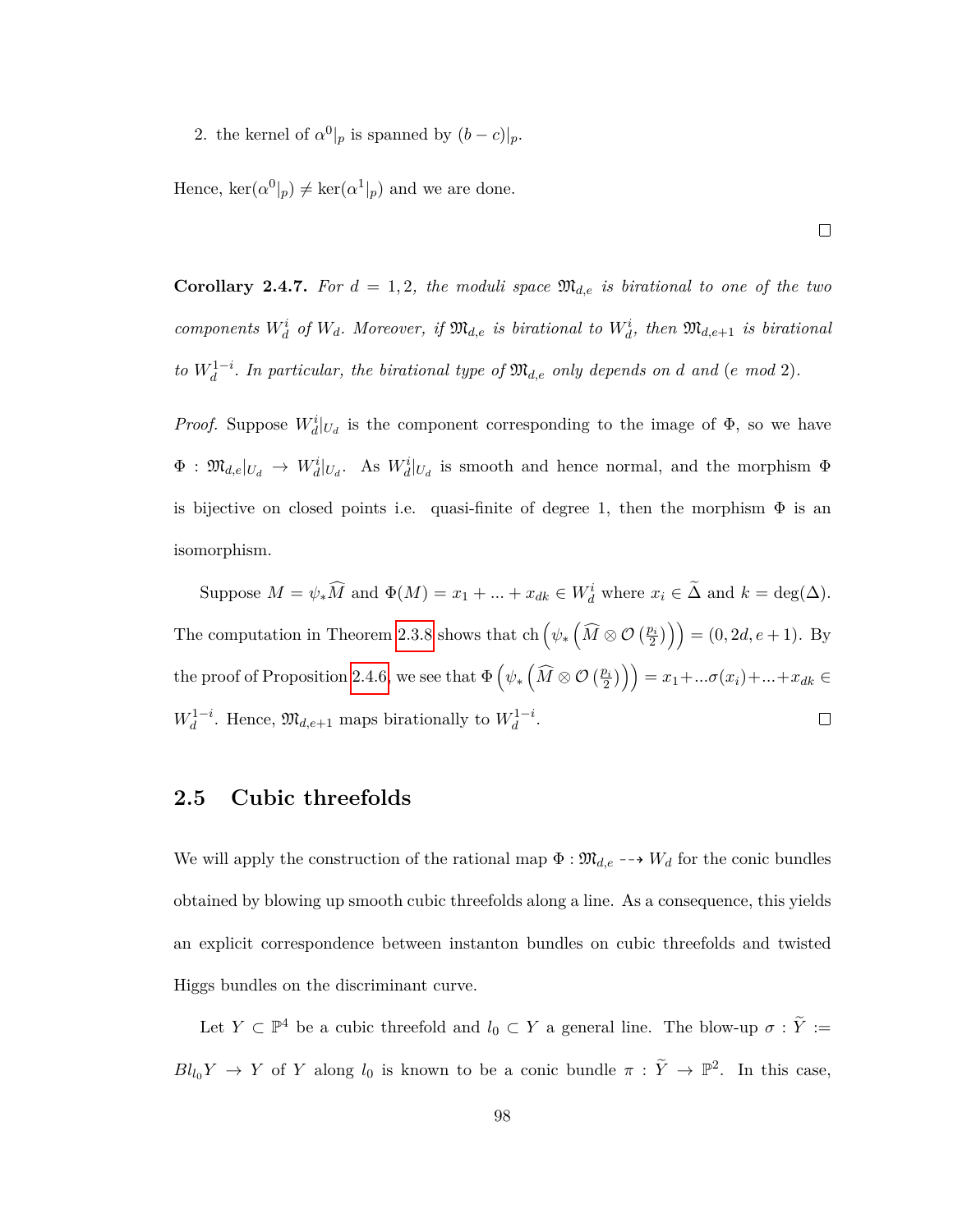2. the kernel of  $\alpha^0|_p$  is spanned by  $(b-c)|_p$ .

Hence,  $\ker(\alpha^0|_p) \neq \ker(\alpha^1|_p)$  and we are done.

<span id="page-105-0"></span>**Corollary 2.4.7.** For  $d = 1, 2$ , the moduli space  $\mathfrak{M}_{d,e}$  is birational to one of the two *components*  $W_d^i$  *of*  $W_d$ . Moreover, if  $\mathfrak{M}_{d,e}$  *is birational to*  $W_d^i$ , then  $\mathfrak{M}_{d,e+1}$  *is birational to*  $W_d^{1-i}$ *. In particular, the birational type of*  $\mathfrak{M}_{d,e}$  *only depends on d and* (*e mod* 2)*.* 

*Proof.* Suppose  $W_d^i|_{U_d}$  is the component corresponding to the image of  $\Phi$ , so we have  $\Phi$  :  $\mathfrak{M}_{d,e}|_{U_d} \to W_d^i|_{U_d}$ . As  $W_d^i|_{U_d}$  is smooth and hence normal, and the morphism  $\Phi$ is bijective on closed points i.e. quasi-finite of degree 1, then the morphism  $\Phi$  is an isomorphism.

Suppose  $M = \psi_* \widehat{M}$  and  $\Phi(M) = x_1 + ... + x_{dk} \in W_d^i$  where  $x_i \in \widetilde{\Delta}$  and  $k = \deg(\Delta)$ . The computation in Theorem [2.3.8](#page-86-0) shows that ch  $(\psi_*\left( \widehat{M} \otimes \mathcal{O}\left( \frac{p_i}{2} \right) \right) = (0, 2d, e+1)$ . By  $\mathcal{D} \left( \psi_* \left( \widehat{M} \otimes \mathcal{O} \left( \frac{p_i}{2} \right) \right) \right) = x_1 + ... \sigma(x_i) + ... + x_{dk} \in \mathbb{R}$  $W_d^{1-i}$ . Hence,  $\mathfrak{M}_{d,e+1}$  maps birationally to  $W_d^{1-i}$ .  $\Box$ 

# **2.5 Cubic threefolds**

We will apply the construction of the rational map  $\Phi : \mathfrak{M}_{d,e} \dashrightarrow W_d$  for the conic bundles obtained by blowing up smooth cubic threefolds along a line. As a consequence, this yields an explicit correspondence between instanton bundles on cubic threefolds and twisted Higgs bundles on the discriminant curve.

Let  $Y \subset \mathbb{P}^4$  be a cubic threefold and  $l_0 \subset Y$  a general line. The blow-up  $\sigma : \tilde{Y} :=$  $Bl_{l_0} Y \to Y$  of *Y* along  $l_0$  is known to be a conic bundle  $\pi : \tilde{Y} \to \mathbb{P}^2$ . In this case,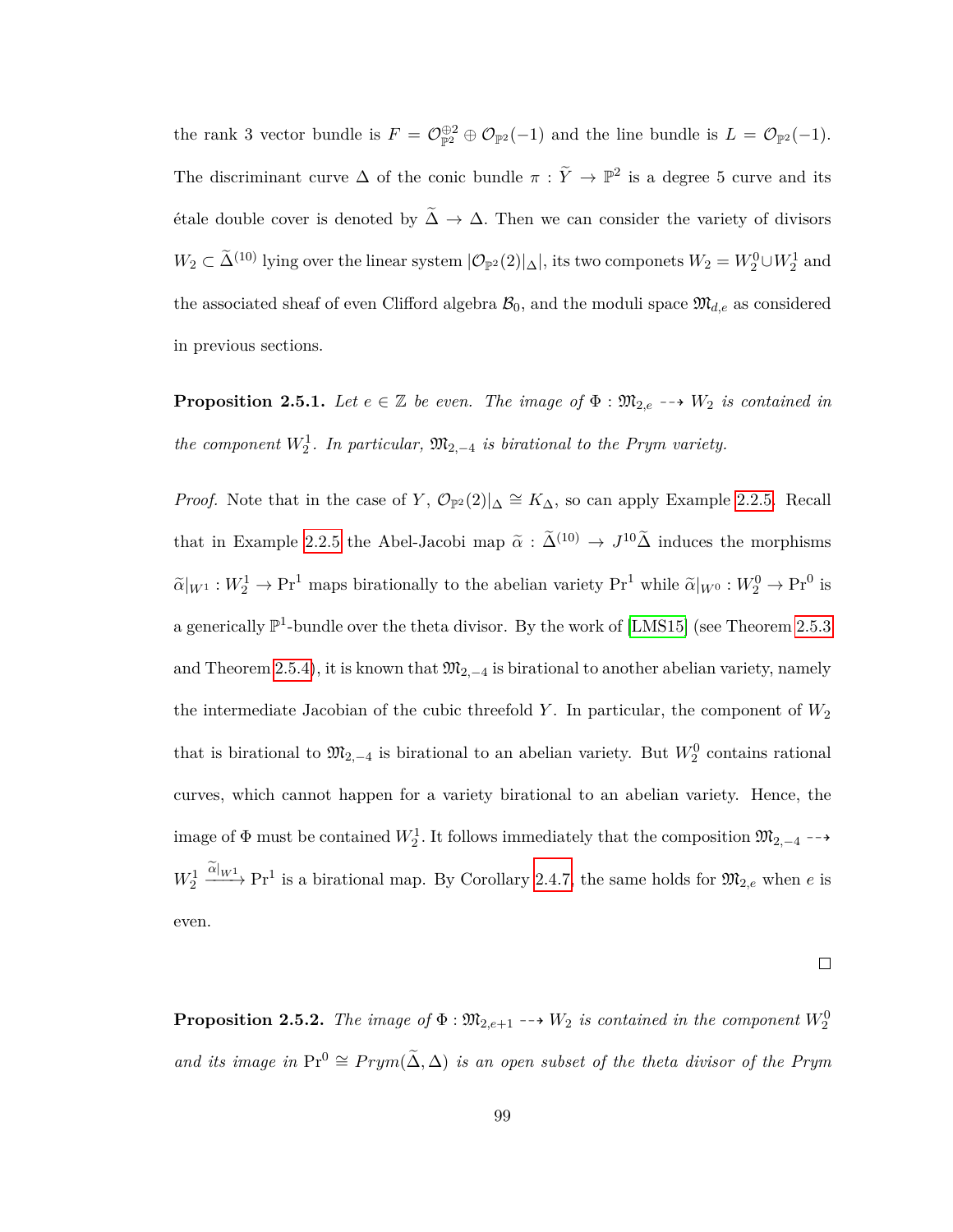the rank 3 vector bundle is  $F = \mathcal{O}_{\mathbb{P}^2}^{\oplus 2} \oplus \mathcal{O}_{\mathbb{P}^2}(-1)$  and the line bundle is  $L = \mathcal{O}_{\mathbb{P}^2}(-1)$ . The discriminant curve  $\Delta$  of the conic bundle  $\pi : \tilde{Y} \to \mathbb{P}^2$  is a degree 5 curve and its  $\acute{e}$ tale double cover is denoted by  $\widetilde{Δ} \rightarrow Δ$ . Then we can consider the variety of divisors  $W_2 \subset \tilde{\Delta}^{(10)}$  lying over the linear system  $|\mathcal{O}_{\mathbb{P}^2}(2)|_{\Delta}|$ , its two componets  $W_2 = W_2^0 \cup W_2^1$  and the associated sheaf of even Clifford algebra  $\mathcal{B}_0$ , and the moduli space  $\mathfrak{M}_{d,e}$  as considered in previous sections.

<span id="page-106-0"></span>**Proposition 2.5.1.** *Let*  $e \in \mathbb{Z}$  *be even. The image of*  $\Phi : \mathfrak{M}_{2,e} \dashrightarrow W_2$  *is contained in the component*  $W_2^1$ . In particular,  $\mathfrak{M}_{2,-4}$  *is birational to the Prym variety.* 

*Proof.* Note that in the case of *Y*,  $\mathcal{O}_{\mathbb{P}^2}(2)|_{\Delta} \cong K_{\Delta}$ , so can apply Example [2.2.5.](#page-76-0) Recall that in Example [2.2.5](#page-76-0) the Abel-Jacobi map  $\tilde{\alpha}$  :  $\tilde{\Delta}^{(10)} \to J^{10} \tilde{\Delta}$  induces the morphisms  $\tilde{\alpha}|_{W^1}: W_2^1 \to \text{Pr}^1$  maps birationally to the abelian variety  $\text{Pr}^1$  while  $\tilde{\alpha}|_{W^0}: W_2^0 \to \text{Pr}^0$  is a generically  $\mathbb{P}^1$ -bundle over the theta divisor. By the work of [\[LMS15\]](#page-115-1) (see Theorem [2.5.3](#page-107-0) and Theorem [2.5.4\)](#page-107-1), it is known that  $\mathfrak{M}_{2,-4}$  is birational to another abelian variety, namely the intermediate Jacobian of the cubic threefold *Y* . In particular, the component of *W*<sup>2</sup> that is birational to  $\mathfrak{M}_{2,-4}$  is birational to an abelian variety. But  $W_2^0$  contains rational curves, which cannot happen for a variety birational to an abelian variety. Hence, the image of  $\Phi$  must be contained  $W_2^1$ . It follows immediately that the composition  $\mathfrak{M}_{2,-4}$  -- $\rightarrow$  $W_2^1 \xrightarrow{\tilde{\alpha}|_{W_1}} \Pr^1$  is a birational map. By Corollary [2.4.7,](#page-105-0) the same holds for  $\mathfrak{M}_{2,e}$  when *e* is even.

 $\Box$ 

**Proposition 2.5.2.** The image of  $\Phi : \mathfrak{M}_{2,e+1} \dashrightarrow W_2$  is contained in the component  $W_2^0$ *and its image in*  $Pr^0 \cong Prym(\tilde{\Delta}, \Delta)$  *is an open subset of the theta divisor of the Prym*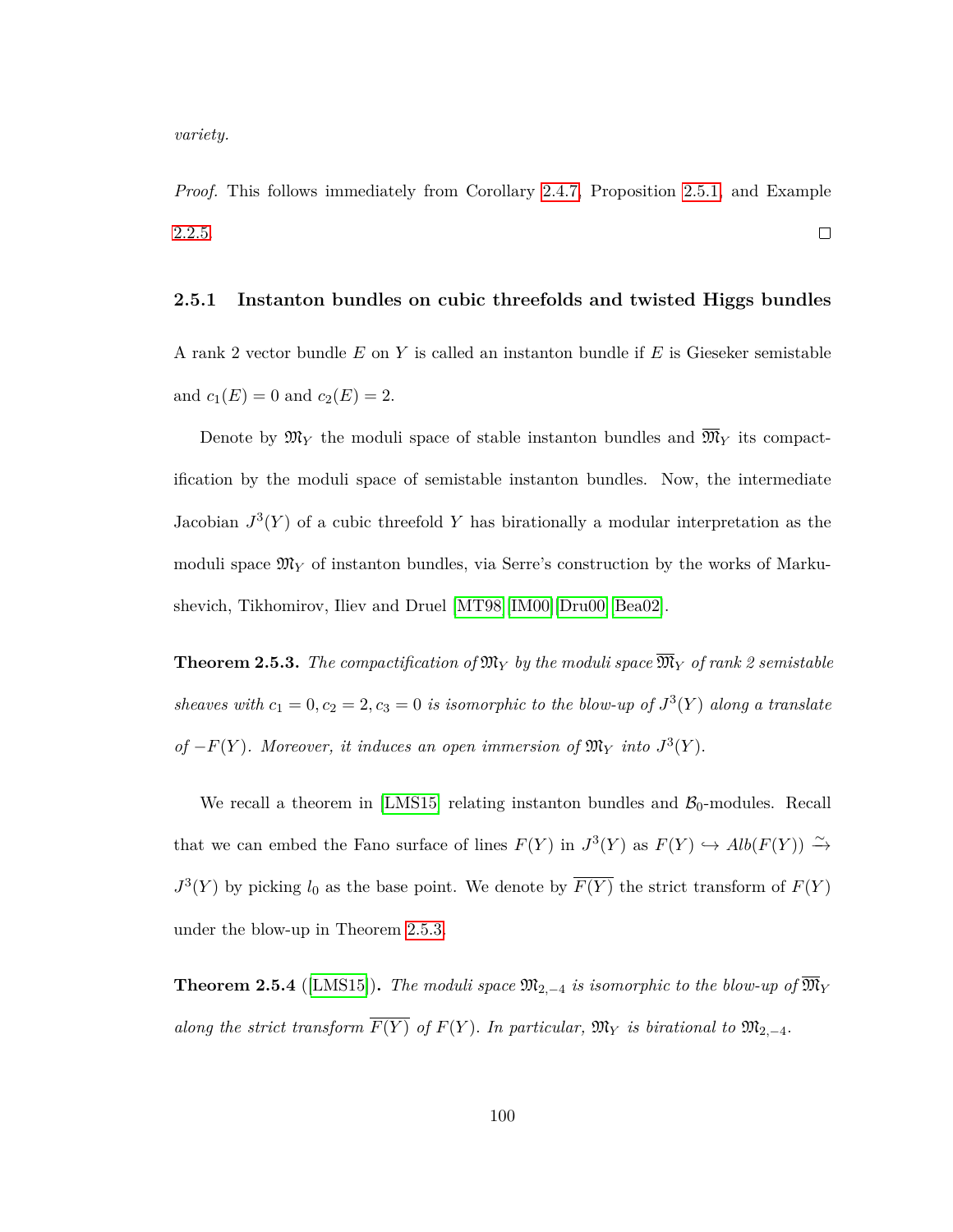*variety.*

*Proof.* This follows immediately from Corollary [2.4.7,](#page-105-0) Proposition [2.5.1,](#page-106-0) and Example [2.2.5.](#page-76-0)  $\Box$ 

### **2.5.1 Instanton bundles on cubic threefolds and twisted Higgs bundles**

A rank 2 vector bundle *E* on *Y* is called an instanton bundle if *E* is Gieseker semistable and  $c_1(E) = 0$  and  $c_2(E) = 2$ .

Denote by  $\mathfrak{M}_Y$  the moduli space of stable instanton bundles and  $\overline{\mathfrak{M}}_Y$  its compactification by the moduli space of semistable instanton bundles. Now, the intermediate Jacobian  $J^3(Y)$  of a cubic threefold Y has birationally a modular interpretation as the moduli space M*<sup>Y</sup>* of instanton bundles, via Serre's construction by the works of Markushevich, Tikhomirov, Iliev and Druel [\[MT98\]](#page-115-2)[\[IM00\]](#page-114-0)[\[Dru00\]](#page-114-1)[\[Bea02\]](#page-111-2).

<span id="page-107-0"></span>**Theorem 2.5.3.** The compactification of  $\mathfrak{M}_Y$  by the moduli space  $\overline{\mathfrak{M}}_Y$  of rank 2 semistable *sheaves with*  $c_1 = 0, c_2 = 2, c_3 = 0$  *is isomorphic to the blow-up of*  $J^3(Y)$  *along a translate of* −*F*(*Y*)*. Moreover, it induces an open immersion of*  $\mathfrak{M}_Y$  *into*  $J^3(Y)$ *.* 

We recall a theorem in [\[LMS15\]](#page-115-1) relating instanton bundles and  $\mathcal{B}_0$ -modules. Recall that we can embed the Fano surface of lines  $F(Y)$  in  $J^3(Y)$  as  $F(Y) \hookrightarrow Alb(F(Y)) \xrightarrow{\sim}$  $J^3(Y)$  by picking  $l_0$  as the base point. We denote by  $\overline{F(Y)}$  the strict transform of  $F(Y)$ under the blow-up in Theorem [2.5.3.](#page-107-0)

<span id="page-107-1"></span>**Theorem 2.5.4** ([\[LMS15\]](#page-115-1)). The moduli space  $\mathfrak{M}_{2,-4}$  is isomorphic to the blow-up of  $\overline{\mathfrak{M}}_Y$ *along the strict transform*  $\overline{F(Y)}$  *of*  $F(Y)$ *. In particular,*  $\mathfrak{M}_Y$  *is birational to*  $\mathfrak{M}_{2,-4}$ *.*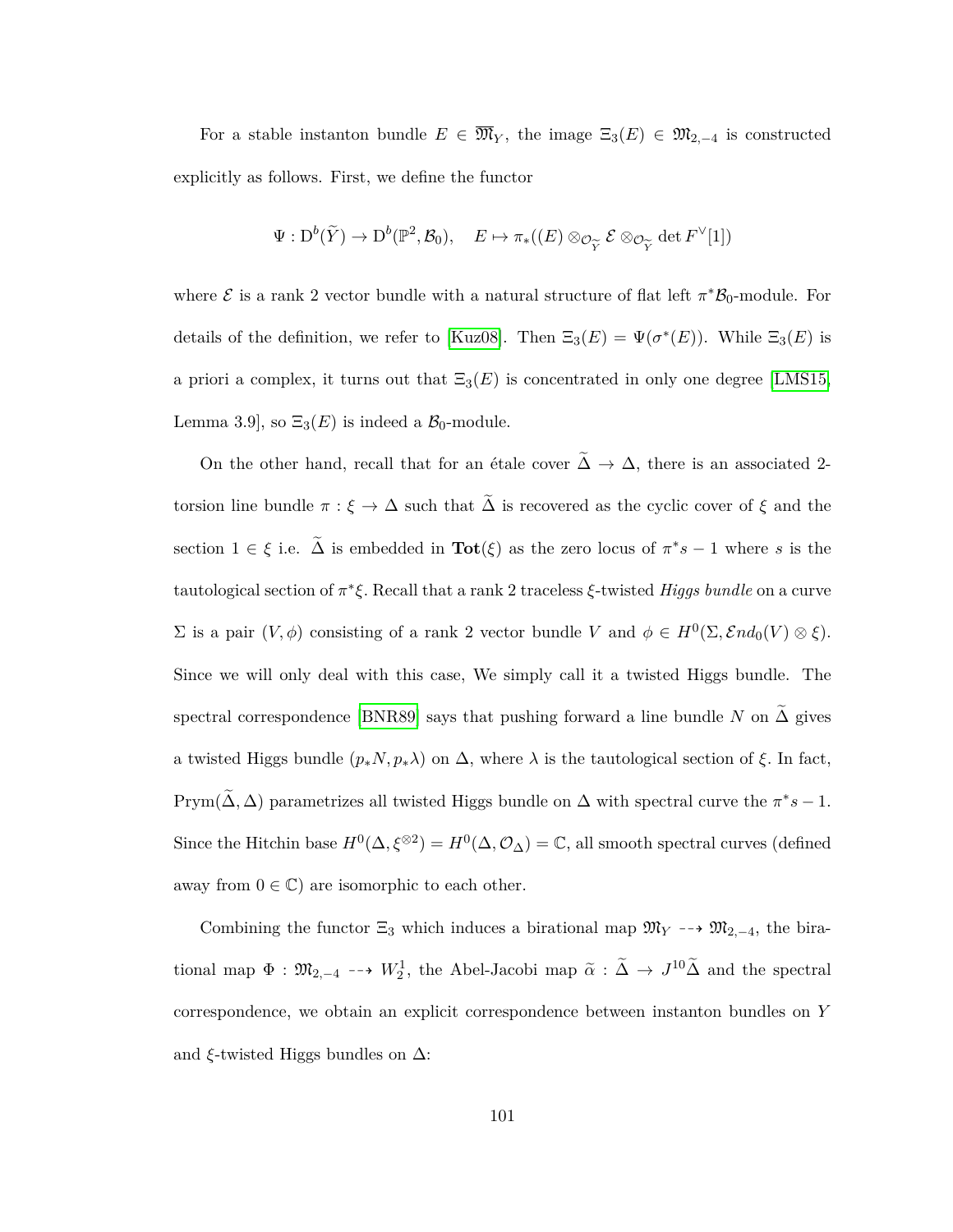For a stable instanton bundle  $E \in \overline{\mathfrak{M}}_Y$ , the image  $\Xi_3(E) \in \mathfrak{M}_{2,-4}$  is constructed explicitly as follows. First, we define the functor

$$
\Psi: D^b(\widetilde{Y}) \to D^b(\mathbb{P}^2, \mathcal{B}_0), \quad E \mapsto \pi_*((E) \otimes_{\mathcal{O}_{\widetilde{Y}}} \mathcal{E} \otimes_{\mathcal{O}_{\widetilde{Y}}} \det F^{\vee}[1])
$$

where  $\mathcal E$  is a rank 2 vector bundle with a natural structure of flat left  $\pi^* \mathcal B_0$ -module. For details of the definition, we refer to [\[Kuz08\]](#page-115-0). Then  $\Xi_3(E) = \Psi(\sigma^*(E))$ . While  $\Xi_3(E)$  is a priori a complex, it turns out that  $\Xi_3(E)$  is concentrated in only one degree [\[LMS15,](#page-115-1) Lemma 3.9, so  $\Xi_3(E)$  is indeed a  $\mathcal{B}_0$ -module.

On the other hand, recall that for an étale cover  $\tilde{\Delta} \to \Delta$ , there is an associated 2torsion line bundle  $\pi$  :  $\xi \to \Delta$  such that  $\tilde{\Delta}$  is recovered as the cyclic cover of  $\xi$  and the section  $1 \in \xi$  i.e.  $\tilde{\Delta}$  is embedded in  $\text{Tot}(\xi)$  as the zero locus of  $\pi^*s - 1$  where *s* is the tautological section of *π* ∗ *ξ.* Recall that a rank 2 traceless *ξ*-twisted *Higgs bundle* on a curve  $\Sigma$  is a pair  $(V, \phi)$  consisting of a rank 2 vector bundle *V* and  $\phi \in H^0(\Sigma, \mathcal{E}nd_0(V) \otimes \xi)$ . Since we will only deal with this case, We simply call it a twisted Higgs bundle. The spectral correspondence [\[BNR89\]](#page-111-0) says that pushing forward a line bundle *N* on  $\Delta$  gives a twisted Higgs bundle  $(p_*N, p_*\lambda)$  on  $\Delta$ , where  $\lambda$  is the tautological section of  $\xi$ . In fact, Prym( $\tilde{\Delta}$ ,  $\Delta$ ) parametrizes all twisted Higgs bundle on  $\Delta$  with spectral curve the  $\pi^*s - 1$ . Since the Hitchin base  $H^0(\Delta, \xi^{\otimes 2}) = H^0(\Delta, \mathcal{O}_\Delta) = \mathbb{C}$ , all smooth spectral curves (defined away from  $0 \in \mathbb{C}$  are isomorphic to each other.

Combining the functor  $\Xi_3$  which induces a birational map  $\mathfrak{M}_Y \dashrightarrow \mathfrak{M}_{2,-4}$ , the birational map  $\Phi : \mathfrak{M}_{2,-4} \dashrightarrow W_2^1$ , the Abel-Jacobi map  $\tilde{\alpha} : \tilde{\Delta} \to J^{10} \tilde{\Delta}$  and the spectral correspondence, we obtain an explicit correspondence between instanton bundles on *Y* and *ξ*-twisted Higgs bundles on ∆: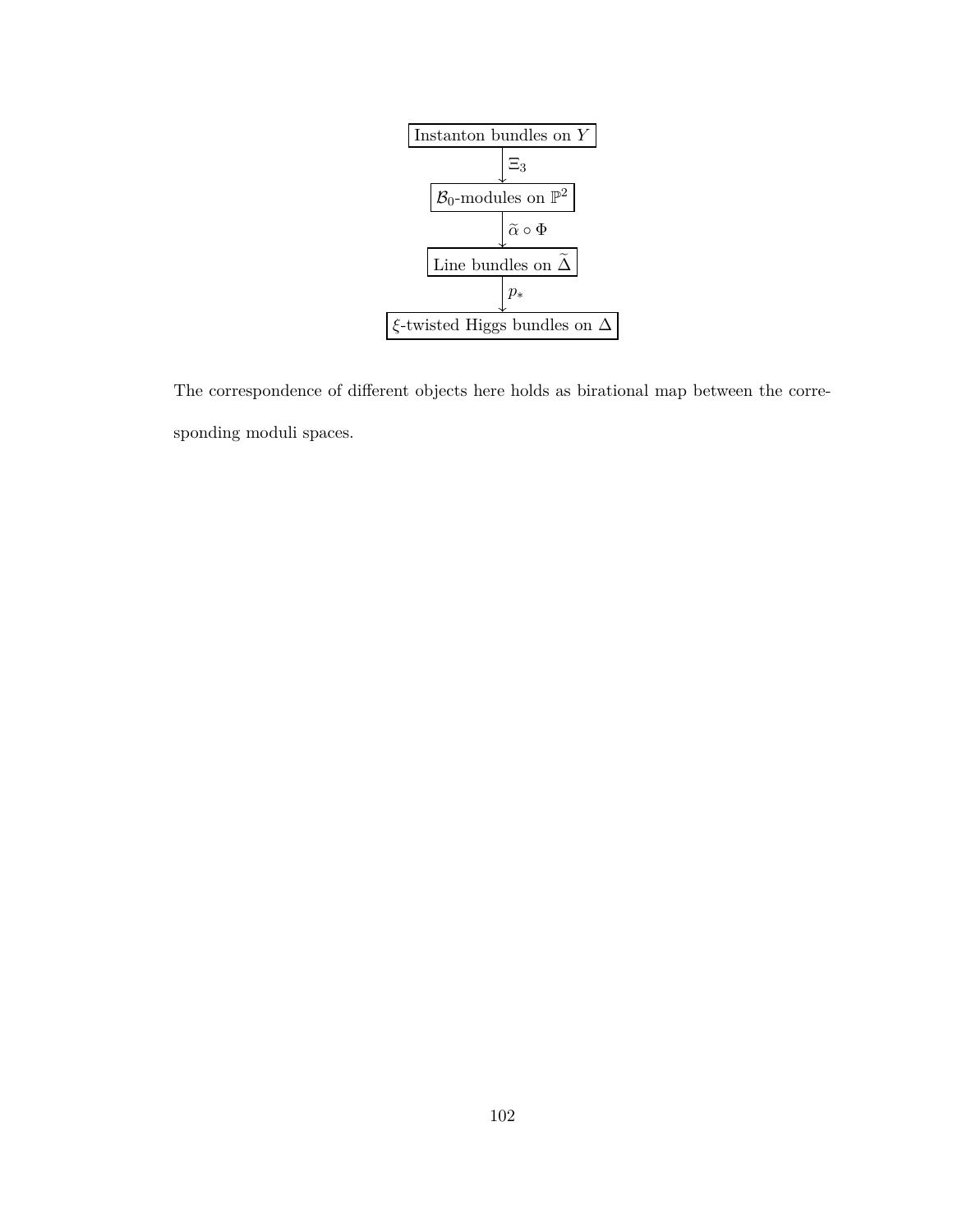

The correspondence of different objects here holds as birational map between the corresponding moduli spaces.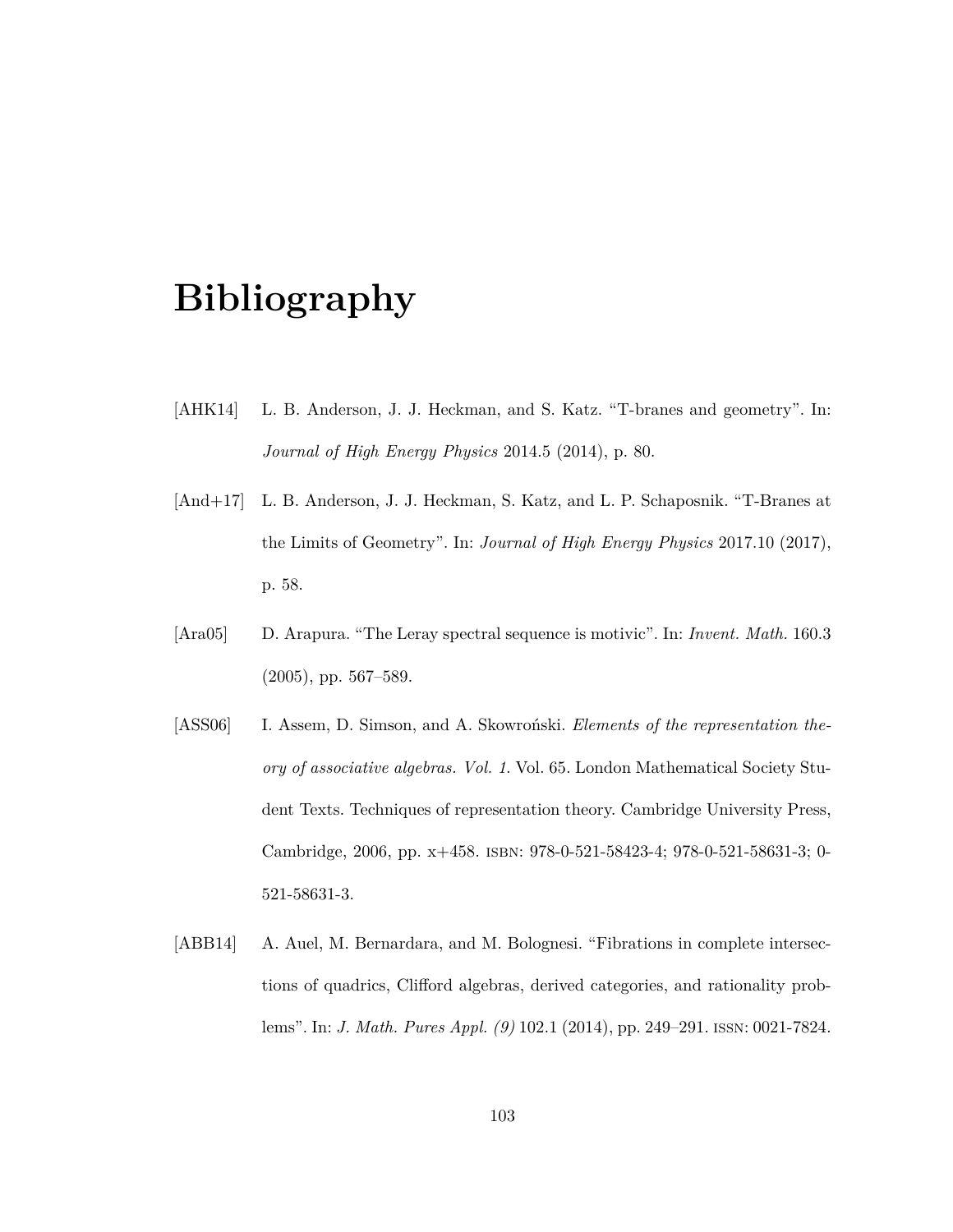## **Bibliography**

- [AHK14] L. B. Anderson, J. J. Heckman, and S. Katz. "T-branes and geometry". In: *Journal of High Energy Physics* 2014.5 (2014), p. 80.
- [And+17] L. B. Anderson, J. J. Heckman, S. Katz, and L. P. Schaposnik. "T-Branes at the Limits of Geometry". In: *Journal of High Energy Physics* 2017.10 (2017), p. 58.
- [Ara05] D. Arapura. "The Leray spectral sequence is motivic". In: *Invent. Math.* 160.3 (2005), pp. 567–589.
- [ASS06] I. Assem, D. Simson, and A. Skowronski. *Elements of the representation theory of associative algebras. Vol. 1*. Vol. 65. London Mathematical Society Student Texts. Techniques of representation theory. Cambridge University Press, Cambridge, 2006, pp. x+458. isbn: 978-0-521-58423-4; 978-0-521-58631-3; 0- 521-58631-3.
- [ABB14] A. Auel, M. Bernardara, and M. Bolognesi. "Fibrations in complete intersections of quadrics, Clifford algebras, derived categories, and rationality problems". In: *J. Math. Pures Appl. (9)* 102.1 (2014), pp. 249–291. issn: 0021-7824.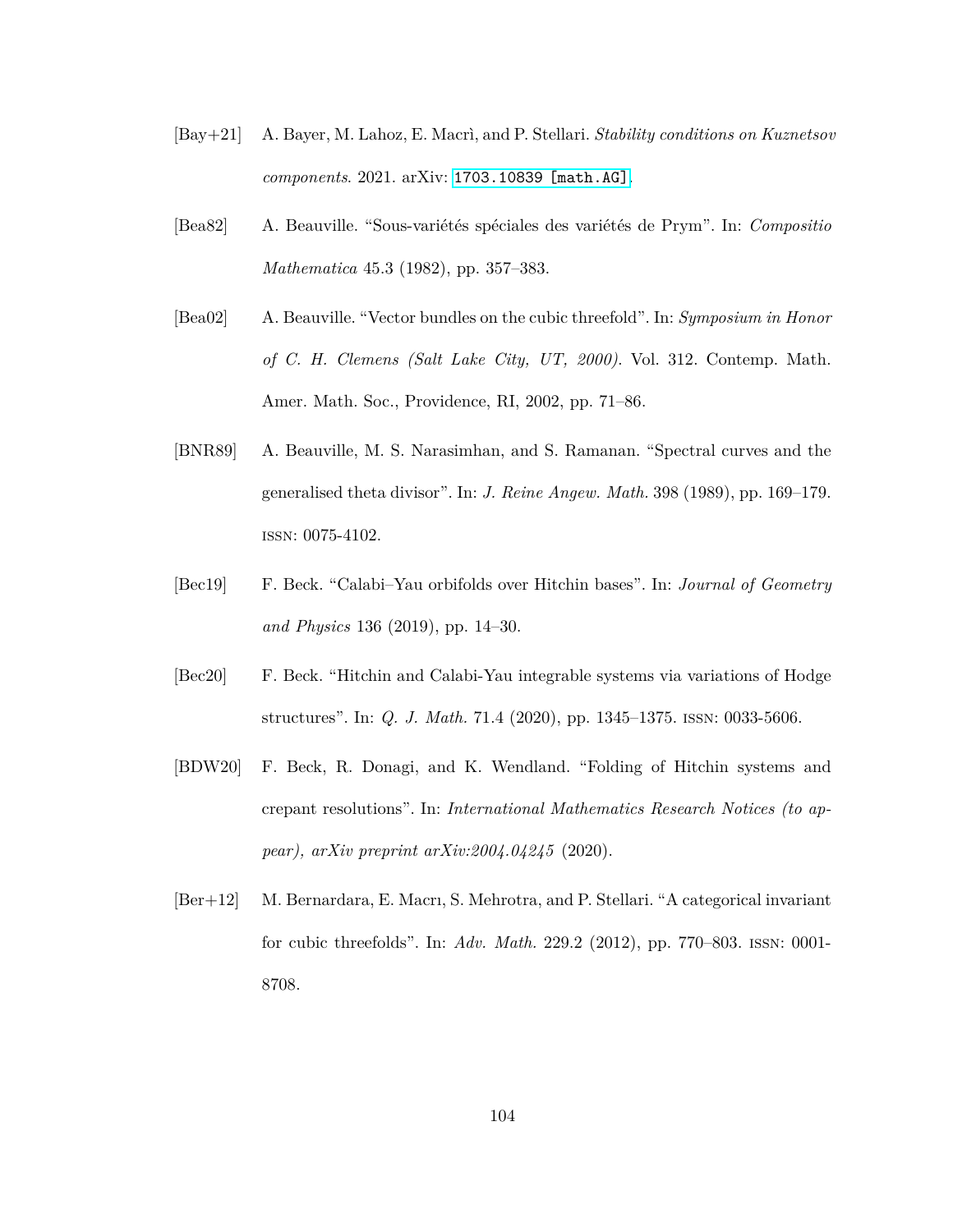- [Bay+21] A. Bayer, M. Lahoz, E. Macr`ı, and P. Stellari. *Stability conditions on Kuznetsov components*. 2021. arXiv: [1703.10839 \[math.AG\]](https://arxiv.org/abs/1703.10839).
- [Bea82] A. Beauville. "Sous-variétés spéciales des variétés de Prym". In: *Compositio Mathematica* 45.3 (1982), pp. 357–383.
- [Bea02] A. Beauville. "Vector bundles on the cubic threefold". In: *Symposium in Honor of C. H. Clemens (Salt Lake City, UT, 2000)*. Vol. 312. Contemp. Math. Amer. Math. Soc., Providence, RI, 2002, pp. 71–86.
- <span id="page-111-0"></span>[BNR89] A. Beauville, M. S. Narasimhan, and S. Ramanan. "Spectral curves and the generalised theta divisor". In: *J. Reine Angew. Math.* 398 (1989), pp. 169–179. issn: 0075-4102.
- [Bec19] F. Beck. "Calabi–Yau orbifolds over Hitchin bases". In: *Journal of Geometry and Physics* 136 (2019), pp. 14–30.
- [Bec20] F. Beck. "Hitchin and Calabi-Yau integrable systems via variations of Hodge structures". In: *Q. J. Math.* 71.4 (2020), pp. 1345–1375. issn: 0033-5606.
- [BDW20] F. Beck, R. Donagi, and K. Wendland. "Folding of Hitchin systems and crepant resolutions". In: *International Mathematics Research Notices (to appear), arXiv preprint arXiv:2004.04245* (2020).
- [Ber+12] M. Bernardara, E. Macrı, S. Mehrotra, and P. Stellari. "A categorical invariant for cubic threefolds". In: *Adv. Math.* 229.2 (2012), pp. 770–803. issn: 0001- 8708.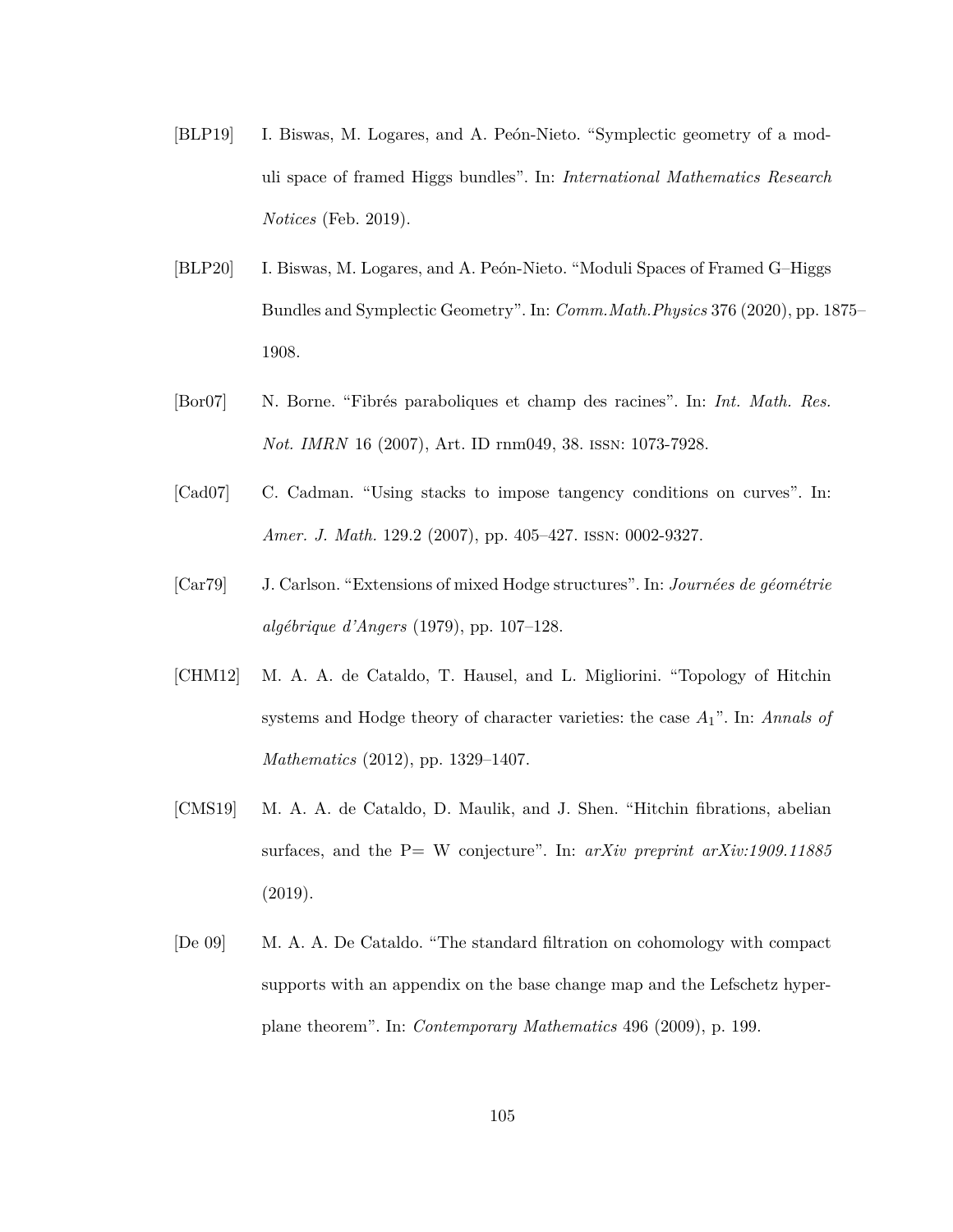- [BLP19] I. Biswas, M. Logares, and A. Peon-Nieto. "Symplectic geometry of a moduli space of framed Higgs bundles". In: *International Mathematics Research Notices* (Feb. 2019).
- [BLP20] I. Biswas, M. Logares, and A. Peon-Nieto. "Moduli Spaces of Framed G–Higgs Bundles and Symplectic Geometry". In: *Comm.Math.Physics* 376 (2020), pp. 1875– 1908.
- [Bor07] N. Borne. "Fibr´es paraboliques et champ des racines". In: *Int. Math. Res. Not. IMRN* 16 (2007), Art. ID rnm049, 38. issn: 1073-7928.
- [Cad07] C. Cadman. "Using stacks to impose tangency conditions on curves". In: *Amer. J. Math.* 129.2 (2007), pp. 405–427. issn: 0002-9327.
- [Car79] J. Carlson. "Extensions of mixed Hodge structures". In: *Journées de géométrie alg´ebrique d'Angers* (1979), pp. 107–128.
- [CHM12] M. A. A. de Cataldo, T. Hausel, and L. Migliorini. "Topology of Hitchin systems and Hodge theory of character varieties: the case *A*1". In: *Annals of Mathematics* (2012), pp. 1329–1407.
- [CMS19] M. A. A. de Cataldo, D. Maulik, and J. Shen. "Hitchin fibrations, abelian surfaces, and the P= W conjecture". In: *arXiv preprint arXiv:1909.11885* (2019).
- [De 09] M. A. A. De Cataldo. "The standard filtration on cohomology with compact supports with an appendix on the base change map and the Lefschetz hyperplane theorem". In: *Contemporary Mathematics* 496 (2009), p. 199.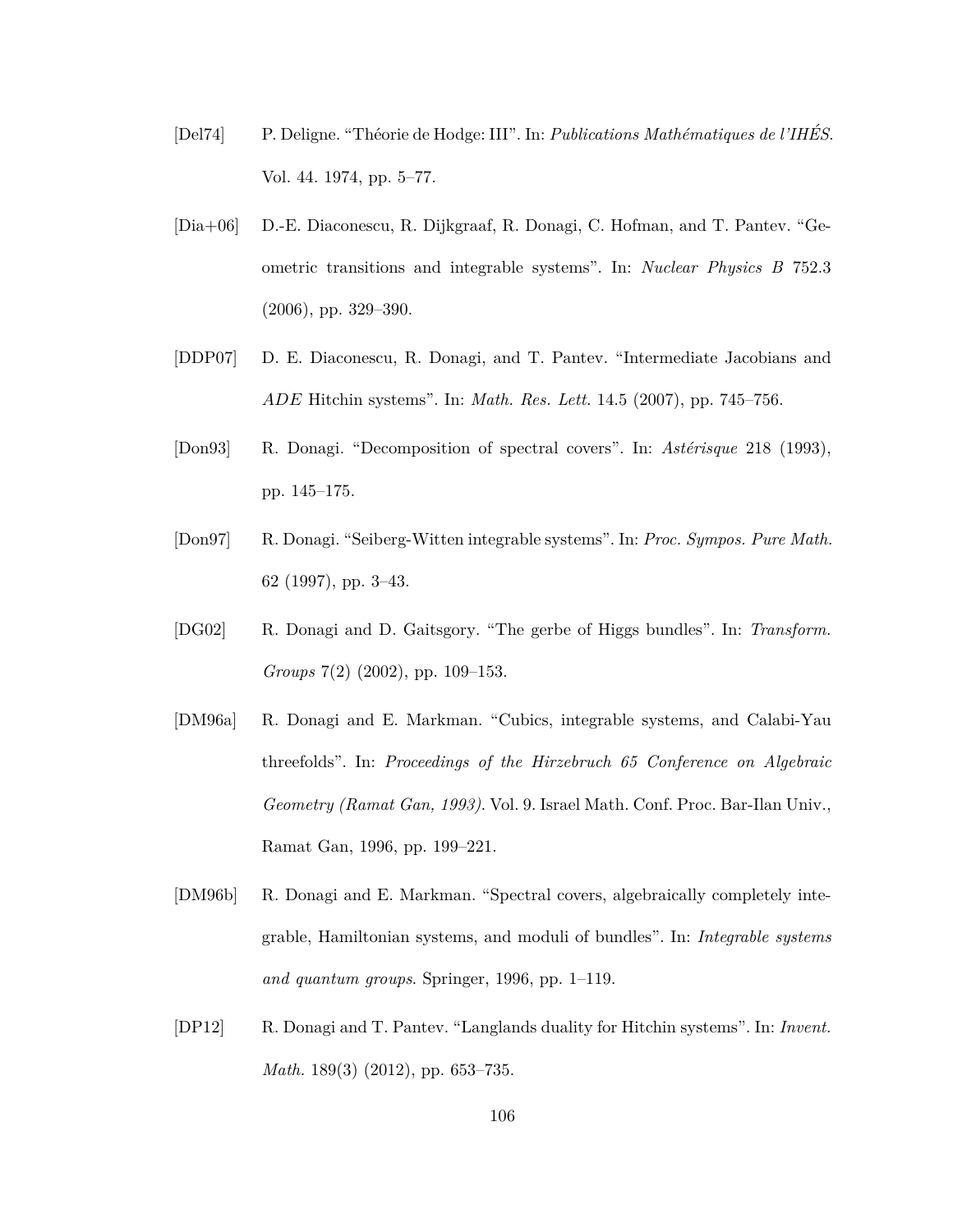- [Del74] P. Deligne. "Th´eorie de Hodge: III". In: *Publications Math´ematiques de l'IHES´* . Vol. 44. 1974, pp. 5–77.
- [Dia+06] D.-E. Diaconescu, R. Dijkgraaf, R. Donagi, C. Hofman, and T. Pantev. "Geometric transitions and integrable systems". In: *Nuclear Physics B* 752.3 (2006), pp. 329–390.
- [DDP07] D. E. Diaconescu, R. Donagi, and T. Pantev. "Intermediate Jacobians and *ADE* Hitchin systems". In: *Math. Res. Lett.* 14.5 (2007), pp. 745–756.
- [Don93] R. Donagi. "Decomposition of spectral covers". In: *Astérisque* 218 (1993), pp. 145–175.
- [Don97] R. Donagi. "Seiberg-Witten integrable systems". In: *Proc. Sympos. Pure Math.* 62 (1997), pp. 3–43.
- [DG02] R. Donagi and D. Gaitsgory. "The gerbe of Higgs bundles". In: *Transform. Groups* 7(2) (2002), pp. 109–153.
- [DM96a] R. Donagi and E. Markman. "Cubics, integrable systems, and Calabi-Yau threefolds". In: *Proceedings of the Hirzebruch 65 Conference on Algebraic Geometry (Ramat Gan, 1993)*. Vol. 9. Israel Math. Conf. Proc. Bar-Ilan Univ., Ramat Gan, 1996, pp. 199–221.
- [DM96b] R. Donagi and E. Markman. "Spectral covers, algebraically completely integrable, Hamiltonian systems, and moduli of bundles". In: *Integrable systems and quantum groups*. Springer, 1996, pp. 1–119.
- [DP12] R. Donagi and T. Pantev. "Langlands duality for Hitchin systems". In: *Invent. Math.* 189(3) (2012), pp. 653–735.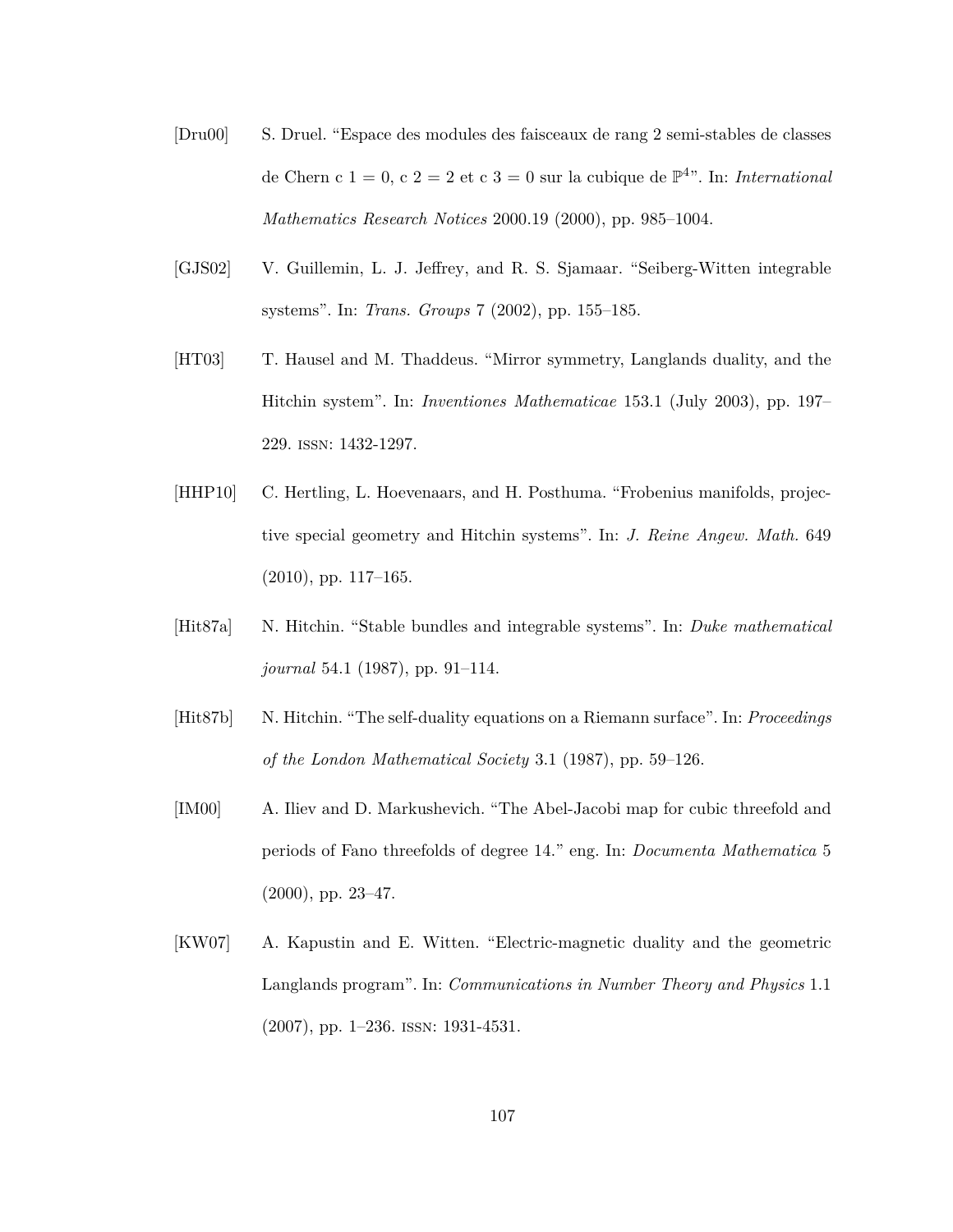- [Dru00] S. Druel. "Espace des modules des faisceaux de rang 2 semi-stables de classes de Chern c  $1 = 0$ , c  $2 = 2$  et c  $3 = 0$  sur la cubique de  $\mathbb{P}^{4}$ . In: *International Mathematics Research Notices* 2000.19 (2000), pp. 985–1004.
- [GJS02] V. Guillemin, L. J. Jeffrey, and R. S. Sjamaar. "Seiberg-Witten integrable systems". In: *Trans. Groups* 7 (2002), pp. 155–185.
- [HT03] T. Hausel and M. Thaddeus. "Mirror symmetry, Langlands duality, and the Hitchin system". In: *Inventiones Mathematicae* 153.1 (July 2003), pp. 197– 229. issn: 1432-1297.
- [HHP10] C. Hertling, L. Hoevenaars, and H. Posthuma. "Frobenius manifolds, projective special geometry and Hitchin systems". In: *J. Reine Angew. Math.* 649 (2010), pp. 117–165.
- [Hit87a] N. Hitchin. "Stable bundles and integrable systems". In: *Duke mathematical journal* 54.1 (1987), pp. 91–114.
- [Hit87b] N. Hitchin. "The self-duality equations on a Riemann surface". In: *Proceedings of the London Mathematical Society* 3.1 (1987), pp. 59–126.
- [IM00] A. Iliev and D. Markushevich. "The Abel-Jacobi map for cubic threefold and periods of Fano threefolds of degree 14." eng. In: *Documenta Mathematica* 5 (2000), pp. 23–47.
- [KW07] A. Kapustin and E. Witten. "Electric-magnetic duality and the geometric Langlands program". In: *Communications in Number Theory and Physics* 1.1 (2007), pp. 1–236. issn: 1931-4531.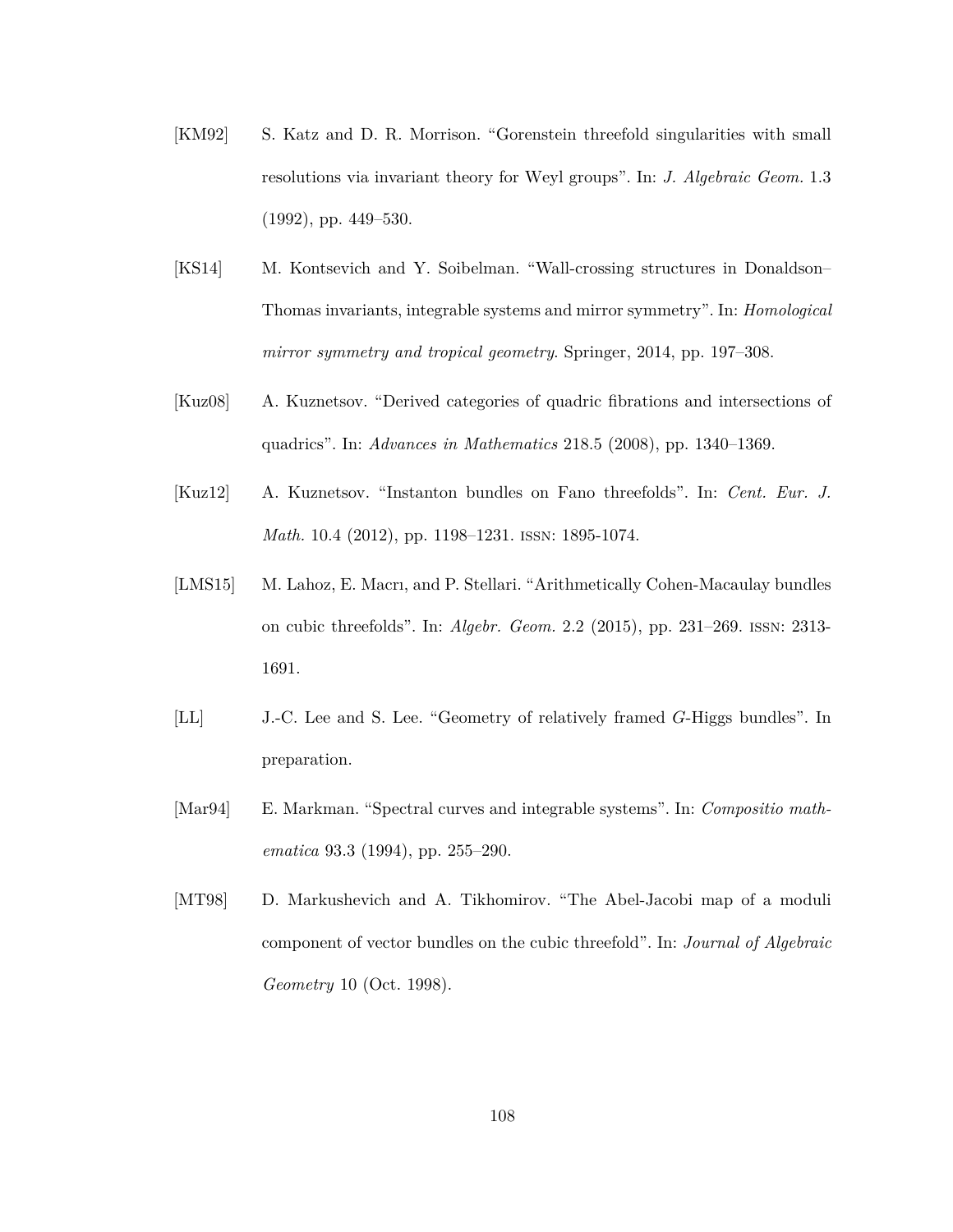- [KM92] S. Katz and D. R. Morrison. "Gorenstein threefold singularities with small resolutions via invariant theory for Weyl groups". In: *J. Algebraic Geom.* 1.3 (1992), pp. 449–530.
- [KS14] M. Kontsevich and Y. Soibelman. "Wall-crossing structures in Donaldson– Thomas invariants, integrable systems and mirror symmetry". In: *Homological mirror symmetry and tropical geometry*. Springer, 2014, pp. 197–308.
- <span id="page-115-0"></span>[Kuz08] A. Kuznetsov. "Derived categories of quadric fibrations and intersections of quadrics". In: *Advances in Mathematics* 218.5 (2008), pp. 1340–1369.
- [Kuz12] A. Kuznetsov. "Instanton bundles on Fano threefolds". In: *Cent. Eur. J. Math.* 10.4 (2012), pp. 1198–1231. issn: 1895-1074.
- <span id="page-115-1"></span>[LMS15] M. Lahoz, E. Macrı, and P. Stellari. "Arithmetically Cohen-Macaulay bundles on cubic threefolds". In: *Algebr. Geom.* 2.2 (2015), pp. 231–269. issn: 2313- 1691.
- [LL] J.-C. Lee and S. Lee. "Geometry of relatively framed *G*-Higgs bundles". In preparation.
- [Mar94] E. Markman. "Spectral curves and integrable systems". In: *Compositio mathematica* 93.3 (1994), pp. 255–290.
- [MT98] D. Markushevich and A. Tikhomirov. "The Abel-Jacobi map of a moduli component of vector bundles on the cubic threefold". In: *Journal of Algebraic Geometry* 10 (Oct. 1998).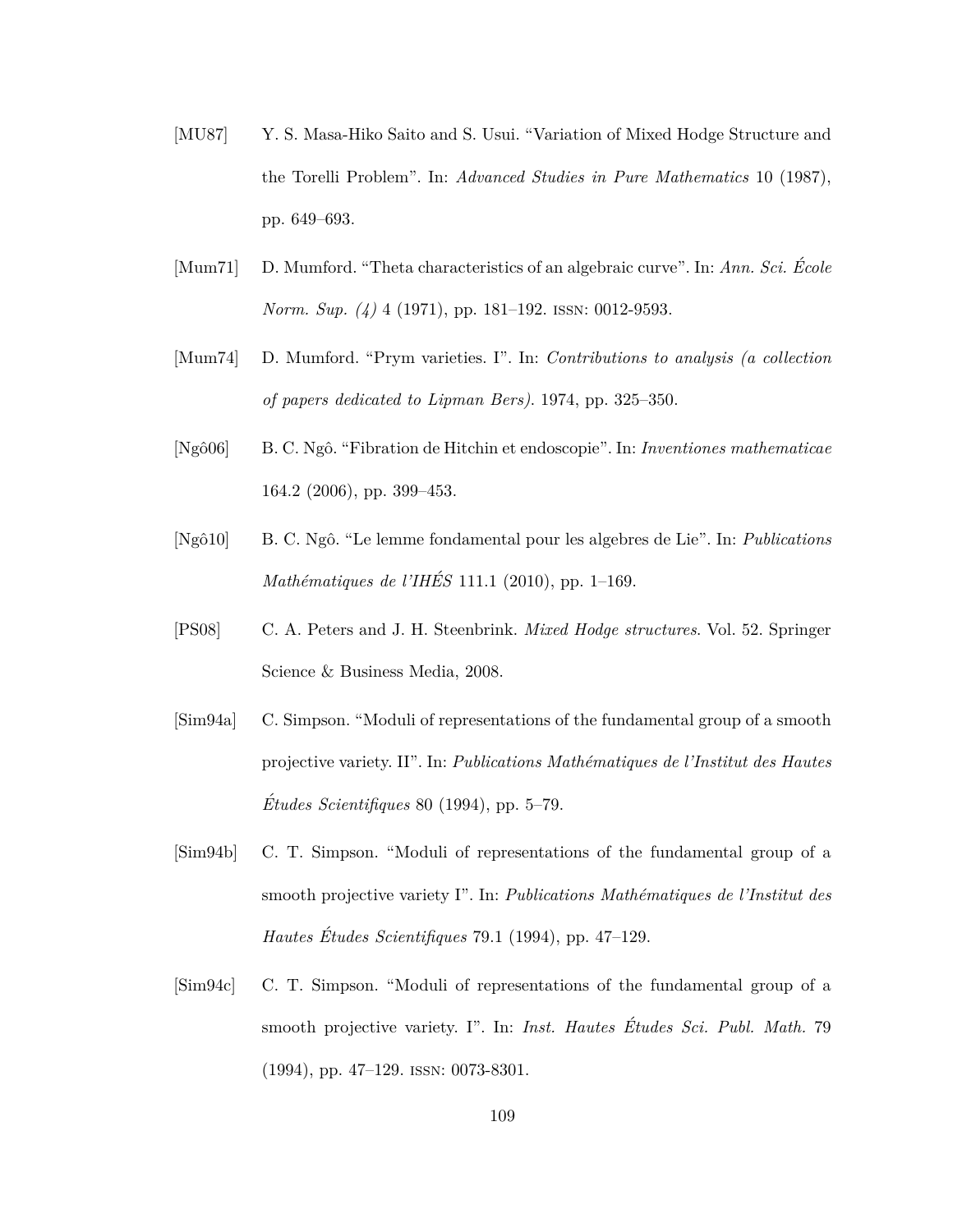- [MU87] Y. S. Masa-Hiko Saito and S. Usui. "Variation of Mixed Hodge Structure and the Torelli Problem". In: *Advanced Studies in Pure Mathematics* 10 (1987), pp. 649–693.
- [Mum71] D. Mumford. "Theta characteristics of an algebraic curve". In: *Ann. Sci. Ecole ´ Norm. Sup. (4)* 4 (1971), pp. 181–192. issn: 0012-9593.
- [Mum74] D. Mumford. "Prym varieties. I". In: *Contributions to analysis (a collection of papers dedicated to Lipman Bers)*. 1974, pp. 325–350.
- [Ngˆo06] B. C. Ngˆo. "Fibration de Hitchin et endoscopie". In: *Inventiones mathematicae* 164.2 (2006), pp. 399–453.
- [Ngˆo10] B. C. Ngˆo. "Le lemme fondamental pour les algebres de Lie". In: *Publications Mathématiques de l'IHÉS* 111.1 (2010), pp. 1–169.
- [PS08] C. A. Peters and J. H. Steenbrink. *Mixed Hodge structures*. Vol. 52. Springer Science & Business Media, 2008.
- [Sim94a] C. Simpson. "Moduli of representations of the fundamental group of a smooth projective variety. II". In: *Publications Math´ematiques de l'Institut des Hautes Études Scientifiques* 80 (1994), pp. 5–79.
- [Sim94b] C. T. Simpson. "Moduli of representations of the fundamental group of a smooth projective variety I". In: *Publications Mathématiques de l'Institut des Hautes Etudes Scientifiques ´* 79.1 (1994), pp. 47–129.
- [Sim94c] C. T. Simpson. "Moduli of representations of the fundamental group of a smooth projective variety. I". In: *Inst. Hautes Etudes Sci. Publ. Math. ´* 79 (1994), pp. 47–129. issn: 0073-8301.